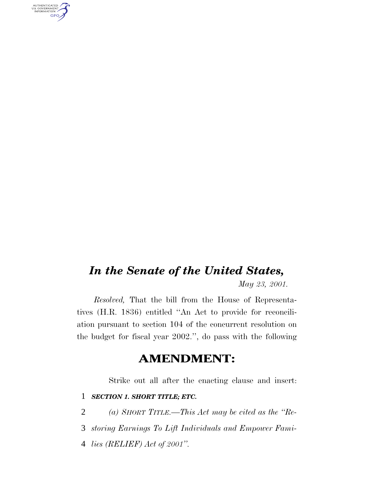AUTHENTICATED<br>U.S. GOVERNMENT<br>INFORMATION **GPO** 

# *In the Senate of the United States, May 23, 2001.*

*Resolved,* That the bill from the House of Representatives (H.R. 1836) entitled ''An Act to provide for reconciliation pursuant to section 104 of the concurrent resolution on the budget for fiscal year 2002.'', do pass with the following

## **AMENDMENT:**

Strike out all after the enacting clause and insert:

## 1 *SECTION 1. SHORT TITLE; ETC.*

2 *(a) SHORT TITLE.—This Act may be cited as the ''Re-*

3 *storing Earnings To Lift Individuals and Empower Fami-*

4 *lies (RELIEF) Act of 2001''.*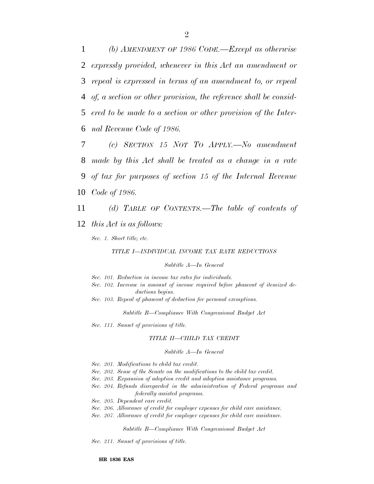*(b) AMENDMENT OF 1986 CODE.—Except as otherwise expressly provided, whenever in this Act an amendment or repeal is expressed in terms of an amendment to, or repeal of, a section or other provision, the reference shall be consid- ered to be made to a section or other provision of the Inter-nal Revenue Code of 1986.*

 *(c) SECTION 15 NOT TO APPLY.—No amendment made by this Act shall be treated as a change in a rate of tax for purposes of section 15 of the Internal Revenue Code of 1986.*

11 *(d) TABLE OF CONTENTS.—The table of contents of*

12 *this Act is as follows:*

*Sec. 1. Short title; etc.*

*TITLE I—INDIVIDUAL INCOME TAX RATE REDUCTIONS*

## *Subtitle A—In General*

*Sec. 101. Reduction in income tax rates for individuals.*

- *Sec. 102. Increase in amount of income required before phaseout of itemized deductions begins.*
- *Sec. 103. Repeal of phaseout of deduction for personal exemptions.*

*Subtitle B—Compliance With Congressional Budget Act*

*Sec. 111. Sunset of provisions of title.*

### *TITLE II—CHILD TAX CREDIT*

### *Subtitle A—In General*

- *Sec. 201. Modifications to child tax credit.*
- *Sec. 202. Sense of the Senate on the modifications to the child tax credit.*
- *Sec. 203. Expansion of adoption credit and adoption assistance programs.*
- *Sec. 204. Refunds disregarded in the administration of Federal programs and federally assisted programs.*
- *Sec. 205. Dependent care credit.*
- *Sec. 206. Allowance of credit for employer expenses for child care assistance.*
- *Sec. 207. Allowance of credit for employer expenses for child care assistance.*

*Subtitle B—Compliance With Congressional Budget Act*

*Sec. 211. Sunset of provisions of title.*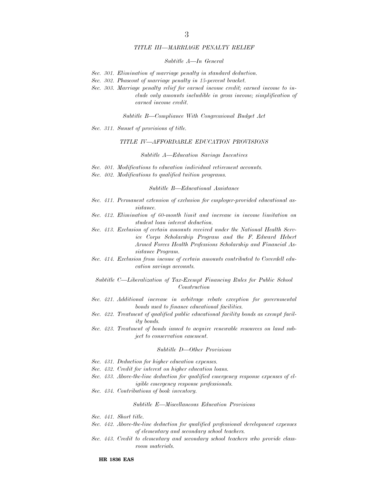## *TITLE III—MARRIAGE PENALTY RELIEF*

## *Subtitle A—In General*

- *Sec. 301. Elimination of marriage penalty in standard deduction.*
- *Sec. 302. Phaseout of marriage penalty in 15-percent bracket.*
- *Sec. 303. Marriage penalty relief for earned income credit; earned income to include only amounts includible in gross income; simplification of earned income credit.*

*Subtitle B—Compliance With Congressional Budget Act*

*Sec. 311. Sunset of provisions of title.*

## *TITLE IV—AFFORDABLE EDUCATION PROVISIONS*

#### *Subtitle A—Education Savings Incentives*

- *Sec. 401. Modifications to education individual retirement accounts.*
- *Sec. 402. Modifications to qualified tuition programs.*

#### *Subtitle B—Educational Assistance*

- *Sec. 411. Permanent extension of exclusion for employer-provided educational assistance.*
- *Sec. 412. Elimination of 60-month limit and increase in income limitation on student loan interest deduction.*
- *Sec. 413. Exclusion of certain amounts received under the National Health Service Corps Scholarship Program and the F. Edward Hebert Armed Forces Health Professions Scholarship and Financial Assistance Program.*
- *Sec. 414. Exclusion from income of certain amounts contributed to Coverdell education savings accounts.*

*Subtitle C—Liberalization of Tax-Exempt Financing Rules for Public School Construction*

- *Sec. 421. Additional increase in arbitrage rebate exception for governmental bonds used to finance educational facilities.*
- *Sec. 422. Treatment of qualified public educational facility bonds as exempt facility bonds.*
- *Sec. 423. Treatment of bonds issued to acquire renewable resources on land subject to conservation easement.*

#### *Subtitle D—Other Provisions*

- *Sec. 431. Deduction for higher education expenses.*
- *Sec. 432. Credit for interest on higher education loans.*
- *Sec. 433. Above-the-line deduction for qualified emergency response expenses of eligible emergency response professionals.*
- *Sec. 434. Contributions of book inventory.*

#### *Subtitle E—Miscellaneous Education Provisions*

- *Sec. 441. Short title.*
- *Sec. 442. Above-the-line deduction for qualified professional development expenses of elementary and secondary school teachers.*
- *Sec. 443. Credit to elementary and secondary school teachers who provide classroom materials.*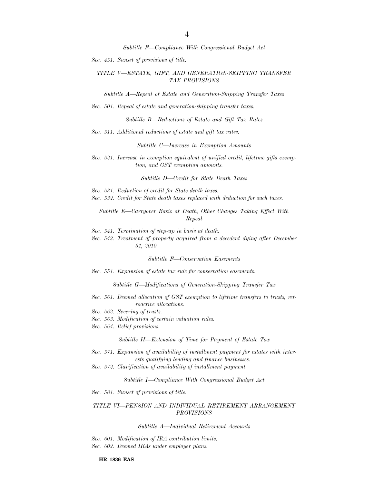*Subtitle F—Compliance With Congressional Budget Act*

*Sec. 451. Sunset of provisions of title.*

## *TITLE V—ESTATE, GIFT, AND GENERATION-SKIPPING TRANSFER TAX PROVISIONS*

*Subtitle A—Repeal of Estate and Generation-Skipping Transfer Taxes*

*Sec. 501. Repeal of estate and generation-skipping transfer taxes.*

*Subtitle B—Reductions of Estate and Gift Tax Rates*

*Sec. 511. Additional reductions of estate and gift tax rates.*

*Subtitle C—Increase in Exemption Amounts*

*Sec. 521. Increase in exemption equivalent of unified credit, lifetime gifts exemption, and GST exemption amounts.*

*Subtitle D—Credit for State Death Taxes*

- *Sec. 531. Reduction of credit for State death taxes.*
- *Sec. 532. Credit for State death taxes replaced with deduction for such taxes.*

*Subtitle E—Carryover Basis at Death; Other Changes Taking Effect With Repeal*

*Sec. 541. Termination of step-up in basis at death.*

*Sec. 542. Treatment of property acquired from a decedent dying after December 31, 2010.*

*Subtitle F—Conservation Easements*

*Sec. 551. Expansion of estate tax rule for conservation easements.*

*Subtitle G—Modifications of Generation-Skipping Transfer Tax*

- *Sec. 561. Deemed allocation of GST exemption to lifetime transfers to trusts; retroactive allocations.*
- *Sec. 562. Severing of trusts.*
- *Sec. 563. Modification of certain valuation rules.*
- *Sec. 564. Relief provisions.*

*Subtitle H—Extension of Time for Payment of Estate Tax*

- *Sec. 571. Expansion of availability of installment payment for estates with interests qualifying lending and finance businesses.*
- *Sec. 572. Clarification of availability of installment payment.*

*Subtitle I—Compliance With Congressional Budget Act*

*Sec. 581. Sunset of provisions of title.*

## *TITLE VI—PENSION AND INDIVIDUAL RETIREMENT ARRANGEMENT PROVISIONS*

*Subtitle A—Individual Retirement Accounts*

*Sec. 601. Modification of IRA contribution limits. Sec. 602. Deemed IRAs under employer plans.*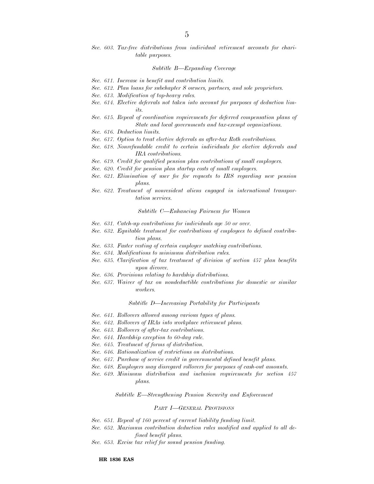*Sec. 603. Tax-free distributions from individual retirement accounts for charitable purposes.*

#### *Subtitle B—Expanding Coverage*

- *Sec. 611. Increase in benefit and contribution limits.*
- *Sec. 612. Plan loans for subchapter S owners, partners, and sole proprietors.*
- *Sec. 613. Modification of top-heavy rules.*
- *Sec. 614. Elective deferrals not taken into account for purposes of deduction limits.*
- *Sec. 615. Repeal of coordination requirements for deferred compensation plans of State and local governments and tax-exempt organizations.*
- *Sec. 616. Deduction limits.*
- *Sec. 617. Option to treat elective deferrals as after-tax Roth contributions.*
- *Sec. 618. Nonrefundable credit to certain individuals for elective deferrals and IRA contributions.*
- *Sec. 619. Credit for qualified pension plan contributions of small employers.*
- *Sec. 620. Credit for pension plan startup costs of small employers.*
- *Sec. 621. Elimination of user fee for requests to IRS regarding new pension plans.*
- *Sec. 622. Treatment of nonresident aliens engaged in international transportation services.*

#### *Subtitle C—Enhancing Fairness for Women*

- *Sec. 631. Catch-up contributions for individuals age 50 or over.*
- *Sec. 632. Equitable treatment for contributions of employees to defined contribution plans.*
- *Sec. 633. Faster vesting of certain employer matching contributions.*
- *Sec. 634. Modifications to minimum distribution rules.*
- *Sec. 635. Clarification of tax treatment of division of section 457 plan benefits upon divorce.*
- *Sec. 636. Provisions relating to hardship distributions.*
- *Sec. 637. Waiver of tax on nondeductible contributions for domestic or similar workers.*

### *Subtitle D—Increasing Portability for Participants*

- *Sec. 641. Rollovers allowed among various types of plans.*
- *Sec. 642. Rollovers of IRAs into workplace retirement plans.*
- *Sec. 643. Rollovers of after-tax contributions.*
- *Sec. 644. Hardship exception to 60-day rule.*
- *Sec. 645. Treatment of forms of distribution.*
- *Sec. 646. Rationalization of restrictions on distributions.*
- *Sec. 647. Purchase of service credit in governmental defined benefit plans.*
- *Sec. 648. Employers may disregard rollovers for purposes of cash-out amounts.*
- *Sec. 649. Minimum distribution and inclusion requirements for section 457 plans.*

*Subtitle E—Strengthening Pension Security and Enforcement*

#### *PART I—GENERAL PROVISIONS*

- *Sec. 651. Repeal of 160 percent of current liability funding limit.*
- *Sec. 652. Maximum contribution deduction rules modified and applied to all defined benefit plans.*
- *Sec. 653. Excise tax relief for sound pension funding.*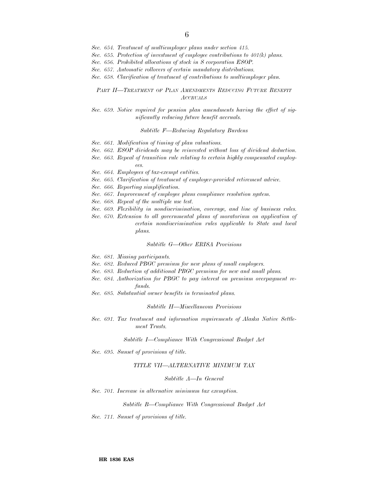*Sec. 654. Treatment of multiemployer plans under section 415.*

*Sec. 655. Protection of investment of employee contributions to 401(k) plans.*

*Sec. 656. Prohibited allocations of stock in S corporation ESOP.*

- *Sec. 657. Automatic rollovers of certain mandatory distributions.*
- *Sec. 658. Clarification of treatment of contributions to multiemployer plan.*

## *PART II—TREATMENT OF PLAN AMENDMENTS REDUCING FUTURE BENEFIT ACCRUALS*

## *Sec. 659. Notice required for pension plan amendments having the effect of significantly reducing future benefit accruals.*

### *Subtitle F—Reducing Regulatory Burdens*

- *Sec. 661. Modification of timing of plan valuations.*
- *Sec. 662. ESOP dividends may be reinvested without loss of dividend deduction.*
- *Sec. 663. Repeal of transition rule relating to certain highly compensated employees.*
- *Sec. 664. Employees of tax-exempt entities.*
- *Sec. 665. Clarification of treatment of employer-provided retirement advice.*
- *Sec. 666. Reporting simplification.*
- *Sec. 667. Improvement of employee plans compliance resolution system.*
- *Sec. 668. Repeal of the multiple use test.*
- *Sec. 669. Flexibility in nondiscrimination, coverage, and line of business rules.*
- *Sec. 670. Extension to all governmental plans of moratorium on application of certain nondiscrimination rules applicable to State and local plans.*

#### *Subtitle G—Other ERISA Provisions*

- *Sec. 681. Missing participants.*
- *Sec. 682. Reduced PBGC premium for new plans of small employers.*
- *Sec. 683. Reduction of additional PBGC premium for new and small plans.*
- *Sec. 684. Authorization for PBGC to pay interest on premium overpayment refunds.*
- *Sec. 685. Substantial owner benefits in terminated plans.*

#### *Subtitle H—Miscellaneous Provisions*

*Sec. 691. Tax treatment and information requirements of Alaska Native Settlement Trusts.*

## *Subtitle I—Compliance With Congressional Budget Act*

*Sec. 695. Sunset of provisions of title.*

#### *TITLE VII—ALTERNATIVE MINIMUM TAX*

#### *Subtitle A—In General*

*Sec. 701. Increase in alternative minimum tax exemption.*

#### *Subtitle B—Compliance With Congressional Budget Act*

*Sec. 711. Sunset of provisions of title.*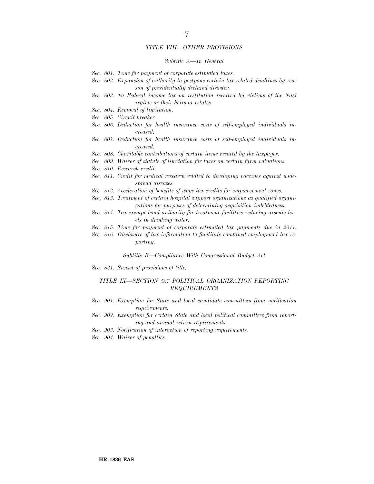## *TITLE VIII—OTHER PROVISIONS*

#### *Subtitle A—In General*

- *Sec. 801. Time for payment of corporate estimated taxes.*
- *Sec. 802. Expansion of authority to postpone certain tax-related deadlines by reason of presidentially declared disaster.*
- *Sec. 803. No Federal income tax on restitution received by victims of the Nazi regime or their heirs or estates.*
- *Sec. 804. Removal of limitation.*
- *Sec. 805. Circuit breaker.*
- *Sec. 806. Deduction for health insurance costs of self-employed individuals increased.*
- *Sec. 807. Deduction for health insurance costs of self-employed individuals increased.*
- *Sec. 808. Charitable contributions of certain items created by the taxpayer.*
- *Sec. 809. Waiver of statute of limitation for taxes on certain farm valuations.*
- *Sec. 810. Research credit.*
- *Sec. 811. Credit for medical research related to developing vaccines against widespread diseases.*
- *Sec. 812. Acceleration of benefits of wage tax credits for empowerment zones.*
- *Sec. 813. Treatment of certain hospital support organizations as qualified organizations for purposes of determining acquisition indebtedness.*
- *Sec. 814. Tax-exempt bond authority for treatment facilities reducing arsenic levels in drinking water.*
- *Sec. 815. Time for payment of corporate estimated tax payments due in 2011.*
- *Sec. 816. Disclosure of tax information to facilitate combined employment tax reporting.*

*Subtitle B—Compliance With Congressional Budget Act*

*Sec. 821. Sunset of provisions of title.*

## *TITLE IX—SECTION 527 POLITICAL ORGANIZATION REPORTING REQUIREMENTS*

- *Sec. 901. Exemption for State and local candidate committees from notification requirements.*
- *Sec. 902. Exemption for certain State and local political committees from reporting and annual return requirements.*
- *Sec. 903. Notification of interaction of reporting requirements.*
- *Sec. 904. Waiver of penalties.*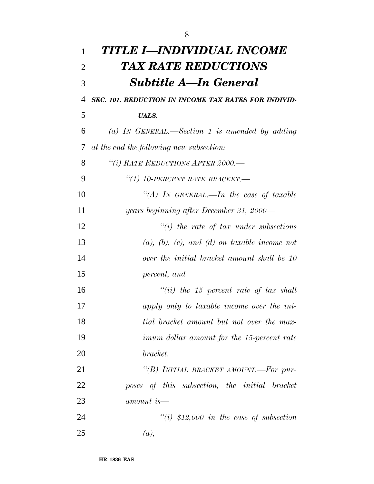| 1              | TITLE I—INDIVIDUAL INCOME                            |
|----------------|------------------------------------------------------|
| $\overline{2}$ | TAX RATE REDUCTIONS                                  |
| 3              | Subtitle A—In General                                |
| 4              | SEC. 101. REDUCTION IN INCOME TAX RATES FOR INDIVID- |
| 5              | <b>UALS.</b>                                         |
| 6              | (a) IN GENERAL.—Section 1 is amended by adding       |
| 7              | at the end the following new subsection:             |
| 8              | "(i) RATE REDUCTIONS AFTER 2000.-                    |
| 9              | "(1) 10-PERCENT RATE BRACKET.-                       |
| 10             | "(A) IN GENERAL.—In the case of taxable              |
| 11             | years beginning after December 31, 2000—             |
| 12             | $\lq\lq(i)$ the rate of tax under subsections        |
| 13             | $(a), (b), (c), and (d)$ on taxable income not       |
| 14             | over the initial bracket amount shall be 10          |
| 15             | percent, and                                         |
| 16             | "(ii) the 15 percent rate of tax shall               |
| 17             | apply only to taxable income over the ini-           |
| 18             | tial bracket amount but not over the max-            |
| 19             | imum dollar amount for the 15-percent rate           |
| 20             | bracket.                                             |
| 21             | "(B) INITIAL BRACKET AMOUNT.—For pur-                |
| 22             | poses of this subsection, the initial bracket        |
| 23             | amount is—                                           |
| 24             | $``(i)$ \$12,000 in the case of subsection           |
| 25             | (a),                                                 |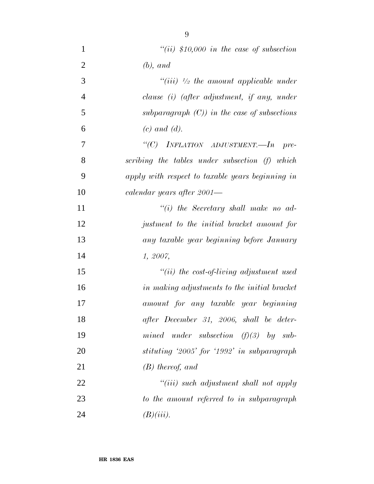| $\mathbf{1}$   | "(ii) $$10,000$ in the case of subsection        |
|----------------|--------------------------------------------------|
| $\overline{2}$ | $(b)$ , and                                      |
| 3              | "(iii) $\frac{1}{2}$ the amount applicable under |
| $\overline{4}$ | clause (i) (after adjustment, if any, under      |
| 5              | subparagraph $(C)$ ) in the case of subsections  |
| 6              | $(c)$ and $(d)$ .                                |
| 7              | "(C) INFLATION ADJUSTMENT.—In pre-               |
| 8              | scribing the tables under subsection (f) which   |
| 9              | apply with respect to taxable years beginning in |
| 10             | calendar years after 2001—                       |
| 11             | $``(i)$ the Secretary shall make no ad-          |
| 12             | justment to the initial bracket amount for       |
| 13             | any taxable year beginning before January        |
| 14             | 1, 2007,                                         |
| 15             | $``(ii)$ the cost-of-living adjustment used      |
| 16             | in making adjustments to the initial bracket     |
| 17             | amount for any taxable year beginning            |
| 18             | after December 31, 2006, shall be deter-         |
| 19             | mined under subsection $(f)(3)$ by sub-          |
| 20             | stituting '2005' for '1992' in subparagraph      |
| 21             | $(B)$ thereof, and                               |
| 22             | $``(iii)$ such adjustment shall not apply        |
| 23             | to the amount referred to in subparagraph        |
| 24             | $(B)(iii)$ .                                     |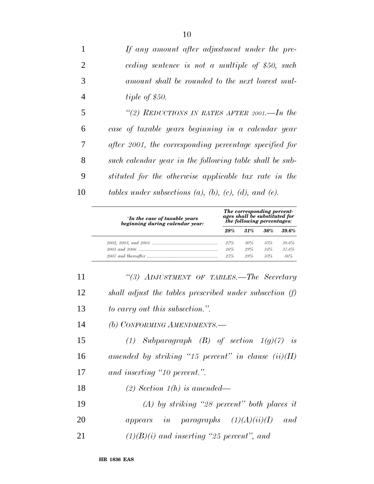*If any amount after adjustment under the pre- ceding sentence is not a multiple of \$50, such amount shall be rounded to the next lowest mul- tiple of \$50. ''(2) REDUCTIONS IN RATES AFTER 2001.—In the case of taxable years beginning in a calendar year after 2001, the corresponding percentage specified for such calendar year in the following table shall be sub-*

 *stituted for the otherwise applicable tax rate in the tables under subsections (a), (b), (c), (d), and (e).*

| "In the case of taxable years<br>beginning during calendar year: | The corresponding percent-<br>ages shall be substituted for<br>the following percentages: |        |         |          |
|------------------------------------------------------------------|-------------------------------------------------------------------------------------------|--------|---------|----------|
|                                                                  | 28%                                                                                       | .31%   | $.36\%$ | $39.6\%$ |
|                                                                  | 27%                                                                                       | 30%    | 35%     | 38.6%    |
|                                                                  | 26%                                                                                       | $29\%$ | 34%     | 37.6%    |
|                                                                  | $25\%$                                                                                    | 28%    | 33%     | 36%      |

 *''(3) ADJUSTMENT OF TABLES.—The Secretary shall adjust the tables prescribed under subsection (f) to carry out this subsection.''.*

*(b) CONFORMING AMENDMENTS.—*

 *(1) Subparagraph (B) of section 1(g)(7) is amended by striking ''15 percent'' in clause (ii)(II) and inserting ''10 percent.''.*

*(2) Section 1(h) is amended—*

 *(A) by striking ''28 percent'' both places it appears in paragraphs (1)(A)(ii)(I) and (1)(B)(i) and inserting ''25 percent'', and*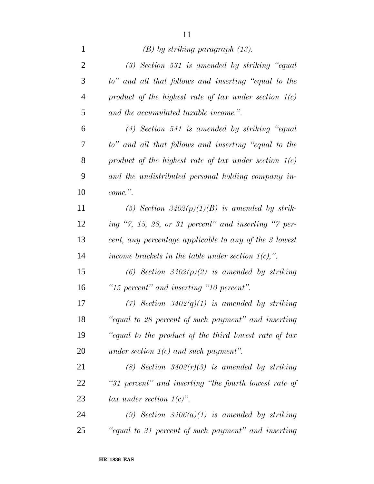| $\mathbf{1}$   | $(B)$ by striking paragraph $(13)$ .                    |
|----------------|---------------------------------------------------------|
| $\overline{2}$ | $(3)$ Section 531 is amended by striking "equal         |
| 3              | to" and all that follows and inserting "equal to the    |
| $\overline{4}$ | product of the highest rate of tax under section $1(c)$ |
| 5              | and the accumulated taxable income.".                   |
| 6              | $(4)$ Section 541 is amended by striking "equal         |
| 7              | to" and all that follows and inserting "equal to the    |
| 8              | product of the highest rate of tax under section $1(c)$ |
| 9              | and the undistributed personal holding company in-      |
| 10             | $come$ ."                                               |
| 11             | (5) Section 3402(p)(1)(B) is amended by strik-          |
| 12             | ing "7, 15, 28, or 31 percent" and inserting "7 per-    |
| 13             | cent, any percentage applicable to any of the 3 lowest  |
| 14             | income brackets in the table under section $1(c)$ ,".   |
| 15             | (6) Section $3402(p)(2)$ is amended by striking         |
| 16             | "15 percent" and inserting "10 percent".                |
| 17             | (7) Section $3402(q)(1)$ is amended by striking         |
| 18             | "equal to 28 percent of such payment" and inserting     |
| 19             | "equal to the product of the third lowest rate of tax   |
| 20             | under section $1(c)$ and such payment".                 |
| 21             | (8) Section $3402(r)(3)$ is amended by striking         |
| 22             | "31 percent" and inserting "the fourth lowest rate of   |
| 23             | tax under section $1(c)$ ".                             |
| 24             | (9) Section $3406(a)(1)$ is amended by striking         |
| 25             | "equal to 31 percent of such payment" and inserting     |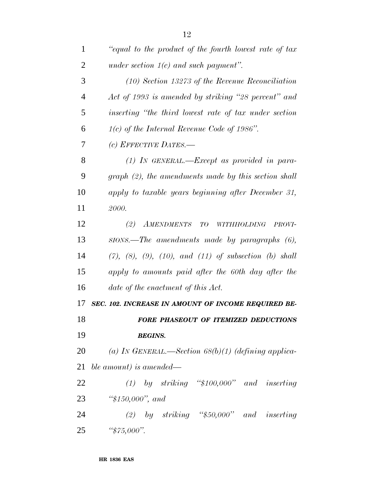| $\mathbf{1}$   | "equal to the product of the fourth lowest rate of tax                |
|----------------|-----------------------------------------------------------------------|
| $\overline{2}$ | under section $1(c)$ and such payment".                               |
| 3              | $(10)$ Section 13273 of the Revenue Reconciliation                    |
| $\overline{4}$ | Act of 1993 is amended by striking "28 percent" and                   |
| 5              | inserting "the third lowest rate of tax under section"                |
| 6              | $1(c)$ of the Internal Revenue Code of 1986".                         |
| 7              | (c) EFFECTIVE DATES.—                                                 |
| 8              | $(1)$ IN GENERAL.—Except as provided in para-                         |
| 9              | $graph (2)$ , the amendments made by this section shall               |
| 10             | apply to taxable years beginning after December 31,                   |
| 11             | 2000.                                                                 |
| 12             | $(2)$ AMENDMENTS<br>TO WITHHOLDING<br><i>PROVI-</i>                   |
| 13             | $SIONS$ . The amendments made by paragraphs $(6)$ ,                   |
| 14             | $(7)$ , $(8)$ , $(9)$ , $(10)$ , and $(11)$ of subsection $(b)$ shall |
| 15             | apply to amounts paid after the 60th day after the                    |
| 16             | date of the enactment of this Act.                                    |
| 17             | SEC. 102. INCREASE IN AMOUNT OF INCOME REQUIRED BE-                   |
| 18             | FORE PHASEOUT OF ITEMIZED DEDUCTIONS                                  |
| 19             | <b>BEGINS.</b>                                                        |
| 20             | (a) IN GENERAL.—Section $68(b)(1)$ (defining applica-                 |
| 21             | ble amount) is amended—                                               |
| 22             | $(1)$ by striking "\$100,000" and inserting                           |
| 23             | " $$150,000"$ , and                                                   |
| 24             | (2) by striking " $$50,000"$ and inserting                            |
| 25             | " $$75,000$ ".                                                        |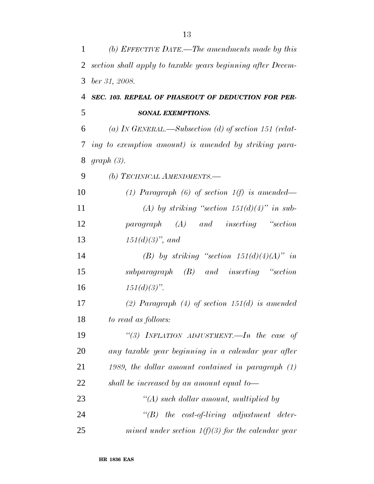| 1              | (b) EFFECTIVE DATE.—The amendments made by this               |
|----------------|---------------------------------------------------------------|
| 2              | section shall apply to taxable years beginning after Decem-   |
| 3              | ber 31, 2008.                                                 |
| $\overline{4}$ | SEC. 103. REPEAL OF PHASEOUT OF DEDUCTION FOR PER-            |
| 5              | <b>SONAL EXEMPTIONS.</b>                                      |
| 6              | (a) IN GENERAL.—Subsection (d) of section 151 (relat-         |
| 7              | ing to exemption amount) is amended by striking para-         |
| 8              | graph(3).                                                     |
| 9              | (b) TECHNICAL AMENDMENTS.—                                    |
| 10             | (1) Paragraph (6) of section $1(f)$ is amended—               |
| 11             | (A) by striking "section $151(d)(4)$ " in sub-                |
| 12             | $paramph \quad (A) \quad and \quad inserting \quad ``section$ |
| 13             | $151(d)(3)$ , and                                             |
| 14             | (B) by striking "section $151(d)(4)(A)$ " in                  |
| 15             | $subparagraph$ $(B)$ and inserting "section"                  |
| 16             | $151(d)(3)$ ".                                                |
| 17             | (2) Paragraph (4) of section $151(d)$ is amended              |
| 18             | to read as follows:                                           |
| 19             | "(3) INFLATION ADJUSTMENT.—In the case of                     |
| 20             | any taxable year beginning in a calendar year after           |
| 21             | 1989, the dollar amount contained in paragraph $(1)$          |
| 22             | shall be increased by an amount equal to-                     |
| 23             | $\lq (A)$ such dollar amount, multiplied by                   |
| 24             | $\lq\lq B$ the cost-of-living adjustment deter-               |
| 25             | mined under section $1(f)(3)$ for the calendar year           |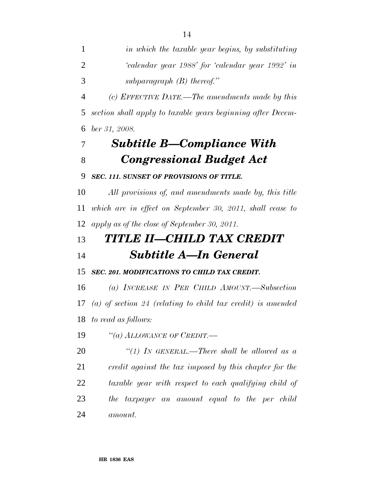*(c) EFFECTIVE DATE.—The amendments made by this section shall apply to taxable years beginning after Decem-ber 31, 2008.*

# *Subtitle B—Compliance With Congressional Budget Act*

## *SEC. 111. SUNSET OF PROVISIONS OF TITLE.*

 *All provisions of, and amendments made by, this title which are in effect on September 30, 2011, shall cease to apply as of the close of September 30, 2011.*

# *TITLE II—CHILD TAX CREDIT Subtitle A—In General*

## *SEC. 201. MODIFICATIONS TO CHILD TAX CREDIT.*

 *(a) INCREASE IN PER CHILD AMOUNT.—Subsection (a) of section 24 (relating to child tax credit) is amended to read as follows:*

*''(a) ALLOWANCE OF CREDIT.—*

 *''(1) IN GENERAL.—There shall be allowed as a credit against the tax imposed by this chapter for the taxable year with respect to each qualifying child of the taxpayer an amount equal to the per child amount.*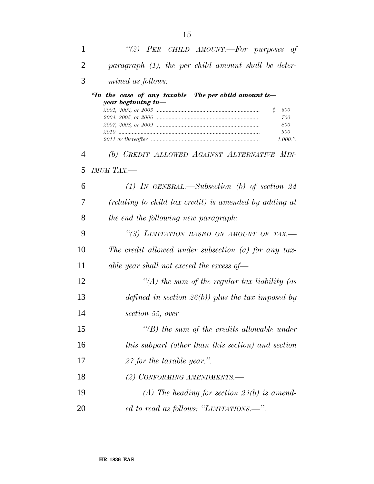| 1  | "(2) PER CHILD AMOUNT.-For purposes of                                                                                  |
|----|-------------------------------------------------------------------------------------------------------------------------|
| 2  | paragraph $(1)$ , the per child amount shall be deter-                                                                  |
| 3  | mined as follows:                                                                                                       |
|    | "In the case of any taxable The per child amount is-<br>year beginning in-<br>\$<br>600<br>700<br>800<br>900<br>1,000." |
| 4  | (b) CREDIT ALLOWED AGAINST ALTERNATIVE MIN-                                                                             |
| 5  | $I M U M T A X$ .                                                                                                       |
| 6  | $(1)$ IN GENERAL.—Subsection (b) of section 24                                                                          |
| 7  | (relating to child tax credit) is amended by adding at                                                                  |
| 8  | the end the following new paragraph:                                                                                    |
| 9  | "(3) LIMITATION BASED ON AMOUNT OF TAX.-                                                                                |
| 10 | The credit allowed under subsection $(a)$ for any tax-                                                                  |
| 11 | able year shall not exceed the excess of $-$                                                                            |
| 12 | "(A) the sum of the regular tax liability (as                                                                           |
| 13 | defined in section $26(b)$ ) plus the tax imposed by                                                                    |
| 14 | section 55, over                                                                                                        |
| 15 | $\lq\lq(B)$ the sum of the credits allowable under                                                                      |
| 16 | this subpart (other than this section) and section                                                                      |
| 17 | 27 for the taxable year.".                                                                                              |
| 18 | (2) CONFORMING AMENDMENTS.-                                                                                             |
| 19 | $(A)$ The heading for section 24(b) is amend-                                                                           |
| 20 | ed to read as follows: "LIMITATIONS.—".                                                                                 |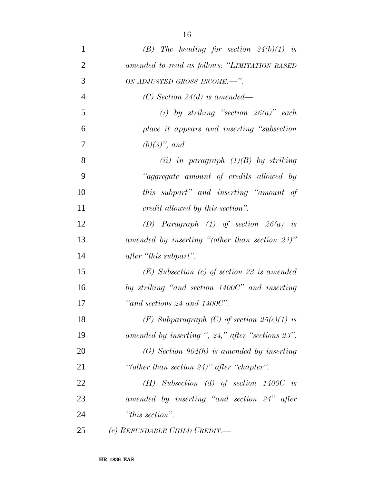| $\mathbf{1}$   | (B) The heading for section $24(b)(1)$ is         |
|----------------|---------------------------------------------------|
| $\overline{2}$ | amended to read as follows: "LIMITATION BASED     |
| 3              | ON ADJUSTED GROSS INCOME.-".                      |
| $\overline{4}$ | (C) Section 24(d) is amended—                     |
| 5              | (i) by striking "section $26(a)$ " each           |
| 6              | place it appears and inserting "subsection"       |
| 7              | $(b)(3)$ , and                                    |
| 8              | (ii) in paragraph $(1)(B)$ by striking            |
| 9              | "aggregate amount of credits allowed by           |
| 10             | this subpart" and inserting "amount of            |
| 11             | credit allowed by this section".                  |
| 12             | (D) Paragraph $(1)$ of section $26(a)$ is         |
| 13             | amended by inserting "(other than section $24$ )" |
| 14             | after "this subpart".                             |
| 15             | $(E)$ Subsection (c) of section 23 is amended     |
| 16             | by striking "and section 1400C" and inserting     |
| 17             | "and sections 24 and $1400C$ ".                   |
| 18             | (F) Subparagraph (C) of section $25(e)(1)$ is     |
| 19             | amended by inserting ", 24," after "sections 23". |
| 20             | $(G)$ Section 904(h) is amended by inserting      |
| 21             | "(other than section 24)" after "chapter".        |
| 22             | $(H)$ Subsection (d) of section 1400C is          |
| 23             | amended by inserting "and section 24" after       |
| 24             | "this section".                                   |
| 25             | (c) REFUNDABLE CHILD CREDIT.—                     |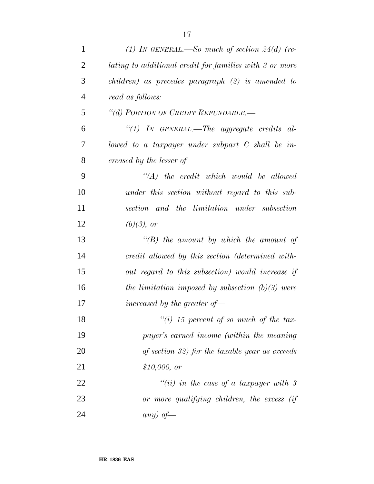| $\mathbf{1}$   | (1) IN GENERAL.—So much of section $24(d)$ (re-         |
|----------------|---------------------------------------------------------|
| $\overline{2}$ | lating to additional credit for families with 3 or more |
| 3              | $children)$ as precedes paragraph $(2)$ is amended to   |
| $\overline{4}$ | read as follows:                                        |
| 5              | "(d) PORTION OF CREDIT REFUNDABLE.-                     |
| 6              | "(1) IN GENERAL.—The aggregate credits al-              |
| 7              | lowed to a taxpayer under subpart $C$ shall be in-      |
| 8              | creased by the lesser of $-$                            |
| 9              | $\lq\lq (A)$ the credit which would be allowed          |
| 10             | under this section without regard to this sub-          |
| 11             | section and the limitation under subsection             |
| 12             | $(b)(3)$ , or                                           |
| 13             | $\lq\lq(B)$ the amount by which the amount of           |
| 14             | credit allowed by this section (determined with-        |
| 15             | out regard to this subsection) would increase if        |
| 16             | the limitation imposed by subsection $(b)(3)$ were      |
| 17             | increased by the greater of $\equiv$                    |
| 18             | $\lq (i)$ 15 percent of so much of the tax-             |
| 19             | payer's earned income (within the meaning               |
| 20             | of section 32) for the taxable year as exceeds          |
| 21             | \$10,000, or                                            |
| 22             | "(ii) in the case of a taxpayer with $\beta$            |
| 23             | or more qualifying children, the excess (if             |
| 24             | any) of —                                               |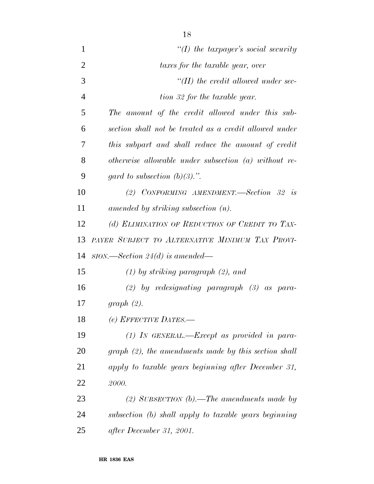| $\mathbf{1}$   | "(I) the taxpayer's social security                     |
|----------------|---------------------------------------------------------|
| $\overline{2}$ | taxes for the taxable year, over                        |
| 3              | $\lq$ (II) the credit allowed under sec-                |
| $\overline{4}$ | tion 32 for the taxable year.                           |
| 5              | The amount of the credit allowed under this sub-        |
| 6              | section shall not be treated as a credit allowed under  |
| 7              | this subpart and shall reduce the amount of credit      |
| 8              | otherwise allowable under subsection $(a)$ without re-  |
| 9              | gard to subsection $(b)(3)$ .".                         |
| 10             | (2) CONFORMING AMENDMENT.—Section 32 is                 |
| 11             | amended by striking subsection $(n)$ .                  |
| 12             | (d) ELIMINATION OF REDUCTION OF CREDIT TO TAX-          |
| 13             | PAYER SUBJECT TO ALTERNATIVE MINIMUM TAX PROVI-         |
| 14             | $SION. \text{—Section 24}(d)$ is amended—               |
| 15             | $(1)$ by striking paragraph $(2)$ , and                 |
| 16             | $(2)$ by redesignating paragraph $(3)$ as para-         |
| 17             | graph(2).                                               |
| 18             | $(e)$ EFFECTIVE DATES.-                                 |
| 19             | $(1)$ In GENERAL.—Except as provided in para-           |
| 20             | $graph (2)$ , the amendments made by this section shall |
| 21             | apply to taxable years beginning after December 31,     |
| 22             | 2000.                                                   |
| 23             | (2) SUBSECTION (b).—The amendments made by              |
| 24             | subsection (b) shall apply to taxable years beginning   |
| 25             | after December 31, 2001.                                |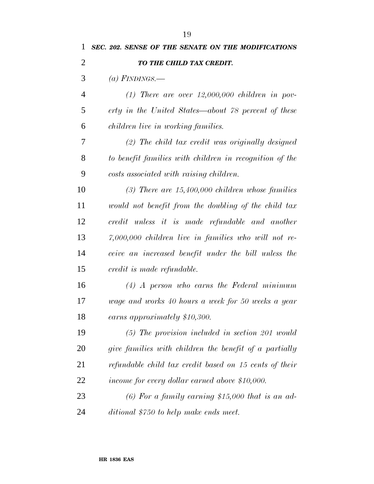| 1              | SEC. 202. SENSE OF THE SENATE ON THE MODIFICATIONS      |
|----------------|---------------------------------------------------------|
| $\overline{2}$ | TO THE CHILD TAX CREDIT.                                |
| 3              | (a) FINDINGS.—                                          |
| 4              | $(1)$ There are over 12,000,000 children in pov-        |
| 5              | erty in the United States—about 78 percent of these     |
| 6              | children live in working families.                      |
| 7              | $(2)$ The child tax credit was originally designed      |
| 8              | to benefit families with children in recognition of the |
| 9              | costs associated with raising children.                 |
| 10             | $(3)$ There are 15,400,000 children whose families      |
| 11             | would not benefit from the doubling of the child tax    |
| 12             | credit unless it is made refundable and another         |
| 13             | $7,000,000$ children live in families who will not re-  |
| 14             | ceive an increased benefit under the bill unless the    |
| 15             | credit is made refundable.                              |
| 16             | $(4)$ A person who earns the Federal minimum            |
| 17             | wage and works 40 hours a week for 50 weeks a year      |
| 18             | earns approximately \$10,300.                           |
| 19             | $(5)$ The provision included in section 201 would       |
| 20             | give families with children the benefit of a partially  |
| 21             | refundable child tax credit based on 15 cents of their  |
| 22             | income for every dollar earned above \$10,000.          |
| 23             | $(6)$ For a family earning \$15,000 that is an ad-      |
|                |                                                         |

*ditional \$750 to help make ends meet.*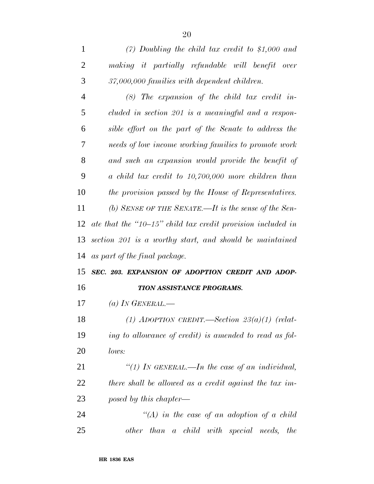| $\overline{4}$ | $(8)$ The expansion of the child tax credit in-             |
|----------------|-------------------------------------------------------------|
| 5              | cluded in section 201 is a meaningful and a respon-         |
| 6              | sible effort on the part of the Senate to address the       |
| 7              | needs of low income working families to promote work        |
| 8              | and such an expansion would provide the benefit of          |
| 9              | $\alpha$ child tax credit to 10,700,000 more children than  |
| 10             | the provision passed by the House of Representatives.       |
| 11             | (b) SENSE OF THE SENATE.—It is the sense of the Sen-        |
| 12             | ate that the "10–15" child tax credit provision included in |
| 13             | section 201 is a worthy start, and should be maintained     |
| 14             | as part of the final package.                               |
| 15             | SEC. 203. EXPANSION OF ADOPTION CREDIT AND ADOP-            |
| 16             | TION ASSISTANCE PROGRAMS.                                   |
| 17             | (a) IN GENERAL.—                                            |
| 18             | (1) ADOPTION CREDIT.—Section $23(a)(1)$ (relat-             |
| 19             | ing to allowance of credit) is amended to read as fol-      |
| 20             | lows:                                                       |
| 21             | "(1) In GENERAL.—In the case of an individual,              |
| 22             | there shall be allowed as a credit against the tax im-      |
| 23             | posed by this chapter—                                      |
| 24             | $\lq (A)$ in the case of an adoption of a child             |
|                |                                                             |

*other than a child with special needs, the*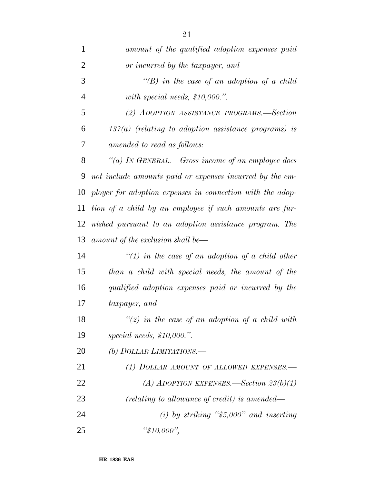| $\mathbf{1}$   | amount of the qualified adoption expenses paid            |
|----------------|-----------------------------------------------------------|
| $\overline{2}$ | or incurred by the taxpayer, and                          |
| 3              | "(B) in the case of an adoption of a child                |
| $\overline{4}$ | with special needs, $$10,000."$ .                         |
| 5              | (2) ADOPTION ASSISTANCE PROGRAMS.-Section                 |
| 6              | $137(a)$ (relating to adoption assistance programs) is    |
| 7              | amended to read as follows:                               |
| 8              | "(a) IN GENERAL.—Gross income of an employee does         |
| 9              | not include amounts paid or expenses incurred by the em-  |
| 10             | ployer for adoption expenses in connection with the adop- |
| 11             | tion of a child by an employee if such amounts are fur-   |
| 12             | nished pursuant to an adoption assistance program. The    |
| 13             | amount of the exclusion shall be—                         |
| 14             | "(1) in the case of an adoption of a child other          |
| 15             | than a child with special needs, the amount of the        |
| 16             | qualified adoption expenses paid or incurred by the       |
| 17             | taxpayer, and                                             |
| 18             | $\lq(2)$ in the case of an adoption of a child with       |
| 19             | special needs, $$10,000."$ .                              |
| 20             | (b) DOLLAR LIMITATIONS.—                                  |
| 21             | (1) DOLLAR AMOUNT OF ALLOWED EXPENSES.-                   |
| 22             | (A) ADOPTION EXPENSES.—Section $23(b)(1)$                 |
| 23             | (relating to allowance of credit) is amended—             |
| 24             | (i) by striking " $$5,000"$ and inserting                 |
| 25             | " $$10,000$ ",                                            |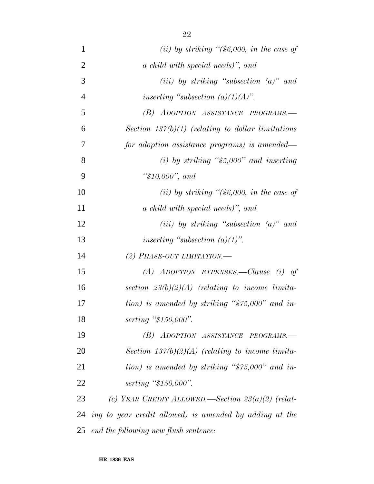| $\mathbf{1}$   | (ii) by striking " $(\$6,000$ , in the case of          |
|----------------|---------------------------------------------------------|
| $\overline{2}$ | a child with special needs)", and                       |
| 3              | $(iii)$ by striking "subsection $(a)$ " and             |
| $\overline{4}$ | inserting "subsection $(a)(1)(A)$ ".                    |
| 5              | (B) ADOPTION ASSISTANCE PROGRAMS.-                      |
| 6              | Section $137(b)(1)$ (relating to dollar limitations     |
| 7              | for adoption assistance programs) is amended—           |
| 8              | (i) by striking " $$5,000"$ and inserting               |
| 9              | " $$10,000"$ , and                                      |
| 10             | (ii) by striking " $(\$6,000,$ in the case of           |
| 11             | a child with special needs)", and                       |
| 12             | (iii) by striking "subsection $(a)$ " and               |
| 13             | inserting "subsection $(a)(1)$ ".                       |
| 14             | (2) PHASE-OUT LIMITATION.                               |
| 15             | (A) ADOPTION EXPENSES.—Clause (i) of                    |
| 16             | section $23(b)(2)(A)$ (relating to income limita-       |
| 17             | tion) is amended by striking " $$75,000"$ and in-       |
| 18             | serting "\$150,000".                                    |
| 19             | (B) ADOPTION ASSISTANCE PROGRAMS.-                      |
| 20             | Section $137(b)(2)(A)$ (relating to income limita-      |
| 21             | tion) is amended by striking " $$75,000"$ and in-       |
| 22             | serting "\$150,000".                                    |
| 23             | (c) YEAR CREDIT ALLOWED.—Section $23(a)(2)$ (relat-     |
| 24             | ing to year credit allowed) is amended by adding at the |
| 25             | end the following new flush sentence:                   |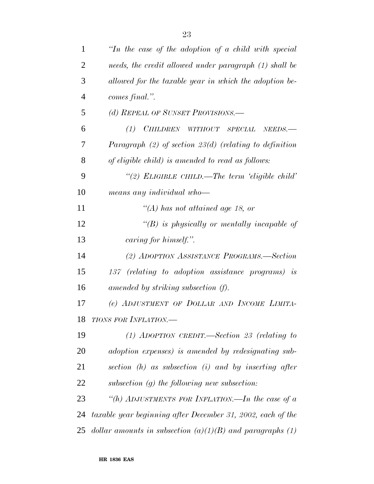| $\mathbf{1}$   | "In the case of the adoption of a child with special        |
|----------------|-------------------------------------------------------------|
| $\overline{2}$ | needs, the credit allowed under paragraph (1) shall be      |
| 3              | allowed for the taxable year in which the adoption be-      |
| $\overline{4}$ | comes final.".                                              |
| 5              | (d) REPEAL OF SUNSET PROVISIONS.-                           |
| 6              | (1) CHILDREN WITHOUT SPECIAL<br>$NEEDS$ .                   |
| 7              | Paragraph $(2)$ of section 23(d) (relating to definition    |
| 8              | of eligible child) is amended to read as follows:           |
| 9              | "(2) ELIGIBLE CHILD.—The term 'eligible child'              |
| 10             | means any individual who-                                   |
| 11             | "(A) has not attained age 18, or                            |
| 12             | $\lq\lq(B)$ is physically or mentally incapable of          |
| 13             | caring for himself.".                                       |
| 14             | (2) ADOPTION ASSISTANCE PROGRAMS.—Section                   |
| 15             | 137 (relating to adoption assistance programs) is           |
| 16             | amended by striking subsection (f).                         |
| 17             | (e) ADJUSTMENT OF DOLLAR AND INCOME LIMITA-                 |
| 18             | <b>TIONS FOR INFLATION.—</b>                                |
| 19             | $(1)$ ADOPTION CREDIT.—Section 23 (relating to              |
| 20             | adoption expenses) is amended by redesignating sub-         |
| 21             | section $(h)$ as subsection $(i)$ and by inserting after    |
| 22             | subsection $(g)$ the following new subsection:              |
| 23             | "(h) ADJUSTMENTS FOR INFLATION.—In the case of a            |
| 24             | taxable year beginning after December 31, 2002, each of the |
| 25             | dollar amounts in subsection $(a)(1)(B)$ and paragraphs (1) |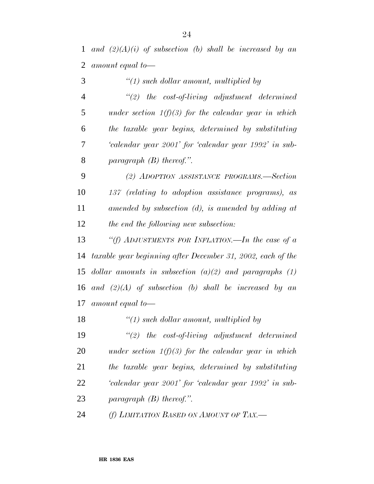*and (2)(A)(i) of subsection (b) shall be increased by an amount equal to—*

 *''(1) such dollar amount, multiplied by ''(2) the cost-of-living adjustment determined under section 1(f)(3) for the calendar year in which the taxable year begins, determined by substituting 'calendar year 2001' for 'calendar year 1992' in sub- paragraph (B) thereof.''. (2) ADOPTION ASSISTANCE PROGRAMS.—Section 137 (relating to adoption assistance programs), as amended by subsection (d), is amended by adding at the end the following new subsection: ''(f) ADJUSTMENTS FOR INFLATION.—In the case of a taxable year beginning after December 31, 2002, each of the dollar amounts in subsection (a)(2) and paragraphs (1) and (2)(A) of subsection (b) shall be increased by an amount equal to— ''(1) such dollar amount, multiplied by ''(2) the cost-of-living adjustment determined under section 1(f)(3) for the calendar year in which*

 *the taxable year begins, determined by substituting 'calendar year 2001' for 'calendar year 1992' in sub-paragraph (B) thereof.''.*

*(f) LIMITATION BASED ON AMOUNT OF TAX.—*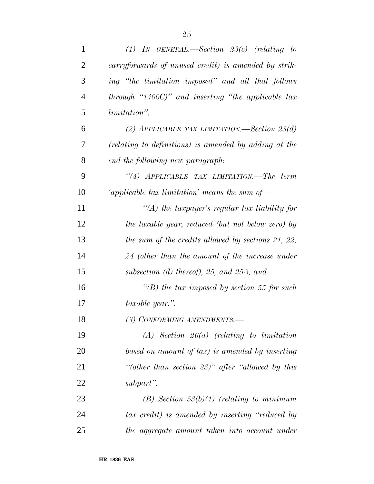| $\mathbf{1}$   | $(1)$ IN GENERAL.—Section 23(c) (relating to          |
|----------------|-------------------------------------------------------|
| $\overline{2}$ | carryforwards of unused credit) is amended by strik-  |
| 3              | ing "the limitation imposed" and all that follows     |
| $\overline{4}$ | through "1400C)" and inserting "the applicable $tax$  |
| 5              | <i>limitation</i> ".                                  |
| 6              | (2) APPLICABLE TAX LIMITATION.—Section $23(d)$        |
| 7              | (relating to definitions) is amended by adding at the |
| 8              | end the following new paragraph:                      |
| 9              | "(4) APPLICABLE TAX LIMITATION.—The term              |
| 10             | 'applicable tax limitation' means the sum of-         |
| 11             | "(A) the taxpayer's regular tax liability for         |
| 12             | the taxable year, reduced (but not below zero) by     |
| 13             | the sum of the credits allowed by sections 21, 22,    |
| 14             | 24 (other than the amount of the increase under       |
| 15             | subsection $(d)$ thereof), 25, and 25A, and           |
| 16             | "(B) the tax imposed by section 55 for such           |
| 17             | taxable year.".                                       |
| 18             | (3) CONFORMING AMENDMENTS.-                           |
| 19             | $(A)$ Section 26(a) (relating to limitation           |
| 20             | based on amount of tax) is amended by inserting       |
| 21             | "(other than section $23$ )" after "allowed by this   |
| 22             | subpart".                                             |
| 23             | $(B)$ Section 53(b)(1) (relating to minimum           |
| 24             | tax credit) is amended by inserting "reduced by       |
| 25             | the aggregate amount taken into account under         |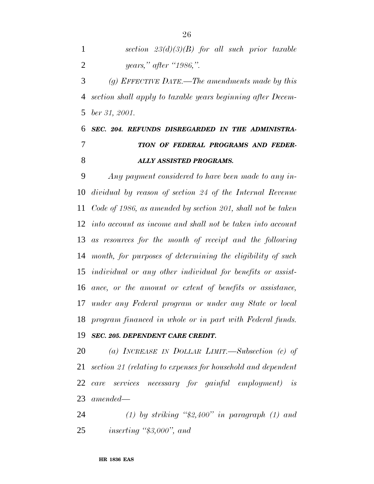*section 23(d)(3)(B) for all such prior taxable years,'' after ''1986,''.*

 *(g) EFFECTIVE DATE.—The amendments made by this section shall apply to taxable years beginning after Decem-ber 31, 2001.*

# *SEC. 204. REFUNDS DISREGARDED IN THE ADMINISTRA- TION OF FEDERAL PROGRAMS AND FEDER-ALLY ASSISTED PROGRAMS.*

 *Any payment considered to have been made to any in- dividual by reason of section 24 of the Internal Revenue Code of 1986, as amended by section 201, shall not be taken into account as income and shall not be taken into account as resources for the month of receipt and the following month, for purposes of determining the eligibility of such individual or any other individual for benefits or assist- ance, or the amount or extent of benefits or assistance, under any Federal program or under any State or local program financed in whole or in part with Federal funds.*

## *SEC. 205. DEPENDENT CARE CREDIT.*

 *(a) INCREASE IN DOLLAR LIMIT.—Subsection (c) of section 21 (relating to expenses for household and dependent care services necessary for gainful employment) is amended—*

 *(1) by striking ''\$2,400'' in paragraph (1) and inserting ''\$3,000'', and*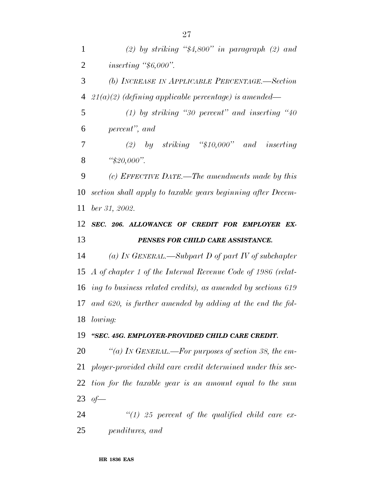*(2) by striking ''\$4,800'' in paragraph (2) and inserting ''\$6,000''. (b) INCREASE IN APPLICABLE PERCENTAGE.—Section 21(a)(2) (defining applicable percentage) is amended— (1) by striking ''30 percent'' and inserting ''40 percent'', and (2) by striking ''\$10,000'' and inserting ''\$20,000''. (c) EFFECTIVE DATE.—The amendments made by this section shall apply to taxable years beginning after Decem- ber 31, 2002. SEC. 206. ALLOWANCE OF CREDIT FOR EMPLOYER EX- PENSES FOR CHILD CARE ASSISTANCE. (a) IN GENERAL.—Subpart D of part IV of subchapter A of chapter 1 of the Internal Revenue Code of 1986 (relat- ing to business related credits), as amended by sections 619 and 620, is further amended by adding at the end the fol- lowing: ''SEC. 45G. EMPLOYER-PROVIDED CHILD CARE CREDIT. ''(a) IN GENERAL.—For purposes of section 38, the em- ployer-provided child care credit determined under this sec- tion for the taxable year is an amount equal to the sum of—*

 *''(1) 25 percent of the qualified child care ex-penditures, and*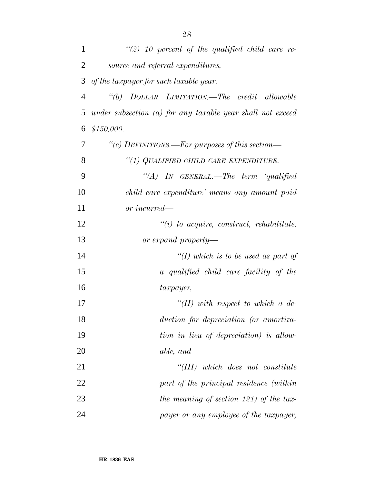| $\mathbf{1}$   | $\lq(2)$ 10 percent of the qualified child care re-          |
|----------------|--------------------------------------------------------------|
| $\overline{2}$ | source and referral expenditures,                            |
| 3              | of the taxpayer for such taxable year.                       |
| $\overline{4}$ | "(b) DOLLAR LIMITATION.—The credit allowable                 |
| 5              | under subsection $(a)$ for any taxable year shall not exceed |
| 6              | \$150,000.                                                   |
| 7              | "(c) DEFINITIONS.—For purposes of this section—              |
| 8              | "(1) QUALIFIED CHILD CARE EXPENDITURE.-                      |
| 9              | "(A) IN GENERAL.—The term 'qualified                         |
| 10             | child care expenditure' means any amount paid                |
| 11             | or incurred—                                                 |
| 12             | $\lq\lq(i)$ to acquire, construct, rehabilitate,             |
| 13             | or expand property—                                          |
| 14             | "(I) which is to be used as part of                          |
| 15             | a qualified child care facility of the                       |
| 16             | taxpayer,                                                    |
| 17             | $\lq (II)$ with respect to which a de-                       |
| 18             | duction for depreciation (or amortiza-                       |
| 19             | tion in lieu of depreciation) is allow-                      |
| 20             | able, and                                                    |
| 21             | "(III) which does not constitute                             |
| 22             | part of the principal residence (within                      |
| 23             | the meaning of section 121) of the tax-                      |
| 24             | payer or any employee of the taxpayer,                       |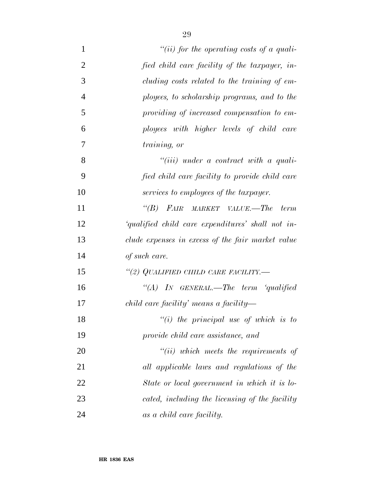| $\mathbf{1}$   | "(ii) for the operating costs of a quali-                                           |
|----------------|-------------------------------------------------------------------------------------|
| $\overline{2}$ | fied child care facility of the taxpayer, in-                                       |
| 3              | cluding costs related to the training of em-                                        |
| $\overline{4}$ | ployees, to scholarship programs, and to the                                        |
| 5              | providing of increased compensation to em-                                          |
| 6              | ployees with higher levels of child care                                            |
| 7              | training, or                                                                        |
| 8              | $``(iii)$ under a contract with a quali-                                            |
| 9              | fied child care facility to provide child care                                      |
| 10             | services to employees of the taxpayer.                                              |
| 11             | $\lq(B)$<br>FAIR<br>$\textit{MARKET}$ $\textit{VALUE}.\text{---} \textit{The term}$ |
| 12             | 'qualified child care expenditures' shall not in-                                   |
| 13             | clude expenses in excess of the fair market value                                   |
| 14             | of such care.                                                                       |
| 15             | "(2) QUALIFIED CHILD CARE FACILITY.—                                                |
| 16             | "(A) IN GENERAL.—The term 'qualified                                                |
| 17             | $child\ care\ facility\ means\ a\ facility$                                         |
| 18             | $``(i)$ the principal use of which is to                                            |
| 19             | provide child care assistance, and                                                  |
| 20             | $``(ii)$ which meets the requirements of                                            |
| 21             | all applicable laws and regulations of the                                          |
| 22             | State or local government in which it is lo-                                        |
| 23             | cated, including the licensing of the facility                                      |
| 24             | as a child care facility.                                                           |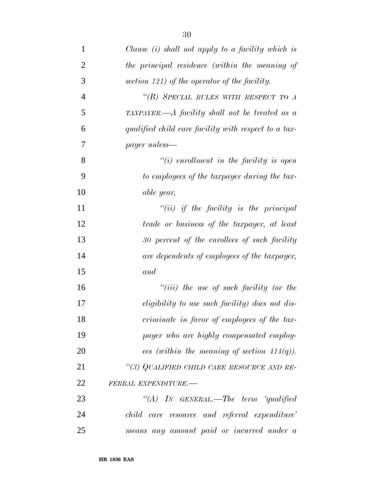| $\mathbf{1}$   | Clause $(i)$ shall not apply to a facility which is    |
|----------------|--------------------------------------------------------|
| $\overline{2}$ | the principal residence (within the meaning of         |
| 3              | section 121) of the operator of the facility.          |
| $\overline{4}$ | "(B) SPECIAL RULES WITH RESPECT TO A                   |
| 5              | TAXPAYER.—A facility shall not be treated as a         |
| 6              | qualified child care facility with respect to a tax-   |
| 7              | <i>payer</i> unless—                                   |
| 8              | $\lq\lq(i)$ enrollment in the facility is open         |
| 9              | to employees of the taxpayer during the tax-           |
| 10             | able year,                                             |
| 11             | $``(ii)$ if the facility is the principal              |
| 12             | trade or business of the taxpayer, at least            |
| 13             | 30 percent of the enrollees of such facility           |
| 14             | are dependents of employees of the taxpayer,           |
| 15             | and                                                    |
| 16             | $``(iii)$ the use of such facility (or the             |
| 17             | <i>eligibility</i> to use such facility) does not dis- |
| 18             | criminate in favor of employees of the tax-            |
| 19             | payer who are highly compensated employ-               |
| 20             | ees (within the meaning of section $414(q)$ ).         |
| 21             | "(3) QUALIFIED CHILD CARE RESOURCE AND RE-             |
| 22             | FERRAL EXPENDITURE.-                                   |
| 23             | "(A) IN GENERAL.—The term 'qualified                   |
| 24             | child care resource and referral expenditure'          |
| 25             | means any amount paid or incurred under a              |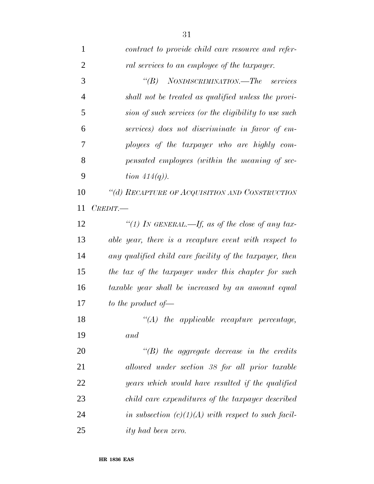| $\mathbf{1}$   | contract to provide child care resource and refer-      |
|----------------|---------------------------------------------------------|
| $\overline{2}$ | ral services to an employee of the taxpayer.            |
| 3              | NONDISCRIMINATION.—The services<br>$\lq(B)$             |
| $\overline{4}$ | shall not be treated as qualified unless the provi-     |
| 5              | sion of such services (or the eligibility to use such   |
| 6              | services) does not discriminate in favor of em-         |
| 7              | ployees of the taxpayer who are highly com-             |
| 8              | pensated employees (within the meaning of sec-          |
| 9              | tion $414(q)$ ).                                        |
| 10             | "(d) RECAPTURE OF ACQUISITION AND CONSTRUCTION          |
| 11             | $C$ <i>REDIT</i> .                                      |
| 12             | "(1) IN GENERAL.—If, as of the close of any tax-        |
| 13             | able year, there is a recapture event with respect to   |
| 14             | any qualified child care facility of the taxpayer, then |
| 15             | the tax of the taxpayer under this chapter for such     |
| 16             | taxable year shall be increased by an amount equal      |
| 17             | to the product of $\equiv$                              |
| 18             | $\lq (A)$<br>the applicable recapture percentage,       |
| 19             | and                                                     |
| 20             | $\lq\lq B$ the aggregate decrease in the credits        |
| 21             | allowed under section 38 for all prior taxable          |
| 22             | years which would have resulted if the qualified        |
| 23             | child care expenditures of the taxpayer described       |
| 24             | in subsection $(c)(1)(A)$ with respect to such facil-   |
| 25             | <i>ity</i> had been zero.                               |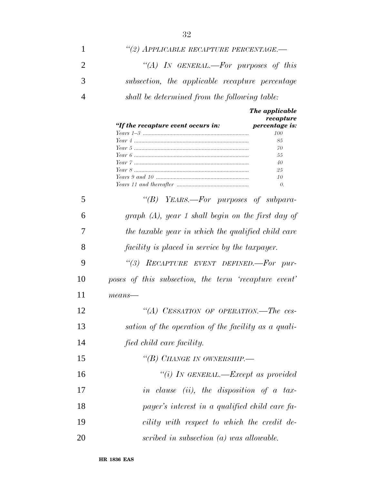| 1              | "(2) APPLICABLE RECAPTURE PERCENTAGE.-                                                     |
|----------------|--------------------------------------------------------------------------------------------|
| $\overline{2}$ | "(A) In GENERAL.—For purposes of this                                                      |
| 3              | subsection, the applicable recapture percentage                                            |
| $\overline{4}$ | shall be determined from the following table:                                              |
|                | The applicable<br>recapture<br>"If the recapture event occurs in:<br>percentage is:<br>100 |
|                | 85                                                                                         |
|                | 70                                                                                         |
|                | 55                                                                                         |
|                | 40<br>25                                                                                   |
|                | 10                                                                                         |
|                | 0.                                                                                         |
| 5              | "(B) YEARS.—For purposes of subpara-                                                       |
| 6              | graph $(A)$ , year 1 shall begin on the first day of                                       |
| 7              | the taxable year in which the qualified child care                                         |
| 8              | facility is placed in service by the taxpayer.                                             |
| 9              | "(3) RECAPTURE EVENT DEFINED.-For pur-                                                     |
| 10             | poses of this subsection, the term 'recapture event'                                       |
| 11             | $means$ —                                                                                  |
| 12             | "(A) CESSATION OF OPERATION.—The ces-                                                      |
| 13             | sation of the operation of the facility as a quali-                                        |
| 14             | fied child care facility.                                                                  |
| 15             | "(B) CHANGE IN OWNERSHIP.-                                                                 |
| 16             | "(i) IN GENERAL.—Except as provided                                                        |
| 17             | in clause (ii), the disposition of a tax-                                                  |
| 18             | payer's interest in a qualified child care fa-                                             |
| 19             | cility with respect to which the credit de-                                                |
| 20             | scribed in subsection (a) was allowable.                                                   |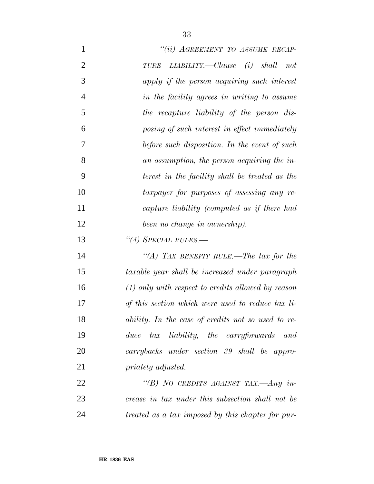| $\mathbf{1}$   | "(ii) AGREEMENT TO ASSUME RECAP-                     |
|----------------|------------------------------------------------------|
| $\overline{2}$ | LLABILITY. — Clause (i) shall not<br><b>TURE</b>     |
| 3              | apply if the person acquiring such interest          |
| $\overline{4}$ | in the facility agrees in writing to assume          |
| 5              | the recapture liability of the person dis-           |
| 6              | posing of such interest in effect immediately        |
| 7              | before such disposition. In the event of such        |
| 8              | an assumption, the person acquiring the in-          |
| 9              | terest in the facility shall be treated as the       |
| 10             | taxpayer for purposes of assessing any re-           |
| 11             | capture liability (computed as if there had          |
| 12             | been no change in ownership).                        |
| 13             | $\lq(4)$ SPECIAL RULES.—                             |
| 14             | "(A) TAX BENEFIT RULE.—The tax for the               |
| 15             | taxable year shall be increased under paragraph      |
| 16             | $(1)$ only with respect to credits allowed by reason |
| 17             | of this section which were used to reduce tax li-    |
| 18             | ability. In the case of credits not so used to re-   |
| 19             | duce tax liability, the carryforwards and            |
| 20             | carrybacks under section 39 shall be appro-          |
| 21             | priately adjusted.                                   |
| 22             | "(B) NO CREDITS AGAINST TAX.—Any in-                 |
| 23             | crease in tax under this subsection shall not be     |
| 24             | treated as a tax imposed by this chapter for pur-    |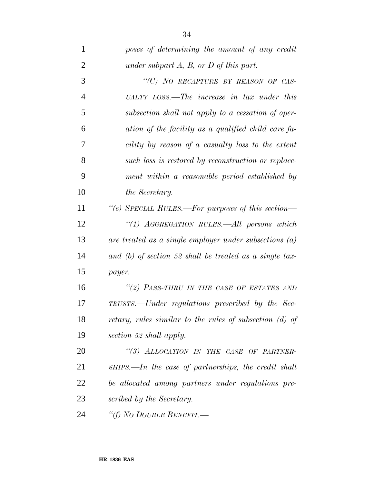| 1               | poses of determining the amount of any credit             |
|-----------------|-----------------------------------------------------------|
| $\overline{2}$  | under subpart $A$ , $B$ , or $D$ of this part.            |
| 3               | "(C) NO RECAPTURE BY REASON OF CAS-                       |
| $\overline{4}$  | UALTY LOSS.—The increase in tax under this                |
| 5               | subsection shall not apply to a cessation of oper-        |
| 6               | ation of the facility as a qualified child care fa-       |
| 7               | cility by reason of a casualty loss to the extent         |
| 8               | such loss is restored by reconstruction or replace-       |
| 9               | ment within a reasonable period established by            |
| 10              | the Secretary.                                            |
| 11              | "(e) SPECIAL RULES.—For purposes of this section—         |
| 12              | "(1) AGGREGATION RULES.—All persons which                 |
| 13              | are treated as a single employer under subsections $(a)$  |
| 14              | and (b) of section 52 shall be treated as a single tax-   |
| 15              | payer.                                                    |
| 16              | "(2) PASS-THRU IN THE CASE OF ESTATES AND                 |
| 17              | TRUSTS.—Under regulations prescribed by the Sec-          |
| 18              | retary, rules similar to the rules of subsection $(d)$ of |
| 19              | section 52 shall apply.                                   |
| 20              | "(3) ALLOCATION IN THE CASE OF PARTNER-                   |
| 21              | SHIPS.—In the case of partnerships, the credit shall      |
| 22              | be allocated among partners under regulations pre-        |
| 23              | scribed by the Secretary.                                 |
| $\sim$ $\prime$ |                                                           |

*''(f) NO DOUBLE BENEFIT.—*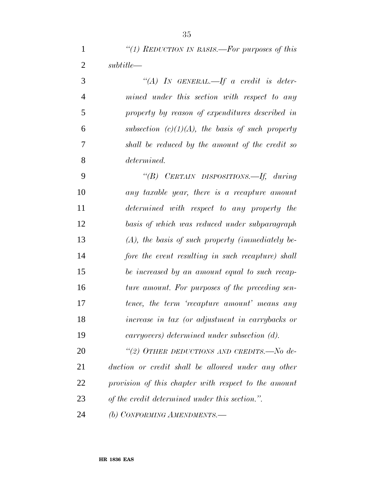| "(1) REDUCTION IN BASIS.—For purposes of this |
|-----------------------------------------------|
| subtitle                                      |

 *''(A) IN GENERAL.—If a credit is deter- mined under this section with respect to any property by reason of expenditures described in subsection (c)(1)(A), the basis of such property shall be reduced by the amount of the credit so determined.*

 *''(B) CERTAIN DISPOSITIONS.—If, during any taxable year, there is a recapture amount determined with respect to any property the basis of which was reduced under subparagraph (A), the basis of such property (immediately be- fore the event resulting in such recapture) shall be increased by an amount equal to such recap- ture amount. For purposes of the preceding sen- tence, the term 'recapture amount' means any increase in tax (or adjustment in carrybacks or carryovers) determined under subsection (d).*

 *''(2) OTHER DEDUCTIONS AND CREDITS.—No de- duction or credit shall be allowed under any other provision of this chapter with respect to the amount of the credit determined under this section.''.*

*(b) CONFORMING AMENDMENTS.—*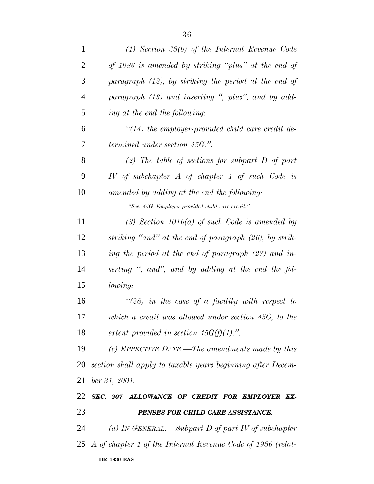| $\mathbf{1}$   | $(1)$ Section 38(b) of the Internal Revenue Code               |
|----------------|----------------------------------------------------------------|
| 2              | of 1986 is amended by striking "plus" at the end of            |
| 3              | paragraph $(12)$ , by striking the period at the end of        |
| $\overline{4}$ | paragraph (13) and inserting ", plus", and by add-             |
| 5              | ing at the end the following:                                  |
| 6              | $\lq(14)$ the employer-provided child care credit de-          |
| 7              | <i>termined under section 45G."</i> .                          |
| 8              | (2) The table of sections for subpart $D$ of part              |
| 9              | $IV$ of subchapter $A$ of chapter 1 of such Code is            |
| 10             | amended by adding at the end the following:                    |
|                | "Sec. 45G. Employer-provided child care credit."               |
| 11             | $(3)$ Section 1016(a) of such Code is amended by               |
| 12             | striking "and" at the end of paragraph (26), by strik-         |
| 13             | ing the period at the end of paragraph $(27)$ and in-          |
| 14             | serting ", and", and by adding at the end the fol-             |
| 15             | lowing:                                                        |
| 16             | "(28) in the case of a facility with respect to                |
| 17             | which a credit was allowed under section $45G$ , to the        |
| 18             | extent provided in section $45G(f)(1)$ .".                     |
| 19             | (c) EFFECTIVE DATE.—The amendments made by this                |
| 20             | section shall apply to taxable years beginning after Decem-    |
| 21             | ber 31, 2001.                                                  |
| 22             | SEC. 207. ALLOWANCE OF CREDIT FOR EMPLOYER EX-                 |
| 23             | PENSES FOR CHILD CARE ASSISTANCE.                              |
| 24             | (a) In GENERAL.—Subpart D of part IV of subchapter             |
|                | 25 A of chapter 1 of the Internal Revenue Code of 1986 (relat- |
|                |                                                                |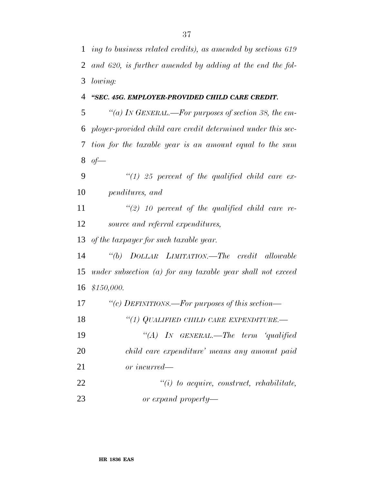*ing to business related credits), as amended by sections 619 and 620, is further amended by adding at the end the fol-lowing:*

#### *''SEC. 45G. EMPLOYER-PROVIDED CHILD CARE CREDIT.*

 *''(a) IN GENERAL.—For purposes of section 38, the em- ployer-provided child care credit determined under this sec- tion for the taxable year is an amount equal to the sum of—*

 *''(1) 25 percent of the qualified child care ex-penditures, and*

 *''(2) 10 percent of the qualified child care re-source and referral expenditures,*

*of the taxpayer for such taxable year.*

 *''(b) DOLLAR LIMITATION.—The credit allowable under subsection (a) for any taxable year shall not exceed \$150,000.*

*''(c) DEFINITIONS.—For purposes of this section—*

*''(1) QUALIFIED CHILD CARE EXPENDITURE.—*

 *''(A) IN GENERAL.—The term 'qualified child care expenditure' means any amount paid or incurred—*

 *''(i) to acquire, construct, rehabilitate, or expand property—*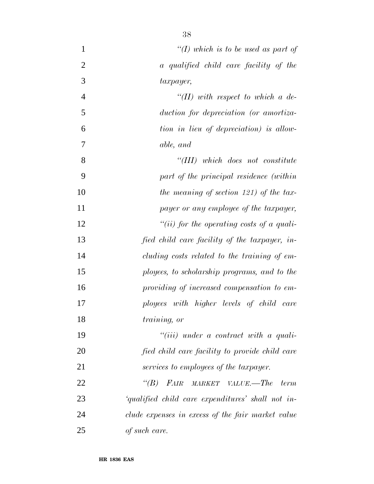| $\mathbf{1}$   | "(I) which is to be used as part of               |
|----------------|---------------------------------------------------|
| $\overline{2}$ | a qualified child care facility of the            |
| 3              | taxpayer,                                         |
| $\overline{4}$ | $\lq (II)$ with respect to which a de-            |
| 5              | duction for depreciation (or amortiza-            |
| 6              | tion in lieu of depreciation) is allow-           |
| 7              | able, and                                         |
| 8              | $``(III)$ which does not constitute               |
| 9              | part of the principal residence (within           |
| 10             | the meaning of section 121) of the tax-           |
| 11             | payer or any employee of the taxpayer,            |
| 12             | "(ii) for the operating costs of a quali-         |
| 13             | fied child care facility of the taxpayer, in-     |
| 14             | cluding costs related to the training of em-      |
| 15             | ployees, to scholarship programs, and to the      |
| 16             | providing of increased compensation to em-        |
| 17             | ployees with higher levels of child care          |
| 18             | training, or                                      |
| 19             | $``(iii)$ under a contract with a quali-          |
| 20             | fied child care facility to provide child care    |
| 21             | services to employees of the taxpayer.            |
| 22             | $\lq(B)$<br>FAIR<br>MARKET VALUE.—The<br>term     |
| 23             | 'qualified child care expenditures' shall not in- |
| 24             | clude expenses in excess of the fair market value |
| 25             | of such care.                                     |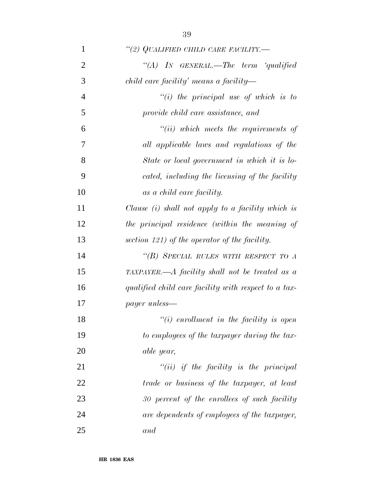*''(2) QUALIFIED CHILD CARE FACILITY.— ''(A) IN GENERAL.—The term 'qualified child care facility' means a facility— ''(i) the principal use of which is to provide child care assistance, and ''(ii) which meets the requirements of all applicable laws and regulations of the State or local government in which it is lo- cated, including the licensing of the facility as a child care facility. Clause (i) shall not apply to a facility which is the principal residence (within the meaning of section 121) of the operator of the facility. ''(B) SPECIAL RULES WITH RESPECT TO A TAXPAYER.—A facility shall not be treated as a qualified child care facility with respect to a tax- payer unless— ''(i) enrollment in the facility is open to employees of the taxpayer during the tax- able year, ''(ii) if the facility is the principal trade or business of the taxpayer, at least 30 percent of the enrollees of such facility*

*are dependents of employees of the taxpayer,*

*and*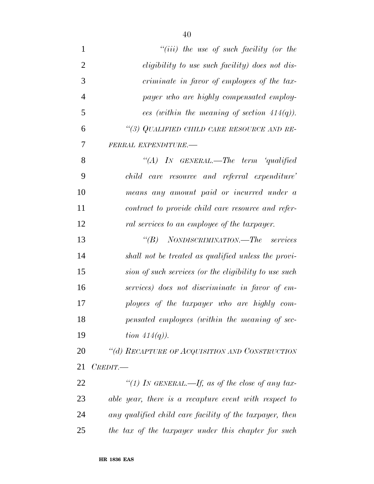| $\mathbf{1}$   | $``(iii)$ the use of such facility (or the              |
|----------------|---------------------------------------------------------|
| $\overline{2}$ | <i>eligibility</i> to use such facility) does not dis-  |
| 3              | criminate in favor of employees of the tax-             |
| $\overline{4}$ | payer who are highly compensated employ-                |
| 5              | ees (within the meaning of section $414(q)$ ).          |
| 6              | "(3) QUALIFIED CHILD CARE RESOURCE AND RE-              |
| 7              | FERRAL EXPENDITURE.-                                    |
| 8              | "(A) IN GENERAL.—The term 'qualified                    |
| 9              | child care resource and referral expenditure'           |
| 10             | means any amount paid or incurred under a               |
| 11             | contract to provide child care resource and refer-      |
| 12             | ral services to an employee of the taxpayer.            |
| 13             | NONDISCRIMINATION.—The services<br>$\lq(B)$             |
| 14             | shall not be treated as qualified unless the provi-     |
| 15             | sion of such services (or the eligibility to use such   |
| 16             | services) does not discriminate in favor of em-         |
| 17             | ployees of the taxpayer who are highly com-             |
| 18             | pensated employees (within the meaning of sec-          |
| 19             | tion $414(q)$ ).                                        |
| 20             | "(d) RECAPTURE OF ACQUISITION AND CONSTRUCTION          |
| 21             | CREDIT.                                                 |
| 22             | "(1) IN GENERAL.—If, as of the close of any tax-        |
| 23             | able year, there is a recapture event with respect to   |
| 24             | any qualified child care facility of the taxpayer, then |
| 25             | the tax of the taxpayer under this chapter for such     |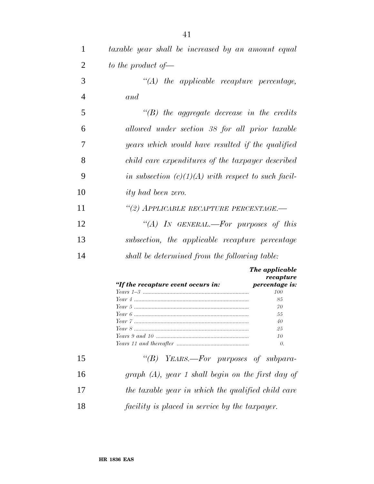| $\mathbf{1}$   | taxable year shall be increased by an amount equal    |
|----------------|-------------------------------------------------------|
| $\overline{2}$ | to the product of $\equiv$                            |
| 3              | $\lq\lq (A)$ the applicable recapture percentage,     |
| 4              | and                                                   |
| 5              | $\lq\lq B$ the aggregate decrease in the credits      |
| 6              | allowed under section 38 for all prior taxable        |
| 7              | years which would have resulted if the qualified      |
| 8              | child care expenditures of the taxpayer described     |
| 9              | in subsection $(c)(1)(A)$ with respect to such facil- |
| 10             | <i>ity</i> had been zero.                             |
| 11             | "(2) APPLICABLE RECAPTURE PERCENTAGE.—                |
| 12             | "(A) IN GENERAL.—For purposes of this                 |
| 13             | subsection, the applicable recapture percentage       |
| 14             | shall be determined from the following table:         |
|                | The applicable<br>rooanturo                           |

| "If the recapture event occurs in: | recapture<br>percentage is: |
|------------------------------------|-----------------------------|
|                                    | 100                         |
|                                    | 85                          |
|                                    | 70                          |
|                                    | 55                          |
|                                    | 40                          |
|                                    | 25                          |
|                                    | 10                          |
|                                    | 0.                          |

| 15 | " $(B)$ YEARS.—For purposes of subpara-              |
|----|------------------------------------------------------|
| 16 | graph $(A)$ , year 1 shall begin on the first day of |
| 17 | the taxable year in which the qualified child care   |
| 18 | facility is placed in service by the taxpayer.       |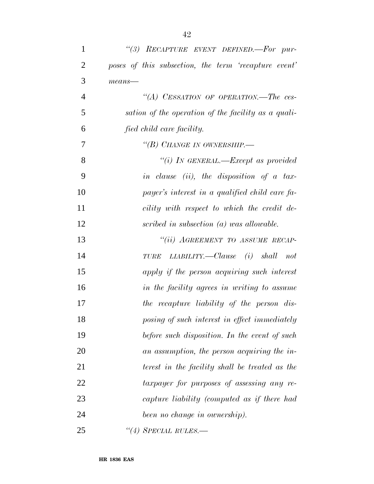| $\mathbf{1}$   | "(3) RECAPTURE EVENT DEFINED.-For pur-               |
|----------------|------------------------------------------------------|
| $\overline{2}$ | poses of this subsection, the term 'recapture event' |
| 3              | $means$ —                                            |
| $\overline{4}$ | "(A) CESSATION OF OPERATION.—The ces-                |
| 5              | sation of the operation of the facility as a quali-  |
| 6              | fied child care facility.                            |
| 7              | "(B) CHANGE IN OWNERSHIP.—                           |
| 8              | "(i) In GENERAL.—Except as provided                  |
| 9              | in clause (ii), the disposition of a tax-            |
| 10             | payer's interest in a qualified child care fa-       |
| 11             | cility with respect to which the credit de-          |
| 12             | scribed in subsection (a) was allowable.             |
| 13             | "(ii) AGREEMENT TO ASSUME RECAP-                     |
| 14             | $LLABILITY.$ Clause (i) shall not<br><b>TURE</b>     |
| 15             | apply if the person acquiring such interest          |
| 16             | in the facility agrees in writing to assume          |
| 17             | the recapture liability of the person dis-           |
| 18             | posing of such interest in effect immediately        |
| 19             | before such disposition. In the event of such        |
| 20             | an assumption, the person acquiring the in-          |
| 21             | terest in the facility shall be treated as the       |
| 22             | taxpayer for purposes of assessing any re-           |
| 23             | capture liability (computed as if there had          |
| 24             | been no change in ownership).                        |
| 25             | $\lq(4)$ SPECIAL RULES.—                             |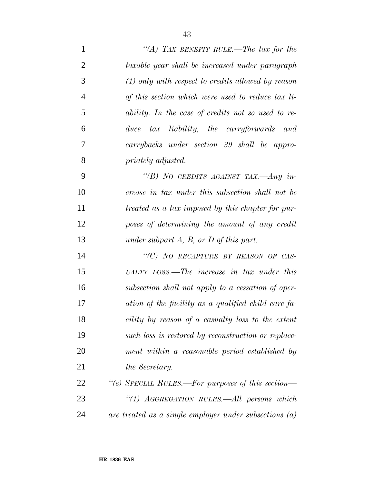*''(A) TAX BENEFIT RULE.—The tax for the taxable year shall be increased under paragraph (1) only with respect to credits allowed by reason of this section which were used to reduce tax li- ability. In the case of credits not so used to re- duce tax liability, the carryforwards and carrybacks under section 39 shall be appro- priately adjusted. ''(B) NO CREDITS AGAINST TAX.—Any in- crease in tax under this subsection shall not be treated as a tax imposed by this chapter for pur- poses of determining the amount of any credit under subpart A, B, or D of this part. ''(C) NO RECAPTURE BY REASON OF CAS-UALTY LOSS.—The increase in tax under this*

 *subsection shall not apply to a cessation of oper- ation of the facility as a qualified child care fa- cility by reason of a casualty loss to the extent such loss is restored by reconstruction or replace- ment within a reasonable period established by the Secretary.*

 *''(e) SPECIAL RULES.—For purposes of this section— ''(1) AGGREGATION RULES.—All persons which are treated as a single employer under subsections (a)*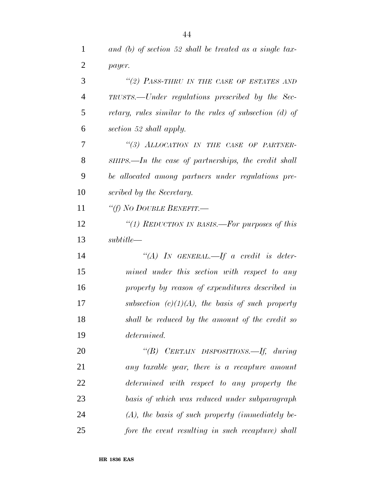*and (b) of section 52 shall be treated as a single tax-*

| $\overline{2}$ | payer.                                                   |
|----------------|----------------------------------------------------------|
| 3              | "(2) PASS-THRU IN THE CASE OF ESTATES AND                |
| $\overline{4}$ | TRUSTS.—Under regulations prescribed by the Sec-         |
| 5              | retary, rules similar to the rules of subsection (d) of  |
| 6              | section 52 shall apply.                                  |
| 7              | "(3) ALLOCATION IN THE CASE OF PARTNER-                  |
| 8              | $SHIPS. — In the case of partnerships, the credit shall$ |
| 9              | be allocated among partners under regulations pre-       |
| 10             | scribed by the Secretary.                                |
| 11             | "(f) No DOUBLE BENEFIT.—                                 |
| 12             | "(1) REDUCTION IN BASIS.—For purposes of this            |
| 13             | subtitle                                                 |
| 14             | "(A) IN GENERAL.—If a credit is deter-                   |
| 15             | mined under this section with respect to any             |
| 16             | property by reason of expenditures described in          |
| 17             | subsection $(c)(1)(A)$ , the basis of such property      |
| 18             | shall be reduced by the amount of the credit so          |
| 19             | determined.                                              |
| 20             | "(B) CERTAIN DISPOSITIONS.—If, during                    |
| 21             | any taxable year, there is a recapture amount            |
| 22             | determined with respect to any property the              |
| 23             | basis of which was reduced under subparagraph            |
| 24             | $(A)$ , the basis of such property (immediately be-      |
| 25             | fore the event resulting in such recapture) shall        |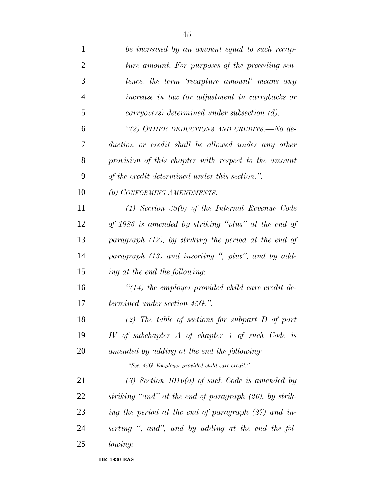| be increased by an amount equal to such recap-          |
|---------------------------------------------------------|
| ture amount. For purposes of the preceding sen-         |
| tence, the term 'recapture amount' means any            |
| increase in tax (or adjustment in carrybacks or         |
| carryovers) determined under subsection (d).            |
| "(2) OTHER DEDUCTIONS AND CREDITS.—No de-               |
| duction or credit shall be allowed under any other      |
| provision of this chapter with respect to the amount    |
| of the credit determined under this section.".          |
| (b) CONFORMING AMENDMENTS.-                             |
| $(1)$ Section 38(b) of the Internal Revenue Code        |
| of 1986 is amended by striking "plus" at the end of     |
| paragraph $(12)$ , by striking the period at the end of |
| paragraph (13) and inserting ", plus", and by add-      |
| ing at the end the following:                           |
| $\lq(14)$ the employer-provided child care credit de-   |
| <i>termined under section 45G.</i> ".                   |
| (2) The table of sections for subpart $D$ of part       |
| IV of subchapter $A$ of chapter 1 of such Code is       |
| amended by adding at the end the following:             |
| "Sec. 45G. Employer-provided child care credit."        |
| $(3)$ Section 1016(a) of such Code is amended by        |
| striking "and" at the end of paragraph (26), by strik-  |
| ing the period at the end of paragraph (27) and in-     |
| serting ", and", and by adding at the end the fol-      |
| lowing:                                                 |
|                                                         |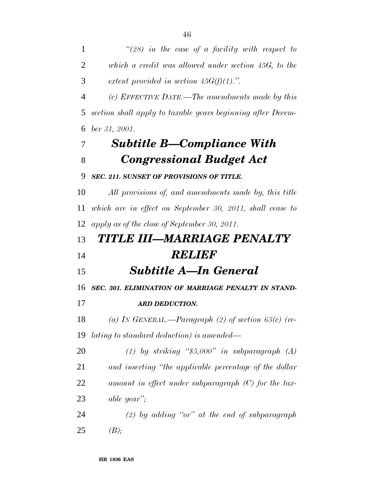*which a credit was allowed under section 45G, to the extent provided in section 45G(f)(1).''.*

 *(c) EFFECTIVE DATE.—The amendments made by this section shall apply to taxable years beginning after Decem-ber 31, 2001.*

### *Subtitle B—Compliance With Congressional Budget Act*

#### *SEC. 211. SUNSET OF PROVISIONS OF TITLE.*

 *All provisions of, and amendments made by, this title which are in effect on September 30, 2011, shall cease to apply as of the close of September 30, 2011.*

# *TITLE III—MARRIAGE PENALTY RELIEF*

*Subtitle A—In General*

*SEC. 301. ELIMINATION OF MARRIAGE PENALTY IN STAND-*

### *ARD DEDUCTION.*

 *(a) IN GENERAL.—Paragraph (2) of section 63(c) (re-lating to standard deduction) is amended—*

 *(1) by striking ''\$5,000'' in subparagraph (A) and inserting ''the applicable percentage of the dollar amount in effect under subparagraph (C) for the tax-able year'';*

 *(2) by adding ''or'' at the end of subparagraph (B);*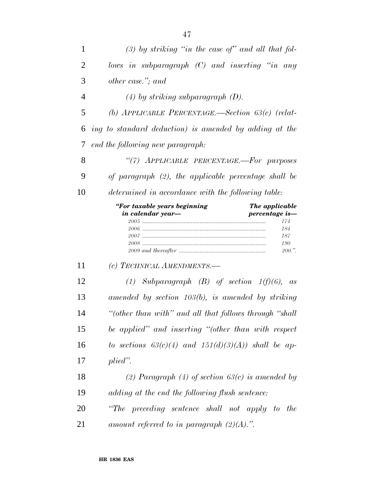| 1              | $(3)$ by striking "in the case of" and all that fol-                                                       |
|----------------|------------------------------------------------------------------------------------------------------------|
| $\overline{2}$ | lows in subparagraph $(C)$ and inserting "in any                                                           |
| 3              | other case."; and                                                                                          |
| 4              | $(4)$ by striking subparagraph $(D)$ .                                                                     |
| 5              | (b) APPLICABLE PERCENTAGE.—Section $63(c)$ (relat-                                                         |
| 6              | ing to standard deduction) is amended by adding at the                                                     |
| 7              | end the following new paragraph:                                                                           |
| 8              | "(7) APPLICABLE PERCENTAGE.-For purposes                                                                   |
| 9              | of paragraph (2), the applicable percentage shall be                                                       |
| 10             | determined in accordance with the following table:                                                         |
|                | "For taxable years beginning<br>The applicable<br>in calendar year-<br>percentage is-<br>174<br>184<br>187 |
|                | 190<br>200."                                                                                               |
| 11             | (c) TECHNICAL AMENDMENTS.-                                                                                 |
| 12             | (1) Subparagraph $(B)$ of section $1(f)(6)$ , as                                                           |
| 13             | amended by section $103(b)$ , is amended by striking                                                       |
| 14             | "(other than with" and all that follows through "shall"                                                    |
| 15             | be applied" and inserting "(other than with respect                                                        |
| 16             | to sections $63(c)(4)$ and $151(d)(3)(A)$ shall be ap-                                                     |
| 17             | plied".                                                                                                    |
| 18             | (2) Paragraph (4) of section $63(c)$ is amended by                                                         |
| 19             | adding at the end the following flush sentence:                                                            |

*amount referred to in paragraph (2)(A).''.*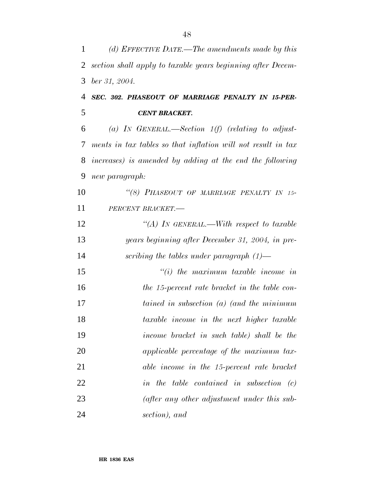*(d) EFFECTIVE DATE.—The amendments made by this section shall apply to taxable years beginning after Decem- ber 31, 2004. SEC. 302. PHASEOUT OF MARRIAGE PENALTY IN 15-PER- CENT BRACKET. (a) IN GENERAL.—Section 1(f) (relating to adjust- ments in tax tables so that inflation will not result in tax increases) is amended by adding at the end the following new paragraph: ''(8) PHASEOUT OF MARRIAGE PENALTY IN 15- PERCENT BRACKET.— ''(A) IN GENERAL.—With respect to taxable years beginning after December 31, 2004, in pre- scribing the tables under paragraph (1)— ''(i) the maximum taxable income in the 15-percent rate bracket in the table con- tained in subsection (a) (and the minimum taxable income in the next higher taxable income bracket in such table) shall be the applicable percentage of the maximum tax- able income in the 15-percent rate bracket in the table contained in subsection (c) (after any other adjustment under this sub-section), and*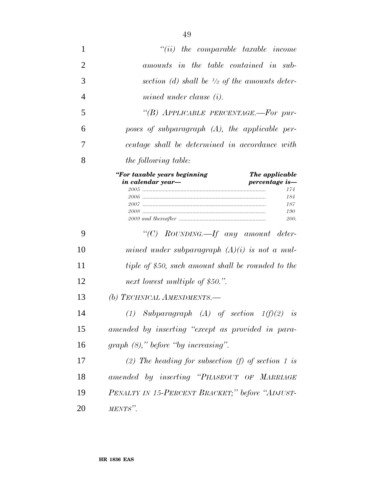| 1              | $``(ii)$ the comparable taxable income                                                                                    |
|----------------|---------------------------------------------------------------------------------------------------------------------------|
| $\overline{2}$ | amounts in the table contained in sub-                                                                                    |
| 3              | section (d) shall be $\frac{1}{2}$ of the amounts deter-                                                                  |
| $\overline{4}$ | mined under clause $(i)$ .                                                                                                |
| 5              | "(B) APPLICABLE PERCENTAGE.—For pur-                                                                                      |
| 6              | poses of subparagraph $(A)$ , the applicable per-                                                                         |
| 7              | centage shall be determined in accordance with                                                                            |
| 8              | <i>the following table:</i>                                                                                               |
|                | "For taxable years beginning<br>The applicable<br>in calendar year-<br>percentage is-<br>174<br>184<br>187<br>190<br>200. |
| 9              | "(C) ROUNDING.—If any amount deter-                                                                                       |
| 10             | mined under subparagraph $(A)(i)$ is not a mul-                                                                           |
| 11             | tiple of \$50, such amount shall be rounded to the                                                                        |
| 12             | next lowest multiple of \$50.".                                                                                           |
| 13             | (b) TECHNICAL AMENDMENTS.—                                                                                                |
| 14             | (1) Subparagraph (A) of section $1(f)(2)$ is                                                                              |
| 15             | amended by inserting "except as provided in para-                                                                         |
| 16             | $graph (8)$ ," before "by increasing".                                                                                    |
| 17             | (2) The heading for subsection (f) of section 1 is                                                                        |
| 18             | amended by inserting "PHASEOUT OF MARRIAGE                                                                                |
| 19             | PENALTY IN 15-PERCENT BRACKET;" before "ADJUST-                                                                           |
| 20             | MENTS".                                                                                                                   |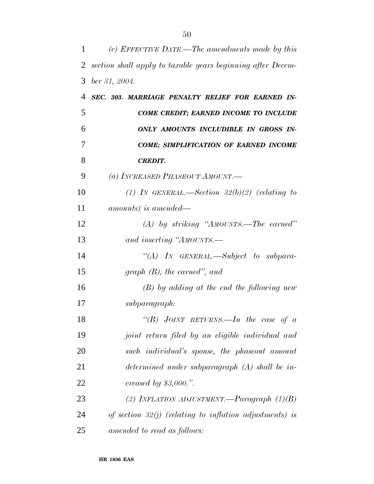| 1              | (c) EFFECTIVE DATE.—The amendments made by this             |
|----------------|-------------------------------------------------------------|
| 2              | section shall apply to taxable years beginning after Decem- |
| 3              | $ber\,31,\,2004.$                                           |
| $\overline{4}$ | SEC. 303. MARRIAGE PENALTY RELIEF FOR EARNED IN-            |
| 5              | COME CREDIT; EARNED INCOME TO INCLUDE                       |
| 6              | ONLY AMOUNTS INCLUDIBLE IN GROSS IN-                        |
| 7              | <b>COME; SIMPLIFICATION OF EARNED INCOME</b>                |
| 8              | <b>CREDIT.</b>                                              |
| 9              | (a) INCREASED PHASEOUT AMOUNT.                              |
| 10             | (1) In GENERAL.—Section $32(b)(2)$ (relating to             |
| 11             | amounts) is amended—                                        |
| 12             | $(A)$ by striking "AMOUNTS.—The earned"                     |
| 13             | and inserting "AMOUNTS.—                                    |
| 14             | $\lq\lq (A)$ In GENERAL.—Subject to subpara-                |
| 15             | graph $(B)$ , the earned", and                              |
| 16             | $(B)$ by adding at the end the following new                |
| 17             | subparagraph:                                               |
| 18             | "(B) JOINT RETURNS.—In the case of $a$                      |
| 19             | joint return filed by an eligible individual and            |
| 20             | such individual's spouse, the phaseout amount               |
| 21             | determined under subparagraph $(A)$ shall be in-            |
| 22             | creased by $$3,000."$ .                                     |
| 23             | (2) INFLATION ADJUSTMENT.—Paragraph $(1)(B)$                |
| 24             | of section $32(j)$ (relating to inflation adjustments) is   |
| 25             | amended to read as follows:                                 |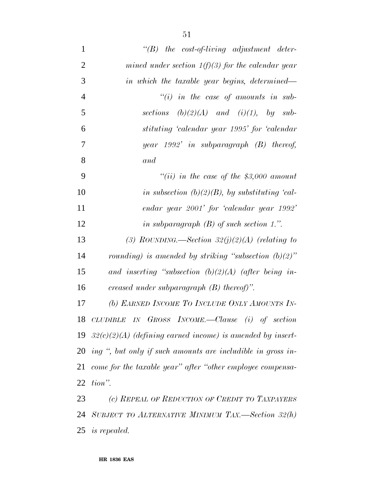| $\mathbf{1}$   | $\lq\lq B$ the cost-of-living adjustment deter-                 |
|----------------|-----------------------------------------------------------------|
| $\overline{2}$ | mined under section $1(f)(3)$ for the calendar year             |
| 3              | in which the taxable year begins, determined—                   |
| $\overline{4}$ | $``(i)$ in the case of amounts in sub-                          |
| 5              | sections $(b)(2)(A)$ and $(i)(1)$ , by sub-                     |
| 6              | stituting 'calendar year 1995' for 'calendar                    |
| $\overline{7}$ | year $1992'$ in subparagraph $(B)$ thereof,                     |
| 8              | and                                                             |
| 9              | "(ii) in the case of the \$3,000 amount                         |
| 10             | in subsection (b)(2)(B), by substituting 'cal-                  |
| 11             | endar year 2001' for 'calendar year 1992'                       |
| 12             | in subparagraph $(B)$ of such section 1.".                      |
| 13             | (3) ROUNDING.—Section $32(j)(2)(A)$ (relating to                |
| 14             | rounding) is amended by striking "subsection $(b)(2)$ "         |
| 15             | and inserting "subsection $(b)(2)(A)$ (after being in-          |
| 16             | creased under subparagraph $(B)$ thereof)".                     |
| 17             | (b) EARNED INCOME TO INCLUDE ONLY AMOUNTS IN-                   |
| 18             | CLUDIBLE IN GROSS INCOME.—Clause (i) of section                 |
|                | 19 $32(c)(2)(A)$ (defining earned income) is amended by insert- |
|                | 20 ing ", but only if such amounts are includible in gross in-  |
| 21             | come for the taxable year" after "other employee compensa-      |
| 22             | tion".                                                          |
| 23             | (c) REPEAL OF REDUCTION OF CREDIT TO TAXPAYERS                  |
| 24             | SUBJECT TO ALTERNATIVE MINIMUM TAX.—Section $32(h)$             |
|                | 25 is repealed.                                                 |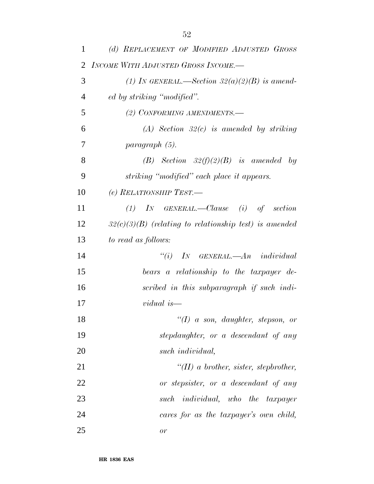| 1              | (d) REPLACEMENT OF MODIFIED ADJUSTED GROSS               |
|----------------|----------------------------------------------------------|
| 2              | INCOME WITH ADJUSTED GROSS INCOME.-                      |
| 3              | (1) IN GENERAL.—Section $32(a)(2)(B)$ is amend-          |
| $\overline{4}$ | ed by striking "modified".                               |
| 5              | (2) CONFORMING AMENDMENTS.-                              |
| 6              | $(A)$ Section 32(c) is amended by striking               |
| 7              | paragraph (5).                                           |
| 8              | (B) Section $32(f)(2)(B)$ is amended by                  |
| 9              | striking "modified" each place it appears.               |
| 10             | (e) RELATIONSHIP TEST.—                                  |
| 11             | $(1)$ In GENERAL.—Clause $(i)$ of section                |
| 12             | $32(c)(3)(B)$ (relating to relationship test) is amended |
| 13             | to read as follows:                                      |
| 14             | $``(i)$ IN GENERAL.—An individual                        |
| 15             | bears a relationship to the taxpayer de-                 |
| 16             | scribed in this subparagraph if such indi-               |
| 17             | vidual is—                                               |
| 18             | "(I) a son, daughter, stepson, or                        |
| 19             | stepdaughter, or a descendant of any                     |
| 20             | such <i>individual</i> ,                                 |
| 21             | "(II) a brother, sister, stepbrother,                    |
| 22             | or stepsister, or a descendant of any                    |
| 23             | such individual, who the taxpayer                        |
| 24             | cares for as the taxpayer's own child,                   |
| 25             | or                                                       |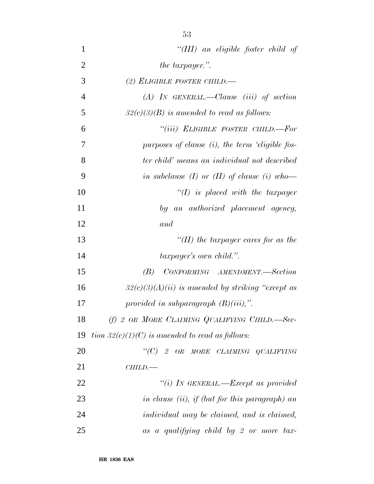| ٧<br>. .<br>۰,<br>۰.<br>۰ | ۰.<br>v |
|---------------------------|---------|
|                           |         |

| $\mathbf{1}$   | "(III) an eligible foster child of                  |
|----------------|-----------------------------------------------------|
| $\overline{2}$ | the taxpayer.".                                     |
| 3              | (2) ELIGIBLE FOSTER CHILD.-                         |
| $\overline{4}$ | $(A)$ IN GENERAL.—Clause (iii) of section           |
| 5              | $32(c)(3)(B)$ is amended to read as follows:        |
| 6              | "(iii) ELIGIBLE FOSTER CHILD.—For                   |
| 7              | purposes of clause $(i)$ , the term 'eligible fos-  |
| 8              | ter child' means an individual not described        |
| 9              | in subclause (I) or (II) of clause (i) who-         |
| 10             | $\lq (I)$ is placed with the taxpayer               |
| 11             | by an authorized placement agency,                  |
| 12             | and                                                 |
| 13             | "(II) the taxpayer cares for as the                 |
| 14             | taxpayer's own child.".                             |
| 15             | CONFORMING AMENDMENT.-Section<br>(B)                |
| 16             | $32(c)(3)(A)(ii)$ is amended by striking "except as |
| 17             | provided in subparagraph $(B)(iii)$ .               |
| 18             | (f) 2 OR MORE CLAIMING QUALIFYING CHILD.-Sec-       |
| 19             | tion $32(c)(1)(C)$ is amended to read as follows:   |
| 20             | " $(C)$ 2 OR MORE CLAIMING QUALIFYING               |
| 21             | CHILD.                                              |
| 22             | "(i) IN GENERAL.—Except as provided                 |
| 23             | in clause (ii), if (but for this paragraph) an      |
| 24             | individual may be claimed, and is claimed,          |
| 25             | as a qualifying child by 2 or more tax-             |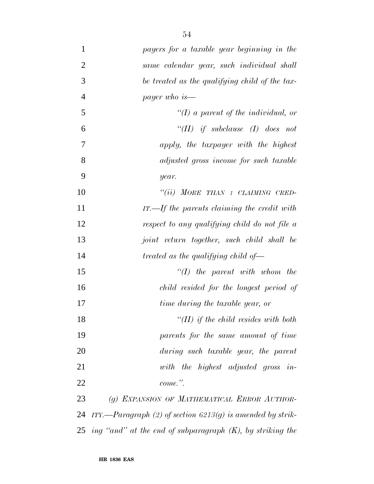| $\mathbf{1}$   | payers for a taxable year beginning in the                      |
|----------------|-----------------------------------------------------------------|
| $\overline{2}$ | same calendar year, such individual shall                       |
| 3              | be treated as the qualifying child of the tax-                  |
| $\overline{4}$ | payer who is—                                                   |
| 5              | "(I) a parent of the individual, or                             |
| 6              | "(II) if subclause (I) does not                                 |
| 7              | apply, the taxpayer with the highest                            |
| 8              | adjusted gross income for such taxable                          |
| 9              | year.                                                           |
| 10             | "(ii) MORE THAN 1 CLAIMING CRED-                                |
| 11             | $IT. - If the parents claiming the credit with$                 |
| 12             | respect to any qualifying child do not file a                   |
| 13             | joint return together, such child shall be                      |
| 14             | treated as the qualifying child of-                             |
| 15             | $\lq (I)$ the parent with whom the                              |
| 16             | child resided for the longest period of                         |
| 17             | time during the taxable year, or                                |
| 18             | "(II) if the child resides with both                            |
| 19             | parents for the same amount of time                             |
| 20             | during such taxable year, the parent                            |
| 21             | with the highest adjusted gross in-                             |
| 22             | $come.$ ".                                                      |
| 23             | (g) EXPANSION OF MATHEMATICAL ERROR AUTHOR-                     |
| 24             | ITY.—Paragraph (2) of section 6213(g) is amended by strik-      |
|                | 25 ing "and" at the end of subparagraph $(K)$ , by striking the |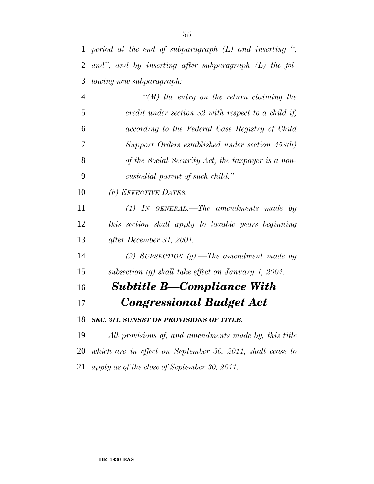*period at the end of subparagraph (L) and inserting '', and'', and by inserting after subparagraph (L) the fol-lowing new subparagraph:*

|                 | $\lq (M)$ the entry on the return claiming the      |
|-----------------|-----------------------------------------------------|
| -5              | credit under section 32 with respect to a child if, |
| 6               | according to the Federal Case Registry of Child     |
| $7\phantom{.0}$ | Support Orders established under section $453(h)$   |
| 8               | of the Social Security Act, the taxpayer is a non-  |
| -9              | custodial parent of such child."                    |

*(h) EFFECTIVE DATES.—*

 *(1) IN GENERAL.—The amendments made by this section shall apply to taxable years beginning after December 31, 2001.*

 *(2) SUBSECTION (g).—The amendment made by subsection (g) shall take effect on January 1, 2004.*

## *Subtitle B—Compliance With*

### *Congressional Budget Act*

*SEC. 311. SUNSET OF PROVISIONS OF TITLE.*

 *All provisions of, and amendments made by, this title which are in effect on September 30, 2011, shall cease to apply as of the close of September 30, 2011.*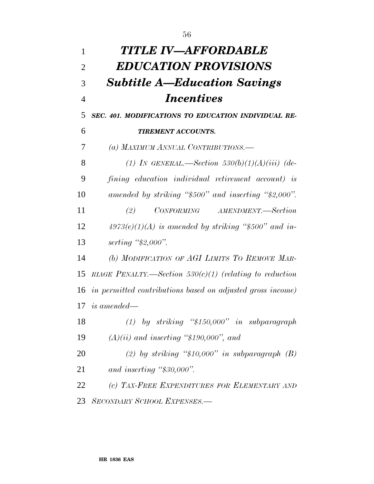| 1              | TITLE IV—AFFORDABLE                                        |
|----------------|------------------------------------------------------------|
| $\overline{2}$ | <b>EDUCATION PROVISIONS</b>                                |
| 3              | <b>Subtitle A—Education Savings</b>                        |
| $\overline{4}$ | <i>Incentives</i>                                          |
| 5              | SEC. 401. MODIFICATIONS TO EDUCATION INDIVIDUAL RE-        |
| 6              | <b>TIREMENT ACCOUNTS.</b>                                  |
| 7              | (a) MAXIMUM ANNUAL CONTRIBUTIONS.—                         |
| 8              | (1) IN GENERAL.—Section $530(b)(1)(A)(iii)$ (de-           |
| 9              | fining education individual retirement account) is         |
| 10             | amended by striking "\$500" and inserting "\$2,000".       |
| 11             | CONFORMING AMENDMENT.-Section<br>(2)                       |
| 12             | $4973(e)(1)(A)$ is amended by striking "\$500" and in-     |
| 13             | serting $\frac{4}{5}2,000$ .                               |
| 14             | (b) MODIFICATION OF AGI LIMITS TO REMOVE MAR-              |
| 15             | RIAGE PENALTY.—Section $530(c)(1)$ (relating to reduction  |
| 16             | in permitted contributions based on adjusted gross income) |
|                | $17$ is amended—                                           |
| 18             | $(1)$ by striking "\$150,000" in subparagraph              |
| 19             | $(A)(ii)$ and inserting "\$190,000", and                   |
| 20             | (2) by striking " $$10,000"$ in subparagraph (B)           |
| 21             | and inserting " $$30,000"$ .                               |
| 22             | (c) TAX-FREE EXPENDITURES FOR ELEMENTARY AND               |
| 23             | <b>SECONDARY SCHOOL EXPENSES.—</b>                         |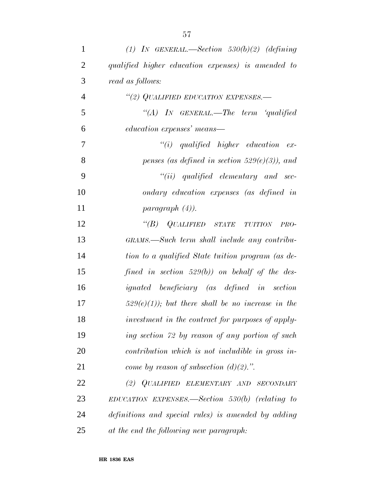| $\mathbf{1}$   | (1) IN GENERAL.—Section 530(b)(2) (defining         |
|----------------|-----------------------------------------------------|
| $\overline{2}$ | qualified higher education expenses) is amended to  |
| 3              | read as follows:                                    |
| $\overline{4}$ | "(2) QUALIFIED EDUCATION EXPENSES.-                 |
| 5              | $\lq \lq A$ ) In GENERAL.—The term $\lq q$ ualified |
| 6              | education expenses' means—                          |
| 7              | $``(i)$ qualified higher education ex-              |
| 8              | penses (as defined in section 529 $(e)(3)$ ), and   |
| 9              | $``(ii)$ qualified elementary and sec-              |
| 10             | ondary education expenses (as defined in            |
| 11             | paragnath (4).                                      |
| 12             | $\lq\lq(B)$ QUALIFIED STATE TUITION<br>PRO-         |
| 13             | GRAMS.—Such term shall include any contribu-        |
| 14             | tion to a qualified State tuition program (as de-   |
| 15             | fined in section $529(b)$ ) on behalf of the des-   |
| 16             | <i>ignated</i> beneficiary (as defined in section   |
| 17             | $529(e)(1)$ ; but there shall be no increase in the |
| 18             | investment in the contract for purposes of apply-   |
| 19             | ing section 72 by reason of any portion of such     |
| 20             | contribution which is not includible in gross in-   |
| 21             | come by reason of subsection $(d)(2)$ .".           |
| 22             | (2) QUALIFIED ELEMENTARY AND SECONDARY              |
| 23             | $EDUCATION$ EXPENSES.—Section 530(b) (relating to   |
| 24             | definitions and special rules) is amended by adding |
| 25             | at the end the following new paragraph:             |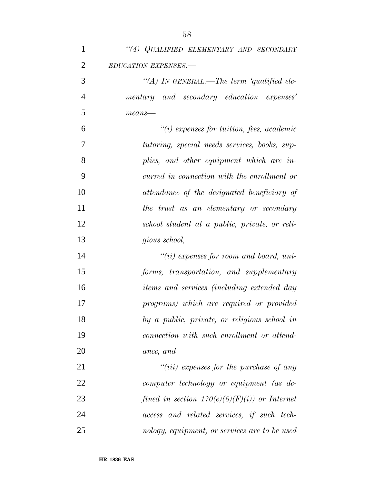*''(A) IN GENERAL.—The term 'qualified ele- mentary and secondary education expenses' means—*

 *''(i) expenses for tuition, fees, academic tutoring, special needs services, books, sup- plies, and other equipment which are in- curred in connection with the enrollment or attendance of the designated beneficiary of the trust as an elementary or secondary school student at a public, private, or reli-gious school,*

 *''(ii) expenses for room and board, uni- forms, transportation, and supplementary items and services (including extended day programs) which are required or provided by a public, private, or religious school in connection with such enrollment or attend-ance, and*

 *''(iii) expenses for the purchase of any computer technology or equipment (as de- fined in section 170(e)(6)(F)(i)) or Internet access and related services, if such tech-nology, equipment, or services are to be used*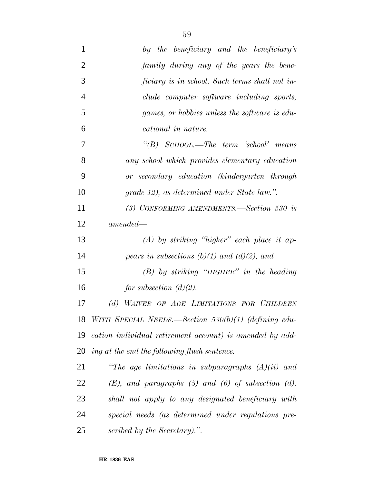| $\mathbf{1}$   | by the beneficiary and the beneficiary's                 |
|----------------|----------------------------------------------------------|
| $\overline{2}$ | family during any of the years the bene-                 |
| 3              | ficiary is in school. Such terms shall not in-           |
| $\overline{4}$ | clude computer software including sports,                |
| 5              | games, or hobbies unless the software is edu-            |
| 6              | cational in nature.                                      |
| 7              | "(B) SCHOOL.—The term 'school' means                     |
| 8              | any school which provides elementary education           |
| 9              | or secondary education (kindergarten through             |
| 10             | grade 12), as determined under State law.".              |
| 11             | (3) CONFORMING AMENDMENTS.—Section 530 is                |
| 12             | $amended-$                                               |
| 13             | $(A)$ by striking "higher" each place it ap-             |
| 14             | pears in subsections (b)(1) and (d)(2), and              |
| 15             | $(B)$ by striking "HIGHER" in the heading                |
| 16             | for subsection $(d)(2)$ .                                |
| 17             | (d) WAIVER OF AGE LIMITATIONS FOR CHILDREN               |
| 18             | WITH SPECIAL NEEDS.—Section $530(b)(1)$ (defining edu-   |
| 19             | cation individual retirement account) is amended by add- |
| 20             | ing at the end the following flush sentence:             |
| 21             | "The age limitations in subparagraphs $(A)(ii)$ and      |
| 22             | $(E)$ , and paragraphs (5) and (6) of subsection (d),    |
| 23             | shall not apply to any designated beneficiary with       |
| 24             | special needs (as determined under regulations pre-      |
| 25             | scribed by the Secretary).".                             |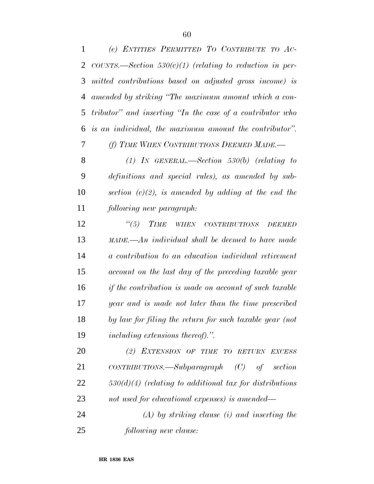| $\mathbf{1}$ | (e) ENTITIES PERMITTED TO CONTRIBUTE TO AC-                              |
|--------------|--------------------------------------------------------------------------|
| 2            | COUNTS.—Section 530(c)(1) (relating to reduction in per-                 |
| 3            | mitted contributions based on adjusted gross income) is                  |
| 4            | amended by striking "The maximum amount which a con-                     |
| 5            | tributor" and inserting "In the case of a contributor who                |
| 6            | is an individual, the maximum amount the contributor".                   |
| $\tau$       | (f) TIME WHEN CONTRIBUTIONS DEEMED MADE.—                                |
| 8            | $(1)$ In GENERAL.—Section 530(b) (relating to                            |
| 9            | definitions and special rules), as amended by sub-                       |
| 10           | section $(c)(2)$ , is amended by adding at the end the                   |
| 11           | following new paragraph:                                                 |
| 12           | $\frac{1}{10}$ (5)<br><b>TIME</b><br>WHEN CONTRIBUTIONS<br><b>DEEMED</b> |
| 13           | $\mu ADE$ . An individual shall be deemed to have made                   |
| 14           | a contribution to an education individual retirement                     |
| 15           | account on the last day of the preceding taxable year                    |
| 16           | if the contribution is made on account of such taxable                   |
| 17           | year and is made not later than the time prescribed                      |
| 18           | by law for filing the return for such taxable year (not                  |
| 19           | <i>including extensions thereof).</i> ".                                 |
| 20           | (2) EXTENSION OF TIME TO RETURN EXCESS                                   |
| 21           | $CONTRIBUTIONS.$ Subparagraph $(C)$ of section                           |
| 22           | $530(d)(4)$ (relating to additional tax for distributions                |
| 23           | not used for educational expenses) is amended—                           |
| 24           | $(A)$ by striking clause (i) and inserting the                           |
| 25           | following new clause:                                                    |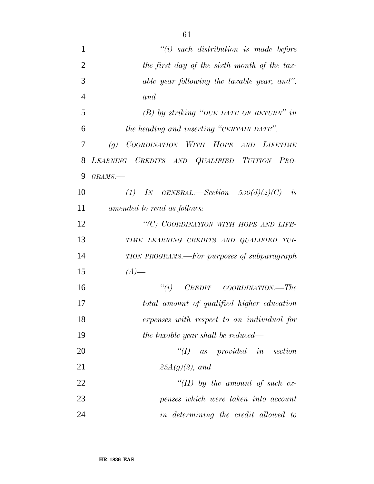| $\mathbf{1}$   | $``(i)$ such distribution is made before                 |
|----------------|----------------------------------------------------------|
| $\overline{2}$ | the first day of the sixth month of the tax-             |
| 3              | able year following the taxable year, and",              |
| $\overline{4}$ | and                                                      |
| 5              | $(B)$ by striking "DUE DATE OF RETURN" in                |
| 6              | the heading and inserting "CERTAIN DATE".                |
| 7              | COORDINATION WITH HOPE AND LIFETIME<br>$\left( q\right)$ |
| 8              | LEARNING CREDITS AND QUALIFIED TUITION PRO-              |
| 9              | $GRAMS$ .                                                |
| 10             | (1) IN GENERAL.—Section $530(d)(2)(C)$ is                |
| 11             | amended to read as follows:                              |
| 12             | "(C) COORDINATION WITH HOPE AND LIFE-                    |
| 13             | TIME LEARNING CREDITS AND QUALIFIED TUI-                 |
| 14             | TION PROGRAMS.—For purposes of subparagraph              |
| 15             | $(A)$ —                                                  |
| 16             | $``(i)$ CREDIT COORDINATION.—The                         |
| 17             | total amount of qualified higher education               |
| 18             | expenses with respect to an individual for               |
| 19             | the taxable year shall be reduced—                       |
| 20             | $\lq (I)$ as provided in section                         |
| 21             | $25A(g)(2)$ , and                                        |
| 22             | "(II) by the amount of such ex-                          |
| 23             | penses which were taken into account                     |
| 24             | in determining the credit allowed to                     |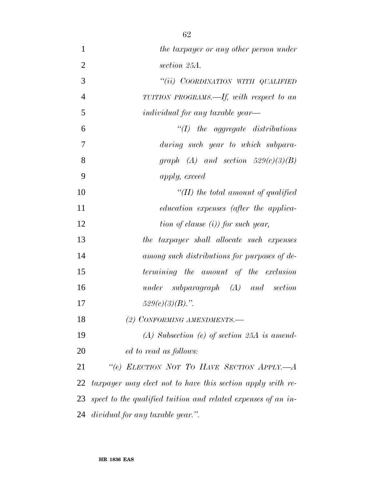| $\mathbf{1}$   | the taxpayer or any other person under                        |
|----------------|---------------------------------------------------------------|
| $\overline{2}$ | section 25A.                                                  |
| 3              | "(ii) COORDINATION WITH QUALIFIED                             |
| $\overline{4}$ | TUITION PROGRAMS.—If, with respect to an                      |
| 5              | <i>individual for any taxable year—</i>                       |
| 6              | $\lq (I)$ the aggregate distributions                         |
| 7              | during such year to which subpara-                            |
| 8              | graph (A) and section $529(c)(3)(B)$                          |
| 9              | apply, exceed                                                 |
| 10             | "(II) the total amount of qualified                           |
| 11             | education expenses (after the applica-                        |
| 12             | $\lim$ of clause (i)) for such year,                          |
| 13             | the taxpayer shall allocate such expenses                     |
| 14             | among such distributions for purposes of de-                  |
| 15             | termining the amount of the exclusion                         |
| 16             | $under \quad subparagnph \quad (A) \quad and \quad section$   |
| 17             | $529(c)(3)(B)$ .".                                            |
| 18             | (2) CONFORMING AMENDMENTS.-                                   |
| 19             | $(A)$ Subsection (e) of section 25A is amend-                 |
| 20             | ed to read as follows:                                        |
| 21             | "(e) ELECTION NOT TO HAVE SECTION APPLY.- A                   |
| 22             | taxpayer may elect not to have this section apply with re-    |
| 23             | spect to the qualified tuition and related expenses of an in- |
| 24             | dividual for any taxable year.".                              |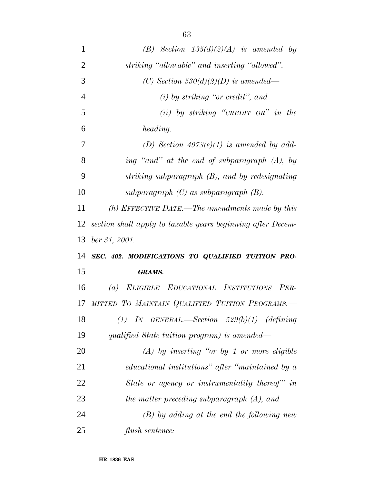| 1              | (B) Section $135(d)(2)(A)$ is amended by                    |
|----------------|-------------------------------------------------------------|
| $\overline{2}$ | striking "allowable" and inserting "allowed".               |
| 3              | (C) Section 530(d)(2)(D) is amended—                        |
| $\overline{4}$ | $(i)$ by striking "or credit", and                          |
| 5              | $(ii)$ by striking "CREDIT OR" in the                       |
| 6              | heading.                                                    |
| 7              | (D) Section $4973(e)(1)$ is amended by add-                 |
| 8              | ing "and" at the end of subparagraph (A), by                |
| 9              | striking subparagraph (B), and by redesignating             |
| 10             | subparagraph $(C)$ as subparagraph $(B)$ .                  |
| 11             | (h) EFFECTIVE DATE.—The amendments made by this             |
| 12             | section shall apply to taxable years beginning after Decem- |
|                |                                                             |
| 13             | $ber\,31,\,2001.$                                           |
| 14             | SEC. 402. MODIFICATIONS TO QUALIFIED TUITION PRO-           |
| 15             | <b>GRAMS.</b>                                               |
| 16             | (a) ELIGIBLE EDUCATIONAL INSTITUTIONS PER-                  |
| 17             | MITTED TO MAINTAIN QUALIFIED TUITION PROGRAMS.-             |
| 18             | (1) IN GENERAL.—Section $529(b)(1)$ (defining               |
| 19             | qualified State tuition program) is amended—                |
| 20             | $(A)$ by inserting "or by 1 or more eligible                |
| 21             | educational institutions" after "maintained by a            |
| 22             | State or agency or instrumentality thereof" in              |
| 23             | the matter preceding subparagraph (A), and                  |
| 24             | $(B)$ by adding at the end the following new                |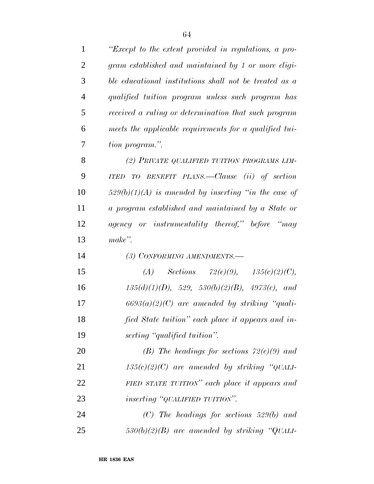| $\mathbf{1}$   | "Except to the extent provided in regulations, a pro-   |
|----------------|---------------------------------------------------------|
| $\overline{2}$ | gram established and maintained by 1 or more eligi-     |
| 3              | ble educational institutions shall not be treated as a  |
| $\overline{4}$ | qualified tuition program unless such program has       |
| 5              | received a ruling or determination that such program    |
| 6              | meets the applicable requirements for a qualified tui-  |
| 7              | tion program.".                                         |
| 8              | (2) PRIVATE QUALIFIED TUITION PROGRAMS LIM-             |
| 9              | TO BENEFIT PLANS.—Clause (ii) of section<br><b>ITED</b> |
| 10             | $529(b)(1)(A)$ is amended by inserting "in the case of  |
| 11             | a program established and maintained by a State or      |
| 12             | agency or instrumentality thereof," before "may         |
| 13             | make".                                                  |
| 14             | (3) CONFORMING AMENDMENTS.-                             |
| 15             | Sections $72(e)(9)$ , $135(c)(2)(C)$ ,<br>(A)           |
| 16             | $135(d)(1)(D), 529, 530(b)(2)(B), 4973(e), and$         |
| 17             | $6693(a)(2)(C)$ are amended by striking "quali-         |
| 18             | fied State tuition" each place it appears and in-       |
| 19             | serting "qualified tuition".                            |
| 20             | (B) The headings for sections $72(e)(9)$ and            |
| 21             | $135(c)(2)(C)$ are amended by striking "QUALI-          |
| 22             | FIED STATE TUITION" each place it appears and           |
| 23             | <i>inserting</i> "QUALIFIED TUITION".                   |
| 24             | $(C)$ The headings for sections 529(b) and              |
| 25             | $530(b)(2)(B)$ are amended by striking "QUALI-          |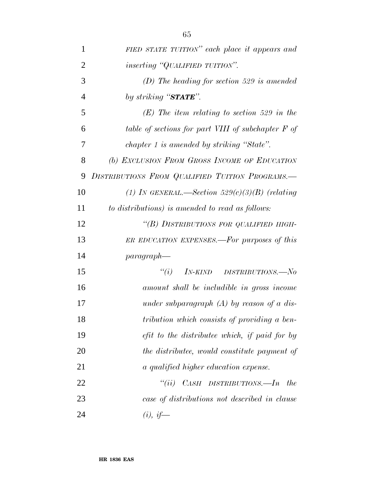| $\mathbf{1}$   | FIED STATE TUITION" each place it appears and      |
|----------------|----------------------------------------------------|
| $\overline{2}$ | <i>inserting</i> "QUALIFIED TUITION".              |
| 3              | $(D)$ The heading for section 529 is amended       |
| $\overline{4}$ | by striking "STATE".                               |
| 5              | $(E)$ The item relating to section 529 in the      |
| 6              | table of sections for part VIII of subchapter F of |
| 7              | chapter 1 is amended by striking "State".          |
| 8              | (b) EXCLUSION FROM GROSS INCOME OF EDUCATION       |
| 9              | DISTRIBUTIONS FROM QUALIFIED TUITION PROGRAMS.-    |
| 10             | (1) IN GENERAL.—Section $529(c)(3)(B)$ (relating   |
| 11             | to distributions) is amended to read as follows:   |
| 12             | "(B) DISTRIBUTIONS FOR QUALIFIED HIGH-             |
| 13             | ER EDUCATION EXPENSES.—For purposes of this        |
| 14             | $paragnah$ —                                       |
| 15             | "(i) $IN-KIND$ $DISTRIBUTIONS$ . No                |
| 16             | amount shall be includible in gross income         |
| 17             | under subparagraph $(A)$ by reason of a dis-       |
| 18             | tribution which consists of providing a ben-       |
| 19             | efit to the distributee which, if paid for by      |
| 20             | the distributee, would constitute payment of       |
| 21             | a qualified higher education expense.              |
| 22             | "(ii) $CASH$ DISTRIBUTIONS.—In the                 |
| 23             | case of distributions not described in clause      |

*(i), if—*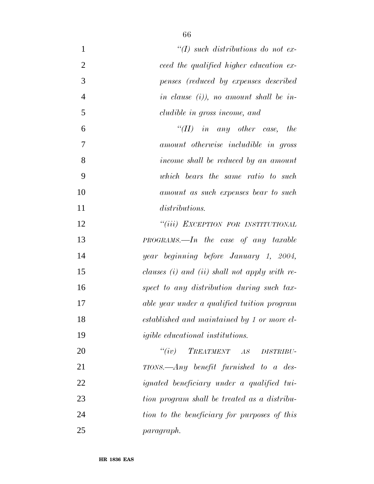| $\mathbf{1}$   | $\lq (I)$ such distributions do not ex-           |
|----------------|---------------------------------------------------|
| $\overline{2}$ | ceed the qualified higher education ex-           |
| 3              | penses (reduced by expenses described             |
| $\overline{4}$ | in clause $(i)$ , no amount shall be in-          |
| 5              | cludible in gross income, and                     |
| 6              | "(II) in any other case, the                      |
| 7              | amount otherwise includible in gross              |
| 8              | income shall be reduced by an amount              |
| 9              | which bears the same ratio to such                |
| 10             | amount as such expenses bear to such              |
| 11             | <i>distributions.</i>                             |
| 12             | "(iii) EXCEPTION FOR INSTITUTIONAL                |
| 13             | $PROGRAMS$ —In the case of any taxable            |
| 14             | year beginning before January 1, 2004,            |
| 15             | clauses (i) and (ii) shall not apply with re-     |
| 16             | spect to any distribution during such tax-        |
| 17             | able year under a qualified tuition program       |
| 18             | established and maintained by 1 or more el-       |
| 19             | <i>igible educational institutions.</i>           |
| 20             | $``(iv)$ TREATMENT AS<br><b>DISTRIBU-</b>         |
| 21             | $TIONS.$ Any benefit furnished to a des-          |
| 22             | <i>ignated beneficiary under a qualified tui-</i> |
| 23             | tion program shall be treated as a distribu-      |
| 24             | tion to the beneficiary for purposes of this      |
| 25             | paragraph.                                        |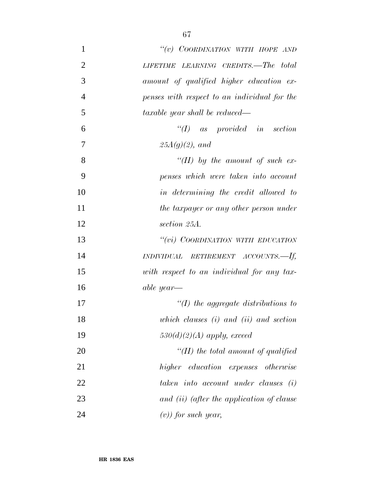| $\mathbf{1}$   | "(v) COORDINATION WITH HOPE AND              |
|----------------|----------------------------------------------|
| $\overline{2}$ | LIFETIME LEARNING CREDITS.—The total         |
| 3              | amount of qualified higher education ex-     |
| $\overline{4}$ | penses with respect to an individual for the |
| 5              | taxable year shall be reduced—               |
| 6              | $\lq (I)$ as provided in section             |
| 7              | $25A(g)(2)$ , and                            |
| 8              | "(II) by the amount of such ex-              |
| 9              | penses which were taken into account         |
| 10             | in determining the credit allowed to         |
| 11             | the taxpayer or any other person under       |
| 12             | section 25A.                                 |
| 13             | "(vi) COORDINATION WITH EDUCATION            |
| 14             | $INDIVIDUAL$ RETIREMENT ACCOUNTS.—If,        |
| 15             | with respect to an individual for any tax-   |
| 16             | able year—                                   |
| 17             | $\lq (I)$ the aggregate distributions to     |
| 18             | which clauses $(i)$ and $(ii)$ and section   |
| 19             | $530(d)(2)(A)$ apply, exceed                 |
| 20             | $\lq (II)$ the total amount of qualified     |
| 21             | higher education expenses otherwise          |
| 22             | taken into account under clauses (i)         |
| 23             | and (ii) (after the application of clause    |
| 24             | $(v)$ for such year,                         |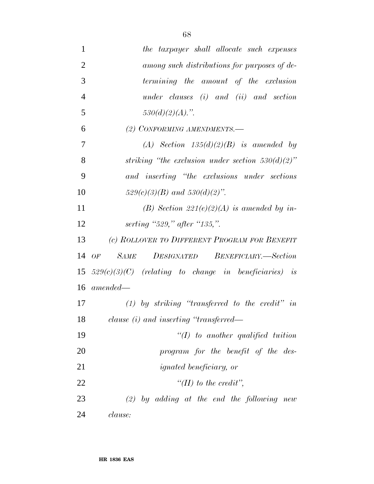| $\mathbf{1}$   | the taxpayer shall allocate such expenses               |
|----------------|---------------------------------------------------------|
| $\overline{2}$ | among such distributions for purposes of de-            |
| 3              | termining the amount of the exclusion                   |
| $\overline{4}$ | under clauses $(i)$ and $(ii)$ and section              |
| 5              | $530(d)(2)(A)$ .".                                      |
| 6              | (2) CONFORMING AMENDMENTS.-                             |
| 7              | (A) Section $135(d)(2)(B)$ is amended by                |
| 8              | striking "the exclusion under section $530(d)(2)$ "     |
| 9              | and inserting "the exclusions under sections"           |
| 10             | $529(c)(3)(B)$ and $530(d)(2)$ ".                       |
| 11             | (B) Section 221(e)(2)(A) is amended by in-              |
| 12             | serting "529," after "135,".                            |
| 13             | (c) ROLLOVER TO DIFFERENT PROGRAM FOR BENEFIT           |
| 14             | <b>SAME</b><br>DESIGNATED BENEFICIARY.—Section<br>OF    |
| 15             | $529(c)(3)(C)$ (relating to change in beneficiaries) is |
| 16             | amended—                                                |
| 17             | $(1)$ by striking "transferred to the credit" in        |
| 18             | clause $(i)$ and inserting "transferred—                |
| 19             | $``(I)$ to another qualified tuition                    |
| 20             | program for the benefit of the des-                     |
| 21             | <i>ignated beneficiary, or</i>                          |
| 22             | $\lq\lq (II)$ to the credit",                           |
| 23             | $(2)$ by adding at the end the following new            |
| 24             | clause:                                                 |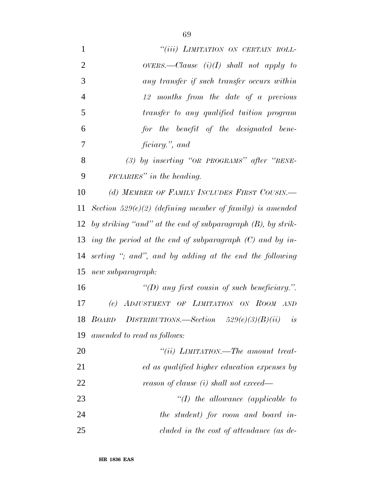| $\mathbf{1}$   | "(iii) LIMITATION ON CERTAIN ROLL-                             |
|----------------|----------------------------------------------------------------|
| $\overline{2}$ | $overes$ .—Clause (i)(I) shall not apply to                    |
| 3              | any transfer if such transfer occurs within                    |
| $\overline{4}$ | 12 months from the date of a previous                          |
| 5              | transfer to any qualified tuition program                      |
| 6              | for the benefit of the designated bene-                        |
| 7              | ficiary.", and                                                 |
| 8              | $(3)$ by inserting "OR PROGRAMS" after "BENE-                  |
| 9              | $FICIARIES''$ in the heading.                                  |
| 10             | (d) MEMBER OF FAMILY INCLUDES FIRST COUSIN.                    |
| 11             | Section 529 $(e)(2)$ (defining member of family) is amended    |
| 12             | by striking "and" at the end of subparagraph $(B)$ , by strik- |
| 13             | ing the period at the end of subparagraph $(C)$ and by in-     |
|                | 14 serting "; and", and by adding at the end the following     |
| 15             | new subparagraph:                                              |
| 16             | "(D) any first cousin of such beneficiary.".                   |
| 17             | (e) ADJUSTMENT OF LIMITATION ON ROOM AND                       |
|                | DISTRIBUTIONS.—Section $529(e)(3)(B)(ii)$ is<br>18 BOARD       |
| 19             | amended to read as follows:                                    |
| 20             | "(ii) $L$ <i>IMITATION.—The amount treat-</i>                  |
| 21             | ed as qualified higher education expenses by                   |
| 22             | reason of clause (i) shall not exceed—                         |
| 23             | $\lq (I)$ the allowance (applicable to                         |
| 24             | the student) for room and board in-                            |
| 25             | cluded in the cost of attendance (as de-                       |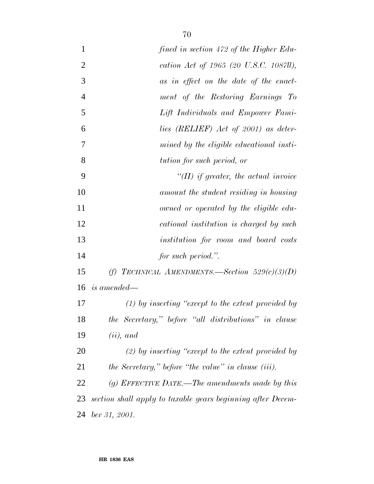| $\mathbf{1}$   | fined in section 472 of the Higher Edu-                     |
|----------------|-------------------------------------------------------------|
| $\overline{2}$ | cation Act of 1965 (20 U.S.C. 1087ll),                      |
| 3              | as in effect on the date of the enact-                      |
| $\overline{4}$ | ment of the Restoring Earnings To                           |
| 5              | Lift Individuals and Empower Fami-                          |
| 6              | lies (RELIEF) Act of 2001) as deter-                        |
| 7              | mined by the eligible educational insti-                    |
| 8              | tution for such period, or                                  |
| 9              | $\lq (II)$ if greater, the actual invoice                   |
| 10             | amount the student residing in housing                      |
| 11             | owned or operated by the eligible edu-                      |
| 12             | cational institution is charged by such                     |
| 13             | institution for room and board costs                        |
| 14             | for such period.".                                          |
| 15             | (f) TECHNICAL AMENDMENTS.—Section $529(c)(3)(D)$            |
| 16             | <i>is amended—</i>                                          |
| 17             | $(1)$ by inserting "except to the extent provided by        |
| 18             | the Secretary," before "all distributions" in clause        |
| 19             | $(ii)$ , and                                                |
| <b>20</b>      | $(2)$ by inserting "except to the extent provided by        |
| 21             | the Secretary," before "the value" in clause (iii).         |
| 22             | $(g)$ EFFECTIVE DATE.—The amendments made by this           |
| 23             | section shall apply to taxable years beginning after Decem- |
| 24             | $ber\,31,\,2001.$                                           |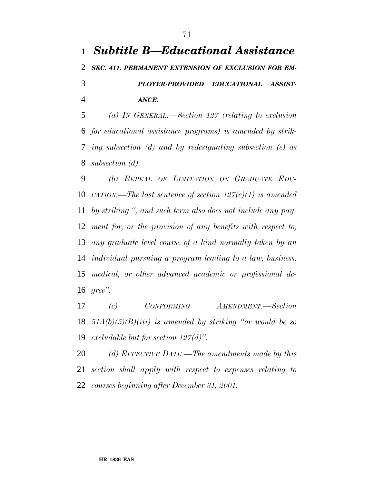## *Subtitle B—Educational Assistance SEC. 411. PERMANENT EXTENSION OF EXCLUSION FOR EM- PLOYER-PROVIDED EDUCATIONAL ASSIST-ANCE.*

 *(a) IN GENERAL.—Section 127 (relating to exclusion for educational assistance programs) is amended by strik- ing subsection (d) and by redesignating subsection (e) as subsection (d).*

 *(b) REPEAL OF LIMITATION ON GRADUATE EDU- CATION.—The last sentence of section 127(c)(1) is amended by striking '', and such term also does not include any pay- ment for, or the provision of any benefits with respect to, any graduate level course of a kind normally taken by an individual pursuing a program leading to a law, business, medical, or other advanced academic or professional de-gree''.*

 *(c) CONFORMING AMENDMENT.—Section 51A(b)(5)(B)(iii) is amended by striking ''or would be so excludable but for section 127(d)''.*

 *(d) EFFECTIVE DATE.—The amendments made by this section shall apply with respect to expenses relating to courses beginning after December 31, 2001.*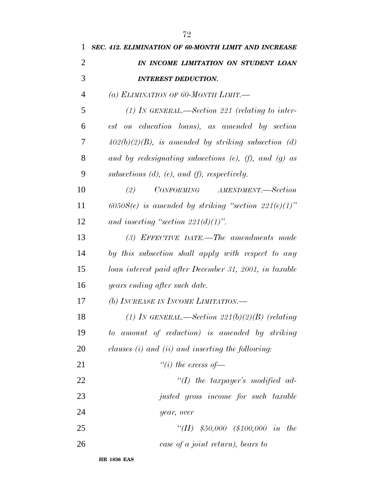| 1              | SEC. 412. ELIMINATION OF 60-MONTH LIMIT AND INCREASE          |
|----------------|---------------------------------------------------------------|
| $\overline{2}$ | IN INCOME LIMITATION ON STUDENT LOAN                          |
| 3              | <b>INTEREST DEDUCTION.</b>                                    |
| $\overline{4}$ | (a) ELIMINATION OF 60-MONTH LIMIT.                            |
| 5              | $(1)$ IN GENERAL.—Section 221 (relating to inter-             |
| 6              | est on education loans), as amended by section                |
| 7              | $402(b)(2)(B)$ , is amended by striking subsection (d)        |
| 8              | and by redesignating subsections $(e)$ , $(f)$ , and $(g)$ as |
| 9              | subsections $(d)$ , $(e)$ , and $(f)$ , respectively.         |
| 10             | CONFORMING AMENDMENT.-Section<br>(2)                          |
| 11             | $6050S(e)$ is amended by striking "section $221(e)(1)$ "      |
| 12             | and inserting "section $221(d)(1)$ ".                         |
| 13             | $(3)$ EFFECTIVE DATE.—The amendments made                     |
| 14             | by this subsection shall apply with respect to any            |
| 15             | loan interest paid after December 31, 2001, in taxable        |
| 16             | years ending after such date.                                 |
| 17             | (b) INCREASE IN INCOME LIMITATION.                            |
| 18             | (1) IN GENERAL.—Section $221(b)(2)(B)$ (relating              |
| 19             | amount of reduction) is amended by striking<br>to             |
| 20             | clauses $(i)$ and $(ii)$ and inserting the following:         |
| 21             | "(i) the excess of $-$                                        |
| 22             | $\lq (I)$ the taxpayer's modified ad-                         |
| 23             | justed gross income for such taxable                          |
| 24             | year, over                                                    |
| 25             | "(II) $$50,000$ (\$100,000 in the                             |
| 26             | case of a joint return), bears to                             |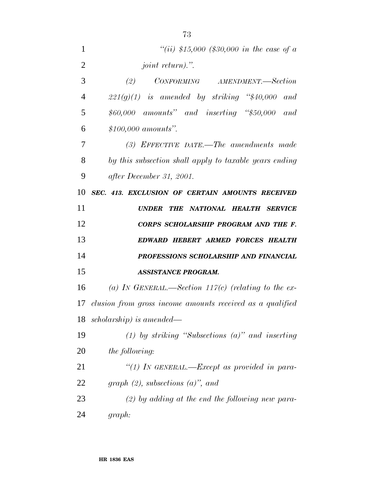| 1              | "(ii) \$15,000 (\$30,000 in the case of a                                                                                                                        |
|----------------|------------------------------------------------------------------------------------------------------------------------------------------------------------------|
| $\overline{2}$ | <i>joint return).</i> ".                                                                                                                                         |
| 3              | $\begin{minipage}{0.9\linewidth} \textit{CONFORMING} \end{minipage} \begin{minipage}{0.9\linewidth} \textit{AMENDMENT}\textit{---Section} \end{minipage}$<br>(2) |
| 4              | $221(g)(1)$ is amended by striking "\$40,000 and                                                                                                                 |
| 5              | $$60,000$ amounts" and inserting "\$50,000 and                                                                                                                   |
| 6              | $$100,000$ amounts".                                                                                                                                             |
| 7              | $(3)$ EFFECTIVE DATE.—The amendments made                                                                                                                        |
| 8              | by this subsection shall apply to taxable years ending                                                                                                           |
| 9              | after December 31, 2001.                                                                                                                                         |
| 10             | SEC. 413. EXCLUSION OF CERTAIN AMOUNTS RECEIVED                                                                                                                  |
| 11             | THE NATIONAL HEALTH SERVICE<br><b>UNDER</b>                                                                                                                      |
| 12             | CORPS SCHOLARSHIP PROGRAM AND THE F.                                                                                                                             |
| 13             | EDWARD HEBERT ARMED FORCES HEALTH                                                                                                                                |
| 14             | PROFESSIONS SCHOLARSHIP AND FINANCIAL                                                                                                                            |
| 15             | <b>ASSISTANCE PROGRAM.</b>                                                                                                                                       |
| 16             | (a) IN GENERAL.—Section 117(c) (relating to the ex-                                                                                                              |
| 17             | clusion from gross income amounts received as a qualified                                                                                                        |
| 18             | $scholarship)$ is amended—                                                                                                                                       |
| 19             | (1) by striking "Subsections $(a)$ " and inserting                                                                                                               |
| 20             | <i>the following:</i>                                                                                                                                            |
| 21             | "(1) IN GENERAL.—Except as provided in para-                                                                                                                     |
|                |                                                                                                                                                                  |
| 22             | graph $(2)$ , subsections $(a)$ , and                                                                                                                            |
| 23             | $(2)$ by adding at the end the following new para-                                                                                                               |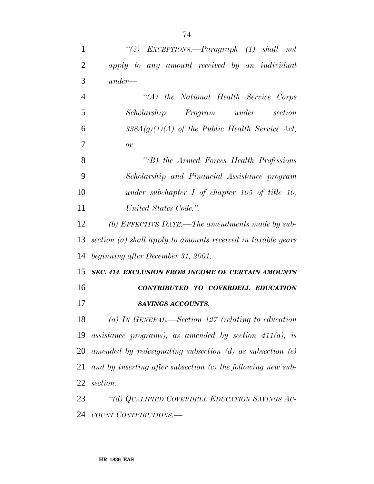| $\mathbf{1}$   | "(2) EXCEPTIONS.—Paragraph (1) shall not                          |
|----------------|-------------------------------------------------------------------|
| $\overline{2}$ | apply to any amount received by an individual                     |
| 3              | $under-$                                                          |
| $\overline{4}$ | "(A) the National Health Service Corps                            |
| 5              | Scholarship Program under section                                 |
| 6              | $338A(g)(1)(A)$ of the Public Health Service Act,                 |
| $\overline{7}$ | or                                                                |
| 8              | $\lq\lq B$ the Armed Forces Health Professions                    |
| 9              | Scholarship and Financial Assistance program                      |
| 10             | under subchapter $I$ of chapter 105 of title 10,                  |
| 11             | United States Code.".                                             |
| 12             | (b) EFFECTIVE DATE.—The amendments made by sub-                   |
| 13             | section (a) shall apply to amounts received in taxable years      |
| 14             | beginning after December 31, 2001.                                |
| 15             | SEC. 414. EXCLUSION FROM INCOME OF CERTAIN AMOUNTS                |
| 16             | CONTRIBUTED TO COVERDELL EDUCATION                                |
| 17             | SAVINGS ACCOUNTS.                                                 |
|                | 18 (a) IN GENERAL.—Section 127 (relating to education             |
|                | 19 assistance programs), as amended by section $411(a)$ , is      |
|                | 20 amended by redesignating subsection $(d)$ as subsection $(e)$  |
|                | 21 and by inserting after subsection $(c)$ the following new sub- |
|                | 22 section:                                                       |
| 23             | "(d) QUALIFIED COVERDELL EDUCATION SAVINGS AC-                    |
|                | 24 COUNT CONTRIBUTIONS.—                                          |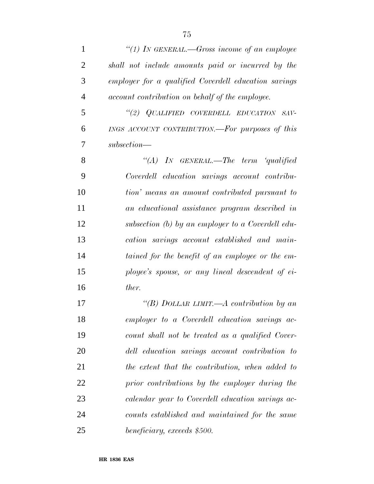| 1              | "(1) In GENERAL.—Gross income of an employee         |
|----------------|------------------------------------------------------|
| $\overline{2}$ | shall not include amounts paid or incurred by the    |
| 3              | employer for a qualified Coverdell education savings |
| $\overline{4}$ | account contribution on behalf of the employee.      |
| 5              | "(2) QUALIFIED COVERDELL EDUCATION SAV-              |
| 6              | INGS ACCOUNT CONTRIBUTION.-For purposes of this      |
| 7              | $subsection$ —                                       |
| 8              | "(A) IN GENERAL.—The term 'qualified                 |
| 9              | Coverdell education savings account contribu-        |
| 10             | tion' means an amount contributed pursuant to        |
| 11             | an educational assistance program described in       |
| 12             | subsection (b) by an employer to a Coverdell edu-    |
| 13             | cation savings account established and main-         |
| 14             | tained for the benefit of an employee or the em-     |
| 15             | ployee's spouse, or any lineal descendent of ei-     |
| 16             | ther.                                                |
| 17             | "(B) DOLLAR LIMIT.—A contribution by an              |
| 18             | employer to a Coverdell education savings ac-        |
| 19             | count shall not be treated as a qualified Cover-     |
| 20             | dell education savings account contribution to       |
| 21             | the extent that the contribution, when added to      |
| 22             | prior contributions by the employer during the       |
| 23             | calendar year to Coverdell education savings ac-     |
| 24             | counts established and maintained for the same       |
| 25             | beneficiary, exceeds \$500.                          |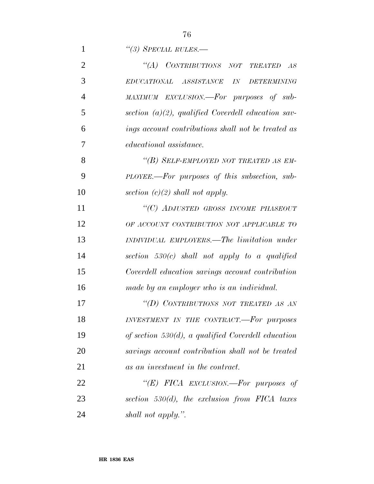*''(3) SPECIAL RULES.—*

| $\overline{2}$ | "(A) CONTRIBUTIONS NOT TREATED AS                     |
|----------------|-------------------------------------------------------|
| 3              | EDUCATIONAL ASSISTANCE IN<br><b>DETERMINING</b>       |
| $\overline{4}$ | MAXIMUM EXCLUSION.-For purposes of sub-               |
| 5              | section $(a)(2)$ , qualified Coverdell education sav- |
| 6              | ings account contributions shall not be treated as    |
| 7              | <i>educational</i> assistance.                        |
| 8              | "(B) SELF-EMPLOYED NOT TREATED AS EM-                 |
| 9              | PLOYEE.—For purposes of this subsection, sub-         |
| 10             | section $(c)(2)$ shall not apply.                     |
| 11             | "(C) ADJUSTED GROSS INCOME PHASEOUT                   |
| 12             | OF ACCOUNT CONTRIBUTION NOT APPLICABLE TO             |
| 13             | INDIVIDUAL EMPLOYERS.—The limitation under            |
| 14             | section $530(c)$ shall not apply to a qualified       |
| 15             | Coverdell education savings account contribution      |
| 16             | made by an employer who is an individual.             |
| 17             | "(D) CONTRIBUTIONS NOT TREATED AS AN                  |
| 18             | INVESTMENT IN THE CONTRACT.-For purposes              |
| 19             | of section $530(d)$ , a qualified Coverdell education |
| 20             | savings account contribution shall not be treated     |
| 21             | as an investment in the contract.                     |
| 22             | "(E) FICA EXCLUSION.—For purposes of                  |
| 23             | section $530(d)$ , the exclusion from FICA taxes      |
| 24             | shall not apply.".                                    |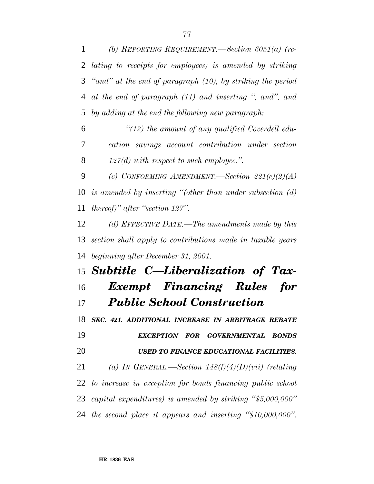*at the end of paragraph (11) and inserting '', and'', and by adding at the end the following new paragraph:*

 *''(12) the amount of any qualified Coverdell edu- cation savings account contribution under section 127(d) with respect to such employee.''.*

 *(c) CONFORMING AMENDMENT.—Section 221(e)(2)(A) is amended by inserting ''(other than under subsection (d) thereof)'' after ''section 127''.*

 *(d) EFFECTIVE DATE.—The amendments made by this section shall apply to contributions made in taxable years beginning after December 31, 2001.*

## *Subtitle C—Liberalization of Tax- Exempt Financing Rules for Public School Construction*

 *SEC. 421. ADDITIONAL INCREASE IN ARBITRAGE REBATE EXCEPTION FOR GOVERNMENTAL BONDS USED TO FINANCE EDUCATIONAL FACILITIES. (a) IN GENERAL.—Section 148(f)(4)(D)(vii) (relating to increase in exception for bonds financing public school capital expenditures) is amended by striking ''\$5,000,000'' the second place it appears and inserting ''\$10,000,000''.*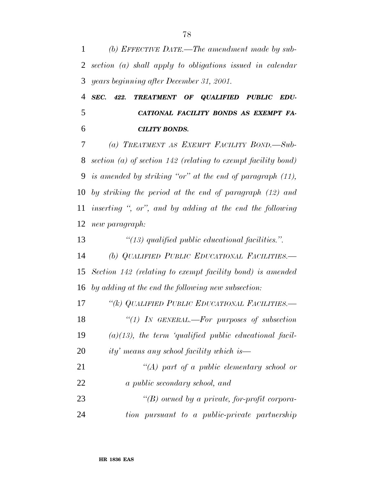*SEC. 422. TREATMENT OF QUALIFIED PUBLIC EDU- CATIONAL FACILITY BONDS AS EXEMPT FA-CILITY BONDS.*

 *(a) TREATMENT AS EXEMPT FACILITY BOND.—Sub- section (a) of section 142 (relating to exempt facility bond) is amended by striking ''or'' at the end of paragraph (11), by striking the period at the end of paragraph (12) and inserting '', or'', and by adding at the end the following new paragraph:*

 *''(13) qualified public educational facilities.''. (b) QUALIFIED PUBLIC EDUCATIONAL FACILITIES.— Section 142 (relating to exempt facility bond) is amended by adding at the end the following new subsection: ''(k) QUALIFIED PUBLIC EDUCATIONAL FACILITIES.— ''(1) IN GENERAL.—For purposes of subsection (a)(13), the term 'qualified public educational facil-ity' means any school facility which is—*

| 21 | "(A) part of a public elementary school or    |
|----|-----------------------------------------------|
| 22 | a public secondary school, and                |
| 23 | "(B) owned by a private, for-profit corpora-  |
| 24 | tion pursuant to a public-private partnership |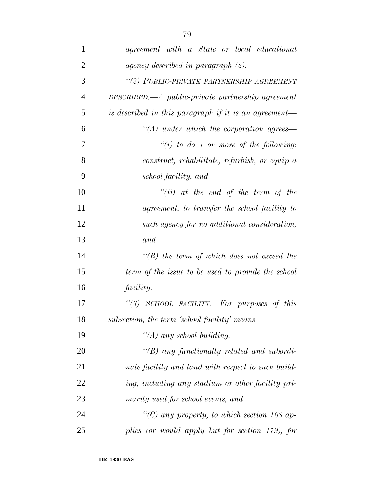| $\mathbf{1}$   | agreement with a State or local educational                    |
|----------------|----------------------------------------------------------------|
| $\overline{2}$ | agency described in paragraph $(2)$ .                          |
| 3              | "(2) PUBLIC-PRIVATE PARTNERSHIP AGREEMENT                      |
| $\overline{4}$ | $DESCRIBED. \text{—} A public-private\ partnership\ agreement$ |
| 5              | is described in this paragraph if it is an agreement-          |
| 6              | $\lq (A)$ under which the corporation agrees—                  |
| 7              | $``(i)$ to do 1 or more of the following:                      |
| 8              | construct, rehabilitate, refurbish, or equip a                 |
| 9              | school facility, and                                           |
| 10             | $``(ii)$ at the end of the term of the                         |
| 11             | agreement, to transfer the school facility to                  |
| 12             | such agency for no additional consideration,                   |
| 13             | and                                                            |
| 14             | $\lq\lq(B)$ the term of which does not exceed the              |
| 15             | term of the issue to be used to provide the school             |
| 16             | <i>facility.</i>                                               |
| 17             | "(3) SCHOOL FACILITY.—For purposes of this                     |
| 18             | subsection, the term 'school facility' means-                  |
| 19             | "(A) any school building,                                      |
| 20             | $\lq\lq B$ any functionally related and subordi-               |
| 21             | nate facility and land with respect to such build-             |
| 22             | ing, including any stadium or other facility pri-              |
| 23             | marily used for school events, and                             |
| 24             | "(C) any property, to which section 168 ap-                    |
| 25             | plies (or would apply but for section 179), for                |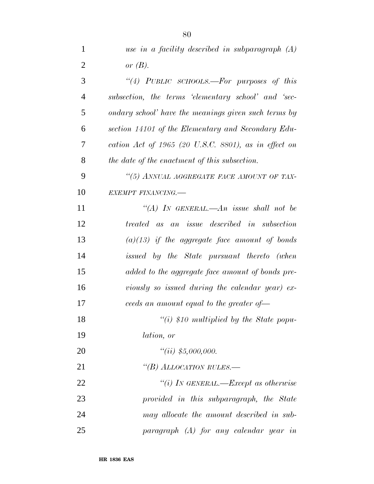| 1              | use in a facility described in subparagraph $(A)$    |
|----------------|------------------------------------------------------|
| $\overline{2}$ | or $(B)$ .                                           |
| 3              | "(4) PUBLIC SCHOOLS.—For purposes of this            |
| $\overline{4}$ | subsection, the terms 'elementary school' and 'sec-  |
| 5              | ondary school' have the meanings given such terms by |
| 6              | section 14101 of the Elementary and Secondary Edu-   |
| 7              | cation Act of 1965 (20 U.S.C. 8801), as in effect on |
| 8              | the date of the enactment of this subsection.        |
| 9              | "(5) ANNUAL AGGREGATE FACE AMOUNT OF TAX-            |
| 10             | EXEMPT FINANCING.                                    |
| 11             | "(A) IN GENERAL.—An issue shall not be               |
| 12             | treated as an issue described in subsection          |
| 13             | $(a)(13)$ if the aggregate face amount of bonds      |
| 14             | issued by the State pursuant thereto (when           |
| 15             | added to the aggregate face amount of bonds pre-     |
| 16             | viously so issued during the calendar year) $ex$     |
| 17             | ceeds an amount equal to the greater of-             |
| 18             | $``(i)$ \$10 multiplied by the State popu-           |
| 19             | <i>lation, or</i>                                    |
| <b>20</b>      | "(ii) $$5,000,000$ .                                 |
| 21             | "(B) ALLOCATION RULES.-                              |
| 22             | "(i) IN GENERAL.—Except as otherwise                 |
| 23             | provided in this subparagraph, the State             |
| 24             | may allocate the amount described in sub-            |
| 25             | $paragnph$ (A) for any calendar year in              |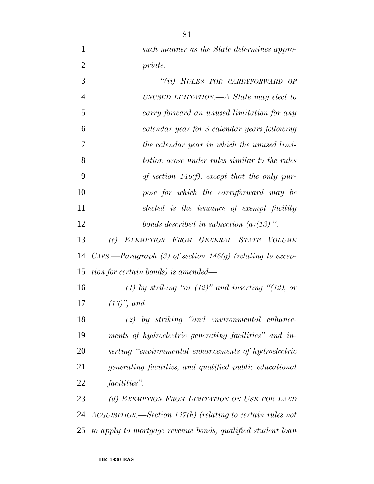*such manner as the State determines appro- priate. ''(ii) RULES FOR CARRYFORWARD OF UNUSED LIMITATION.—A State may elect to carry forward an unused limitation for any calendar year for 3 calendar years following the calendar year in which the unused limi- tation arose under rules similar to the rules of section 146(f), except that the only pur- pose for which the carryforward may be elected is the issuance of exempt facility bonds described in subsection (a)(13).''. (c) EXEMPTION FROM GENERAL STATE VOLUME*

 *CAPS.—Paragraph (3) of section 146(g) (relating to excep-tion for certain bonds) is amended—*

 *(1) by striking ''or (12)'' and inserting ''(12), or (13)'', and*

 *(2) by striking ''and environmental enhance- ments of hydroelectric generating facilities'' and in- serting ''environmental enhancements of hydroelectric generating facilities, and qualified public educational facilities''.*

 *(d) EXEMPTION FROM LIMITATION ON USE FOR LAND ACQUISITION.—Section 147(h) (relating to certain rules not to apply to mortgage revenue bonds, qualified student loan*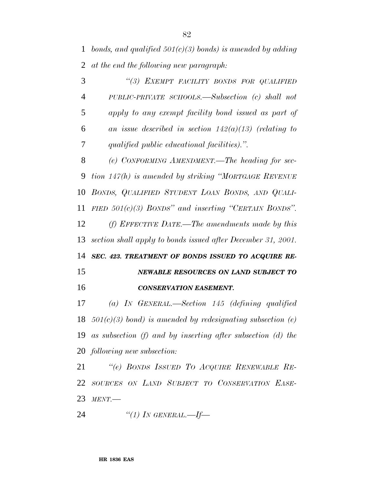*bonds, and qualified 501(c)(3) bonds) is amended by adding at the end the following new paragraph:*

 *''(3) EXEMPT FACILITY BONDS FOR QUALIFIED PUBLIC-PRIVATE SCHOOLS.—Subsection (c) shall not apply to any exempt facility bond issued as part of an issue described in section 142(a)(13) (relating to qualified public educational facilities).''.*

 *(e) CONFORMING AMENDMENT.—The heading for sec- tion 147(h) is amended by striking ''MORTGAGE REVENUE BONDS, QUALIFIED STUDENT LOAN BONDS, AND QUALI- FIED 501(c)(3) BONDS'' and inserting ''CERTAIN BONDS''. (f) EFFECTIVE DATE.—The amendments made by this section shall apply to bonds issued after December 31, 2001. SEC. 423. TREATMENT OF BONDS ISSUED TO ACQUIRE RE-*

 *NEWABLE RESOURCES ON LAND SUBJECT TO CONSERVATION EASEMENT.*

 *(a) IN GENERAL.—Section 145 (defining qualified 501(c)(3) bond) is amended by redesignating subsection (e) as subsection (f) and by inserting after subsection (d) the following new subsection:*

 *''(e) BONDS ISSUED TO ACQUIRE RENEWABLE RE- SOURCES ON LAND SUBJECT TO CONSERVATION EASE-MENT.—*

*''(1) IN GENERAL.—If—*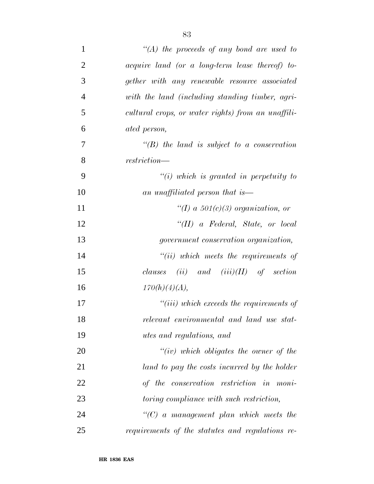| $\mathbf{1}$   | $\lq (A)$ the proceeds of any bond are used to     |
|----------------|----------------------------------------------------|
| $\overline{2}$ | acquire land (or a long-term lease thereof) to-    |
| 3              | gether with any renewable resource associated      |
| $\overline{4}$ | with the land (including standing timber, agri-    |
| 5              | cultural crops, or water rights) from an unaffili- |
| 6              | ated person,                                       |
| 7              | $\lq\lq B$ the land is subject to a conservation   |
| 8              | restriction—                                       |
| 9              | $\lq\lq(i)$ which is granted in perpetuity to      |
| 10             | an unaffiliated person that is—                    |
| 11             | "(I) a $501(c)(3)$ organization, or                |
| 12             | $``(II)$ a Federal, State, or local                |
| 13             | <i>government conservation organization,</i>       |
| 14             | $``(ii)$ which meets the requirements of           |
| 15             | $(ii)$ and $(iii)(II)$ of section<br>clauses       |
| 16             | 170(h)(4)(A),                                      |
| 17             | $``(iii)$ which exceeds the requirements of        |
| 18             | relevant environmental and land use stat-          |
| 19             | <i>utes and regulations, and</i>                   |
| 20             | $``(iv)$ which obligates the owner of the          |
| 21             | land to pay the costs incurred by the holder       |
| 22             | of the conservation restriction in moni-           |
| 23             | toring compliance with such restriction,           |
| 24             | $"(C)$ a management plan which meets the           |
| 25             | requirements of the statutes and regulations re-   |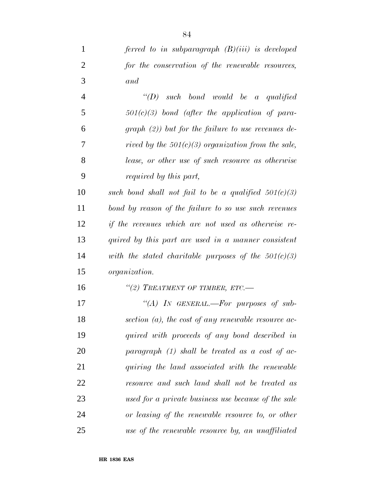*ferred to in subparagraph (B)(iii) is developed*

| $\overline{2}$ | for the conservation of the renewable resources,       |
|----------------|--------------------------------------------------------|
| 3              | and                                                    |
| $\overline{4}$ | $\lq\lq D$ such bond would be a qualified              |
| 5              | $501(c)(3)$ bond (after the application of para-       |
| 6              | $graph (2)$ but for the failure to use revenues de-    |
| 7              | rived by the $501(c)(3)$ organization from the sale,   |
| 8              | lease, or other use of such resource as otherwise      |
| 9              | <i>required by this part,</i>                          |
| 10             | such bond shall not fail to be a qualified $501(c)(3)$ |
| 11             | bond by reason of the failure to so use such revenues  |
| 12             | if the revenues which are not used as otherwise re-    |
| 13             | quired by this part are used in a manner consistent    |
| 14             | with the stated charitable purposes of the $501(c)(3)$ |
| 15             | <i>organization.</i>                                   |
| 16             | "(2) TREATMENT OF TIMBER, ETC.-                        |
| 17             | "(A) IN GENERAL.—For purposes of sub-                  |
| 18             | section $(a)$ , the cost of any renewable resource ac- |
| 19             | quired with proceeds of any bond described in          |
| 20             | paragraph $(1)$ shall be treated as a cost of ac-      |
| 21             | quiring the land associated with the renewable         |
| 22             | resource and such land shall not be treated as         |
| 23             | used for a private business use because of the sale    |

 *or leasing of the renewable resource to, or other use of the renewable resource by, an unaffiliated*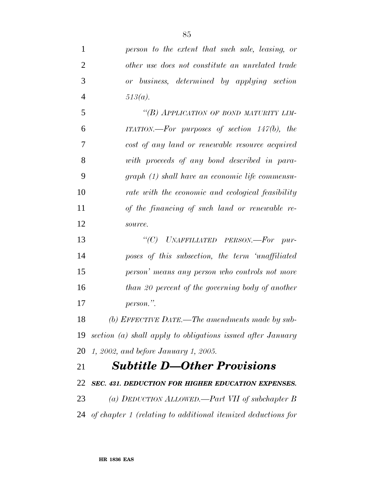*person to the extent that such sale, leasing, or other use does not constitute an unrelated trade or business, determined by applying section 513(a). ''(B) APPLICATION OF BOND MATURITY LIM- ITATION.—For purposes of section 147(b), the cost of any land or renewable resource acquired with proceeds of any bond described in para- graph (1) shall have an economic life commensu- rate with the economic and ecological feasibility of the financing of such land or renewable re- source. ''(C) UNAFFILIATED PERSON.—For pur- poses of this subsection, the term 'unaffiliated person' means any person who controls not more than 20 percent of the governing body of another person.''. (b) EFFECTIVE DATE.—The amendments made by sub- section (a) shall apply to obligations issued after January 1, 2002, and before January 1, 2005. Subtitle D—Other Provisions*

 *SEC. 431. DEDUCTION FOR HIGHER EDUCATION EXPENSES. (a) DEDUCTION ALLOWED.—Part VII of subchapter B of chapter 1 (relating to additional itemized deductions for*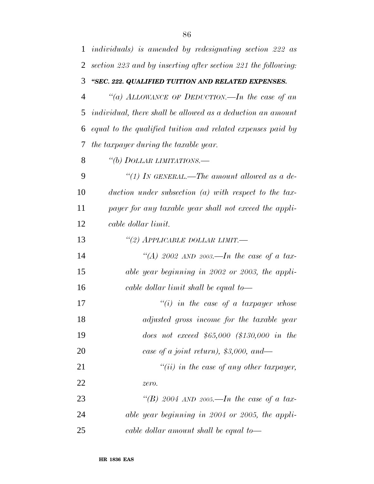| 1              | <i>individuals)</i> is amended by redesignating section 222 as |
|----------------|----------------------------------------------------------------|
| $\overline{2}$ | section 223 and by inserting after section 221 the following:  |
| 3              | "SEC. 222. QUALIFIED TUITION AND RELATED EXPENSES.             |
| $\overline{4}$ | "(a) ALLOWANCE OF DEDUCTION.—In the case of an                 |
| 5              | individual, there shall be allowed as a deduction an amount    |
| 6              | equal to the qualified tuition and related expenses paid by    |
| 7              | the taxpayer during the taxable year.                          |
| 8              | "(b) DOLLAR LIMITATIONS.—                                      |
| 9              | "(1) In GENERAL.—The amount allowed as a de-                   |
| 10             | duction under subsection $(a)$ with respect to the tax-        |
| 11             | payer for any taxable year shall not exceed the appli-         |
| 12             | cable dollar limit.                                            |
| 13             | "(2) APPLICABLE DOLLAR LIMIT.-                                 |
| 14             | "(A) 2002 AND 2003.—In the case of a tax-                      |
| 15             | able year beginning in 2002 or 2003, the appli-                |
| 16             | cable dollar limit shall be equal to—                          |
| 17             | $``(i)$ in the case of a taxpayer whose                        |
| 18             | adjusted gross income for the taxable year                     |
| 19             | does not exceed $$65,000$ $$130,000$ in the                    |
| 20             | case of a joint return), $$3,000$ , and—                       |
| 21             | $"(ii)$ in the case of any other taxpayer,                     |
| 22             | zero.                                                          |
| 23             | "(B) 2004 AND 2005.—In the case of a tax-                      |
| 24             | able year beginning in 2004 or 2005, the appli-                |
| 25             | cable dollar amount shall be equal to—                         |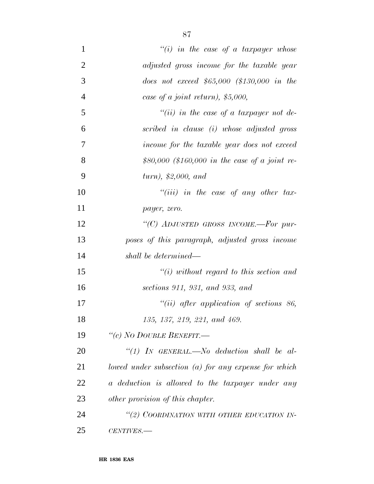| 1              | "(i) in the case of a taxpayer whose                   |
|----------------|--------------------------------------------------------|
| $\overline{2}$ | adjusted gross income for the taxable year             |
| 3              | does not exceed $$65,000$ $$130,000$ in the            |
| $\overline{4}$ | case of a joint return), $$5,000$ ,                    |
| 5              | "(ii) in the case of a taxpayer not de-                |
| 6              | scribed in clause (i) whose adjusted gross             |
| 7              | income for the taxable year does not exceed            |
| 8              | \$80,000 (\$160,000 in the case of a joint re-         |
| 9              | turn, \$2,000, and                                     |
| 10             | $``(iii)$ in the case of any other tax-                |
| 11             | payer, zero.                                           |
| 12             | "(C) ADJUSTED GROSS INCOME.-For pur-                   |
| 13             | poses of this paragraph, adjusted gross income         |
| 14             | shall be determined—                                   |
| 15             | $``(i)$ without regard to this section and             |
| 16             | sections 911, 931, and 933, and                        |
| 17             | $``(ii)$ after application of sections 86,             |
| 18             | 135, 137, 219, 221, and 469.                           |
| 19             | "(c) NO DOUBLE BENEFIT.-                               |
| 20             | "(1) IN GENERAL.—No deduction shall be al-             |
| 21             | lowed under subsection $(a)$ for any expense for which |
| 22             | a deduction is allowed to the taxpayer under any       |
| 23             | other provision of this chapter.                       |
| 24             | "(2) COORDINATION WITH OTHER EDUCATION IN-             |
| 25             | CENTIVES.-                                             |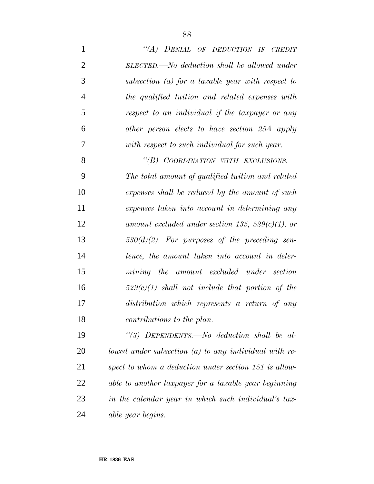| $\mathbf{1}$   | "(A) DENIAL OF DEDUCTION IF CREDIT                      |
|----------------|---------------------------------------------------------|
| $\overline{2}$ | ELECTED.—No deduction shall be allowed under            |
| 3              | subsection $(a)$ for a taxable year with respect to     |
| $\overline{4}$ | the qualified tuition and related expenses with         |
| 5              | respect to an individual if the taxpayer or any         |
| 6              | other person elects to have section 25A apply           |
| 7              | with respect to such individual for such year.          |
| 8              | "(B) COORDINATION WITH EXCLUSIONS.-                     |
| 9              | The total amount of qualified tuition and related       |
| 10             | expenses shall be reduced by the amount of such         |
| 11             | expenses taken into account in determining any          |
| 12             | amount excluded under section 135, 529 $(c)(1)$ , or    |
| 13             | $530(d)(2)$ . For purposes of the preceding sen-        |
| 14             | tence, the amount taken into account in deter-          |
| 15             | mining the amount excluded under section                |
| 16             | $529(c)(1)$ shall not include that portion of the       |
| 17             | distribution which represents a return of any           |
| 18             | <i>contributions to the plan.</i>                       |
| 19             | "(3) DEPENDENTS.—No deduction shall be al-              |
| 20             | lowed under subsection $(a)$ to any individual with re- |
| 21             | spect to whom a deduction under section 151 is allow-   |
| 22             | able to another taxpayer for a taxable year beginning   |
| 23             | in the calendar year in which such individual's tax-    |
| 24             | able year begins.                                       |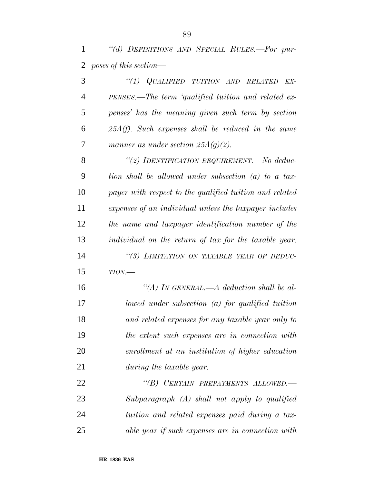*''(d) DEFINITIONS AND SPECIAL RULES.—For pur-poses of this section—*

 *''(1) QUALIFIED TUITION AND RELATED EX- PENSES.—The term 'qualified tuition and related ex- penses' has the meaning given such term by section 25A(f). Such expenses shall be reduced in the same manner as under section 25A(g)(2).*

 *''(2) IDENTIFICATION REQUIREMENT.—No deduc- tion shall be allowed under subsection (a) to a tax- payer with respect to the qualified tuition and related expenses of an individual unless the taxpayer includes the name and taxpayer identification number of the individual on the return of tax for the taxable year. ''(3) LIMITATION ON TAXABLE YEAR OF DEDUC-TION.—*

 *''(A) IN GENERAL.—A deduction shall be al- lowed under subsection (a) for qualified tuition and related expenses for any taxable year only to the extent such expenses are in connection with enrollment at an institution of higher education during the taxable year.*

 *''(B) CERTAIN PREPAYMENTS ALLOWED.— Subparagraph (A) shall not apply to qualified tuition and related expenses paid during a tax-able year if such expenses are in connection with*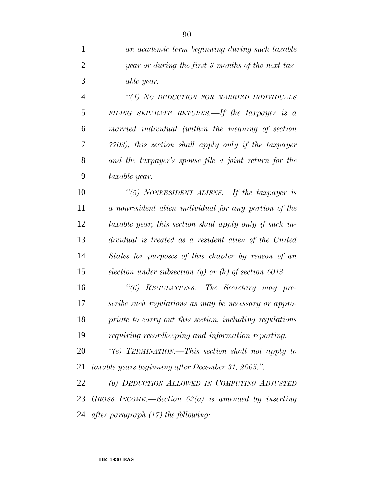*an academic term beginning during such taxable year or during the first 3 months of the next tax- able year. ''(4) NO DEDUCTION FOR MARRIED INDIVIDUALS FILING SEPARATE RETURNS.—If the taxpayer is a married individual (within the meaning of section 7703), this section shall apply only if the taxpayer and the taxpayer's spouse file a joint return for the taxable year. ''(5) NONRESIDENT ALIENS.—If the taxpayer is a nonresident alien individual for any portion of the taxable year, this section shall apply only if such in- dividual is treated as a resident alien of the United States for purposes of this chapter by reason of an*

*election under subsection (g) or (h) of section 6013.*

 *''(6) REGULATIONS.—The Secretary may pre- scribe such regulations as may be necessary or appro- priate to carry out this section, including regulations requiring recordkeeping and information reporting.*

 *''(e) TERMINATION.—This section shall not apply to taxable years beginning after December 31, 2005.''.*

 *(b) DEDUCTION ALLOWED IN COMPUTING ADJUSTED GROSS INCOME.—Section 62(a) is amended by inserting after paragraph (17) the following:*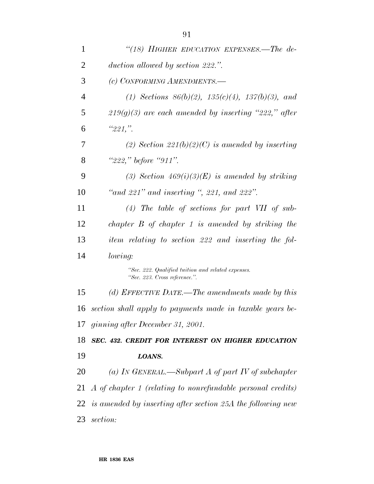| $\mathbf{1}$   | "(18) HIGHER EDUCATION EXPENSES.—The de-                                            |
|----------------|-------------------------------------------------------------------------------------|
| $\overline{2}$ | duction allowed by section 222.".                                                   |
| 3              | (c) CONFORMING AMENDMENTS.-                                                         |
| $\overline{4}$ | (1) Sections $86(b)(2)$ , $135(c)(4)$ , $137(b)(3)$ , and                           |
| 5              | $219(g)(3)$ are each amended by inserting "222," after                              |
| 6              | "221,"                                                                              |
| 7              | (2) Section 221(b)(2)(C) is amended by inserting                                    |
| 8              | "222," before "911".                                                                |
| 9              | (3) Section $469(i)(3)(E)$ is amended by striking                                   |
| 10             | "and $221$ " and inserting ", $221$ , and $222$ ".                                  |
| 11             | $(4)$ The table of sections for part VII of sub-                                    |
| 12             | chapter $B$ of chapter 1 is amended by striking the                                 |
| 13             | item relating to section 222 and inserting the fol-                                 |
| 14             | lowing:                                                                             |
|                | "Sec. 222. Qualified tuition and related expenses.<br>"Sec. 223. Cross reference.". |
| 15             | (d) EFFECTIVE DATE.—The amendments made by this                                     |
|                | 16 section shall apply to payments made in taxable years be-                        |
|                | 17 ginning after December 31, 2001.                                                 |
| 18             | SEC. 432. CREDIT FOR INTEREST ON HIGHER EDUCATION                                   |
| 19             | LOANS.                                                                              |
| 20             | (a) IN GENERAL.—Subpart A of part IV of subchapter                                  |
|                | 21 A of chapter 1 (relating to nonrefundable personal credits)                      |
|                | $22$ is amended by inserting after section 25A the following new                    |
| 23             | section:                                                                            |
|                |                                                                                     |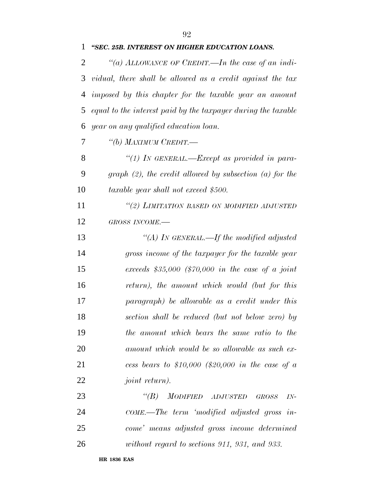| 1 | "SEC. 25B. INTEREST ON HIGHER EDUCATION LOANS.                  |
|---|-----------------------------------------------------------------|
| 2 | "(a) ALLOWANCE OF CREDIT.—In the case of an indi-               |
|   | 3 vidual, there shall be allowed as a credit against the tax    |
|   | 4 imposed by this chapter for the taxable year an amount        |
|   | 5 equal to the interest paid by the taxpayer during the taxable |
|   | 6 year on any qualified education loan.                         |
| 7 | "(b) MAXIMUM CREDIT.—                                           |
| 8 | "(1) IN GENERAL.—Except as provided in para-                    |
| 9 | graph $(2)$ , the credit allowed by subsection $(a)$ for the    |

*taxable year shall not exceed \$500.*

 *''(2) LIMITATION BASED ON MODIFIED ADJUSTED GROSS INCOME.—*

 *''(A) IN GENERAL.—If the modified adjusted gross income of the taxpayer for the taxable year exceeds \$35,000 (\$70,000 in the case of a joint return), the amount which would (but for this paragraph) be allowable as a credit under this section shall be reduced (but not below zero) by the amount which bears the same ratio to the amount which would be so allowable as such ex- cess bears to \$10,000 (\$20,000 in the case of a joint return).*

 *''(B) MODIFIED ADJUSTED GROSS IN- COME.—The term 'modified adjusted gross in- come' means adjusted gross income determined without regard to sections 911, 931, and 933.*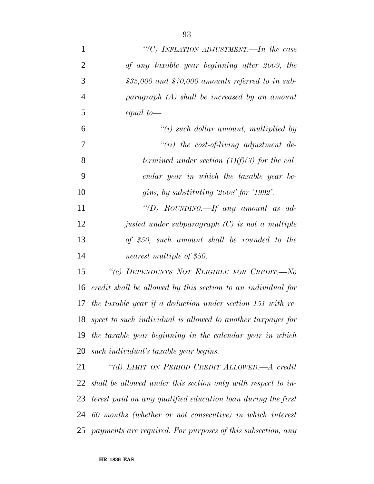| $\mathbf{1}$   | "(C) INFLATION ADJUSTMENT.—In the case                       |
|----------------|--------------------------------------------------------------|
| $\overline{2}$ | of any taxable year beginning after 2009, the                |
| 3              | $$35,000$ and $$70,000$ amounts referred to in sub-          |
| $\overline{4}$ | $paragnph$ (A) shall be increased by an amount               |
| 5              | equal to $-$                                                 |
| 6              | $\lq\lq(i)$ such dollar amount, multiplied by                |
| 7              | $"(ii)$ the cost-of-living adjustment de-                    |
| 8              | termined under section $(1)(f)(3)$ for the cal-              |
| 9              | endar year in which the taxable year be-                     |
| 10             | gins, by substituting '2008' for '1992'.                     |
| 11             | "(D) ROUNDING.—If any amount as ad-                          |
| 12             | justed under subparagraph $(C)$ is not a multiple            |
| 13             | of \$50, such amount shall be rounded to the                 |
| 14             | nearest multiple of \$50.                                    |
| 15             | "(c) DEPENDENTS NOT ELIGIBLE FOR CREDIT.-No                  |
| 16             | credit shall be allowed by this section to an individual for |
| 17             | the taxable year if a deduction under section $151$ with re- |
| 18             | spect to such individual is allowed to another taxpayer for  |
| 19             | the taxable year beginning in the calendar year in which     |
| 20             | such individual's taxable year begins.                       |
| 21             | "(d) LIMIT ON PERIOD CREDIT ALLOWED.—A credit                |
| 22             | shall be allowed under this section only with respect to in- |
| 23             | terest paid on any qualified education loan during the first |
| 24             | 60 months (whether or not consecutive) in which interest     |
| 25             | payments are required. For purposes of this subsection, any  |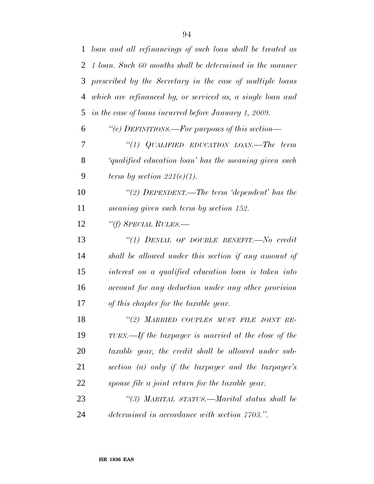| $\mathbf{1}$   | loan and all refinancings of such loan shall be treated as  |
|----------------|-------------------------------------------------------------|
| $\overline{2}$ | 1 loan. Such 60 months shall be determined in the manner    |
| 3              | prescribed by the Secretary in the case of multiple loans   |
| $\overline{4}$ | which are refinanced by, or serviced as, a single loan and  |
| 5              | in the case of loans incurred before January 1, 2009.       |
| 6              | "(e) DEFINITIONS.—For purposes of this section—             |
| 7              | "(1) QUALIFIED EDUCATION LOAN.—The term                     |
| 8              | <i>qualified education loan'</i> has the meaning given such |
| 9              | term by section $221(e)(1)$ .                               |
| 10             | "(2) DEPENDENT.—The term 'dependent' has the                |
| 11             | meaning given such term by section 152.                     |
| 12             | "(f) SPECIAL RULES.—                                        |
| 13             | "(1) DENIAL OF DOUBLE BENEFIT.—No credit                    |
| 14             | shall be allowed under this section if any amount of        |
| 15             | interest on a qualified education loan is taken into        |
| 16             | account for any deduction under any other provision         |
| 17             | of this chapter for the taxable year.                       |
| 18             | "(2) MARRIED COUPLES MUST FILE JOINT RE-                    |
| 19             | TURN.—If the taxpayer is married at the close of the        |
| 20             | taxable year, the credit shall be allowed under sub-        |
| 21             | section (a) only if the taxpayer and the taxpayer's         |
| 22             | spouse file a joint return for the taxable year.            |
| 23             | "(3) MARITAL STATUS.—Marital status shall be                |
| 24             | determined in accordance with section 7703.".               |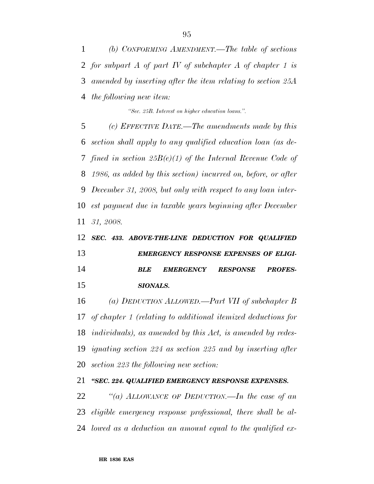*(b) CONFORMING AMENDMENT.—The table of sections for subpart A of part IV of subchapter A of chapter 1 is amended by inserting after the item relating to section 25A the following new item:*

*''Sec. 25B. Interest on higher education loans.''.*

 *(c) EFFECTIVE DATE.—The amendments made by this section shall apply to any qualified education loan (as de- fined in section 25B(e)(1) of the Internal Revenue Code of 1986, as added by this section) incurred on, before, or after December 31, 2008, but only with respect to any loan inter- est payment due in taxable years beginning after December 31, 2008.*

## *SEC. 433. ABOVE-THE-LINE DEDUCTION FOR QUALIFIED EMERGENCY RESPONSE EXPENSES OF ELIGI- BLE EMERGENCY RESPONSE PROFES-SIONALS.*

 *(a) DEDUCTION ALLOWED.—Part VII of subchapter B of chapter 1 (relating to additional itemized deductions for individuals), as amended by this Act, is amended by redes- ignating section 224 as section 225 and by inserting after section 223 the following new section:*

*''SEC. 224. QUALIFIED EMERGENCY RESPONSE EXPENSES.*

 *''(a) ALLOWANCE OF DEDUCTION.—In the case of an eligible emergency response professional, there shall be al-lowed as a deduction an amount equal to the qualified ex-*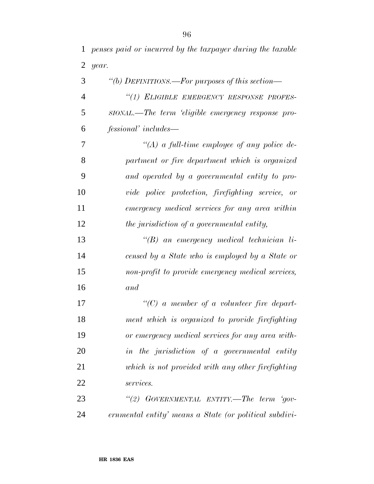*penses paid or incurred by the taxpayer during the taxable*

| $\overline{2}$ | year.                                                  |
|----------------|--------------------------------------------------------|
| 3              | "(b) DEFINITIONS.—For purposes of this section—        |
| 4              | "(1) ELIGIBLE EMERGENCY RESPONSE PROFES-               |
| 5              | SIONAL.—The term 'eligible emergency response pro-     |
| 6              | <i>fessional'</i> includes—                            |
| 7              | $\lq (A)$ a full-time employee of any police de-       |
| 8              | partment or fire department which is organized         |
| 9              | and operated by a governmental entity to pro-          |
| 10             | vide police protection, firefighting service, or       |
| 11             | emergency medical services for any area within         |
| 12             | the jurisdiction of a governmental entity,             |
| 13             | $\lq (B)$ an emergency medical technician li-          |
| 14             | censed by a State who is employed by a State or        |
| 15             | non-profit to provide emergency medical services,      |
| 16             | and                                                    |
| 17             | $"(C)$ a member of a volunteer fire depart-            |
| 18             | ment which is organized to provide firefighting        |
| 19             | or emergency medical services for any area with-       |
| 20             | in the jurisdiction of a governmental entity           |
| 21             | which is not provided with any other firefighting      |
| 22             | services.                                              |
| 23             | "(2) GOVERNMENTAL ENTITY.—The term 'gov-               |
| 24             | ernmental entity' means a State (or political subdivi- |
|                |                                                        |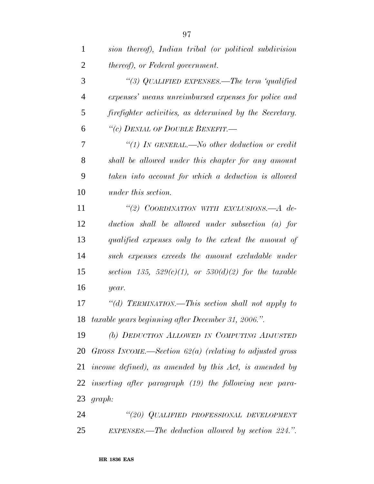| $\mathbf{1}$   | sion thereof), Indian tribal (or political subdivision       |
|----------------|--------------------------------------------------------------|
| $\overline{2}$ | <i>thereof), or Federal government.</i>                      |
| 3              | "(3) QUALIFIED EXPENSES.—The term 'qualified                 |
| $\overline{4}$ | expenses' means unreimbursed expenses for police and         |
| 5              | firefighter activities, as determined by the Secretary.      |
| 6              | "(c) DENIAL OF DOUBLE BENEFIT.-                              |
| 7              | "(1) In GENERAL.—No other deduction or credit                |
| 8              | shall be allowed under this chapter for any amount           |
| 9              | taken into account for which a deduction is allowed          |
| 10             | under this section.                                          |
| 11             | "(2) COORDINATION WITH EXCLUSIONS.— $A$ de-                  |
| 12             | duction shall be allowed under subsection (a) for            |
| 13             | qualified expenses only to the extent the amount of          |
| 14             | such expenses exceeds the amount excludable under            |
| 15             | section 135, 529 $(c)(1)$ , or 530 $(d)(2)$ for the taxable  |
| 16             | year.                                                        |
| 17             | "(d) TERMINATION.—This section shall not apply to            |
|                | 18 taxable years beginning after December 31, 2006.".        |
| 19             | (b) DEDUCTION ALLOWED IN COMPUTING ADJUSTED                  |
|                | 20 GROSS INCOME.—Section $62(a)$ (relating to adjusted gross |
|                | 21 income defined), as amended by this Act, is amended by    |
|                | 22 inserting after paragraph (19) the following new para-    |
|                | 23 $graph:$                                                  |

 *''(20) QUALIFIED PROFESSIONAL DEVELOPMENT EXPENSES.—The deduction allowed by section 224.''.*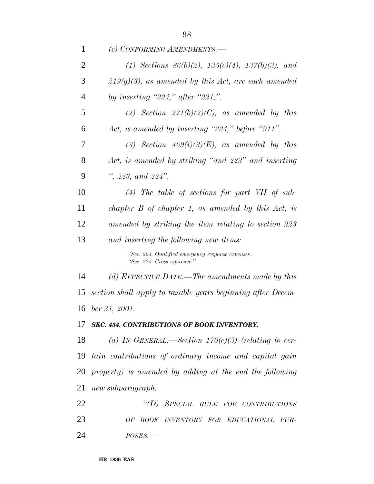| 1              | (c) CONFORMING AMENDMENTS.-                                                        |
|----------------|------------------------------------------------------------------------------------|
| $\overline{2}$ | (1) Sections $86(b)(2)$ , $135(c)(4)$ , $137(b)(3)$ , and                          |
| 3              | $219(g)(3)$ , as amended by this Act, are each amended                             |
| $\overline{4}$ | by inserting "224," after "221,".                                                  |
| 5              | (2) Section $221(b)(2)(C)$ , as amended by this                                    |
| 6              | Act, is amended by inserting "224," before "911".                                  |
| 7              | (3) Section $469(i)(3)(E)$ , as amended by this                                    |
| 8              | Act, is amended by striking "and 223" and inserting                                |
| 9              | ", 223, and 224".                                                                  |
| 10             | $(4)$ The table of sections for part VII of sub-                                   |
| 11             | chapter $B$ of chapter 1, as amended by this $Act$ , is                            |
| 12             | amended by striking the item relating to section 223                               |
| 13             | and inserting the following new items:                                             |
|                | "Sec. 224. Qualified emergency response expenses.<br>"Sec. 225. Cross reference.". |
| 14             | (d) EFFECTIVE DATE.—The amendments made by this                                    |
| 15             | section shall apply to taxable years beginning after Decem-                        |
|                | 16 ber 31, 2001.                                                                   |
| 17             | SEC. 434. CONTRIBUTIONS OF BOOK INVENTORY.                                         |
| 18             | (a) IN GENERAL.—Section $170(e)(3)$ (relating to cer-                              |
| 19             | tain contributions of ordinary income and capital gain                             |
| 20             | property) is amended by adding at the end the following                            |
| 21             | new subparagraph:                                                                  |
| 22             | "(D) SPECIAL RULE FOR CONTRIBUTIONS                                                |
| 23             | OF BOOK INVENTORY FOR EDUCATIONAL PUR-                                             |
| 24             | $POSES$ .                                                                          |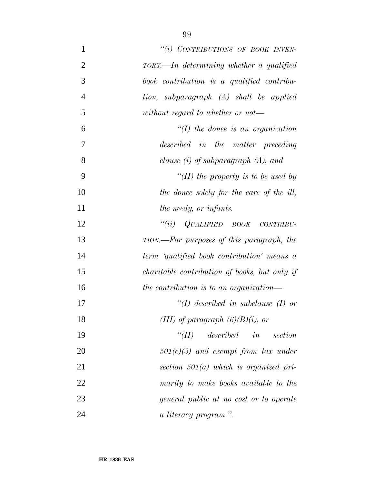| $\mathbf{1}$   | "(i) CONTRIBUTIONS OF BOOK INVEN-              |
|----------------|------------------------------------------------|
| $\overline{2}$ | $TORY. — In, determining, whether a qualified$ |
| 3              | book contribution is a qualified contribu-     |
| $\overline{4}$ | tion, subparagraph (A) shall be applied        |
| 5              | without regard to whether or not—              |
| 6              | $\lq (I)$ the donee is an organization         |
| $\tau$         | described in the matter preceding              |
| 8              | clause $(i)$ of subparagraph $(A)$ , and       |
| 9              | "(II) the property is to be used by            |
| 10             | the donee solely for the care of the ill,      |
| 11             | the needy, or infants.                         |
| 12             | $``(ii)$ QUALIFIED BOOK CONTRIBU-              |
| 13             | TION.—For purposes of this paragraph, the      |
| 14             | term 'qualified book contribution' means a     |
| 15             | charitable contribution of books, but only if  |
| 16             | the contribution is to an organization—        |
| 17             | $\lq (I)$ described in subclause (I) or        |
| 18             | (III) of paragraph $(6)(B)(i)$ , or            |
| 19             | $described$ in<br>$\lq(T)$<br>section          |
| 20             | $501(c)(3)$ and exempt from tax under          |
| 21             | section $501(a)$ which is organized pri-       |
| 22             | marily to make books available to the          |
| 23             | general public at no cost or to operate        |
| 24             | a literacy program.".                          |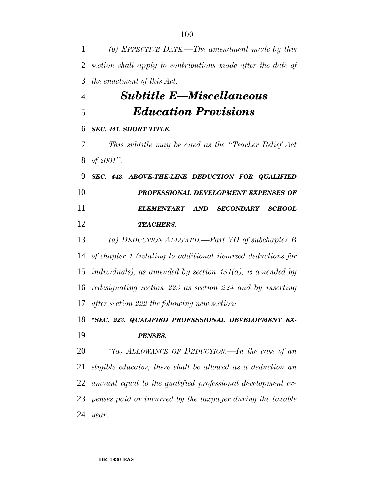*(b) EFFECTIVE DATE.—The amendment made by this section shall apply to contributions made after the date of the enactment of this Act.*

## *Subtitle E—Miscellaneous Education Provisions*

## *SEC. 441. SHORT TITLE.*

 *This subtitle may be cited as the ''Teacher Relief Act of 2001''.*

 *SEC. 442. ABOVE-THE-LINE DEDUCTION FOR QUALIFIED PROFESSIONAL DEVELOPMENT EXPENSES OF ELEMENTARY AND SECONDARY SCHOOL TEACHERS.*

 *(a) DEDUCTION ALLOWED.—Part VII of subchapter B of chapter 1 (relating to additional itemized deductions for individuals), as amended by section 431(a), is amended by redesignating section 223 as section 224 and by inserting after section 222 the following new section:*

 *''SEC. 223. QUALIFIED PROFESSIONAL DEVELOPMENT EX-PENSES.*

 *''(a) ALLOWANCE OF DEDUCTION.—In the case of an eligible educator, there shall be allowed as a deduction an amount equal to the qualified professional development ex- penses paid or incurred by the taxpayer during the taxable year.*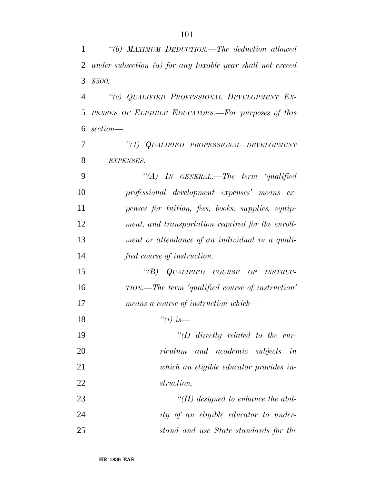| $\mathbf{1}$   | "(b) MAXIMUM DEDUCTION.—The deduction allowed                |
|----------------|--------------------------------------------------------------|
| $\overline{2}$ | under subsection $(a)$ for any taxable year shall not exceed |
| 3              | \$500.                                                       |
| $\overline{4}$ | "(c) QUALIFIED PROFESSIONAL DEVELOPMENT EX-                  |
| 5              | PENSES OF ELIGIBLE EDUCATORS.—For purposes of this           |
| 6              | section—                                                     |
| 7              | "(1) QUALIFIED PROFESSIONAL DEVELOPMENT                      |
| 8              | EXPENSES.-                                                   |
| 9              | "(A) IN GENERAL.—The term 'qualified                         |
| 10             | professional development expenses' means ex-                 |
| 11             | penses for tuition, fees, books, supplies, equip-            |
| 12             | ment, and transportation required for the enroll-            |
| 13             | ment or attendance of an individual in a quali-              |
| 14             | fied course of instruction.                                  |
| 15             | "(B) QUALIFIED COURSE OF INSTRUC-                            |
| 16             | TION.—The term 'qualified course of instruction'             |
| 17             | means a course of instruction which—                         |
| 18             | $\lq\lq(i)$ is —                                             |
| 19             | $\lq (I)$ directly related to the cur-                       |
| 20             | riculum and academic subjects in                             |
| 21             | which an eligible educator provides in-                      |
| 22             | struction,                                                   |
| 23             | $\lq (II)$ designed to enhance the abil-                     |
| 24             | ity of an eligible educator to under-                        |
| 25             | stand and use State standards for the                        |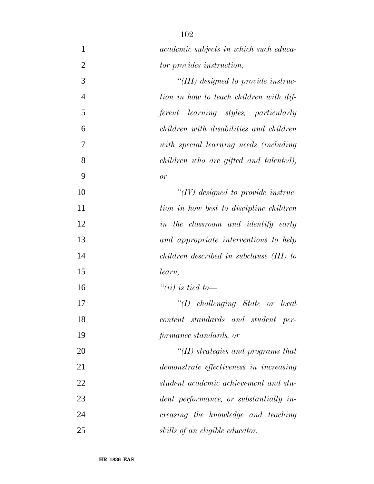| $\mathbf{1}$   | <i>academic subjects in which such educa-</i> |
|----------------|-----------------------------------------------|
| $\overline{2}$ | tor provides instruction,                     |
| 3              | "(III) designed to provide instruc-           |
| $\overline{4}$ | tion in how to teach children with dif-       |
| 5              | ferent learning styles, particularly          |
| 6              | children with disabilities and children       |
| 7              | with special learning needs (including        |
| 8              | children who are gifted and talented),        |
| 9              | or                                            |
| 10             | $\lq (IV)$ designed to provide instruc-       |
| 11             | tion in how best to discipline children       |
| 12             | in the classroom and identify early           |
| 13             | and appropriate interventions to help         |
| 14             | children described in subclause (III) to      |
| 15             | learn,                                        |
| 16             | "(ii) is tied to —                            |
| 17             | $``(I)$ challenging State or local            |
| 18             | content standards and student per-            |
| 19             | formance standards, or                        |
| 20             | $\lq$ (II) strategies and programs that       |
| 21             | demonstrate effectiveness in increasing       |
| 22             | student academic achievement and stu-         |
| 23             | dent performance, or substantially in-        |
| 24             | creasing the knowledge and teaching           |
| 25             | skills of an eligible educator,               |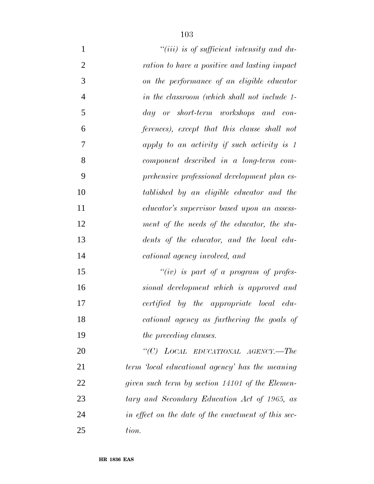| $\mathbf{1}$   | $``(iii)$ is of sufficient intensity and du-        |
|----------------|-----------------------------------------------------|
| $\overline{2}$ | ration to have a positive and lasting impact        |
| 3              | on the performance of an eligible educator          |
| $\overline{4}$ | in the classroom (which shall not include 1-        |
| 5              | day or short-term workshops and con-                |
| 6              | ferences), except that this clause shall not        |
| 7              | apply to an activity if such activity is 1          |
| 8              | component described in a long-term com-             |
| 9              | prehensive professional development plan es-        |
| 10             | tablished by an eligible educator and the           |
| 11             | educator's supervisor based upon an assess-         |
| 12             | ment of the needs of the educator, the stu-         |
| 13             | dents of the educator, and the local edu-           |
| 14             | cational agency involved, and                       |
| 15             | "(iv) is part of a program of profes-               |
| 16             | sional development which is approved and            |
| 17             | certified by the appropriate local edu-             |
| 18             | cational agency as furthering the goals of          |
| 19             | the preceding clauses.                              |
| 20             | "(C) LOCAL EDUCATIONAL AGENCY.—The                  |
| 21             | term 'local educational agency' has the meaning     |
| 22             | given such term by section 14101 of the Elemen-     |
| 23             | tary and Secondary Education Act of 1965, as        |
| 24             | in effect on the date of the enactment of this sec- |
| 25             | tion.                                               |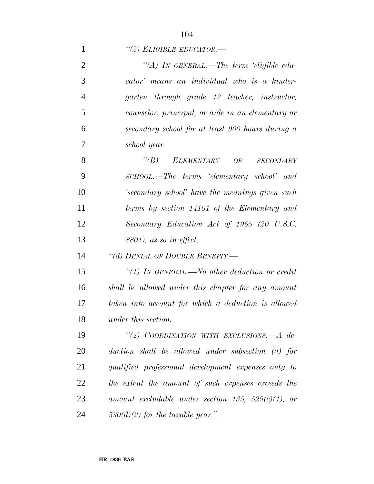| $\lq(2)$ ELIGIBLE EDUCATOR.— |  |
|------------------------------|--|
|------------------------------|--|

| $\overline{2}$ | "(A) IN GENERAL.—The term 'eligible edu-               |
|----------------|--------------------------------------------------------|
| 3              | cator' means an individual who is a kinder-            |
| $\overline{4}$ | garten through grade 12 teacher, instructor,           |
| 5              | counselor, principal, or aide in an elementary or      |
| 6              | secondary school for at least 900 hours during a       |
| 7              | school year.                                           |
| 8              | $\lq(B)$<br>ELEMENTARY OR SECONDARY                    |
| 9              | SCHOOL.—The terms 'elementary school' and              |
| 10             | 'secondary school' have the meanings given such        |
| 11             | terms by section 14101 of the Elementary and           |
| 12             | Secondary Education Act of 1965 (20 U.S.C.             |
| 13             | $8801$ , as so in effect.                              |
| 14             | "(d) DENIAL OF DOUBLE BENEFIT.-                        |
| 15             | "(1) IN GENERAL.—No other deduction or credit          |
| 16             | shall be allowed under this chapter for any amount     |
| 17             | taken into account for which a deduction is allowed    |
| 18             | under this section.                                    |
| 19             | "(2) COORDINATION WITH EXCLUSIONS.-A de-               |
| 20             | $duction$ shall be allowed under subsection (a) for    |
| 21             | qualified professional development expenses only to    |
| 22             | the extent the amount of such expenses exceeds the     |
| 23             | amount excludable under section 135, 529 $(c)(1)$ , or |
| 24             | $530(d)(2)$ for the taxable year.".                    |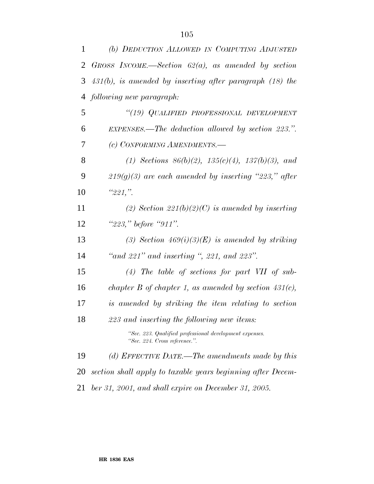| $\mathbf{1}$ | (b) DEDUCTION ALLOWED IN COMPUTING ADJUSTED                                              |
|--------------|------------------------------------------------------------------------------------------|
| 2            | GROSS INCOME.—Section $62(a)$ , as amended by section                                    |
| 3            | $431(b)$ , is amended by inserting after paragraph $(18)$ the                            |
| 4            | following new paragraph:                                                                 |
| 5            | "(19) QUALIFIED PROFESSIONAL DEVELOPMENT                                                 |
| 6            | EXPENSES.—The deduction allowed by section 223.".                                        |
| 7            | (c) CONFORMING AMENDMENTS.-                                                              |
| 8            | (1) Sections $86(b)(2)$ , $135(c)(4)$ , $137(b)(3)$ , and                                |
| 9            | $219(g)(3)$ are each amended by inserting "223," after                                   |
| 10           | "221."                                                                                   |
| 11           | (2) Section 221(b)(2)(C) is amended by inserting                                         |
| 12           | " $223$ ," before " $911$ ".                                                             |
| 13           | (3) Section $469(i)(3)(E)$ is amended by striking                                        |
| 14           | "and $221$ " and inserting ", 221, and $223$ ".                                          |
| 15           | $(4)$ The table of sections for part VII of sub-                                         |
| 16           | chapter B of chapter 1, as amended by section $431(c)$ ,                                 |
| 17           | is amended by striking the item relating to section                                      |
| 18           | 223 and inserting the following new items:                                               |
|              | "Sec. 223. Qualified professional development expenses.<br>"Sec. 224. Cross reference.". |
| 19           | (d) EFFECTIVE DATE.—The amendments made by this                                          |
| 20           | section shall apply to taxable years beginning after Decem-                              |
| 21           | ber 31, 2001, and shall expire on December 31, 2005.                                     |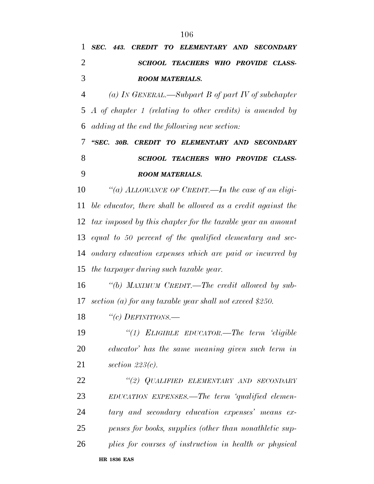| 1              | SEC. 443. CREDIT TO ELEMENTARY AND SECONDARY                 |
|----------------|--------------------------------------------------------------|
| $\overline{2}$ | SCHOOL TEACHERS WHO PROVIDE CLASS-                           |
| 3              | <b>ROOM MATERIALS.</b>                                       |
| 4              | (a) IN GENERAL.—Subpart B of part IV of subchapter           |
| 5              | A of chapter 1 (relating to other credits) is amended by     |
| 6              | adding at the end the following new section:                 |
| 7              | "SEC. 30B. CREDIT TO ELEMENTARY AND SECONDARY                |
| 8              | SCHOOL TEACHERS WHO PROVIDE CLASS-                           |
| 9              | <b>ROOM MATERIALS.</b>                                       |
| 10             | "(a) ALLOWANCE OF CREDIT.—In the case of an eligi-           |
| 11             | ble educator, there shall be allowed as a credit against the |
| 12             | tax imposed by this chapter for the taxable year an amount   |
| 13             | equal to 50 percent of the qualified elementary and sec-     |
| 14             | ondary education expenses which are paid or incurred by      |
|                | 15 the taxpayer during such taxable year.                    |
| 16             | "(b) MAXIMUM CREDIT.—The credit allowed by sub-              |
| 17             | section (a) for any taxable year shall not exceed \$250.     |
| 18             | "(c) DEFINITIONS.—                                           |
| 19             | "(1) ELIGIBLE EDUCATOR.—The term 'eligible                   |
| 20             | educator' has the same meaning given such term in            |
| 21             | section $223(c)$ .                                           |
| 22             | "(2) QUALIFIED ELEMENTARY AND SECONDARY                      |
| 23             | EDUCATION EXPENSES.—The term 'qualified elemen-              |
| 24             | tary and secondary education expenses' means ex-             |
| 25             | penses for books, supplies (other than nonathletic sup-      |
| 26             | plies for courses of instruction in health or physical       |
|                | <b>HR 1836 EAS</b>                                           |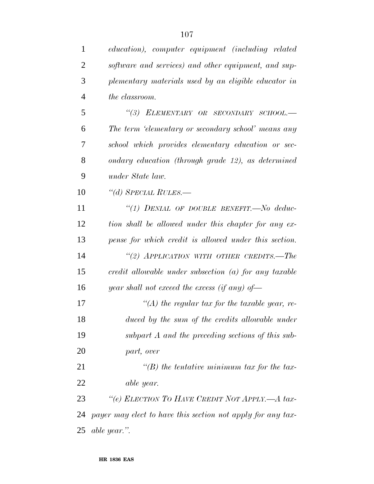| $\mathbf{1}$   | education), computer equipment (including related           |
|----------------|-------------------------------------------------------------|
| $\overline{2}$ | software and services) and other equipment, and sup-        |
| 3              | plementary materials used by an eligible educator in        |
| $\overline{4}$ | the classroom.                                              |
| 5              | "(3) ELEMENTARY OR SECONDARY SCHOOL.-                       |
| 6              | The term 'elementary or secondary school' means any         |
| 7              | school which provides elementary education or sec-          |
| 8              | ondary education (through grade 12), as determined          |
| 9              | under State law.                                            |
| 10             | "(d) SPECIAL RULES.—                                        |
| 11             | "(1) DENIAL OF DOUBLE BENEFIT.—No deduc-                    |
| 12             | tion shall be allowed under this chapter for any ex-        |
| 13             | pense for which credit is allowed under this section.       |
| 14             | "(2) APPLICATION WITH OTHER CREDITS.—The                    |
| 15             | $credit$ allowable under subsection (a) for any taxable     |
| 16             | year shall not exceed the excess (if any) of-               |
| 17             | $\lq (A)$ the regular tax for the taxable year, re-         |
| 18             | duced by the sum of the credits allowable under             |
| 19             | subpart A and the preceding sections of this sub-           |
| 20             | part, over                                                  |
| 21             | $\lq (B)$ the tentative minimum tax for the tax-            |
| 22             | able year.                                                  |
| 23             | "(e) ELECTION TO HAVE CREDIT NOT APPLY.—A tax-              |
| 24             | payer may elect to have this section not apply for any tax- |
| 25             | able year.".                                                |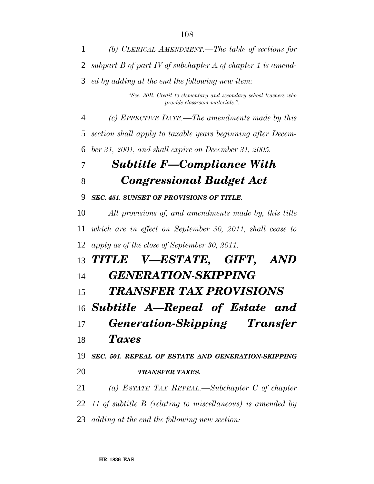*(b) CLERICAL AMENDMENT.—The table of sections for subpart B of part IV of subchapter A of chapter 1 is amend- ed by adding at the end the following new item: ''Sec. 30B. Credit to elementary and secondary school teachers who provide classroom materials.''. (c) EFFECTIVE DATE.—The amendments made by this section shall apply to taxable years beginning after Decem- ber 31, 2001, and shall expire on December 31, 2005. Subtitle F—Compliance With Congressional Budget Act SEC. 451. SUNSET OF PROVISIONS OF TITLE. All provisions of, and amendments made by, this title which are in effect on September 30, 2011, shall cease to apply as of the close of September 30, 2011. TITLE V—ESTATE, GIFT, AND GENERATION-SKIPPING TRANSFER TAX PROVISIONS Subtitle A—Repeal of Estate and Generation-Skipping Transfer Taxes SEC. 501. REPEAL OF ESTATE AND GENERATION-SKIPPING TRANSFER TAXES. (a) ESTATE TAX REPEAL.—Subchapter C of chapter 11 of subtitle B (relating to miscellaneous) is amended by adding at the end the following new section:*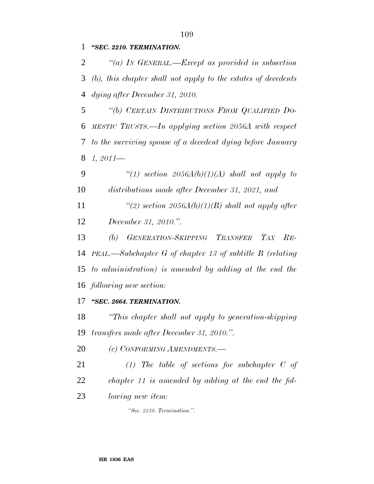*''SEC. 2210. TERMINATION.*

 *''(a) IN GENERAL.—Except as provided in subsection (b), this chapter shall not apply to the estates of decedents dying after December 31, 2010.*

 *''(b) CERTAIN DISTRIBUTIONS FROM QUALIFIED DO- MESTIC TRUSTS.—In applying section 2056A with respect to the surviving spouse of a decedent dying before January 1, 2011—*

 *''(1) section 2056A(b)(1)(A) shall not apply to distributions made after December 31, 2021, and*

*''(2) section 2056A(b)(1)(B) shall not apply after*

*December 31, 2010.''.*

 *(b) GENERATION-SKIPPING TRANSFER TAX RE- PEAL.—Subchapter G of chapter 13 of subtitle B (relating to administration) is amended by adding at the end the following new section:*

*''SEC. 2664. TERMINATION.*

 *''This chapter shall not apply to generation-skipping transfers made after December 31, 2010.''.*

*(c) CONFORMING AMENDMENTS.—*

 *(1) The table of sections for subchapter C of chapter 11 is amended by adding at the end the fol-*

*lowing new item:*

*''Sec. 2210. Termination.''.*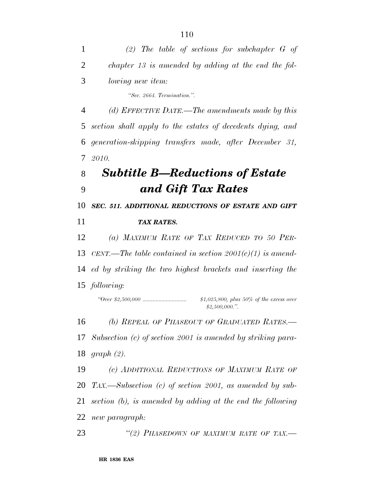| 1  | (2) The table of sections for subchapter $G$ of               |
|----|---------------------------------------------------------------|
| 2  | chapter 13 is amended by adding at the end the fol-           |
| 3  | <i>lowing new item:</i>                                       |
|    | "Sec. 2664. Termination.".                                    |
| 4  | (d) EFFECTIVE DATE.—The amendments made by this               |
| 5  | section shall apply to the estates of decedents dying, and    |
| 6  | generation-skipping transfers made, after December 31,        |
| 7  | 2010.                                                         |
| 8  | <b>Subtitle B—Reductions of Estate</b>                        |
| 9  | and Gift Tax Rates                                            |
| 10 | SEC. 511. ADDITIONAL REDUCTIONS OF ESTATE AND GIFT            |
| 11 | <b>TAX RATES.</b>                                             |
| 12 | (a) MAXIMUM RATE OF TAX REDUCED TO 50 PER-                    |
| 13 | CENT.—The table contained in section $2001(c)(1)$ is amend-   |
| 14 | ed by striking the two highest brackets and inserting the     |
|    | 15 following:                                                 |
|    | \$1,025,800, plus 50% of the excess over<br>\$2,500,000."     |
| 16 | (b) REPEAL OF PHASEOUT OF GRADUATED RATES.-                   |
| 17 | Subsection (c) of section 2001 is amended by striking para-   |
| 18 | graph(2).                                                     |
| 19 | (c) ADDITIONAL REDUCTIONS OF MAXIMUM RATE OF                  |
| 20 | $T_{AX}$ . Subsection (c) of section 2001, as amended by sub- |
| 21 | section (b), is amended by adding at the end the following    |
| 22 | new paragraph:                                                |
| 23 | "(2) PHASEDOWN OF MAXIMUM RATE OF TAX.-                       |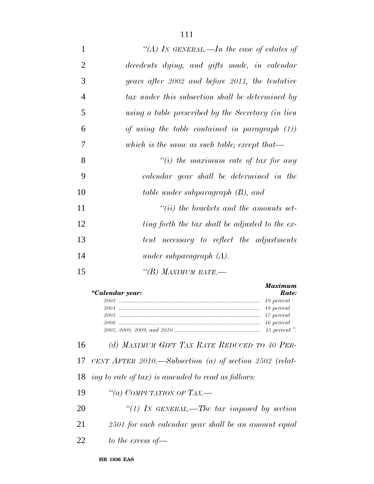| $\mathbf{1}$   | "(A) In GENERAL.—In the case of estates of         |
|----------------|----------------------------------------------------|
| $\overline{2}$ | decedents dying, and gifts made, in calendar       |
| 3              | years after 2002 and before 2011, the tentative    |
| $\overline{4}$ | tax under this subsection shall be determined by   |
| 5              | using a table prescribed by the Secretary (in lieu |
| 6              | of using the table contained in paragraph $(1)$ )  |
| $\overline{7}$ | which is the same as such table; except that—      |
| 8              | "(i) the maximum rate of tax for any               |
| 9              | calendar year shall be determined in the           |
| 10             | table under subparagraph (B), and                  |
| 11             | $``(ii)$ the brackets and the amounts set-         |
| 12             | ting forth the tax shall be adjusted to the ex-    |
| 13             | tent necessary to reflect the adjustments          |
| 14             | under subparagraph $(A)$ .                         |
| 15             | "(B) MAXIMUM RATE.—                                |
|                |                                                    |

| "Calendar year: | <b>Maximum</b><br>Rate: |
|-----------------|-------------------------|
|                 |                         |
|                 |                         |
|                 |                         |
|                 |                         |
|                 |                         |

*(d) MAXIMUM GIFT TAX RATE REDUCED TO 40 PER-*

*CENT AFTER 2010.—Subsection (a) of section 2502 (relat-*

*ing to rate of tax) is amended to read as follows:*

*''(a) COMPUTATION OF TAX.—*

 *''(1) IN GENERAL.—The tax imposed by section 2501 for each calendar year shall be an amount equal*

*to the excess of—*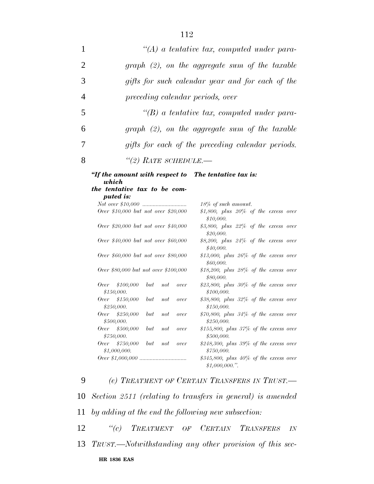| 1              |                                                       | $\lq (A)$ a tentative tax, computed under para-          |
|----------------|-------------------------------------------------------|----------------------------------------------------------|
| 2              |                                                       | $graph (2)$ , on the aggregate sum of the taxable        |
| 3              |                                                       | gifts for such calendar year and for each of the         |
| $\overline{4}$ | preceding calendar periods, over                      |                                                          |
| 5              |                                                       | $\lq\lq(B)$ a tentative tax, computed under para-        |
| 6              |                                                       | $graph (2)$ , on the aggregate sum of the taxable        |
| 7              |                                                       | gifts for each of the preceding calendar periods.        |
| 8              | $\lq(2)$ RATE SCHEDULE.-                              |                                                          |
|                | the tentative tax to be com-<br>puted is:             | 18% of such amount.                                      |
|                |                                                       |                                                          |
|                | Over \$10,000 but not over \$20,000                   | \$1,800, plus $20\%$ of the excess over<br>\$10,000.     |
|                | Over \$20,000 but not over \$40,000                   | \$3,800, plus 22% of the excess over<br>\$20,000.        |
|                | Over \$40,000 but not over \$60,000                   | \$8,200, plus 24% of the excess over<br>\$40,000.        |
|                | Over \$60,000 but not over \$80,000                   | $$13,000$ , plus $26\%$ of the excess over<br>\$60,000.  |
|                | Over \$80,000 but not over \$100,000                  | $$18,200$ , plus $28\%$ of the excess over<br>\$80,000.  |
|                | \$100,000<br>Over<br>but<br>not<br>over<br>\$150,000. | $$23,800$ , plus $30\%$ of the excess over<br>\$100,000. |
|                | \$150,000<br>Over<br>but<br>not<br>over<br>\$250,000. | \$38,800, plus 32% of the excess over<br>\$150,000.      |
|                | Over<br>\$250,000<br>but<br>not<br>over<br>\$500,000. | \$70,800, plus 34% of the excess over<br>\$250,000.      |
|                | Over<br>\$500,000<br>but<br>not<br>over               | $$155,800$ , plus $37\%$ of the excess over              |

*\$155,800, plus 37% of the excess over \$500,000.*

*\$248,300, plus 39% of the excess over \$750,000.*

*Over \$1,000,000 ................................ \$345,800, plus 40% of the excess over \$1,000,000.''.*

 *(e) TREATMENT OF CERTAIN TRANSFERS IN TRUST.— Section 2511 (relating to transfers in general) is amended by adding at the end the following new subsection: ''(c) TREATMENT OF CERTAIN TRANSFERS IN TRUST.—Notwithstanding any other provision of this sec-*

## **HR 1836 EAS**

*\$750,000.*

*\$1,000,000.*

*Over \$750,000 but not over*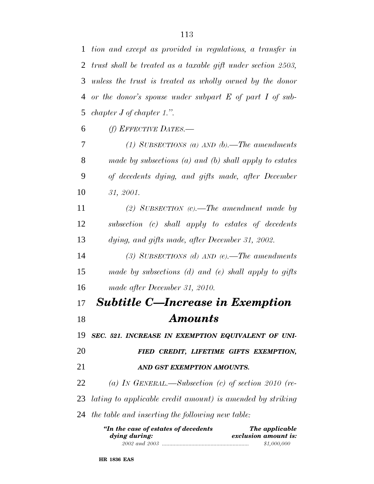*or the donor's spouse under subpart E of part I of sub-chapter J of chapter 1.''.*

*(f) EFFECTIVE DATES.—*

 *(1) SUBSECTIONS (a) AND (b).—The amendments made by subsections (a) and (b) shall apply to estates of decedents dying, and gifts made, after December 31, 2001.*

 *(2) SUBSECTION (c).—The amendment made by subsection (c) shall apply to estates of decedents dying, and gifts made, after December 31, 2002.*

 *(3) SUBSECTIONS (d) AND (e).—The amendments made by subsections (d) and (e) shall apply to gifts made after December 31, 2010.*

## *Subtitle C—Increase in Exemption Amounts*

*SEC. 521. INCREASE IN EXEMPTION EQUIVALENT OF UNI-*

*FIED CREDIT, LIFETIME GIFTS EXEMPTION,*

## *AND GST EXEMPTION AMOUNTS.*

 *(a) IN GENERAL.—Subsection (c) of section 2010 (re-lating to applicable credit amount) is amended by striking*

## *the table and inserting the following new table:*

| "In the case of estates of decedents | The applicable       |  |
|--------------------------------------|----------------------|--|
| dying during:                        | exclusion amount is: |  |
|                                      | \$1,000,000          |  |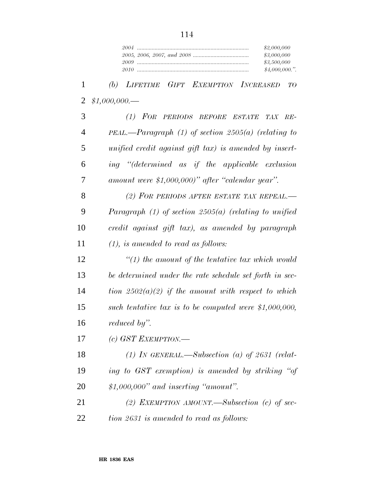| \$2,000,000   |
|---------------|
| \$3,000,000   |
| \$3,500,000   |
| \$4,000,000." |

 *(b) LIFETIME GIFT EXEMPTION INCREASED TO \$1,000,000.—*

 *(1) FOR PERIODS BEFORE ESTATE TAX RE- PEAL.—Paragraph (1) of section 2505(a) (relating to unified credit against gift tax) is amended by insert- ing ''(determined as if the applicable exclusion amount were \$1,000,000)'' after ''calendar year''.*

 *(2) FOR PERIODS AFTER ESTATE TAX REPEAL.— Paragraph (1) of section 2505(a) (relating to unified credit against gift tax), as amended by paragraph (1), is amended to read as follows:*

 *''(1) the amount of the tentative tax which would be determined under the rate schedule set forth in sec- tion 2502(a)(2) if the amount with respect to which such tentative tax is to be computed were \$1,000,000, reduced by''.*

*(c) GST EXEMPTION.—*

 *(1) IN GENERAL.—Subsection (a) of 2631 (relat- ing to GST exemption) is amended by striking ''of \$1,000,000'' and inserting ''amount''.*

 *(2) EXEMPTION AMOUNT.—Subsection (c) of sec-tion 2631 is amended to read as follows:*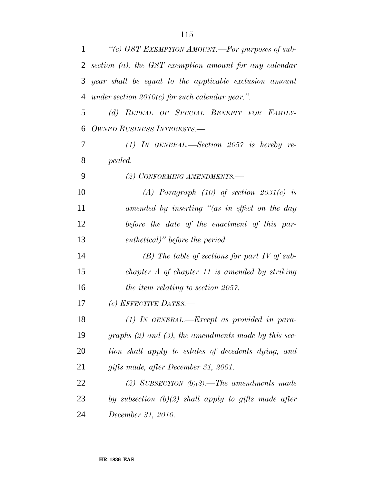| 1              | "(c) GST EXEMPTION AMOUNT.-For purposes of sub-           |
|----------------|-----------------------------------------------------------|
| $\overline{2}$ | section $(a)$ , the GST exemption amount for any calendar |
| 3              | year shall be equal to the applicable exclusion amount    |
| 4              | under section $2010(c)$ for such calendar year.".         |
| 5              | (d) REPEAL OF SPECIAL BENEFIT FOR FAMILY-                 |
| 6              | <b>OWNED BUSINESS INTERESTS.—</b>                         |
| 7              | $(1)$ IN GENERAL.—Section 2057 is hereby re-              |
| 8              | pealed.                                                   |
| 9              | (2) CONFORMING AMENDMENTS.                                |
| 10             | (A) Paragraph $(10)$ of section $2031(c)$ is              |
| 11             | amended by inserting "(as in effect on the day            |
| 12             | before the date of the enactment of this par-             |
| 13             | enthetical)" before the period.                           |
| 14             | $(B)$ The table of sections for part IV of sub-           |
| 15             | chapter $A$ of chapter 11 is amended by striking          |
| 16             | the item relating to section 2057.                        |
| 17             | (e) EFFECTIVE DATES.—                                     |
| 18             | $(1)$ IN GENERAL.—Except as provided in para-             |
| 19             | graphs $(2)$ and $(3)$ , the amendments made by this sec- |
| 20             | tion shall apply to estates of decedents dying, and       |
| 21             | gifts made, after December 31, 2001.                      |
| 22             | (2) SUBSECTION $(b)(2)$ .—The amendments made             |
| 23             | by subsection $(b)(2)$ shall apply to gifts made after    |
| 24             | December 31, 2010.                                        |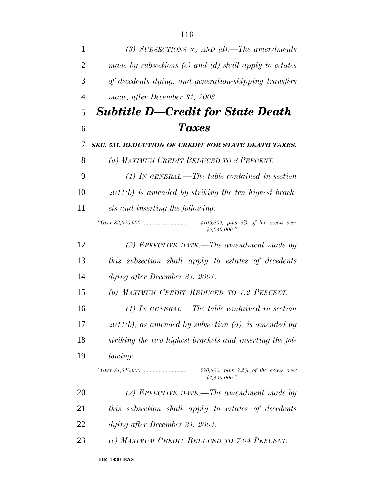| 1  | (3) SUBSECTIONS (c) AND (d).—The amendments                                |
|----|----------------------------------------------------------------------------|
| 2  | made by subsections $(c)$ and $(d)$ shall apply to estates                 |
| 3  | of decedents dying, and generation-skipping transfers                      |
| 4  | made, after December 31, 2003.                                             |
| 5  | <b>Subtitle D-Credit for State Death</b>                                   |
| 6  | <b>Taxes</b>                                                               |
| 7  | <b>SEC. 531. REDUCTION OF CREDIT FOR STATE DEATH TAXES.</b>                |
| 8  | (a) MAXIMUM CREDIT REDUCED TO 8 PERCENT.—                                  |
| 9  | $(1)$ In GENERAL.—The table contained in section                           |
| 10 | $2011(b)$ is amended by striking the ten highest brack-                    |
| 11 | ets and inserting the following:                                           |
|    | $$106,800, \; plus \; 8\% \; of \; the \; excess \; over$<br>\$2,040,000." |
| 12 | $(2)$ EFFECTIVE DATE.—The amendment made by                                |
| 13 | this subsection shall apply to estates of decedents                        |
| 14 | dying after December 31, 2001.                                             |
| 15 | (b) MAXIMUM CREDIT REDUCED TO 7.2 PERCENT.                                 |
| 16 | $(1)$ In GENERAL.—The table contained in section                           |
| 17 | $2011(b)$ , as amended by subsection (a), is amended by                    |
| 18 | striking the two highest brackets and inserting the fol-                   |
| 19 | <i>lowing:</i>                                                             |
|    | $$70,800, plus 7.2\% of the excess over$<br>\$1,540,000."                  |
| 20 | (2) EFFECTIVE DATE.—The amendment made by                                  |
| 21 | subsection shall apply to estates of decedents<br>this                     |
| 22 | dying after December 31, 2002.                                             |
| 23 | (c) MAXIMUM CREDIT REDUCED TO 7.04 PERCENT.                                |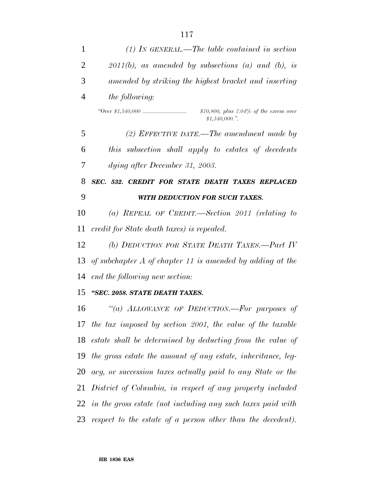| 1              | $(1)$ IN GENERAL.—The table contained in section               |
|----------------|----------------------------------------------------------------|
| $\overline{2}$ | $2011(b)$ , as amended by subsections (a) and (b), is          |
| 3              | amended by striking the highest bracket and inserting          |
| 4              | <i>the following:</i>                                          |
|                | $$70,800, plus 7.04\% of the excess over$<br>\$1,540,000."     |
| 5              | $(2)$ EFFECTIVE DATE.—The amendment made by                    |
| 6              | this subsection shall apply to estates of decedents            |
| 7              | dying after December 31, 2003.                                 |
| 8              | SEC. 532. CREDIT FOR STATE DEATH TAXES REPLACED                |
| 9              | WITH DEDUCTION FOR SUCH TAXES.                                 |
| 10             | (a) REPEAL OF CREDIT.—Section 2011 (relating to                |
| 11             | credit for State death taxes) is repealed.                     |
| 12             | (b) DEDUCTION FOR STATE DEATH TAXES.-Part IV                   |
| 13             | of subchapter $A$ of chapter 11 is amended by adding at the    |
| 14             | end the following new section:                                 |
| 15             | "SEC. 2058. STATE DEATH TAXES.                                 |
| 16             | "(a) ALLOWANCE OF DEDUCTION.—For purposes of                   |
|                | 17 the tax imposed by section 2001, the value of the taxable   |
|                | 18 estate shall be determined by deducting from the value of   |
| 19             | the gross estate the amount of any estate, inheritance, leg-   |
|                | 20 acy, or succession taxes actually paid to any State or the  |
| 21             | District of Columbia, in respect of any property included      |
|                | 22 in the gross estate (not including any such taxes paid with |
|                | 23 respect to the estate of a person other than the decedent). |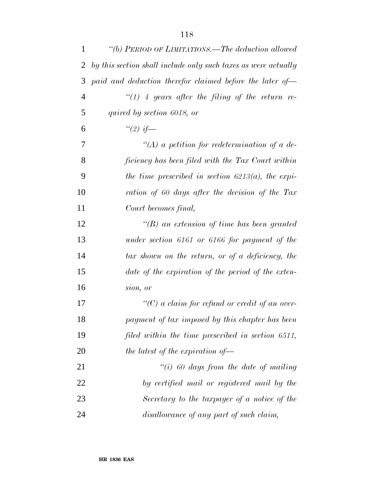| 1  | "(b) PERIOD OF LIMITATIONS.—The deduction allowed              |
|----|----------------------------------------------------------------|
| 2  | by this section shall include only such taxes as were actually |
| 3  | paid and deduction therefor claimed before the later of-       |
| 4  | $\lq(1)$ 4 years after the filing of the return re-            |
| 5  | quired by section 6018, or                                     |
| 6  | " $(2)$ if —                                                   |
| 7  | $\lq (A)$ a petition for redetermination of a de-              |
| 8  | ficiency has been filed with the Tax Court within              |
| 9  | the time prescribed in section $6213(a)$ , the expi-           |
| 10 | ration of 60 days after the decision of the Tax                |
| 11 | Court becomes final,                                           |
| 12 | $\lq\lq(B)$ an extension of time has been granted              |
| 13 | under section 6161 or 6166 for payment of the                  |
| 14 | tax shown on the return, or of a deficiency, the               |
| 15 | date of the expiration of the period of the exten-             |
| 16 | sion, or                                                       |
| 17 | $\lq\lq C$ a claim for refund or credit of an over-            |
| 18 | payment of tax imposed by this chapter has been                |
| 19 | filed within the time prescribed in section 6511,              |
| 20 | the latest of the expiration of $-$                            |
| 21 | "(i) 60 days from the date of mailing                          |
| 22 | by certified mail or registered mail by the                    |
| 23 | Secretary to the taxpayer of a notice of the                   |
| 24 | disallowance of any part of such claim,                        |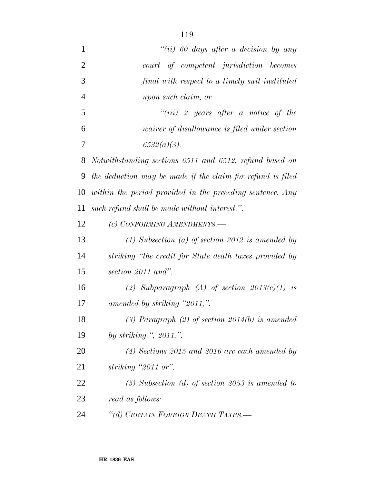| $\mathbf{1}$   | "(ii) 60 days after a decision by any                      |
|----------------|------------------------------------------------------------|
| $\overline{2}$ | court of competent jurisdiction becomes                    |
| 3              | final with respect to a timely suit instituted             |
| $\overline{4}$ | upon such claim, or                                        |
| 5              | "(iii) 2 years after a notice of the                       |
| 6              | <i>uaiver of disallowance is filed under section</i>       |
| 7              | $6532(a)(3)$ .                                             |
| 8              | Notwithstanding sections 6511 and 6512, refund based on    |
| 9              | the deduction may be made if the claim for refund is filed |
| 10             | within the period provided in the preceding sentence. Any  |
| 11             | such refund shall be made without interest.".              |
| 12             | (c) CONFORMING AMENDMENTS.-                                |
| 13             | $(1)$ Subsection $(a)$ of section 2012 is amended by       |
| 14             | striking "the credit for State death taxes provided by     |
| 15             | section 2011 and".                                         |
| 16             | (2) Subparagraph (A) of section $2013(c)(1)$ is            |
| 17             | amended by striking "2011,".                               |
| 18             | (3) Paragraph (2) of section $2014(b)$ is amended          |
| 19             | by striking ", $2011$ ,".                                  |
| 20             | $(4)$ Sections 2015 and 2016 are each amended by           |
| 21             | striking $"2011$ or".                                      |
| 22             | $(5)$ Subsection (d) of section 2053 is amended to         |
| 23             | read as follows:                                           |
| 24             | "(d) CERTAIN FOREIGN DEATH TAXES.-                         |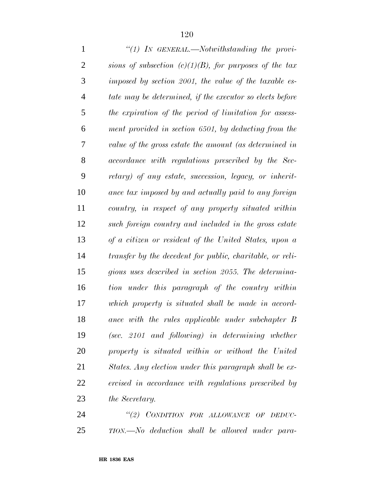| $\mathbf{1}$   | "(1) IN GENERAL.—Notwithstanding the provi-               |
|----------------|-----------------------------------------------------------|
| $\overline{2}$ | sions of subsection $(c)(1)(B)$ , for purposes of the tax |
| 3              | imposed by section 2001, the value of the taxable es-     |
| $\overline{4}$ | tate may be determined, if the executor so elects before  |
| 5              | the expiration of the period of limitation for assess-    |
| 6              | ment provided in section 6501, by deducting from the      |
| 7              | value of the gross estate the amount (as determined in    |
| 8              | accordance with regulations prescribed by the Sec-        |
| 9              | retary) of any estate, succession, legacy, or inherit-    |
| 10             | ance tax imposed by and actually paid to any foreign      |
| 11             | country, in respect of any property situated within       |
| 12             | such foreign country and included in the gross estate     |
| 13             | of a citizen or resident of the United States, upon a     |
| 14             | transfer by the decedent for public, charitable, or reli- |
| 15             | gious uses described in section 2055. The determina-      |
| 16             | tion under this paragraph of the country within           |
| 17             | which property is situated shall be made in accord-       |
| 18             | ance with the rules applicable under subchapter B         |
| 19             | $(sec. 2101$ and following) in determining whether        |
| 20             | property is situated within or without the United         |
| 21             | States. Any election under this paragraph shall be ex-    |
| 22             | ercised in accordance with regulations prescribed by      |
| 23             | the Secretary.                                            |
| $2\pi$         | "(9) CONDITION FOR ALLOWANCE OF DEDUC-                    |

 *''(2) CONDITION FOR ALLOWANCE OF DEDUC-TION.—No deduction shall be allowed under para-*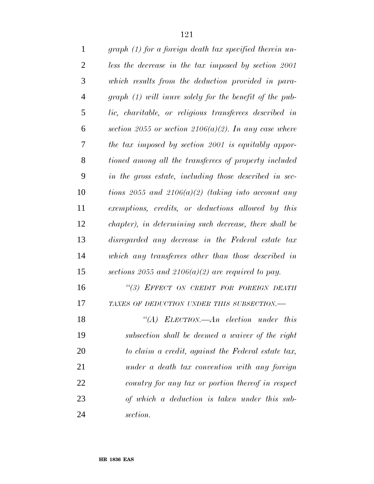| $\mathbf{1}$   | graph (1) for a foreign death tax specified therein un- |
|----------------|---------------------------------------------------------|
| $\overline{2}$ | less the decrease in the tax imposed by section 2001    |
| 3              | which results from the deduction provided in para-      |
| $\overline{4}$ | graph (1) will inure solely for the benefit of the pub- |
| 5              | lic, charitable, or religious transferees described in  |
| 6              | section 2055 or section 2106(a)(2). In any case where   |
| 7              | the tax imposed by section 2001 is equitably appor-     |
| 8              | tioned among all the transferees of property included   |
| 9              | in the gross estate, including those described in sec-  |
| 10             | tions 2055 and 2106(a)(2) (taking into account any      |
| 11             | exemptions, credits, or deductions allowed by this      |
| 12             | chapter), in determining such decrease, there shall be  |
| 13             | disregarded any decrease in the Federal estate tax      |
| 14             | which any transferees other than those described in     |
| 15             | sections 2055 and 2106(a)(2) are required to pay.       |
| 16             | "(3) EFFECT ON CREDIT FOR FOREIGN DEATH                 |
| 17             | TAXES OF DEDUCTION UNDER THIS SUBSECTION.-              |
| 18             | "(A) ELECTION.— $An$ election under this                |
| 19             | subsection shall be deemed a waiver of the right        |
| 20             | to claim a credit, against the Federal estate tax,      |
| 21             | under a death tax convention with any foreign           |
| 22             | country for any tax or portion thereof in respect       |
| 23             | of which a deduction is taken under this sub-           |
| 24             | section.                                                |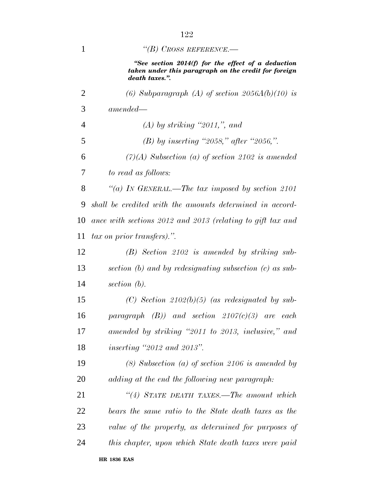| 1              | "(B) CROSS REFERENCE.—                                                                                                       |
|----------------|------------------------------------------------------------------------------------------------------------------------------|
|                | "See section 2014(f) for the effect of a deduction<br>taken under this paragraph on the credit for foreign<br>death taxes.". |
| $\overline{2}$ | (6) Subparagraph (A) of section $2056A(b)(10)$ is                                                                            |
| 3              | $amended -$                                                                                                                  |
| $\overline{4}$ | $(A)$ by striking "2011,", and                                                                                               |
| 5              | (B) by inserting "2058," after "2056,".                                                                                      |
| 6              | $(7)(A)$ Subsection (a) of section 2102 is amended                                                                           |
| 7              | to read as follows:                                                                                                          |
| 8              | "(a) IN GENERAL.—The tax imposed by section 2101                                                                             |
| 9              | shall be credited with the amounts determined in accord-                                                                     |
| 10             | ance with sections 2012 and 2013 (relating to gift tax and                                                                   |
| 11             | <i>tax on prior transfers</i> ).".                                                                                           |
| 12             | $(B)$ Section 2102 is amended by striking sub-                                                                               |
| 13             | section $(b)$ and by redesignating subsection $(c)$ as sub-                                                                  |
| 14             | section (b).                                                                                                                 |
| 15             | $(C)$ Section 2102(b)(5) (as redesignated by sub-                                                                            |
| 16             | paragraph $(B)$ ) and section 2107(c)(3) are each                                                                            |
| 17             | amended by striking "2011 to 2013, inclusive," and                                                                           |
| 18             | <i>inserting "2012 and 2013".</i>                                                                                            |
| 19             | $(8)$ Subsection $(a)$ of section 2106 is amended by                                                                         |
| 20             | adding at the end the following new paragraph:                                                                               |
| 21             | "(4) STATE DEATH TAXES.—The amount which                                                                                     |
| 22             | bears the same ratio to the State death taxes as the                                                                         |
| 23             | value of the property, as determined for purposes of                                                                         |
| 24             | this chapter, upon which State death taxes were paid                                                                         |
|                | <b>HR 1836 EAS</b>                                                                                                           |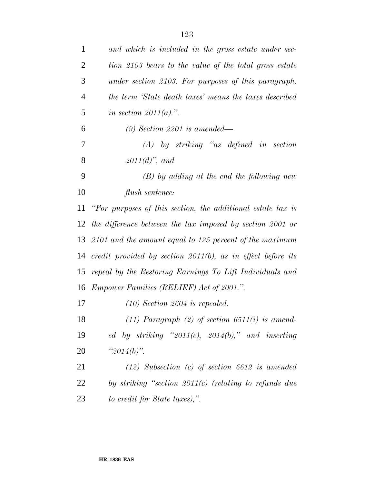| $\mathbf{1}$   | and which is included in the gross estate under sec-           |
|----------------|----------------------------------------------------------------|
| $\overline{c}$ | tion 2103 bears to the value of the total gross estate         |
| 3              | under section 2103. For purposes of this paragraph,            |
| 4              | the term 'State death taxes' means the taxes described         |
| 5              | in section $2011(a)$ .".                                       |
| 6              | $(9)$ Section 2201 is amended—                                 |
| 7              | $(A)$ by striking "as defined in section                       |
| 8              | $2011(d)$ , and                                                |
| 9              | $(B)$ by adding at the end the following new                   |
| 10             | flush sentence:                                                |
| 11             | "For purposes of this section, the additional estate tax is    |
| 12             | the difference between the tax imposed by section 2001 or      |
| 13             | 2101 and the amount equal to 125 percent of the maximum        |
| 14             | credit provided by section $2011(b)$ , as in effect before its |
| 15             | repeal by the Restoring Earnings To Lift Individuals and       |
| 16             | <i>Empower Families (RELIEF) Act of 2001.".</i>                |
| 17             | $(10)$ Section 2604 is repealed.                               |
| 18             | $(11)$ Paragraph $(2)$ of section 6511(i) is amend-            |
| 19             | ed by striking "2011(c), 2014(b)," and inserting               |
| <b>20</b>      | " $2014(b)$ ".                                                 |
| 21             | $(12)$ Subsection (c) of section 6612 is amended               |
| 22             | by striking "section $2011(c)$ (relating to refunds due        |
| 23             | to credit for State taxes),".                                  |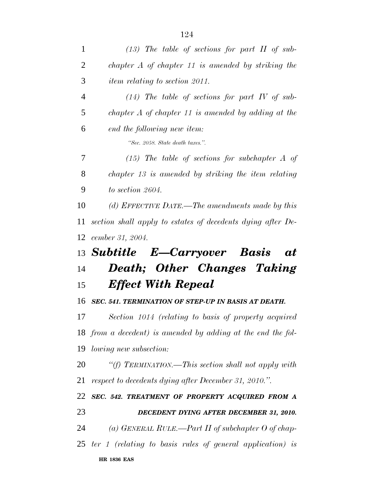| 1              | $(13)$ The table of sections for part II of sub-             |
|----------------|--------------------------------------------------------------|
| $\overline{2}$ | chapter $A$ of chapter 11 is amended by striking the         |
| 3              | <i>item relating to section 2011.</i>                        |
| $\overline{4}$ | $(14)$ The table of sections for part IV of sub-             |
| 5              | chapter $A$ of chapter 11 is amended by adding at the        |
| 6              | end the following new item:                                  |
|                | "Sec. 2058. State death taxes.".                             |
| 7              | $(15)$ The table of sections for subchapter A of             |
| 8              | chapter 13 is amended by striking the item relating          |
| 9              | to section 2604.                                             |
| 10             | (d) EFFECTIVE DATE.—The amendments made by this              |
| 11             | section shall apply to estates of decedents dying after De-  |
| 12             | cember 31, 2004.                                             |
|                |                                                              |
|                | 13 Subtitle E-Carryover Basis<br><b>at</b>                   |
| 14             | Death; Other Changes Taking                                  |
| 15             | <b>Effect With Repeal</b>                                    |
| 16             | <b>SEC. 541. TERMINATION OF STEP-UP IN BASIS AT DEATH.</b>   |
| 17             | Section 1014 (relating to basis of property acquired         |
|                | 18 from a decedent) is amended by adding at the end the fol- |
|                | 19 <i>lowing new subsection:</i>                             |
| 20             | "(f) TERMINATION.—This section shall not apply with          |
| 21             | respect to decedents dying after December 31, 2010.".        |
|                | SEC. 542. TREATMENT OF PROPERTY ACQUIRED FROM A              |
| 22<br>23       | DECEDENT DYING AFTER DECEMBER 31, 2010.                      |
| 24             | (a) GENERAL RULE.—Part II of subchapter O of chap-           |
|                | 25 ter 1 (relating to basis rules of general application) is |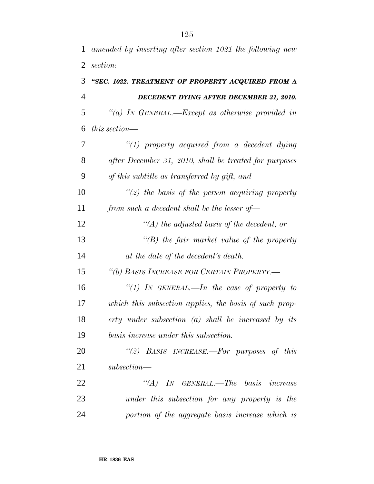|                | 1 amended by inserting after section 1021 the following new |
|----------------|-------------------------------------------------------------|
|                | 2 <i>section:</i>                                           |
|                | 3 "SEC. 1022. TREATMENT OF PROPERTY ACQUIRED FROM A         |
| $\overline{4}$ | DECEDENT DYING AFTER DECEMBER 31, 2010.                     |

 *''(a) IN GENERAL.—Except as otherwise provided in this section—*

 *''(1) property acquired from a decedent dying after December 31, 2010, shall be treated for purposes of this subtitle as transferred by gift, and*

 *''(2) the basis of the person acquiring property from such a decedent shall be the lesser of—*

 *''(A) the adjusted basis of the decedent, or ''(B) the fair market value of the property at the date of the decedent's death.*

*''(b) BASIS INCREASE FOR CERTAIN PROPERTY.—*

 *''(1) IN GENERAL.—In the case of property to which this subsection applies, the basis of such prop- erty under subsection (a) shall be increased by its basis increase under this subsection.*

 *''(2) BASIS INCREASE.—For purposes of this subsection—*

 *''(A) IN GENERAL.—The basis increase under this subsection for any property is the portion of the aggregate basis increase which is*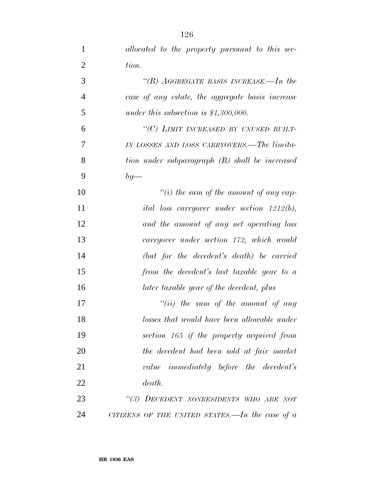| $\mathbf{1}$   | allocated to the property pursuant to this sec-                |
|----------------|----------------------------------------------------------------|
| $\overline{2}$ | tion.                                                          |
| 3              | "(B) AGGREGATE BASIS INCREASE.—In the                          |
| $\overline{4}$ | case of any estate, the aggregate basis increase               |
| 5              | under this subsection is $$1,300,000$ .                        |
| 6              | "(C) LIMIT INCREASED BY UNUSED BUILT-                          |
| 7              | IN LOSSES AND LOSS CARRYOVERS.—The limita-                     |
| 8              | tion under subparagraph (B) shall be increased                 |
| 9              | $by-$                                                          |
| 10             | "(i) the sum of the amount of any cap-                         |
| 11             | <i>ital loss carryover under section <math>1212(b)</math>,</i> |
| 12             | and the amount of any net operating loss                       |
| 13             | carryover under section 172, which would                       |
| 14             | (but for the decedent's death) be carried                      |
| 15             | from the decedent's last taxable year to a                     |
| 16             | later taxable year of the decedent, plus                       |
| 17             | $``(ii)$ the sum of the amount of any                          |
| 18             | losses that would have been allowable under                    |
| 19             | section 165 if the property acquired from                      |
| 20             | the decedent had been sold at fair market                      |
| 21             | value immediately before the decedent's                        |
| 22             | death.                                                         |
| 23             | "(3) DECEDENT NONRESIDENTS WHO ARE NOT                         |
| 24             | CITIZENS OF THE UNITED STATES.—In the case of $a$              |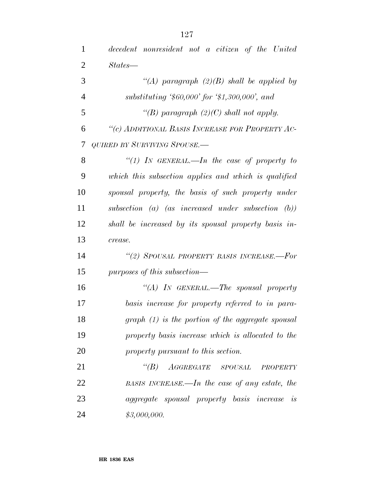| $\mathbf{1}$   | decedent nonresident not a citizen of the United                              |
|----------------|-------------------------------------------------------------------------------|
| $\overline{2}$ | $States-$                                                                     |
| 3              | "(A) paragraph $(2)(B)$ shall be applied by                                   |
| $\overline{4}$ | substituting $$60,000$ for $$1,300,000$ , and                                 |
| 5              | "(B) paragraph $(2)(C)$ shall not apply.                                      |
| 6              | "(c) ADDITIONAL BASIS INCREASE FOR PROPERTY AC-                               |
| 7              | QUIRED BY SURVIVING SPOUSE.—                                                  |
| 8              | "(1) IN GENERAL.—In the case of property to                                   |
| 9              | which this subsection applies and which is qualified                          |
| 10             | spousal property, the basis of such property under                            |
| 11             | subsection (a) (as increased under subsection $(b)$ )                         |
| 12             | shall be increased by its spousal property basis in-                          |
| 13             | crease.                                                                       |
| 14             | "(2) SPOUSAL PROPERTY BASIS INCREASE.-For                                     |
| 15             | purposes of this subsection—                                                  |
| 16             | "(A) IN GENERAL.—The spousal property                                         |
| 17             | basis increase for property referred to in para-                              |
| 18             | $graph (1)$ is the portion of the aggregate spousal                           |
| 19             | property basis increase which is allocated to the                             |
| 20             | property pursuant to this section.                                            |
| 21             | $``(B) \quad A \textit{GGREEGATE} \quad \textit{SPOUSAL}$<br>${\sl PROPERTY}$ |
| 22             | BASIS INCREASE.—In the case of any estate, the                                |
| 23             | <i>aggregate spousal property basis increase is</i>                           |
| 24             | \$3,000,000.                                                                  |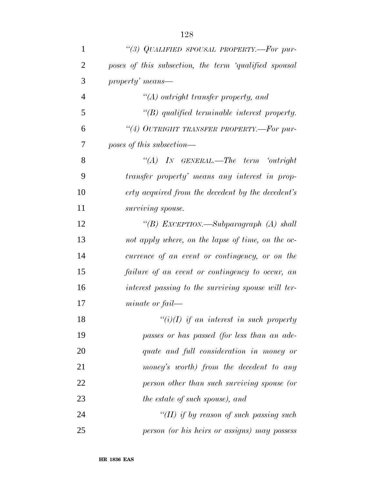| $\mathbf{1}$   | "(3) QUALIFIED SPOUSAL PROPERTY.-For pur-             |
|----------------|-------------------------------------------------------|
| $\overline{2}$ | poses of this subsection, the term 'qualified spousal |
| 3              | property' means—                                      |
| $\overline{4}$ | "(A) outright transfer property, and                  |
| 5              | $\lq\lq(B)$ qualified terminable interest property.   |
| 6              | "(4) OUTRIGHT TRANSFER PROPERTY.—For pur-             |
| 7              | poses of this subsection—                             |
| 8              | $\lq\lq (A)$ In GENERAL.—The term 'outright'          |
| 9              | transfer property' means any interest in prop-        |
| 10             | erty acquired from the decedent by the decedent's     |
| 11             | surviving spouse.                                     |
| 12             | "(B) EXCEPTION.—Subparagraph (A) shall                |
| 13             | not apply where, on the lapse of time, on the oc-     |
| 14             | currence of an event or contingency, or on the        |
| 15             | failure of an event or contingency to occur, an       |
| 16             | interest passing to the surviving spouse will ter-    |
| 17             | $minate$ or $fail$ —                                  |
| 18             | $\lq\lq(i)(I)$ if an interest in such property        |
| 19             | passes or has passed (for less than an ade-           |
| 20             | quate and full consideration in money or              |
| 21             | money's worth) from the decedent to any               |
| 22             | person other than such surviving spouse (or           |
| 23             | the estate of such spouse), and                       |
| 24             | "(II) if by reason of such passing such               |
| 25             | person (or his heirs or assigns) may possess          |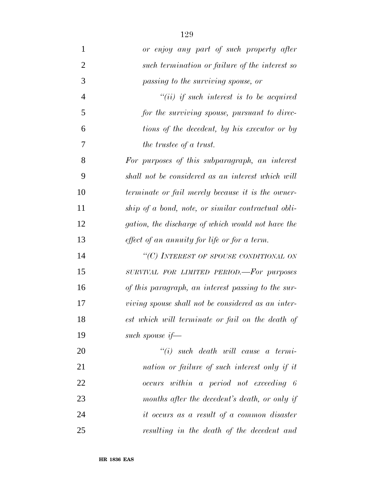*or enjoy any part of such property after such termination or failure of the interest so passing to the surviving spouse, or ''(ii) if such interest is to be acquired for the surviving spouse, pursuant to direc- tions of the decedent, by his executor or by the trustee of a trust. For purposes of this subparagraph, an interest shall not be considered as an interest which will terminate or fail merely because it is the owner- ship of a bond, note, or similar contractual obli- gation, the discharge of which would not have the effect of an annuity for life or for a term. ''(C) INTEREST OF SPOUSE CONDITIONAL ON SURVIVAL FOR LIMITED PERIOD.—For purposes of this paragraph, an interest passing to the sur- viving spouse shall not be considered as an inter- est which will terminate or fail on the death of such spouse if— ''(i) such death will cause a termi-nation or failure of such interest only if it*

 *occurs within a period not exceeding 6 months after the decedent's death, or only if it occurs as a result of a common disaster resulting in the death of the decedent and*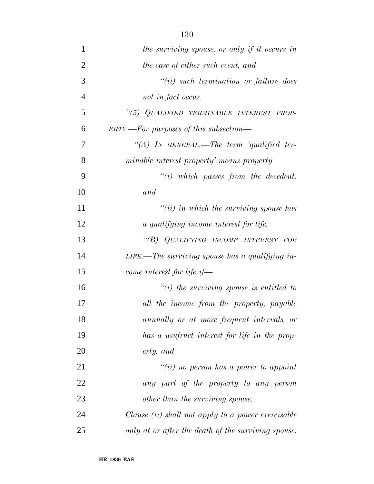| $\mathbf{1}$   | the surviving spouse, or only if it occurs in             |
|----------------|-----------------------------------------------------------|
| $\overline{2}$ | the case of either such event, and                        |
| 3              | $``(ii)$ such termination or failure does                 |
| $\overline{4}$ | not in fact occur.                                        |
| 5              | "(5) QUALIFIED TERMINABLE INTEREST PROP-                  |
| 6              | $ERTY. - For purposes of this subsection -$               |
| 7              | "(A) IN GENERAL.—The term 'qualified ter-                 |
| 8              | minable interest property' means property—                |
| 9              | $"(i)$ which passes from the decedent,                    |
| 10             | and                                                       |
| 11             | $``(ii)$ in which the surviving spouse has                |
| 12             | a qualifying income interest for life.                    |
| 13             | "(B) QUALIFYING INCOME INTEREST FOR                       |
| 14             | LIFE.—The surviving spouse has a qualifying in-           |
| 15             | come interest for life if—                                |
| 16             | $\tilde{f}(i)$ the surviving spouse is entitled to        |
| 17             | all the income from the property, payable                 |
| 18             | annually or at more frequent intervals, or                |
| 19             | has a usufruct interest for life in the prop-             |
| 20             | erty, and                                                 |
| 21             | "(ii) no person has a power to appoint                    |
| 22             | any part of the property to any person                    |
| 23             | other than the surviving spouse.                          |
| 24             | Clause <i>(ii)</i> shall not apply to a power exercisable |
| 25             | only at or after the death of the surviving spouse.       |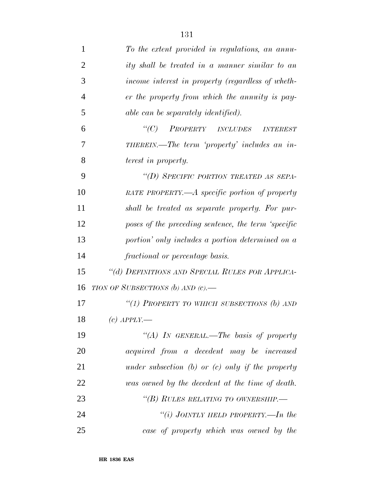| 1              | To the extent provided in regulations, an annu-     |
|----------------|-----------------------------------------------------|
| 2              | ity shall be treated in a manner similar to an      |
| 3              | income interest in property (regardless of wheth-   |
| $\overline{4}$ | er the property from which the annuity is pay-      |
| 5              | able can be separately identified).                 |
| 6              | PROPERTY INCLUDES INTEREST<br>$\lq\lq C$ )          |
| 7              | THEREIN.—The term 'property' includes an in-        |
| 8              | <i>terest in property.</i>                          |
| 9              | "(D) SPECIFIC PORTION TREATED AS SEPA-              |
| 10             | RATE PROPERTY.—A specific portion of property       |
| 11             | shall be treated as separate property. For pur-     |
| 12             | poses of the preceding sentence, the term 'specific |
| 13             | portion' only includes a portion determined on a    |
| 14             | fractional or percentage basis.                     |
| 15             | "(d) DEFINITIONS AND SPECIAL RULES FOR APPLICA-     |
| 16             | TION OF SUBSECTIONS (b) AND $(c)$ .                 |
| 17             | "(1) PROPERTY TO WHICH SUBSECTIONS $(b)$ AND        |
| 18             | $(c)$ APPLY.—                                       |
| 19             | "(A) IN GENERAL.—The basis of property              |
| 20             | acquired from a decedent may be increased           |
| 21             | under subsection (b) or (c) only if the property    |
| 22             | was owned by the decedent at the time of death.     |
| 23             | "(B) RULES RELATING TO OWNERSHIP.—                  |
| 24             | "(i) JOINTLY HELD PROPERTY.—In the                  |
| 25             | case of property which was owned by the             |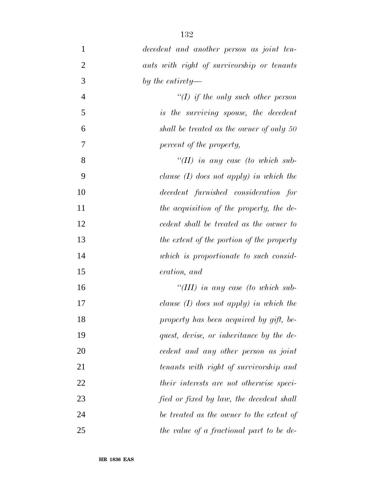*decedent and another person as joint ten- ants with right of survivorship or tenants by the entirety— ''(I) if the only such other person is the surviving spouse, the decedent shall be treated as the owner of only 50 percent of the property, ''(II) in any case (to which sub- clause (I) does not apply) in which the decedent furnished consideration for the acquisition of the property, the de- cedent shall be treated as the owner to the extent of the portion of the property which is proportionate to such consid- eration, and ''(III) in any case (to which sub- clause (I) does not apply) in which the property has been acquired by gift, be- quest, devise, or inheritance by the de- cedent and any other person as joint tenants with right of survivorship and their interests are not otherwise speci-fied or fixed by law, the decedent shall*

 *be treated as the owner to the extent of the value of a fractional part to be de-*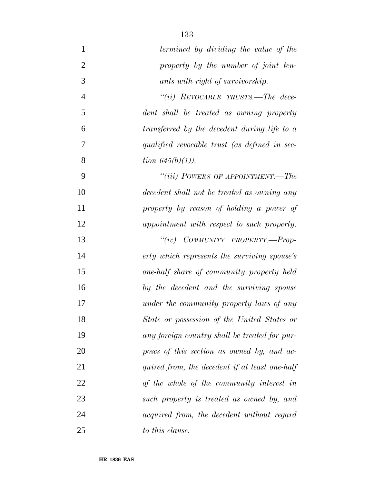| $\mathbf{1}$   | termined by dividing the value of the          |
|----------------|------------------------------------------------|
| $\overline{2}$ | property by the number of joint ten-           |
| 3              | ants with right of survivorship.               |
| $\overline{4}$ | "(ii) REVOCABLE TRUSTS.—The dece-              |
| 5              | dent shall be treated as owning property       |
| 6              | transferred by the decedent during life to a   |
| 7              | qualified revocable trust (as defined in sec-  |
| 8              | <i>tion</i> $645(b)(1)$ .                      |
| 9              | "(iii) POWERS OF APPOINTMENT.—The              |
| 10             | decedent shall not be treated as owning any    |
| 11             | property by reason of holding a power of       |
| 12             | appointment with respect to such property.     |
| 13             | "(iv) COMMUNITY PROPERTY.-Prop-                |
| 14             | erty which represents the surviving spouse's   |
| 15             | one-half share of community property held      |
| 16             | by the decedent and the surviving spouse       |
| 17             | under the community property laws of any       |
| 18             | State or possession of the United States or    |
| 19             | any foreign country shall be treated for pur-  |
| 20             | poses of this section as owned by, and ac-     |
| 21             | quired from, the decedent if at least one-half |
| 22             | of the whole of the community interest in      |
| 23             | such property is treated as owned by, and      |
| 24             | acquired from, the decedent without regard     |
| 25             | to this clause.                                |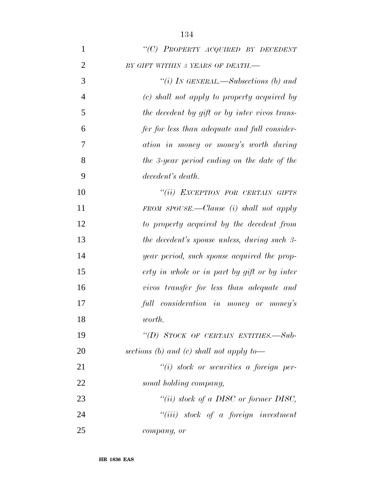| $\mathbf{1}$   | "(C) PROPERTY ACQUIRED BY DECEDENT            |
|----------------|-----------------------------------------------|
| $\overline{2}$ | BY GIFT WITHIN 3 YEARS OF DEATH.-             |
| 3              | "(i) IN GENERAL.—Subsections (b) and          |
| $\overline{4}$ | (c) shall not apply to property acquired by   |
| 5              | the decedent by gift or by inter vivos trans- |
| 6              | fer for less than adequate and full consider- |
| 7              | ation in money or money's worth during        |
| 8              | the 3-year period ending on the date of the   |
| 9              | decedent's death.                             |
| 10             | "(ii) EXCEPTION FOR CERTAIN GIFTS             |
| 11             | FROM SPOUSE.—Clause $(i)$ shall not apply     |
| 12             | to property acquired by the decedent from     |
| 13             | the decedent's spouse unless, during such 3-  |
| 14             | year period, such spouse acquired the prop-   |
| 15             | erty in whole or in part by gift or by inter  |
| 16             | vivos transfer for less than adequate and     |
| 17             | full consideration in money or money's        |
| 18             | worth.                                        |
| 19             | "(D) STOCK OF CERTAIN ENTITIES.-Sub-          |
| 20             | sections (b) and (c) shall not apply to-      |
| 21             | $``(i)$ stock or securities a foreign per-    |
| 22             | sonal holding company,                        |
| 23             | "(ii) stock of a DISC or former DISC,         |
| 24             | $``(iii)$ stock of a foreign investment       |
| 25             | company, or                                   |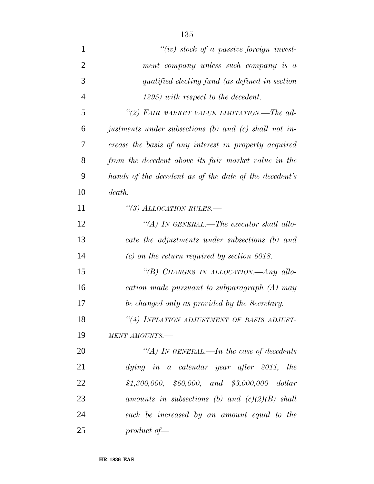| $\mathbf{1}$   | $``(iv)$ stock of a passive foreign invest-            |
|----------------|--------------------------------------------------------|
| $\overline{2}$ | ment company unless such company is a                  |
| 3              | qualified electing fund (as defined in section         |
| $\overline{4}$ | 1295) with respect to the decedent.                    |
| 5              | "(2) FAIR MARKET VALUE LIMITATION.—The ad-             |
| 6              | justments under subsections (b) and (c) shall not in-  |
| 7              | crease the basis of any interest in property acquired  |
| 8              | from the decedent above its fair market value in the   |
| 9              | hands of the decedent as of the date of the decedent's |
| 10             | death.                                                 |
| 11             | "(3) ALLOCATION RULES.—                                |
| 12             | "(A) IN GENERAL.—The executor shall allo-              |
| 13             | cate the adjustments under subsections (b) and         |
| 14             | $(c)$ on the return required by section 6018.          |
| 15             | "(B) CHANGES IN ALLOCATION.—Any allo-                  |
| 16             | cation made pursuant to subparagraph (A) may           |
| 17             | be changed only as provided by the Secretary.          |
| 18             | "(4) INFLATION ADJUSTMENT OF BASIS ADJUST-             |
| 19             | MENT AMOUNTS.-                                         |
| 20             | "(A) IN GENERAL.—In the case of decedents              |
| 21             | $dying$ in a calendar year after 2011, the             |
| 22             | $$1,300,000,$ $$60,000,$ and $$3,000,000$ dollar       |
| 23             | amounts in subsections (b) and $(c)(2)(B)$ shall       |
| 24             | each be increased by an amount equal to the            |
| 25             | product of $\equiv$                                    |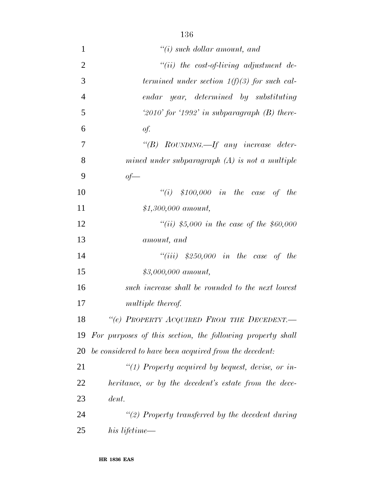| $\mathbf{1}$   | $"(i)$ such dollar amount, and                             |
|----------------|------------------------------------------------------------|
| $\overline{2}$ | $``(ii)$ the cost-of-living adjustment de-                 |
| 3              | termined under section $1(f)(3)$ for such cal-             |
| $\overline{4}$ | endar year, determined by substituting                     |
| 5              | $2010'$ for '1992' in subparagraph (B) there-              |
| 6              | $\dot{Q}f$ .                                               |
| 7              | "(B) ROUNDING.—If any increase deter-                      |
| 8              | mined under subparagraph $(A)$ is not a multiple           |
| 9              | $of$ —                                                     |
| 10             | "(i) $$100,000$ in the case of the                         |
| 11             | $$1,300,000$ amount,                                       |
| 12             | "(ii) \$5,000 in the case of the \$60,000                  |
| 13             | amount, and                                                |
| 14             | "(iii) $$250,000$ in the case of the                       |
| 15             | $$3,000,000$ amount,                                       |
| 16             | such increase shall be rounded to the next lowest          |
| 17             | <i>multiple thereof.</i>                                   |
| 18             | "(e) PROPERTY ACQUIRED FROM THE DECEDENT.                  |
| 19             | For purposes of this section, the following property shall |
| 20             | be considered to have been acquired from the decedent:     |
| 21             | $\lq(1)$ Property acquired by bequest, devise, or in-      |
| 22             | heritance, or by the decedent's estate from the dece-      |
| 23             | dent.                                                      |
| 24             | $\lq(2)$ Property transferred by the decedent during       |
| 25             | his lifetime—                                              |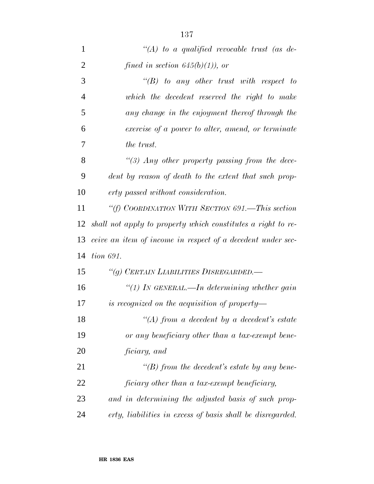| $\mathbf{1}$   | " $(A)$ to a qualified revocable trust (as de-               |
|----------------|--------------------------------------------------------------|
| $\overline{2}$ | fined in section $645(b)(1)$ , or                            |
| 3              | $\lq\lq B$ to any other trust with respect to                |
| 4              | which the decedent reserved the right to make                |
| 5              | any change in the enjoyment thereof through the              |
| 6              | exercise of a power to alter, amend, or terminate            |
| 7              | the trust.                                                   |
| 8              | "(3) Any other property passing from the dece-               |
| 9              | dent by reason of death to the extent that such prop-        |
| 10             | erty passed without consideration.                           |
| 11             | "(f) COORDINATION WITH SECTION 691.—This section             |
| 12             | shall not apply to property which constitutes a right to re- |
| 13             | ceive an item of income in respect of a decedent under sec-  |
| 14             | <i>tion 691.</i>                                             |
| 15             | "(g) CERTAIN LIABILITIES DISREGARDED.—                       |
| 16             | "(1) In GENERAL.—In determining whether gain                 |
| 17             | is recognized on the acquisition of property—                |
| 18             | $H(A)$ from a decedent by a decedent's estate                |
| 19             | or any beneficiary other than a tax-exempt bene-             |
| 20             | ficiary, and                                                 |
| 21             | $\lq\lq(B)$ from the decedent's estate by any bene-          |
| 22             | ficiary other than a tax-exempt beneficiary,                 |
| 23             | and in determining the adjusted basis of such prop-          |
| 24             | erty, liabilities in excess of basis shall be disregarded.   |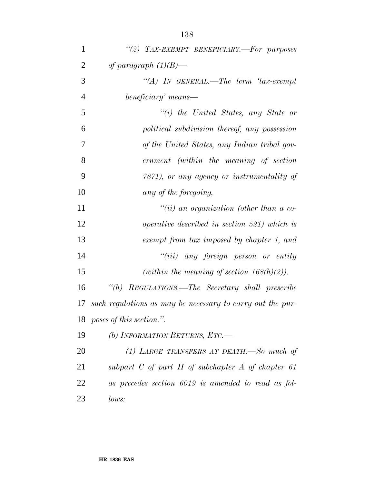| $\mathbf{1}$   | "(2) TAX-EXEMPT BENEFICIARY.-For purposes                  |
|----------------|------------------------------------------------------------|
| $\overline{2}$ | of paragraph $(1)(B)$ —                                    |
| 3              | "(A) IN GENERAL.—The term 'tax-exempt                      |
| $\overline{4}$ | beneficiary' means—                                        |
| 5              | $``(i)$ the United States, any State or                    |
| 6              | political subdivision thereof, any possession              |
| 7              | of the United States, any Indian tribal gov-               |
| 8              | ernment (within the meaning of section                     |
| 9              | 7871), or any agency or instrumentality of                 |
| 10             | any of the foregoing,                                      |
| 11             | $``(ii)$ an organization (other than a co-                 |
| 12             | <i>operative described in section 521) which is</i>        |
| 13             | exempt from tax imposed by chapter 1, and                  |
| 14             | $``(iii)$ any foreign person or entity                     |
| 15             | (within the meaning of section $168(h)(2)$ ).              |
| 16             | "(h) REGULATIONS.—The Secretary shall prescribe            |
| 17             | such regulations as may be necessary to carry out the pur- |
|                | 18 poses of this section.".                                |
| 19             | (b) INFORMATION RETURNS, $ETC$ .                           |
| 20             | (1) LARGE TRANSFERS AT DEATH.—So much of                   |
| 21             | subpart $C$ of part $H$ of subchapter $A$ of chapter 61    |
| 22             | as precedes section 6019 is amended to read as fol-        |
| 23             | lows:                                                      |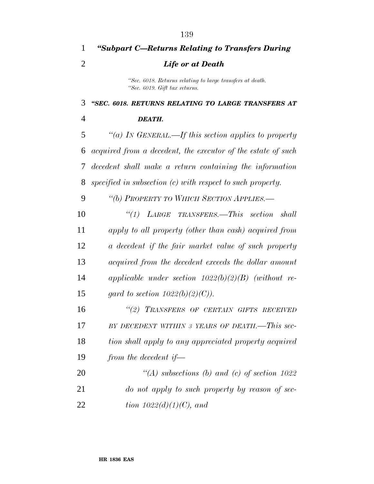| 1              | "Subpart C—Returns Relating to Transfers During                                            |
|----------------|--------------------------------------------------------------------------------------------|
| $\overline{2}$ | <b>Life or at Death</b>                                                                    |
|                | "Sec. 6018. Returns relating to large transfers at death.<br>"Sec. 6019. Gift tax returns. |
| 3              | "SEC. 6018. RETURNS RELATING TO LARGE TRANSFERS AT                                         |
| 4              | DEATH.                                                                                     |
| 5              | "(a) IN GENERAL.—If this section applies to property                                       |
| 6              | acquired from a decedent, the executor of the estate of such                               |
| 7              | decedent shall make a return containing the information                                    |
| 8              | specified in subsection $(c)$ with respect to such property.                               |
| 9              | "(b) PROPERTY TO WHICH SECTION APPLIES.—                                                   |
| 10             | $\lq(1)$ LARGE TRANSFERS. This section shall                                               |
| 11             | apply to all property (other than cash) acquired from                                      |
| 12             | a decedent if the fair market value of such property                                       |
| 13             | acquired from the decedent exceeds the dollar amount                                       |
| 14             | applicable under section $1022(b)(2)(B)$ (without re-                                      |
| 15             | gard to section $1022(b)(2)(C)$ .                                                          |
| 16             | "(2) TRANSFERS OF CERTAIN GIFTS RECEIVED                                                   |
| 17             | BY DECEDENT WITHIN 3 YEARS OF DEATH.-This sec-                                             |
| 18             | tion shall apply to any appreciated property acquired                                      |
| 19             | from the decedent if-                                                                      |
| 20             | $\lq (A)$ subsections (b) and (c) of section 1022                                          |
| 21             | do not apply to such property by reason of sec-                                            |
|                |                                                                                            |

*tion 1022(d)(1)(C), and*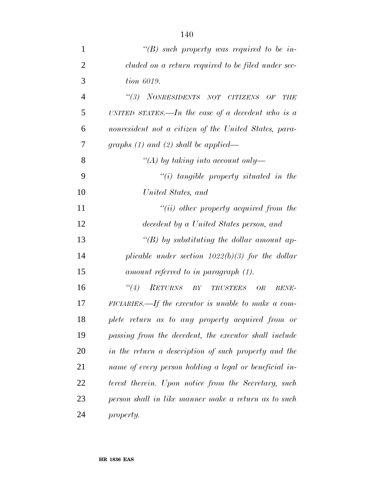| $\mathbf{1}$   | "(B) such property was required to be in-              |
|----------------|--------------------------------------------------------|
| $\overline{2}$ | cluded on a return required to be filed under sec-     |
| 3              | tion 6019.                                             |
| $\overline{4}$ | (3)<br>NONRESIDENTS NOT CITIZENS OF<br><b>THE</b>      |
| 5              | UNITED STATES.—In the case of a decedent who is a      |
| 6              | nonresident not a citizen of the United States, para-  |
| 7              | graphs $(1)$ and $(2)$ shall be applied—               |
| 8              | "(A) by taking into account only-                      |
| 9              | $"(i)$ tangible property situated in the               |
| 10             | United States, and                                     |
| 11             | $``(ii)$ other property acquired from the              |
| 12             | decedent by a United States person, and                |
| 13             | "(B) by substituting the dollar amount ap-             |
| 14             | plicable under section $1022(b)(3)$ for the dollar     |
| 15             | amount referred to in paragraph (1).                   |
| 16             | RETURNS BY TRUSTEES OR<br>$\lq(4)$<br><b>BENE-</b>     |
| 17             | FICIARIES.—If the executor is unable to make a com-    |
| 18             | plete return as to any property acquired from or       |
| 19             | passing from the decedent, the executor shall include  |
| 20             | in the return a description of such property and the   |
| 21             | name of every person holding a legal or beneficial in- |
| 22             | terest therein. Upon notice from the Secretary, such   |
| 23             | person shall in like manner make a return as to such   |
| 24             | property.                                              |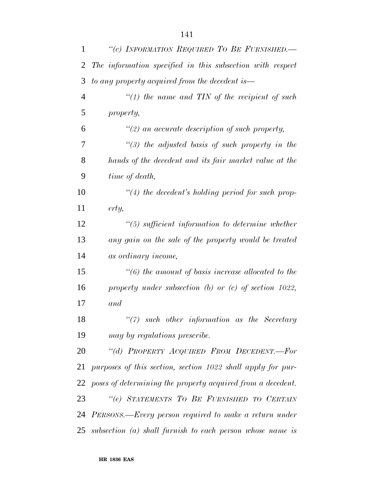| $\mathbf{1}$ | "(c) INFORMATION REQUIRED TO BE FURNISHED.-                 |
|--------------|-------------------------------------------------------------|
| 2            | The information specified in this subsection with respect   |
| 3            | to any property acquired from the decedent is—              |
| 4            | "(1) the name and TIN of the recipient of such              |
| 5            | property,                                                   |
| 6            | $\lq(2)$ an accurate description of such property,          |
| 7            | $\lq(3)$ the adjusted basis of such property in the         |
| 8            | hands of the decedent and its fair market value at the      |
| 9            | time of death,                                              |
| 10           | $\lq(4)$ the decedent's holding period for such prop-       |
| 11           | erty,                                                       |
| 12           | $\lq(5)$ sufficient information to determine whether        |
| 13           | any gain on the sale of the property would be treated       |
| 14           | as ordinary income,                                         |
| 15           | $\lq(6)$ the amount of basis increase allocated to the      |
| 16           | property under subsection $(b)$ or $(c)$ of section 1022,   |
| 17           | and                                                         |
| 18           | $\lq(7)$ such other information as the Secretary            |
| 19           | may by regulations prescribe.                               |
| 20           | "(d) PROPERTY ACQUIRED FROM DECEDENT.-For                   |
| 21           | purposes of this section, section 1022 shall apply for pur- |
| 22           | poses of determining the property acquired from a decedent. |
| 23           | "(e) STATEMENTS TO BE FURNISHED TO CERTAIN                  |
| 24           | PERSONS.—Every person required to make a return under       |
| 25           | subsection $(a)$ shall furnish to each person whose name is |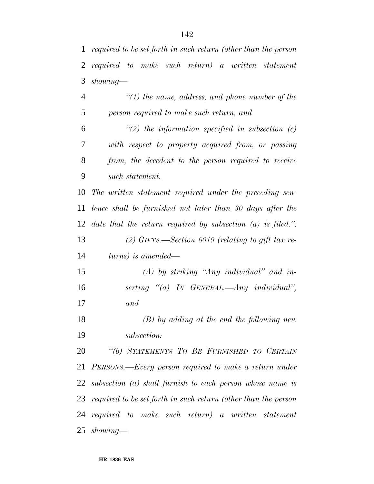| 1              | required to be set forth in such return (other than the person    |
|----------------|-------------------------------------------------------------------|
| $\overline{2}$ | required to make such return) a written statement                 |
| 3              | $showing$ —                                                       |
| $\overline{4}$ | $\lq(1)$ the name, address, and phone number of the               |
| 5              | person required to make such return, and                          |
| 6              | $\lq(2)$ the information specified in subsection (c)              |
| 7              | with respect to property acquired from, or passing                |
| $8\,$          | from, the decedent to the person required to receive              |
| 9              | such statement.                                                   |
| 10             | The written statement required under the preceding sen-           |
| 11             | tence shall be furnished not later than 30 days after the         |
| 12             | date that the return required by subsection $(a)$ is filed.".     |
| 13             | (2) GIFTS.—Section 6019 (relating to gift tax re-                 |
| 14             | turns) is amended—                                                |
| 15             | $(A)$ by striking "Any individual" and in-                        |
| 16             | serting "(a) IN GENERAL.—Any individual",                         |
| 17             | and                                                               |
| 18             | $(B)$ by adding at the end the following new                      |
| 19             | subsection:                                                       |
| 20             | "(b) STATEMENTS TO BE FURNISHED TO CERTAIN                        |
| 21             | PERSONS.—Every person required to make a return under             |
| 22             | subsection (a) shall furnish to each person whose name is         |
|                | 23 required to be set forth in such return (other than the person |
|                | $24$ required to make such return) a written statement            |
|                | 25 showing—                                                       |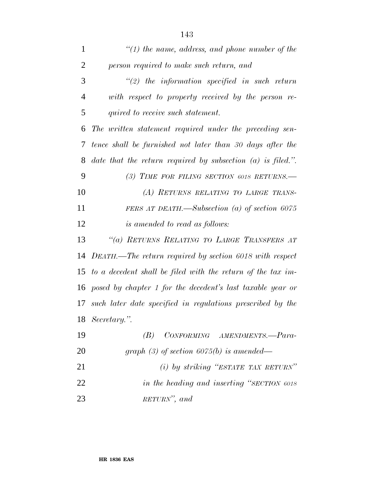| $\mathbf{1}$   | $\lq(1)$ the name, address, and phone number of the            |
|----------------|----------------------------------------------------------------|
| $\overline{2}$ | person required to make such return, and                       |
| 3              | $\lq(2)$ the information specified in such return              |
| $\overline{4}$ | with respect to property received by the person re-            |
| 5              | quired to receive such statement.                              |
| 6              | The written statement required under the preceding sen-        |
| 7              | tence shall be furnished not later than 30 days after the      |
| 8              | date that the return required by subsection $(a)$ is filed.".  |
| 9              | (3) TIME FOR FILING SECTION 6018 RETURNS.—                     |
| 10             | (A) RETURNS RELATING TO LARGE TRANS-                           |
| 11             | FERS AT DEATH.—Subsection (a) of section $6075$                |
| 12             | <i>is amended to read as follows:</i>                          |
| 13             | "(a) RETURNS RELATING TO LARGE TRANSFERS AT                    |
|                | 14 DEATH.—The return required by section 6018 with respect     |
|                | 15 to a decedent shall be filed with the return of the tax im- |
| 16             | posed by chapter 1 for the decedent's last taxable year or     |
| 17             | such later date specified in regulations prescribed by the     |
|                | 18 Secretary.".                                                |
| 19             | CONFORMING AMENDMENTS.-Para-<br>(B)                            |
| 20             | graph (3) of section 6075(b) is amended—                       |
| 21             | (i) by striking "ESTATE TAX RETURN"                            |
| 22             | in the heading and inserting "SECTION 6018                     |

*RETURN'', and*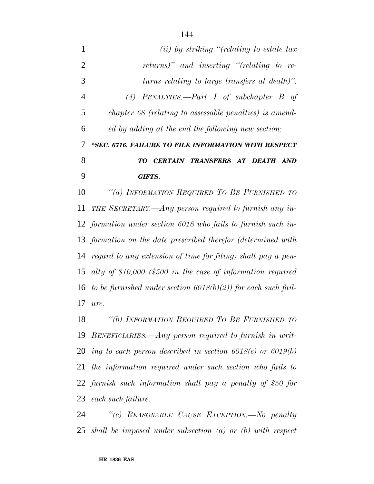| $\mathbf{1}$   | $(ii)$ by striking "(relating to estate tax                    |
|----------------|----------------------------------------------------------------|
| $\overline{2}$ | returns)" and inserting "(relating to re-                      |
| 3              | turns relating to large transfers at death)".                  |
| 4              | (4) PENALTIES.—Part I of subchapter B of                       |
| 5              | chapter 68 (relating to assessable penalties) is amend-        |
| 6              | ed by adding at the end the following new section:             |
| 7              | "SEC. 6716. FAILURE TO FILE INFORMATION WITH RESPECT           |
| 8              | TO CERTAIN TRANSFERS AT DEATH AND                              |
| 9              | <b>GIFTS.</b>                                                  |
| 10             | "(a) INFORMATION REQUIRED TO BE FURNISHED TO                   |
| 11             | THE SECRETARY.—Any person required to furnish any in-          |
|                | 12 formation under section 6018 who fails to furnish such in-  |
|                | 13 formation on the date prescribed therefor (determined with  |
| 14             | regard to any extension of time for filing) shall pay a pen-   |
| 15             | alty of \$10,000 (\$500 in the case of information required    |
| 16             | to be furnished under section $6018(b)(2)$ for each such fail- |
| 17             | ure.                                                           |
| 18             | "(b) INFORMATION REQUIRED TO BE FURNISHED TO                   |
| 19             | BENEFICIARIES.—Any person required to furnish in writ-         |
| 20             | ing to each person described in section $6018(e)$ or $6019(b)$ |
|                |                                                                |

 *the information required under such section who fails to furnish such information shall pay a penalty of \$50 for each such failure.*

 *''(c) REASONABLE CAUSE EXCEPTION.—No penalty shall be imposed under subsection (a) or (b) with respect*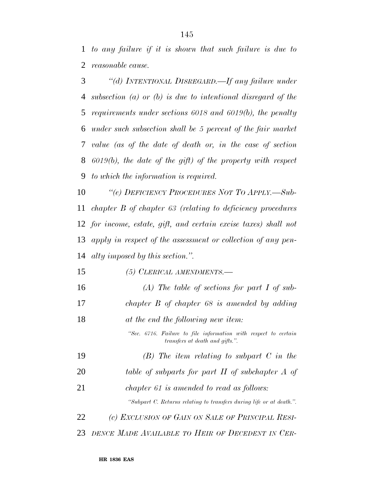*to any failure if it is shown that such failure is due to reasonable cause.*

 *''(d) INTENTIONAL DISREGARD.—If any failure under subsection (a) or (b) is due to intentional disregard of the requirements under sections 6018 and 6019(b), the penalty under such subsection shall be 5 percent of the fair market value (as of the date of death or, in the case of section 6019(b), the date of the gift) of the property with respect to which the information is required.*

 *''(e) DEFICIENCY PROCEDURES NOT TO APPLY.—Sub- chapter B of chapter 63 (relating to deficiency procedures for income, estate, gift, and certain excise taxes) shall not apply in respect of the assessment or collection of any pen-alty imposed by this section.''.*

- *(5) CLERICAL AMENDMENTS.—*
- *(A) The table of sections for part I of sub- chapter B of chapter 68 is amended by adding at the end the following new item: ''Sec. 6716. Failure to file information with respect to certain transfers at death and gifts.''. (B) The item relating to subpart C in the table of subparts for part II of subchapter A of chapter 61 is amended to read as follows: ''Subpart C. Returns relating to transfers during life or at death.''. (c) EXCLUSION OF GAIN ON SALE OF PRINCIPAL RESI-DENCE MADE AVAILABLE TO HEIR OF DECEDENT IN CER-*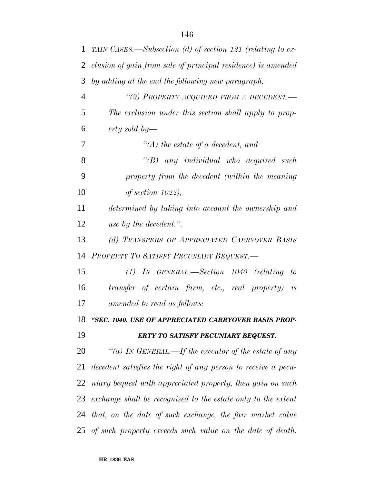| 1              | TAIN CASES.—Subsection (d) of section 121 (relating to ex-    |
|----------------|---------------------------------------------------------------|
| 2              | clusion of gain from sale of principal residence) is amended  |
| 3              | by adding at the end the following new paragraph:             |
| $\overline{4}$ | "(9) PROPERTY ACQUIRED FROM A DECEDENT.-                      |
| 5              | The exclusion under this section shall apply to prop-         |
| 6              | erty sold by—                                                 |
| 7              | $\lq (A)$ the estate of a decedent, and                       |
| 8              | $\lq\lq B$ any individual who acquired such                   |
| 9              | property from the decedent (within the meaning                |
| 10             | of section $1022$ ),                                          |
| 11             | determined by taking into account the ownership and           |
| 12             | use by the decedent.".                                        |
| 13             | (d) TRANSFERS OF APPRECIATED CARRYOVER BASIS                  |
| 14             | PROPERTY TO SATISFY PECUNIARY BEQUEST.                        |
| 15             | $(1)$ IN GENERAL.—Section 1040 (relating to                   |
| 16             | transfer of certain farm, etc., real property) is             |
| 17             | amended to read as follows:                                   |
| 18             | "SEC. 1040. USE OF APPRECIATED CARRYOVER BASIS PROP-          |
| 19             | ERTY TO SATISFY PECUNIARY BEQUEST.                            |
| 20             | "(a) IN GENERAL.—If the executor of the estate of any         |
| 21             | decedent satisfies the right of any person to receive a pecu- |
| 22             | niary bequest with appreciated property, then gain on such    |
| 23             | exchange shall be recognized to the estate only to the extent |
| 24             | that, on the date of such exchange, the fair market value     |
|                | 25 of such property exceeds such value on the date of death.  |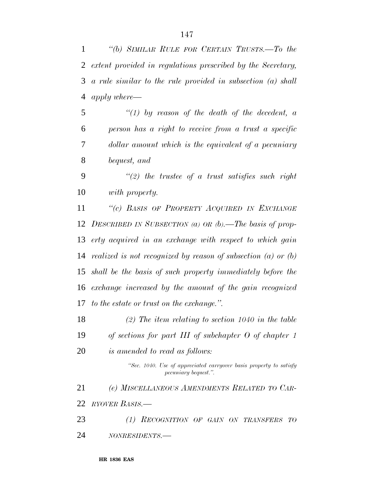*''(b) SIMILAR RULE FOR CERTAIN TRUSTS.—To the extent provided in regulations prescribed by the Secretary, a rule similar to the rule provided in subsection (a) shall*

*apply where—*

 *''(1) by reason of the death of the decedent, a person has a right to receive from a trust a specific dollar amount which is the equivalent of a pecuniary bequest, and*

 *''(2) the trustee of a trust satisfies such right with property.*

 *''(c) BASIS OF PROPERTY ACQUIRED IN EXCHANGE DESCRIBED IN SUBSECTION (a) OR (b).—The basis of prop- erty acquired in an exchange with respect to which gain realized is not recognized by reason of subsection (a) or (b) shall be the basis of such property immediately before the exchange increased by the amount of the gain recognized to the estate or trust on the exchange.''.*

 *(2) The item relating to section 1040 in the table of sections for part III of subchapter O of chapter 1 is amended to read as follows:*

> *''Sec. 1040. Use of appreciated carryover basis property to satisfy pecuniary bequest.''.*

 *(e) MISCELLANEOUS AMENDMENTS RELATED TO CAR-RYOVER BASIS.—*

 *(1) RECOGNITION OF GAIN ON TRANSFERS TO NONRESIDENTS.—*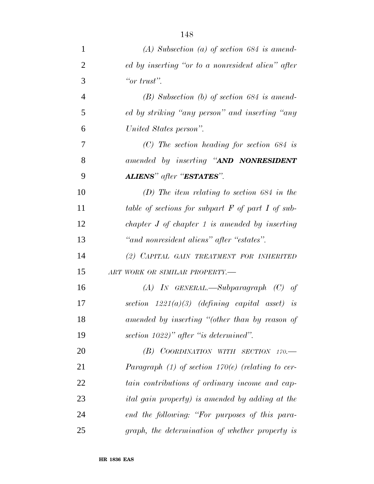| $\mathbf{1}$   | $(A)$ Subsection $(a)$ of section 684 is amend-        |
|----------------|--------------------------------------------------------|
| $\overline{2}$ | ed by inserting "or to a nonresident alien" after      |
| 3              | "or trust".                                            |
| $\overline{4}$ | $(B)$ Subsection $(b)$ of section 684 is amend-        |
| 5              | ed by striking "any person" and inserting "any         |
| 6              | United States person".                                 |
| 7              | $(C)$ The section heading for section 684 is           |
| 8              | amended by inserting "AND NONRESIDENT                  |
| 9              | <b>ALIENS</b> " after " <b>ESTATES</b> ".              |
| 10             | (D) The item relating to section 684 in the            |
| 11             | table of sections for subpart $F$ of part $I$ of sub-  |
| 12             | chapter $J$ of chapter $1$ is amended by inserting     |
| 13             | "and nonresident aliens" after "estates".              |
| 14             | (2) CAPITAL GAIN TREATMENT FOR INHERITED               |
| 15             | ART WORK OR SIMILAR PROPERTY.-                         |
| 16             | $(A)$ IN GENERAL.—Subparagraph $(C)$ of                |
| 17             | section $1221(a)(3)$ (defining capital asset) is       |
| 18             | amended by inserting "(other than by reason of         |
| 19             | section $1022$ )" after "is determined".               |
| 20             | $(B)$ COORDINATION WITH SECTION 170.—                  |
| 21             | Paragraph $(1)$ of section 170 $(e)$ (relating to cer- |
| 22             | tain contributions of ordinary income and cap-         |
| 23             | <i>ital gain property) is amended by adding at the</i> |
| 24             | end the following: "For purposes of this para-         |
| 25             | graph, the determination of whether property is        |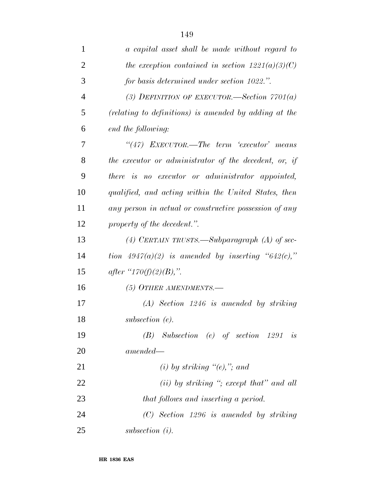| $\mathbf{1}$   | a capital asset shall be made without regard to        |
|----------------|--------------------------------------------------------|
| $\overline{2}$ | the exception contained in section $1221(a)(3)(C)$     |
| 3              | for basis determined under section 1022.".             |
| $\overline{4}$ | (3) DEFINITION OF EXECUTOR.—Section $7701(a)$          |
| 5              | (relating to definitions) is amended by adding at the  |
| 6              | end the following:                                     |
| 7              | $``(47)$ EXECUTOR.—The term 'executor' means           |
| 8              | the executor or administrator of the decedent, or, if  |
| 9              | there is no executor or administrator appointed,       |
| 10             | qualified, and acting within the United States, then   |
| 11             | any person in actual or constructive possession of any |
| 12             | property of the decedent.".                            |
| 13             | (4) CERTAIN TRUSTS.—Subparagraph (A) of sec-           |
| 14             | tion $4947(a)(2)$ is amended by inserting "642(c),"    |
| 15             | <i>after</i> " $170(f)(2)(B)$ ,".                      |
| 16             | (5) OTHER AMENDMENTS.                                  |
| 17             | $(A)$ Section 1246 is amended by striking              |
| 18             | subsection $(e)$ .                                     |
| 19             | $(B)$ Subsection (e) of section 1291 is                |
| 20             | $amended -$                                            |
| 21             | (i) by striking $\lq (e), \lq$ ; and                   |
| 22             | $(ii)$ by striking "; except that" and all             |
| 23             | that follows and inserting a period.                   |
| 24             | $(C)$ Section 1296 is amended by striking              |
| 25             | subsection $(i)$ .                                     |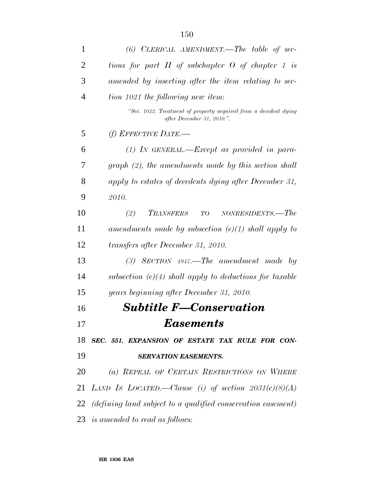| $\mathbf{1}$   | $(6)$ CLERICAL AMENDMENT.—The table of sec-                                                    |
|----------------|------------------------------------------------------------------------------------------------|
| $\overline{2}$ | tions for part $II$ of subchapter $O$ of chapter $1$ is                                        |
| 3              | amended by inserting after the item relating to sec-                                           |
| 4              | tion 1021 the following new item:                                                              |
|                | "Sec. 1022. Treatment of property acquired from a decedent dying<br>after December 31, 2010.". |
| 5              | (f) EFFECTIVE DATE.—                                                                           |
| 6              | $(1)$ IN GENERAL.—Except as provided in para-                                                  |
| 7              | $graph (2)$ , the amendments made by this section shall                                        |
| 8              | apply to estates of decedents dying after December 31,                                         |
| 9              | 2010.                                                                                          |
| 10             | (2)<br>TRANSFERS<br>NONRESIDENTS.—The<br>TO                                                    |
| 11             | amendments made by subsection $(e)(1)$ shall apply to                                          |
| 12             | transfers after December 31, 2010.                                                             |
| 13             | $(3)$ SECTION 4947.—The amendment made by                                                      |
| 14             | subsection $(e)(4)$ shall apply to deductions for taxable                                      |
| 15             | years beginning after December 31, 2010.                                                       |
| 16             | <b>Subtitle F-Conservation</b>                                                                 |
| 17             | <b>Easements</b>                                                                               |
| 18             | SEC. 551. EXPANSION OF ESTATE TAX RULE FOR CON-                                                |
| 19             | <b>SERVATION EASEMENTS.</b>                                                                    |
| 20             | (a) REPEAL OF CERTAIN RESTRICTIONS ON WHERE                                                    |
| 21             | LAND Is LOCATED.—Clause (i) of section $2031(c)(8)(A)$                                         |
| 22             | $(defining \; land \; subject \; to \; a \; qualified \; conservation \; easement)$            |
|                | 23 is amended to read as follows:                                                              |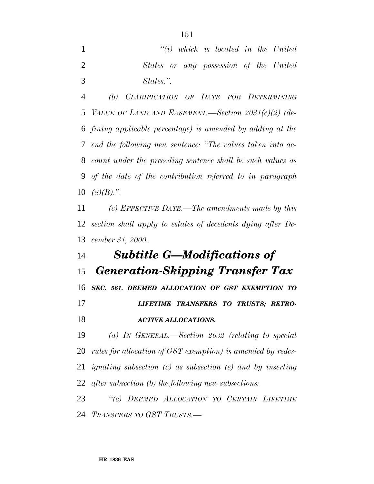*''(i) which is located in the United States or any possession of the United States,''.*

 *(b) CLARIFICATION OF DATE FOR DETERMINING VALUE OF LAND AND EASEMENT.—Section 2031(c)(2) (de- fining applicable percentage) is amended by adding at the end the following new sentence: ''The values taken into ac- count under the preceding sentence shall be such values as of the date of the contribution referred to in paragraph (8)(B).''.*

 *(c) EFFECTIVE DATE.—The amendments made by this section shall apply to estates of decedents dying after De-cember 31, 2000.*

## *Subtitle G—Modifications of Generation-Skipping Transfer Tax SEC. 561. DEEMED ALLOCATION OF GST EXEMPTION TO LIFETIME TRANSFERS TO TRUSTS; RETRO- ACTIVE ALLOCATIONS. (a) IN GENERAL.—Section 2632 (relating to special*

 *rules for allocation of GST exemption) is amended by redes- ignating subsection (c) as subsection (e) and by inserting after subsection (b) the following new subsections:*

 *''(c) DEEMED ALLOCATION TO CERTAIN LIFETIME TRANSFERS TO GST TRUSTS.—*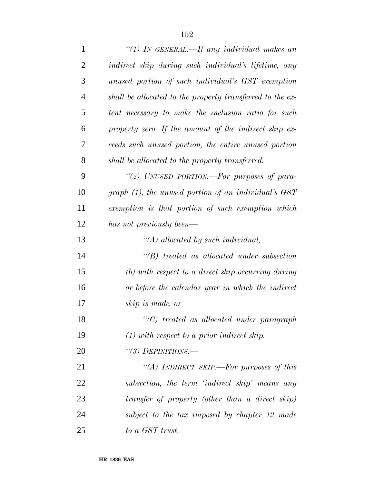| $\mathbf{1}$   | "(1) IN GENERAL.—If any individual makes an               |
|----------------|-----------------------------------------------------------|
| $\overline{2}$ | indirect skip during such individual's lifetime, any      |
| 3              | unused portion of such individual's GST exemption         |
| $\overline{4}$ | shall be allocated to the property transferred to the ex- |
| 5              | tent necessary to make the inclusion ratio for such       |
| 6              | property zero. If the amount of the indirect skip ex-     |
| 7              | ceeds such unused portion, the entire unused portion      |
| 8              | shall be allocated to the property transferred.           |
| 9              | "(2) UNUSED PORTION.—For purposes of para-                |
| 10             | graph (1), the unused portion of an individual's GST      |
| 11             | exemption is that portion of such exemption which         |
| 12             | has not previously been—                                  |
| 13             | $\lq (A)$ allocated by such individual,                   |
| 14             | $\lq\lq B$ treated as allocated under subsection          |
| 15             | $(b)$ with respect to a direct skip occurring during      |
| 16             | or before the calendar year in which the indirect         |
| 17             | skip is made, or                                          |
| 18             | $"$ (C) treated as allocated under paragraph              |
| 19             | $(1)$ with respect to a prior indirect skip.              |
| 20             | "(3) DEFINITIONS.—                                        |
| 21             | "(A) INDIRECT SKIP.—For purposes of this                  |
| 22             | subsection, the term 'indirect skip' means any            |
| 23             | transfer of property (other than a direct skip)           |
| 24             | subject to the tax imposed by chapter 12 made             |
| 25             | to a GST trust.                                           |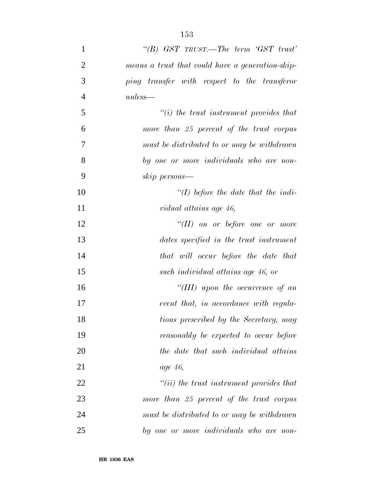| $\mathbf{1}$   | "(B) $GST$ TRUST.—The term ' $GST$ trust'         |
|----------------|---------------------------------------------------|
| $\overline{2}$ | means a trust that could have a generation-skip-  |
| 3              | ping transfer with respect to the transferor      |
| $\overline{4}$ | $unless$ —                                        |
| 5              | $\tilde{f}(i)$ the trust instrument provides that |
| 6              | more than 25 percent of the trust corpus          |
| 7              | must be distributed to or may be withdrawn        |
| 8              | by one or more individuals who are non-           |
| 9              | skip persons—                                     |
| 10             | $\lq (I)$ before the date that the indi-          |
| 11             | vidual attains age 46,                            |
| 12             | $\lq\lq (II)$ on or before one or more            |
| 13             | dates specified in the trust instrument           |
| 14             | that will occur before the date that              |
| 15             | such individual attains age 46, or                |
| 16             | "(III) upon the occurrence of an                  |
| 17             | event that, in accordance with regula-            |
| 18             | tions prescribed by the Secretary, may            |
| 19             | reasonably be expected to occur before            |
| 20             | the date that such individual attains             |
| 21             | <i>age</i> 46,                                    |
| 22             | $``(ii)$ the trust instrument provides that       |
| 23             | more than 25 percent of the trust corpus          |
| 24             | must be distributed to or may be withdrawn        |
| 25             | by one or more individuals who are non-           |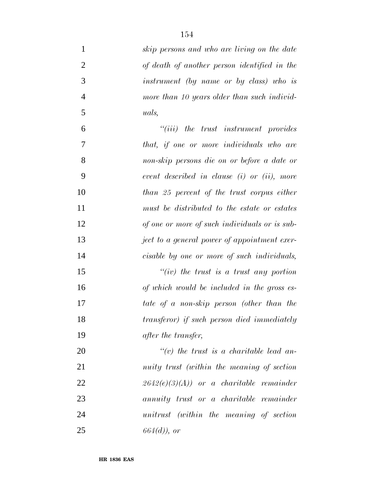| $\mathbf{1}$   | skip persons and who are living on the date      |
|----------------|--------------------------------------------------|
| $\overline{2}$ | of death of another person identified in the     |
| 3              | instrument (by name or by class) who is          |
| $\overline{4}$ | more than 10 years older than such individ-      |
| 5              | uals,                                            |
| 6              | $``(iii)$ the trust instrument provides          |
| $\overline{7}$ | that, if one or more individuals who are         |
| 8              | non-skip persons die on or before a date or      |
| 9              | event described in clause $(i)$ or $(ii)$ , more |
| 10             | than 25 percent of the trust corpus either       |
| 11             | must be distributed to the estate or estates     |
| 12             | of one or more of such individuals or is sub-    |
| 13             | ject to a general power of appointment exer-     |
| 14             | cisable by one or more of such individuals,      |
| 15             | " $(iv)$ the trust is a trust any portion        |
| 16             | of which would be included in the gross es-      |
| 17             | tate of a non-skip person (other than the        |
| 18             | transferor) if such person died immediately      |
| 19             | after the transfer,                              |
| 20             | $\lq\lq(v)$ the trust is a charitable lead an-   |
| 21             | nuity trust (within the meaning of section       |
| 22             | $2642(e)(3)(A)$ or a charitable remainder        |
| 23             | annuity trust or a charitable remainder          |
| 24             | unitrust (within the meaning of section          |
| 25             | $664(d)$ , or                                    |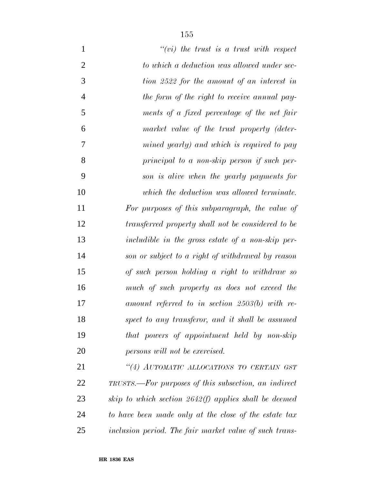| $\mathbf{1}$   | $``(vi)$ the trust is a trust with respect              |
|----------------|---------------------------------------------------------|
| $\overline{2}$ | to which a deduction was allowed under sec-             |
| 3              | tion 2522 for the amount of an interest in              |
| $\overline{4}$ | the form of the right to receive annual pay-            |
| 5              | ments of a fixed percentage of the net fair             |
| 6              | market value of the trust property (deter-              |
| 7              | mined yearly) and which is required to pay              |
| 8              | principal to a non-skip person if such per-             |
| 9              | son is alive when the yearly payments for               |
| 10             | which the deduction was allowed terminate.              |
| 11             | For purposes of this subparagraph, the value of         |
| 12             | transferred property shall not be considered to be      |
| 13             | includible in the gross estate of a non-skip per-       |
| 14             | son or subject to a right of withdrawal by reason       |
| 15             | of such person holding a right to withdraw so           |
| 16             | much of such property as does not exceed the            |
| 17             | amount referred to in section $2503(b)$ with re-        |
| 18             | spect to any transferor, and it shall be assumed        |
| 19             | that powers of appointment held by non-skip             |
| 20             | persons will not be exercised.                          |
| 21             | "(4) AUTOMATIC ALLOCATIONS TO CERTAIN GST               |
| 22             | TRUSTS.—For purposes of this subsection, an indirect    |
| 23             | skip to which section $2642(f)$ applies shall be deemed |
| 24             | to have been made only at the close of the estate tax   |
| 25             | inclusion period. The fair market value of such trans-  |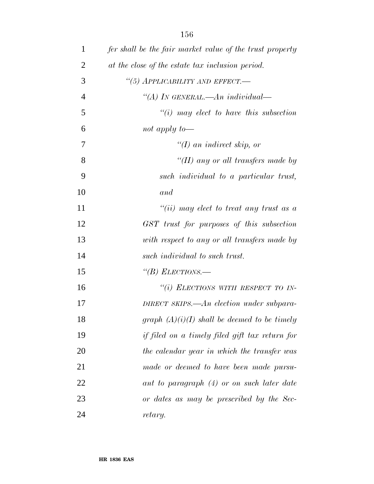| $\mathbf{1}$   | fer shall be the fair market value of the trust property |
|----------------|----------------------------------------------------------|
| $\overline{2}$ | at the close of the estate tax inclusion period.         |
| 3              | "(5) APPLICABILITY AND EFFECT.-                          |
| $\overline{4}$ | "(A) IN GENERAL.—An individual—                          |
| 5              | $\lq\lq(i)$ may elect to have this subsection            |
| 6              | not apply to $-$                                         |
| 7              | " $(I)$ an indirect skip, or                             |
| 8              | "(II) any or all transfers made by                       |
| 9              | such individual to a particular trust,                   |
| 10             | and                                                      |
| 11             | $``(ii)$ may elect to treat any trust as a               |
| 12             | GST trust for purposes of this subsection                |
| 13             | with respect to any or all transfers made by             |
| 14             | such individual to such trust.                           |
| 15             | "(B) ELECTIONS.—                                         |
| 16             | "(i) ELECTIONS WITH RESPECT TO IN-                       |
| 17             | DIRECT SKIPS.—An election under subpara-                 |
| 18             | graph $(A)(i)(I)$ shall be deemed to be timely           |
| 19             | if filed on a timely filed gift tax return for           |
| 20             | the calendar year in which the transfer was              |
| 21             | made or deemed to have been made pursu-                  |
| 22             | ant to paragraph (4) or on such later date               |
| 23             | or dates as may be prescribed by the Sec-                |
| 24             | retary.                                                  |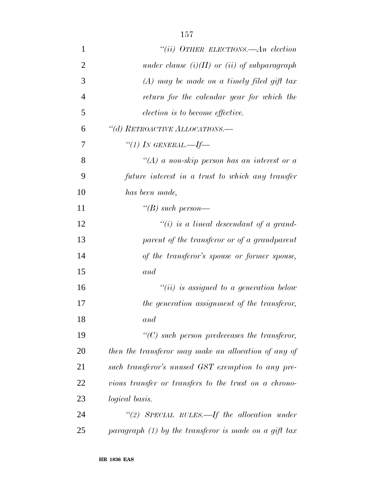| $\mathbf{1}$   | "(ii) OTHER ELECTIONS.—An election                      |
|----------------|---------------------------------------------------------|
| $\overline{2}$ | under clause $(i)(II)$ or $(ii)$ of subparagraph        |
| 3              | $(A)$ may be made on a timely filed gift tax            |
| $\overline{4}$ | return for the calendar year for which the              |
| 5              | election is to become effective.                        |
| 6              | "(d) RETROACTIVE ALLOCATIONS.-                          |
| 7              | "(1) IN GENERAL.—If—                                    |
| 8              | "(A) a non-skip person has an interest or a             |
| 9              | future interest in a trust to which any transfer        |
| 10             | has been made,                                          |
| 11             | "(B) such person—                                       |
| 12             | "(i) is a lineal descendant of a grand-                 |
| 13             | parent of the transferor or of a grandparent            |
| 14             | of the transferor's spouse or former spouse,            |
| 15             | and                                                     |
| 16             | $``(ii)$ is assigned to a generation below              |
| 17             | the generation assignment of the transferor,            |
| 18             | and                                                     |
| 19             | $\lq\lq C$ such person predeceases the transferor,      |
| 20             | then the transferor may make an allocation of any of    |
| 21             | such transferor's unused GST exemption to any pre-      |
| 22             | vious transfer or transfers to the trust on a chrono-   |
| 23             | logical basis.                                          |
| 24             | "(2) SPECIAL RULES.—If the allocation under             |
| 25             | paragraph $(1)$ by the transferor is made on a gift tax |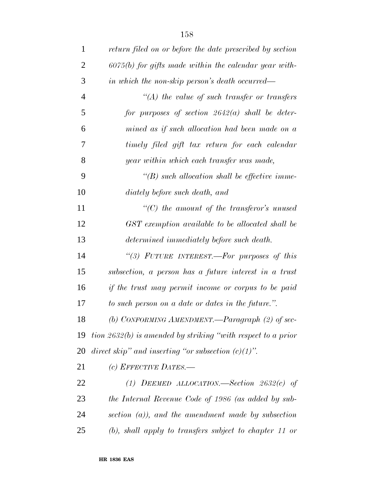| $\mathbf{1}$   | return filed on or before the date prescribed by section     |
|----------------|--------------------------------------------------------------|
| $\overline{2}$ | $6075(b)$ for gifts made within the calendar year with-      |
| 3              | in which the non-skip person's death occurred—               |
| $\overline{4}$ | $\lq (A)$ the value of such transfer or transfers            |
| 5              | for purposes of section $2642(a)$ shall be deter-            |
| 6              | mined as if such allocation had been made on a               |
| 7              | timely filed gift tax return for each calendar               |
| 8              | year within which each transfer was made,                    |
| 9              | $\lq\lq(B)$ such allocation shall be effective imme-         |
| 10             | diately before such death, and                               |
| 11             | $\lq\lq C$ the amount of the transferor's unused             |
| 12             | GST exemption available to be allocated shall be             |
| 13             | determined immediately before such death.                    |
| 14             | "(3) FUTURE INTEREST.—For purposes of this                   |
| 15             | subsection, a person has a future interest in a trust        |
| 16             | if the trust may permit income or corpus to be paid          |
| 17             | to such person on a date or dates in the future.".           |
| 18             | (b) CONFORMING AMENDMENT.—Paragraph (2) of sec-              |
| 19             | tion 2632(b) is amended by striking "with respect to a prior |
| 20             | direct skip" and inserting "or subsection $(c)(1)$ ".        |
| 21             | (c) EFFECTIVE DATES.—                                        |
| 22             | (1) DEEMED ALLOCATION.—Section $2632(c)$ of                  |
| 23             | the Internal Revenue Code of 1986 (as added by sub-          |
| 24             | section $(a)$ ), and the amendment made by subsection        |
| 25             | $(b)$ , shall apply to transfers subject to chapter 11 or    |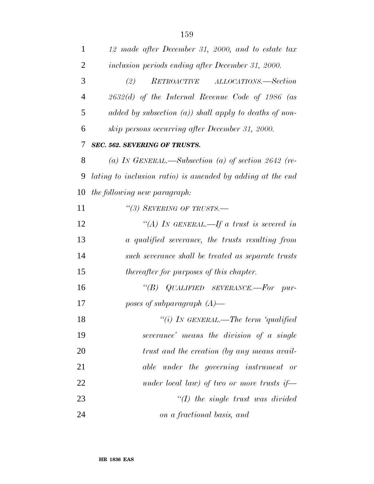| 2  | inclusion periods ending after December 31, 2000.          |
|----|------------------------------------------------------------|
| 3  | RETROACTIVE ALLOCATIONS.—Section<br>(2)                    |
| 4  | $2632(d)$ of the Internal Revenue Code of 1986 (as         |
| 5  | added by subsection $(a)$ ) shall apply to deaths of non-  |
| 6  | skip persons occurring after December 31, 2000.            |
| 7  | SEC. 562. SEVERING OF TRUSTS.                              |
| 8  | (a) IN GENERAL.—Subsection (a) of section $2642$ (re-      |
| 9  | lating to inclusion ratio) is amended by adding at the end |
| 10 | the following new paragraph:                               |
| 11 | "(3) SEVERING OF TRUSTS.—                                  |
| 12 | "(A) IN GENERAL.—If a trust is severed in                  |
| 13 | a qualified severance, the trusts resulting from           |
| 14 | such severance shall be treated as separate trusts         |
| 15 | <i>thereafter for purposes of this chapter.</i>            |
| 16 | "(B) QUALIFIED SEVERANCE.—For pur-                         |
| 17 | poses of subparagraph $(A)$ —                              |
| 18 | "(i) IN GENERAL.—The term 'qualified                       |
| 19 | severance' means the division of a single                  |
| 20 | trust and the creation (by any means avail-                |
| 21 | <i>under the governing instrument or</i><br>able           |
| 22 | under local law) of two or more trusts if                  |
| 23 | $\lq (I)$ the single trust was divided                     |
| 24 | on a fractional basis, and                                 |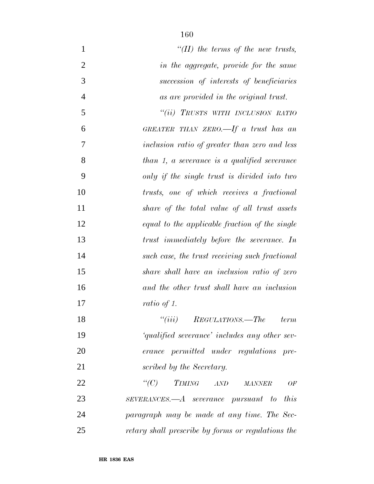| $\mathbf{1}$   | "(II) the terms of the new trusts,                                    |  |
|----------------|-----------------------------------------------------------------------|--|
| $\overline{2}$ | in the aggregate, provide for the same                                |  |
| 3              | succession of interests of beneficiaries                              |  |
| $\overline{4}$ | as are provided in the original trust.                                |  |
| 5              | "(ii) TRUSTS WITH INCLUSION RATIO                                     |  |
| 6              | GREATER THAN ZERO.—If a trust has an                                  |  |
| 7              | inclusion ratio of greater than zero and less                         |  |
| 8              | $than 1, a \, \,severage \, \, is \, a \, \, qualified \, \,severage$ |  |
| 9              | only if the single trust is divided into two                          |  |
| 10             | trusts, one of which receives a fractional                            |  |
| 11             | share of the total value of all trust assets                          |  |
| 12             | equal to the applicable fraction of the single                        |  |
| 13             | trust immediately before the severance. In                            |  |
| 14             | such case, the trust receiving such fractional                        |  |
| 15             | share shall have an inclusion ratio of zero                           |  |
| 16             | and the other trust shall have an inclusion                           |  |
| 17             | ratio of 1.                                                           |  |
| 18             | $``(iii)$ REGULATIONS.—The<br>term                                    |  |
| 19             | 'qualified severance' includes any other sev-                         |  |
| 20             | erance permitted under regulations pre-                               |  |
| 21             | scribed by the Secretary.                                             |  |
| 22             | $\lq\lq C$<br>TIMING AND MANNER<br>OF                                 |  |
| 23             | $SEVERANCES. - A$ severance pursuant to this                          |  |
| 24             | paragraph may be made at any time. The Sec-                           |  |
| 25             | retary shall prescribe by forms or regulations the                    |  |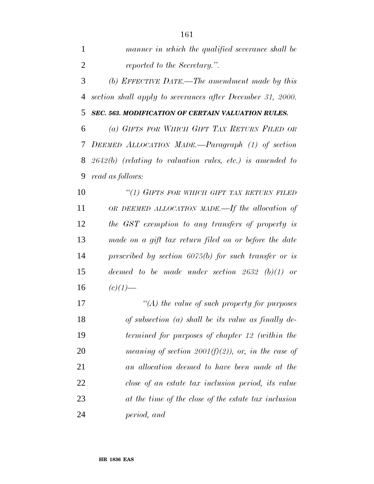| manner in which the qualified severance shall be |
|--------------------------------------------------|
| reported to the Secretary.".                     |

 *(b) EFFECTIVE DATE.—The amendment made by this section shall apply to severances after December 31, 2000.*

*SEC. 563. MODIFICATION OF CERTAIN VALUATION RULES.*

 *(a) GIFTS FOR WHICH GIFT TAX RETURN FILED OR DEEMED ALLOCATION MADE.—Paragraph (1) of section 2642(b) (relating to valuation rules, etc.) is amended to read as follows:*

 *''(1) GIFTS FOR WHICH GIFT TAX RETURN FILED OR DEEMED ALLOCATION MADE.—If the allocation of the GST exemption to any transfers of property is made on a gift tax return filed on or before the date prescribed by section 6075(b) for such transfer or is deemed to be made under section 2632 (b)(1) or* 16  $(c)(1)$ —

 *''(A) the value of such property for purposes of subsection (a) shall be its value as finally de- termined for purposes of chapter 12 (within the meaning of section 2001(f)(2)), or, in the case of an allocation deemed to have been made at the close of an estate tax inclusion period, its value at the time of the close of the estate tax inclusion period, and*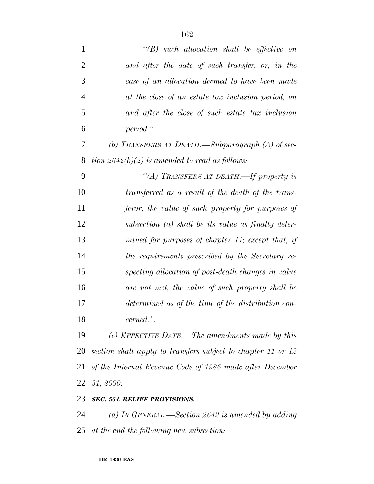| $\mathbf{1}$   | $\lq\lq B$ such allocation shall be effective on             |
|----------------|--------------------------------------------------------------|
| $\overline{2}$ | and after the date of such transfer, or, in the              |
| 3              | case of an allocation deemed to have been made               |
| $\overline{4}$ | at the close of an estate tax inclusion period, on           |
| 5              | and after the close of such estate tax inclusion             |
| 6              | period.".                                                    |
| 7              | (b) TRANSFERS AT DEATH.—Subparagraph $(A)$ of sec-           |
| 8              | tion $2642(b)(2)$ is amended to read as follows:             |
| 9              | "(A) TRANSFERS AT DEATH.-If property is                      |
| 10             | transferred as a result of the death of the trans-           |
| 11             | feror, the value of such property for purposes of            |
| 12             | subsection $(a)$ shall be its value as finally deter-        |
| 13             | mined for purposes of chapter 11; except that, if            |
| 14             | the requirements prescribed by the Secretary re-             |
| 15             | specting allocation of post-death changes in value           |
| 16             | are not met, the value of such property shall be             |
| 17             | determined as of the time of the distribution con-           |
| 18             | cerned.".                                                    |
| 19             | (c) EFFECTIVE DATE.—The amendments made by this              |
| 20             | section shall apply to transfers subject to chapter 11 or 12 |
| 21             | of the Internal Revenue Code of 1986 made after December     |
| 22             | 31, 2000.                                                    |
| 23             | <b>SEC. 564. RELIEF PROVISIONS.</b>                          |

 *(a) IN GENERAL.—Section 2642 is amended by adding at the end the following new subsection:*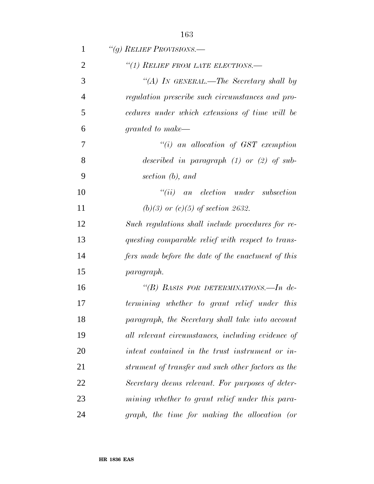| 1              | "(g) RELIEF PROVISIONS.—                           |
|----------------|----------------------------------------------------|
| $\overline{2}$ | "(1) RELIEF FROM LATE ELECTIONS.-                  |
| 3              | "(A) IN GENERAL.—The Secretary shall by            |
| $\overline{4}$ | regulation prescribe such circumstances and pro-   |
| 5              | cedures under which extensions of time will be     |
| 6              | granted to make—                                   |
| 7              | $``(i)$ an allocation of GST exemption             |
| 8              | described in paragraph $(1)$ or $(2)$ of sub-      |
| 9              | section (b), and                                   |
| 10             | $``(ii)$ an election under subsection              |
| 11             | (b)(3) or $(c)(5)$ of section 2632.                |
| 12             | Such regulations shall include procedures for re-  |
| 13             | questing comparable relief with respect to trans-  |
| 14             | fers made before the date of the enactment of this |
| 15             | paragraph.                                         |
| 16             | "(B) BASIS FOR DETERMINATIONS.—In de-              |
| 17             | termining whether to grant relief under this       |
| 18             | paragraph, the Secretary shall take into account   |
| 19             | all relevant circumstances, including evidence of  |
| <b>20</b>      | intent contained in the trust instrument or in-    |
| 21             | strument of transfer and such other factors as the |
| 22             | Secretary deems relevant. For purposes of deter-   |
| 23             | mining whether to grant relief under this para-    |
| 24             | graph, the time for making the allocation (or      |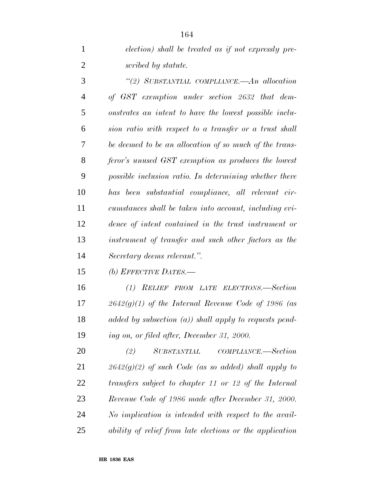| election) shall be treated as if not expressly pre- |
|-----------------------------------------------------|
| scribed by statute.                                 |

 *''(2) SUBSTANTIAL COMPLIANCE.—An allocation of GST exemption under section 2632 that dem- onstrates an intent to have the lowest possible inclu- sion ratio with respect to a transfer or a trust shall be deemed to be an allocation of so much of the trans- feror's unused GST exemption as produces the lowest possible inclusion ratio. In determining whether there has been substantial compliance, all relevant cir- cumstances shall be taken into account, including evi- dence of intent contained in the trust instrument or instrument of transfer and such other factors as the Secretary deems relevant.''.*

*(b) EFFECTIVE DATES.—*

 *(1) RELIEF FROM LATE ELECTIONS.—Section 2642(g)(1) of the Internal Revenue Code of 1986 (as added by subsection (a)) shall apply to requests pend-ing on, or filed after, December 31, 2000.*

 *(2) SUBSTANTIAL COMPLIANCE.—Section 2642(g)(2) of such Code (as so added) shall apply to transfers subject to chapter 11 or 12 of the Internal Revenue Code of 1986 made after December 31, 2000. No implication is intended with respect to the avail-ability of relief from late elections or the application*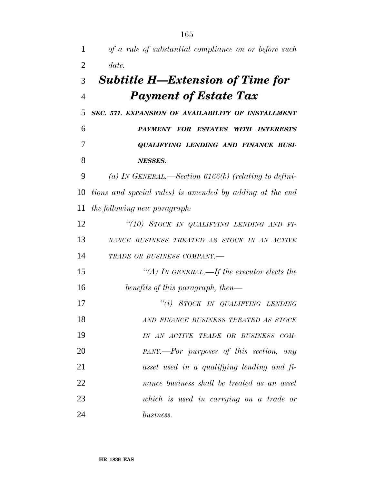| 1              | of a rule of substantial compliance on or before such    |
|----------------|----------------------------------------------------------|
| $\overline{2}$ | date.                                                    |
| 3              | <b>Subtitle H—Extension of Time for</b>                  |
| $\overline{4}$ | <b>Payment of Estate Tax</b>                             |
| 5              | SEC. 571. EXPANSION OF AVAILABILITY OF INSTALLMENT       |
| 6              | PAYMENT FOR ESTATES WITH INTERESTS                       |
| 7              | QUALIFYING LENDING AND FINANCE BUSI-                     |
| 8              | NESSES.                                                  |
| 9              | (a) IN GENERAL.—Section 6166(b) (relating to defini-     |
| 10             | tions and special rules) is amended by adding at the end |
| 11             | the following new paragraph:                             |
| 12             | "(10) STOCK IN QUALIFYING LENDING AND FI-                |
| 13             | NANCE BUSINESS TREATED AS STOCK IN AN ACTIVE             |
| 14             | TRADE OR BUSINESS COMPANY.-                              |
| 15             | "(A) IN GENERAL.—If the executor elects the              |
| 16             | benefits of this paragraph, then—                        |
| 17             | "(i) STOCK IN QUALIFYING LENDING                         |
| 18             | AND FINANCE BUSINESS TREATED AS STOCK                    |
| 19             | IN AN ACTIVE TRADE OR BUSINESS COM-                      |
| 20             | PANY.—For purposes of this section, any                  |
| 21             | asset used in a qualifying lending and fi-               |
| 22             | nance business shall be treated as an asset              |
| 23             | which is used in carrying on a trade or                  |
| 24             | business.                                                |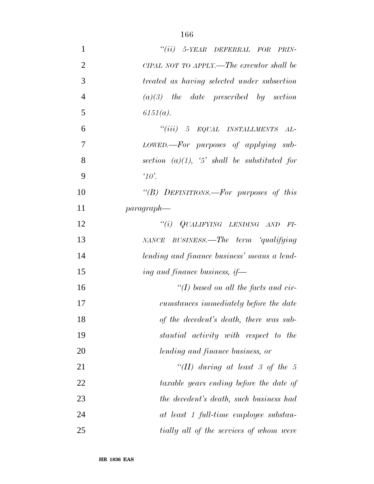| $\mathbf{1}$   | "(ii) 5-YEAR DEFERRAL FOR PRIN-                 |  |  |  |
|----------------|-------------------------------------------------|--|--|--|
| $\overline{2}$ | CIPAL NOT TO APPLY.—The executor shall be       |  |  |  |
| 3              | treated as having selected under subsection     |  |  |  |
| $\overline{4}$ | $(a)(3)$ the date prescribed by section         |  |  |  |
| 5              | $6151(a)$ .                                     |  |  |  |
| 6              | "(iii) 5 EQUAL INSTALLMENTS AL-                 |  |  |  |
| 7              | LOWED.—For purposes of applying sub-            |  |  |  |
| 8              | section $(a)(1)$ , '5' shall be substituted for |  |  |  |
| 9              | $\alpha$                                        |  |  |  |
| 10             | "(B) DEFINITIONS.—For purposes of this          |  |  |  |
| 11             | $paragnah$ —                                    |  |  |  |
| 12             | "(i) $QUALIFYING$ LENDING AND FI-               |  |  |  |
| 13             | NANCE BUSINESS.—The term 'qualifying            |  |  |  |
| 14             | lending and finance business' means a lend-     |  |  |  |
| 15             | ing and finance business, if—                   |  |  |  |
| 16             | "(I) based on all the facts and cir-            |  |  |  |
| 17             | cumstances immediately before the date          |  |  |  |
| 18             | of the decedent's death, there was sub-         |  |  |  |
| 19             | stantial activity with respect to the           |  |  |  |
| 20             | lending and finance business, or                |  |  |  |
| 21             | "(II) during at least 3 of the 5                |  |  |  |
| 22             | taxable years ending before the date of         |  |  |  |
| 23             | the decedent's death, such business had         |  |  |  |
| 24             | at least 1 full-time employee substan-          |  |  |  |
| 25             | tially all of the services of whom were         |  |  |  |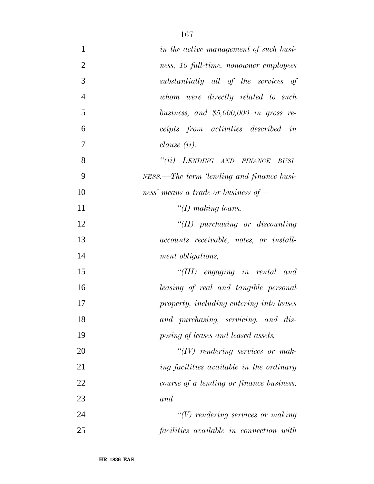| $\mathbf{1}$   | in the active management of such busi-         |  |  |  |
|----------------|------------------------------------------------|--|--|--|
| $\overline{2}$ | ness, 10 full-time, nonowner employees         |  |  |  |
| 3              | substantially all of the services of           |  |  |  |
| $\overline{4}$ | whom were directly related to such             |  |  |  |
| 5              | business, and $$5,000,000$ in gross re-        |  |  |  |
| 6              | ceipts from activities described in            |  |  |  |
| $\overline{7}$ | $clause$ (ii).                                 |  |  |  |
| 8              | "(ii) LENDING AND FINANCE<br>BUSI-             |  |  |  |
| 9              | NESS.—The term 'lending and finance busi-      |  |  |  |
| 10             | ness' means a trade or business of-            |  |  |  |
| 11             | "(I) making loans,                             |  |  |  |
| 12             | $``(II)$ purchasing or discounting             |  |  |  |
| 13             | <i>accounts receivable, notes, or install-</i> |  |  |  |
| 14             | ment obligations,                              |  |  |  |
| 15             | "(III) engaging in rental and                  |  |  |  |
| 16             | leasing of real and tangible personal          |  |  |  |
| 17             | property, including entering into leases       |  |  |  |
| 18             | and purchasing, servicing, and dis-            |  |  |  |
| 19             | posing of leases and leased assets,            |  |  |  |
| 20             | $``(IV)$ rendering services or mak-            |  |  |  |
| 21             | ing facilities available in the ordinary       |  |  |  |
| 22             | course of a lending or finance business,       |  |  |  |
| 23             | and                                            |  |  |  |
| 24             | $"(V)$ rendering services or making            |  |  |  |
| 25             | facilities available in connection with        |  |  |  |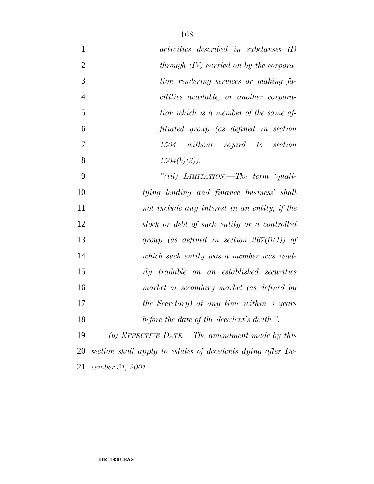| $\mathbf{1}$   | <i>activities</i> described in subclauses (I) |
|----------------|-----------------------------------------------|
| $\overline{2}$ | through $(IV)$ carried on by the corpora-     |
| 3              | tion rendering services or making fa-         |
| $\overline{4}$ | cilities available, or another corpora-       |
| 5              | tion which is a member of the same af-        |
| 6              | filiated group (as defined in section         |
| $\overline{7}$ | without regard to section<br>1504             |
| 8              | $1504(b)(3)$ ).                               |
| 9              | "(iii) $L$ <i>IMITATION.—The term 'quali-</i> |
| 10             | fying lending and finance business' shall     |
| 11             | not include any interest in an entity, if the |
| 12             | stock or debt of such entity or a controlled  |
| 13             | group (as defined in section $267(f)(1)$ ) of |
| 14             | which such entity was a member was read-      |
| 15             | ily tradable on an established securities     |
| 16             | market or secondary market (as defined by     |
| 17             | the Secretary) at any time within 3 years     |
| 18             | before the date of the decedent's death.".    |
|                |                                               |

 *(b) EFFECTIVE DATE.—The amendment made by this section shall apply to estates of decedents dying after De-cember 31, 2001.*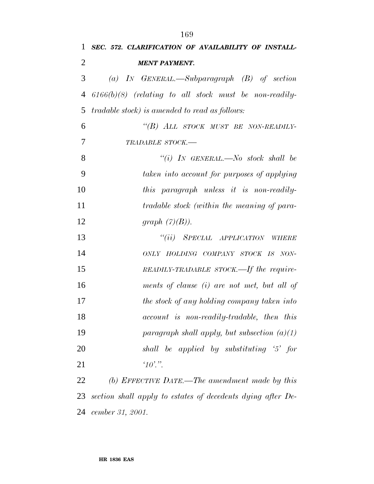| 1              | SEC. 572. CLARIFICATION OF AVAILABILITY OF INSTALL-         |
|----------------|-------------------------------------------------------------|
| $\overline{2}$ | <b>MENT PAYMENT.</b>                                        |
| 3              | (a) IN GENERAL.—Subparagraph $(B)$ of section               |
| $\overline{4}$ | $6166(b)(8)$ (relating to all stock must be non-readily-    |
| 5              | <i>tradable stock)</i> is amended to read as follows:       |
| 6              | "(B) ALL STOCK MUST BE NON-READILY-                         |
| $\overline{7}$ | TRADABLE STOCK.-                                            |
| 8              | "(i) IN GENERAL.—No stock shall be                          |
| 9              | taken into account for purposes of applying                 |
| 10             | this paragraph unless it is non-readily-                    |
| 11             | tradable stock (within the meaning of para-                 |
| 12             | graph $(7)(B)$ ).                                           |
| 13             | "(ii) SPECIAL APPLICATION WHERE                             |
| 14             | ONLY HOLDING COMPANY STOCK IS NON-                          |
| 15             | READILY-TRADABLE STOCK.—If the require-                     |
| 16             | ments of clause (i) are not met, but all of                 |
| 17             | the stock of any holding company taken into                 |
| 18             | account is non-readily-tradable, then this                  |
| 19             | paragraph shall apply, but subsection $(a)(1)$              |
| 20             | shall be applied by substituting '5' for                    |
| 21             | $10$ .".                                                    |
| 22             | (b) EFFECTIVE DATE.—The amendment made by this              |
| 23             | section shall apply to estates of decedents dying after De- |
| 24             | cember 31, 2001.                                            |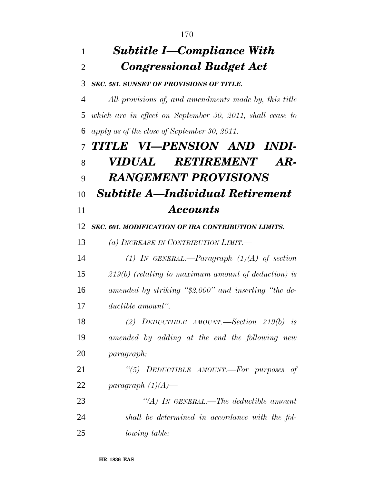## *Subtitle I—Compliance With Congressional Budget Act SEC. 581. SUNSET OF PROVISIONS OF TITLE. All provisions of, and amendments made by, this title which are in effect on September 30, 2011, shall cease to apply as of the close of September 30, 2011. TITLE VI—PENSION AND INDI- VIDUAL RETIREMENT AR- RANGEMENT PROVISIONS Subtitle A—Individual Retirement Accounts SEC. 601. MODIFICATION OF IRA CONTRIBUTION LIMITS. (a) INCREASE IN CONTRIBUTION LIMIT.— (1) IN GENERAL.—Paragraph (1)(A) of section 219(b) (relating to maximum amount of deduction) is amended by striking ''\$2,000'' and inserting ''the de- ductible amount''. (2) DEDUCTIBLE AMOUNT.—Section 219(b) is amended by adding at the end the following new paragraph: ''(5) DEDUCTIBLE AMOUNT.—For purposes of paragraph (1)(A)— ''(A) IN GENERAL.—The deductible amount shall be determined in accordance with the fol-lowing table:*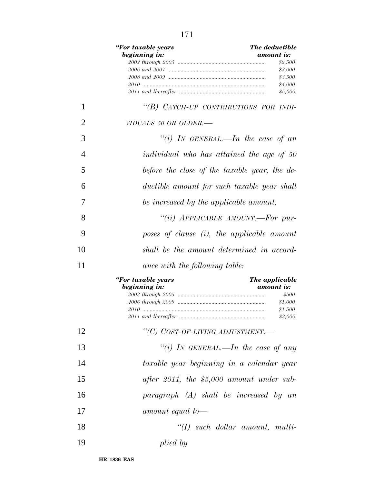|                                                 | "For taxable years<br>beginning in:           | <b>The deductible</b><br>amount is:<br>\$2,500<br>\$3,000<br>\$3,500 |
|-------------------------------------------------|-----------------------------------------------|----------------------------------------------------------------------|
|                                                 |                                               | \$4,000<br>\$5,000.                                                  |
| 1                                               | "(B) CATCH-UP CONTRIBUTIONS FOR INDI-         |                                                                      |
| $\overline{2}$                                  | VIDUALS 50 OR OLDER.-                         |                                                                      |
| 3                                               | "(i) IN GENERAL.—In the case of an            |                                                                      |
| 4                                               | individual who has attained the age of 50     |                                                                      |
| 5                                               | before the close of the taxable year, the de- |                                                                      |
| 6                                               | ductible amount for such taxable year shall   |                                                                      |
| 7                                               | be increased by the applicable amount.        |                                                                      |
| 8                                               | "(ii) APPLICABLE AMOUNT.—For pur-             |                                                                      |
| 9                                               | poses of clause $(i)$ , the applicable amount |                                                                      |
| shall be the amount determined in accord-<br>10 |                                               |                                                                      |
| 11                                              | ance with the following table:                |                                                                      |
|                                                 | "For taxable years<br>beginning in:           | The applicable<br>amount is:<br>\$500<br>\$1,000<br>\$1,500          |
| 12                                              | "(C) COST-OF-LIVING ADJUSTMENT.-              |                                                                      |
| 13                                              | "(i) IN GENERAL.—In the case of any           |                                                                      |
| 14                                              | taxable year beginning in a calendar year     |                                                                      |
| 15                                              | after 2011, the $$5,000$ amount under sub-    |                                                                      |
| 16                                              | $paragnph$ $(A)$ shall be increased by an     |                                                                      |
| 17                                              | amount equal to-                              |                                                                      |
| 18                                              |                                               | $\lq (I)$ such dollar amount, multi-                                 |
| 19                                              | plied by                                      |                                                                      |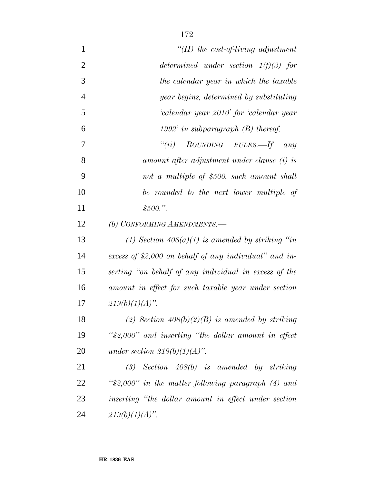| "(II) the cost-of-living adjustment                     |  |  |
|---------------------------------------------------------|--|--|
| determined under section $1(f)(3)$ for                  |  |  |
| the calendar year in which the taxable                  |  |  |
| year begins, determined by substituting                 |  |  |
| 'calendar year 2010' for 'calendar year                 |  |  |
| 1992' in subparagraph $(B)$ thereof.                    |  |  |
| ``(ii)<br>ROUNDING RULES.—If any                        |  |  |
| amount after adjustment under clause (i) is             |  |  |
| not a multiple of \$500, such amount shall              |  |  |
| be rounded to the next lower multiple of                |  |  |
| \$500."                                                 |  |  |
| (b) CONFORMING AMENDMENTS.-                             |  |  |
| (1) Section $408(a)(1)$ is amended by striking "in      |  |  |
| excess of \$2,000 on behalf of any individual" and in-  |  |  |
| serting "on behalf of any individual in excess of the   |  |  |
| amount in effect for such taxable year under section    |  |  |
| $219(b)(1)(A)$ ".                                       |  |  |
| (2) Section $408(b)(2)(B)$ is amended by striking       |  |  |
| " $$2,000"$ and inserting "the dollar amount in effect" |  |  |
| under section $219(b)(1)(A)$ ".                         |  |  |
| $(3)$ Section 408(b) is amended by striking             |  |  |
| " $2,000"$ in the matter following paragraph (4) and    |  |  |
| inserting "the dollar amount in effect under section    |  |  |
| $219(b)(1)(A)$ ".                                       |  |  |
|                                                         |  |  |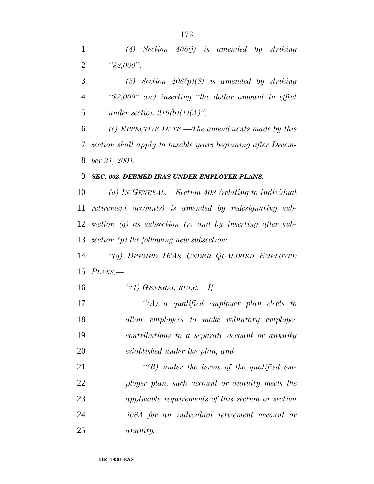*(4) Section 408(j) is amended by striking ''\$2,000''.*

 *(5) Section 408(p)(8) is amended by striking ''\$2,000'' and inserting ''the dollar amount in effect under section 219(b)(1)(A)''.*

 *(c) EFFECTIVE DATE.—The amendments made by this section shall apply to taxable years beginning after Decem-ber 31, 2001.*

## *SEC. 602. DEEMED IRAS UNDER EMPLOYER PLANS.*

 *(a) IN GENERAL.—Section 408 (relating to individual retirement accounts) is amended by redesignating sub- section (q) as subsection (r) and by inserting after sub-section (p) the following new subsection:*

 *''(q) DEEMED IRAS UNDER QUALIFIED EMPLOYER PLANS.—*

*''(1) GENERAL RULE.—If—*

 *''(A) a qualified employer plan elects to allow employees to make voluntary employee contributions to a separate account or annuity established under the plan, and*

 *''(B) under the terms of the qualified em- ployer plan, such account or annuity meets the applicable requirements of this section or section 408A for an individual retirement account or annuity,*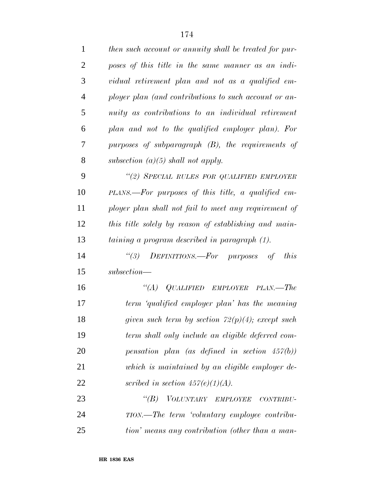| $\mathbf{1}$   | then such account or annuity shall be treated for pur- |
|----------------|--------------------------------------------------------|
| $\overline{2}$ | poses of this title in the same manner as an indi-     |
| 3              | vidual retirement plan and not as a qualified em-      |
| $\overline{4}$ | ployer plan (and contributions to such account or an-  |
| 5              | nuity as contributions to an individual retirement     |
| 6              | plan and not to the qualified employer plan). For      |
| 7              | purposes of subparagraph $(B)$ , the requirements of   |
| 8              | subsection $(a)(5)$ shall not apply.                   |
| 9              | "(2) SPECIAL RULES FOR QUALIFIED EMPLOYER              |
| 10             | PLANS.—For purposes of this title, a qualified em-     |
| 11             | ployer plan shall not fail to meet any requirement of  |
| 12             | this title solely by reason of establishing and main-  |
| 13             | taining a program described in paragraph (1).          |
| 14             | "(3) DEFINITIONS.—For purposes of<br><i>this</i>       |
| 15             | $subsection$ —                                         |
| 16             | $\lq (A)$<br>QUALIFIED EMPLOYER PLAN.—The              |
| 17             | term 'qualified employer plan' has the meaning         |
| 18             | given such term by section $72(p)(4)$ ; except such    |
| 19             | term shall only include an eligible deferred com-      |
| 20             | pensation plan (as defined in section $457(b)$ )       |
| 21             | which is maintained by an eligible employer de-        |
| 22             | scribed in section $457(e)(1)(A)$ .                    |
| 23             | "(B) VOLUNTARY EMPLOYEE<br>$CONTRIBU-$                 |
| 24             | TION.—The term 'voluntary employee contribu-           |
| 25             | tion' means any contribution (other than a man-        |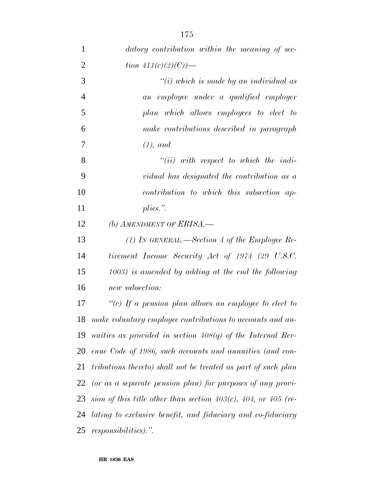| $\mathbf{1}$   | datory contribution within the meaning of sec-                 |
|----------------|----------------------------------------------------------------|
| $\overline{2}$ | tion $411(c)(2)(C)$ —                                          |
| 3              | $\tilde{f}(i)$ which is made by an individual as               |
| $\overline{4}$ | an employee under a qualified employer                         |
| 5              | plan which allows employees to elect to                        |
| 6              | make contributions described in paragraph                      |
| 7              | $(1),$ and                                                     |
| 8              | $``(ii)$ with respect to which the indi-                       |
| 9              | vidual has designated the contribution as a                    |
| 10             | contribution to which this subsection ap-                      |
| 11             | $plies.$ ".                                                    |
| 12             | (b) AMENDMENT OF ERISA.—                                       |
| 13             | (1) IN GENERAL.—Section 4 of the Employee Re-                  |
| 14             | tirement Income Security Act of 1974 (29 U.S.C.                |
| 15             | $(1003)$ is amended by adding at the end the following         |
| 16             | new subsection:                                                |
| 17             | "(c) If a pension plan allows an employee to elect to          |
| 18             | make voluntary employee contributions to accounts and an-      |
| 19             | nuities as provided in section $408(q)$ of the Internal Rev-   |
| 20             | enue Code of 1986, such accounts and annuities (and con-       |
| 21             | tributions thereto) shall not be treated as part of such plan  |
|                | 22 (or as a separate pension plan) for purposes of any provi-  |
| 23             | sion of this title other than section 403(c), 404, or 405 (re- |
| 24             | lating to exclusive benefit, and fiduciary and co-fiduciary    |
| 25             | <i>responsibilities</i> ).".                                   |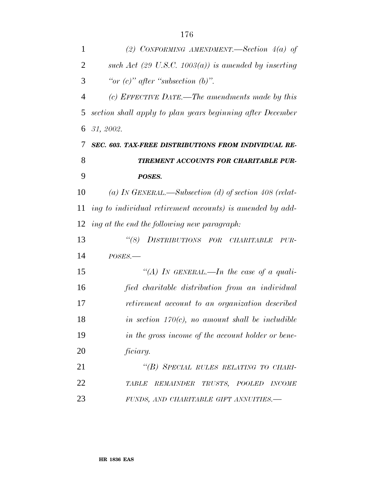| 1              | (2) CONFORMING AMENDMENT.—Section $4(a)$ of                  |
|----------------|--------------------------------------------------------------|
| $\overline{2}$ | such Act (29 U.S.C. 1003(a)) is amended by inserting         |
| 3              | "or $(c)$ " after "subsection $(b)$ ".                       |
| $\overline{4}$ | (c) EFFECTIVE DATE.—The amendments made by this              |
| 5              | section shall apply to plan years beginning after December   |
| 6              | 31, 2002.                                                    |
| 7              | SEC. 603. TAX-FREE DISTRIBUTIONS FROM INDIVIDUAL RE-         |
| 8              | TIREMENT ACCOUNTS FOR CHARITABLE PUR-                        |
| 9              | POSES.                                                       |
| 10             | (a) IN GENERAL.—Subsection (d) of section 408 (relat-        |
| 11             | ing to individual retirement accounts) is amended by add-    |
| 12             | ing at the end the following new paragraph:                  |
| 13             | $\lq(8)$<br>DISTRIBUTIONS FOR<br>CHARITABLE<br>PUR-          |
| 14             | $POSES$ .                                                    |
| 15             | "(A) IN GENERAL.—In the case of a quali-                     |
| 16             | fied charitable distribution from an individual              |
| 17             | retirement account to an organization described              |
| 18             | in section $170(c)$ , no amount shall be includible          |
| 19             | in the gross income of the account holder or bene-           |
| 20             | ficiary.                                                     |
| 21             | "(B) SPECIAL RULES RELATING TO CHARI-                        |
| 22             | TRUSTS, POOLED<br><b>TABLE</b><br><b>REMAINDER</b><br>INCOME |
| 23             | FUNDS, AND CHARITABLE GIFT ANNUITIES.-                       |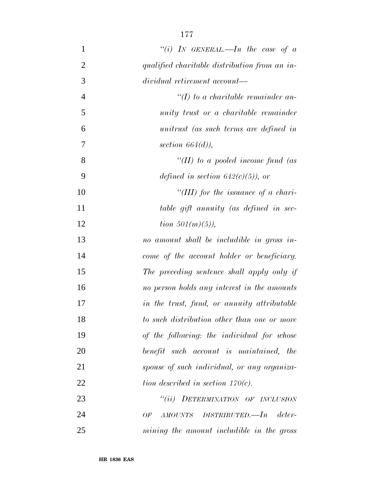| $\mathbf{1}$   | "(i) IN GENERAL.—In the case of $a$           |
|----------------|-----------------------------------------------|
| $\overline{2}$ | qualified charitable distribution from an in- |
| 3              | dividual retirement account—                  |
| $\overline{4}$ | $\lq (I)$ to a charitable remainder an-       |
| 5              | nuity trust or a charitable remainder         |
| 6              | unitrust (as such terms are defined in        |
| 7              | section $664(d)$ ,                            |
| 8              | "(II) to a pooled income fund (as             |
| 9              | defined in section $642(c)(5)$ , or           |
| 10             | "(III) for the issuance of a chari-           |
| 11             | table gift annuity (as defined in sec-        |
| 12             | <i>tion</i> $501(m)(5)$ ,                     |
| 13             | no amount shall be includible in gross in-    |
| 14             | come of the account holder or beneficiary.    |
| 15             | The preceding sentence shall apply only if    |
| 16             | no person holds any interest in the amounts   |
| 17             | in the trust, fund, or annuity attributable   |
| 18             | to such distribution other than one or more   |
| 19             | of the following: the individual for whose    |
| 20             | benefit such account is maintained, the       |
| 21             | spouse of such individual, or any organiza-   |
| 22             | tion described in section $170(c)$ .          |
| 23             | "(ii) DETERMINATION OF INCLUSION              |
| 24             | $AMOUNTS$ DISTRIBUTED.—In deter-<br>OF        |
| 25             | mining the amount includible in the gross     |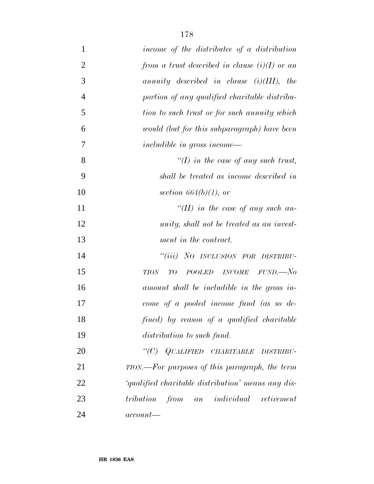| $\mathbf{1}$   | income of the distributee of a distribution        |
|----------------|----------------------------------------------------|
| $\overline{2}$ | from a trust described in clause $(i)(I)$ or an    |
| 3              | annuity described in clause $(i)(III)$ , the       |
| $\overline{4}$ | portion of any qualified charitable distribu-      |
| 5              | tion to such trust or for such annuity which       |
| 6              | would (but for this subparagraph) have been        |
| 7              | includible in gross income—                        |
| 8              | "(I) in the case of any such trust,                |
| 9              | shall be treated as income described in            |
| 10             | section $664(b)(1)$ , or                           |
| 11             | "(II) in the case of any such an-                  |
| 12             | nuity, shall not be treated as an invest-          |
| 13             | ment in the contract.                              |
| 14             | "(iii) NO INCLUSION FOR DISTRIBU-                  |
| 15             | POOLED INCOME FUND.—No<br>TO<br><b>TION</b>        |
| 16             | amount shall be includible in the gross in-        |
| 17             | come of a pooled income fund (as so de-            |
| 18             | fined) by reason of a qualified charitable         |
| 19             | distribution to such fund.                         |
| 20             | "(C) QUALIFIED CHARITABLE DISTRIBU-                |
| 21             | TION.—For purposes of this paragraph, the term     |
| 22             | 'qualified charitable distribution' means any dis- |
| 23             | tribution from an individual retirement            |
| 24             | $account$ —                                        |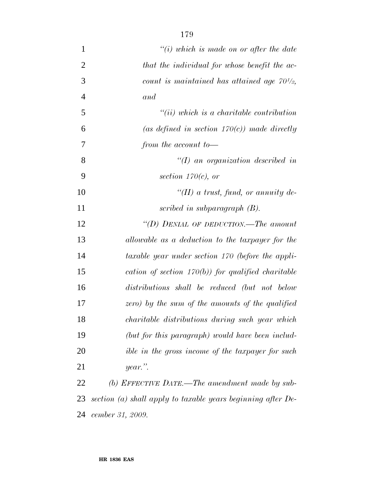| $\mathbf{1}$   | $``(i)$ which is made on or after the date                   |
|----------------|--------------------------------------------------------------|
| $\overline{2}$ | that the individual for whose benefit the ac-                |
| 3              | count is maintained has attained age $70^{1/2}$ ,            |
| $\overline{4}$ | and                                                          |
| 5              | $``(ii) which is a characteristic contribution$              |
| 6              | (as defined in section $170(c)$ ) made directly              |
| 7              | from the account to-                                         |
| 8              | $\lq (I)$ an organization described in                       |
| 9              | section $170(c)$ , or                                        |
| 10             | $\lq (II)$ a trust, fund, or annuity de-                     |
| 11             | scribed in subparagraph $(B)$ .                              |
| 12             | "(D) DENIAL OF DEDUCTION.—The amount                         |
| 13             | allowable as a deduction to the taxpayer for the             |
| 14             | taxable year under section 170 (before the appli-            |
| 15             | cation of section $170(b)$ for qualified charitable          |
| 16             | distributions shall be reduced (but not below                |
| 17             | zero) by the sum of the amounts of the qualified             |
| 18             | charitable distributions during such year which              |
| 19             | (but for this paragraph) would have been includ-             |
| 20             | <i>ible in the gross income of the taxpayer for such</i>     |
| 21             | $year$ ."                                                    |
| 22             | (b) EFFECTIVE DATE.—The amendment made by sub-               |
| 23             | section (a) shall apply to taxable years beginning after De- |
| 24             | cember 31, 2009.                                             |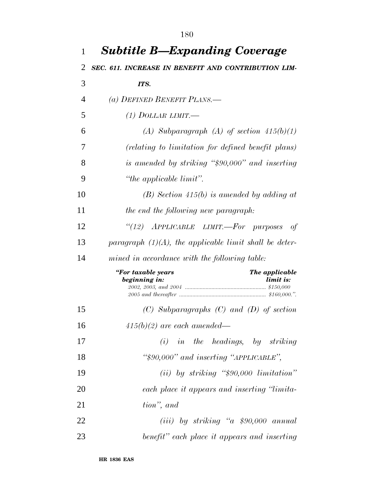| $\mathbf{1}$   | <b>Subtitle B—Expanding Coverage</b>                               |
|----------------|--------------------------------------------------------------------|
| 2              | SEC. 611. INCREASE IN BENEFIT AND CONTRIBUTION LIM-                |
| 3              | ITS.                                                               |
| $\overline{4}$ | (a) DEFINED BENEFIT PLANS.—                                        |
| 5              | (1) DOLLAR LIMIT.—                                                 |
| 6              | (A) Subparagraph (A) of section $415(b)(1)$                        |
| 7              | (relating to limitation for defined benefit plans)                 |
| 8              | is amended by striking "\$90,000" and inserting                    |
| 9              | "the applicable limit".                                            |
| 10             | $(B)$ Section 415(b) is amended by adding at                       |
| 11             | the end the following new paragraph:                               |
| 12             | "(12) APPLICABLE LIMIT.-For purposes<br>-of                        |
| 13             | paragraph $(1)(A)$ , the applicable limit shall be deter-          |
| 14             | mined in accordance with the following table:                      |
|                | "For taxable years<br>The applicable<br>beginning in:<br>limit is: |
| 15             | $(C)$ Subparagraphs $(C)$ and $(D)$ of section                     |
| 16             | $415(b)(2)$ are each amended—                                      |
| 17             | $(i)$ in the headings, by striking                                 |
| 18             | " $$90,000"$ and inserting "APPLICABLE",                           |
| 19             | $(ii)$ by striking "\$90,000 limitation"                           |
| 20             | each place it appears and inserting "limita-                       |
| 21             | tion", and                                                         |
| 22             | $(iii)$ by striking "a \$90,000 annual                             |
| 23             | benefit" each place it appears and inserting                       |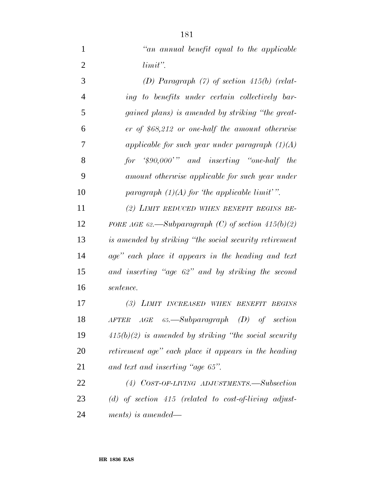*''an annual benefit equal to the applicable limit''. (D) Paragraph (7) of section 415(b) (relat- ing to benefits under certain collectively bar- gained plans) is amended by striking ''the great- er of \$68,212 or one-half the amount otherwise applicable for such year under paragraph (1)(A) for '\$90,000' '' and inserting ''one-half the amount otherwise applicable for such year under paragraph (1)(A) for 'the applicable limit' ''. (2) LIMIT REDUCED WHEN BENEFIT BEGINS BE- FORE AGE 62.—Subparagraph (C) of section 415(b)(2) is amended by striking ''the social security retirement age'' each place it appears in the heading and text*

 *and inserting ''age 62'' and by striking the second sentence.*

 *(3) LIMIT INCREASED WHEN BENEFIT BEGINS AFTER AGE 65.—Subparagraph (D) of section 415(b)(2) is amended by striking ''the social security retirement age'' each place it appears in the heading and text and inserting ''age 65''.*

 *(4) COST-OF-LIVING ADJUSTMENTS.—Subsection (d) of section 415 (related to cost-of-living adjust-ments) is amended—*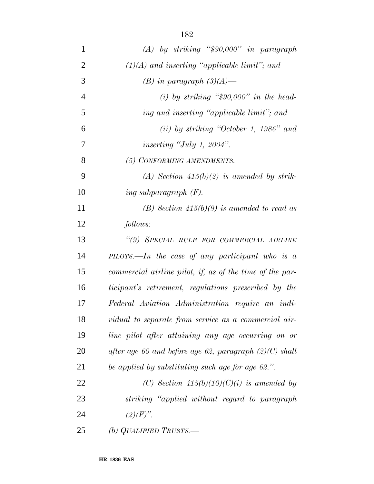| $\mathbf{1}$   | $(A)$ by striking "\$90,000" in paragraph                   |
|----------------|-------------------------------------------------------------|
| $\overline{2}$ | $(1)(A)$ and inserting "applicable limit"; and              |
| 3              | $(B)$ in paragraph $(3)(A)$ —                               |
| $\overline{4}$ | (i) by striking " $$90,000"$ in the head-                   |
| 5              | ing and inserting "applicable limit"; and                   |
| 6              | $(ii)$ by striking "October 1, 1986" and                    |
| 7              | inserting "July 1, 2004".                                   |
| 8              | (5) CONFORMING AMENDMENTS.-                                 |
| 9              | (A) Section $415(b)(2)$ is amended by strik-                |
| 10             | ing subparagraph $(F)$ .                                    |
| 11             | (B) Section $415(b)(9)$ is amended to read as               |
| 12             | follows:                                                    |
| 13             | "(9) SPECIAL RULE FOR COMMERCIAL AIRLINE                    |
| 14             | $\textit{PILOTS.}$ —In the case of any participant who is a |
| 15             | commercial airline pilot, if, as of the time of the par-    |
| 16             | ticipant's retirement, regulations prescribed by the        |
| 17             | Federal Aviation Administration require an indi-            |
| 18             | vidual to separate from service as a commercial air-        |
| 19             | line pilot after attaining any age occurring on or          |
| 20             | after age 60 and before age 62, paragraph $(2)(C)$ shall    |
| 21             | be applied by substituting such age for age 62.".           |
| 22             | (C) Section $415(b)(10)(C)(i)$ is amended by                |
| 23             | striking "applied without regard to paragraph"              |
| 24             | $(2)(F)$ ".                                                 |
| 25             | (b) QUALIFIED TRUSTS.—                                      |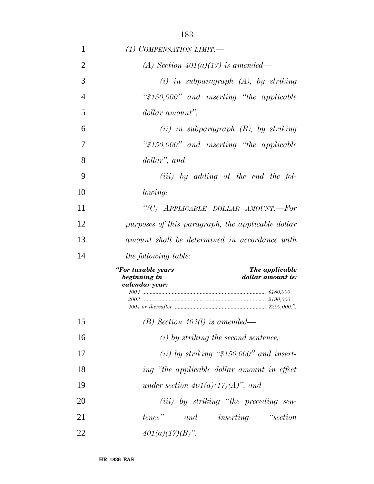| 1              | (1) COMPENSATION LIMIT.—                                                                    |
|----------------|---------------------------------------------------------------------------------------------|
| 2              | (A) Section $401(a)(17)$ is amended—                                                        |
| 3              | $(i)$ in subparagraph $(A)$ , by striking                                                   |
| $\overline{4}$ | " $$150,000"$ and inserting "the applicable"                                                |
| 5              | dollar amount",                                                                             |
| 6              | $(ii)$ in subparagraph $(B)$ , by striking                                                  |
| 7              | " $$150,000"$ and inserting "the applicable"                                                |
| 8              | dollar", and                                                                                |
| 9              | $(iii)$ by adding at the end the fol-                                                       |
| 10             | lowing:                                                                                     |
| 11             | "(C) APPLICABLE DOLLAR AMOUNT.-For                                                          |
| 12             | purposes of this paragraph, the applicable dollar                                           |
| 13             | amount shall be determined in accordance with                                               |
| 14             | <i>the following table:</i>                                                                 |
|                | "For taxable years<br>The applicable<br>beginning in<br>dollar amount is:<br>calendar year: |
| 15             | $(B)$ Section 404(l) is amended—                                                            |
| 16             | $(i)$ by striking the second sentence,                                                      |
| 17             | (ii) by striking " $$150,000"$ and insert-                                                  |
| 18             | ing "the applicable dollar amount in effect                                                 |
| 19             | under section $401(a)(17)(A)$ , and                                                         |
| 20             | (iii) by striking "the preceding sen-                                                       |
| 21             | "section"<br>tence"<br>$and$ inserting                                                      |
| 22             | $401(a)(17)(B)$ ".                                                                          |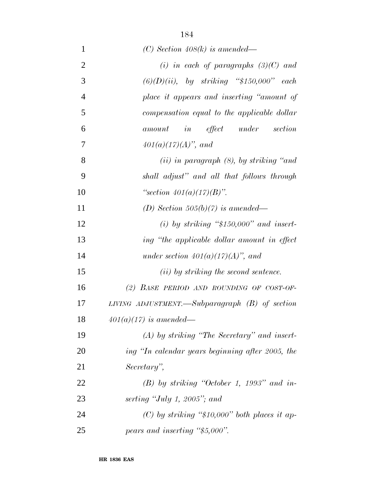| 1              | (C) Section 408(k) is amended—                   |
|----------------|--------------------------------------------------|
| $\overline{2}$ | (i) in each of paragraphs $(3)(C)$ and           |
| 3              | $(6)(D)(ii)$ , by striking "\$150,000" each      |
| $\overline{4}$ | place it appears and inserting "amount of        |
| 5              | compensation equal to the applicable dollar      |
| 6              | $\it in$ effect under<br>section<br>amount       |
| 7              | $401(a)(17)(A)$ , and                            |
| 8              | $(ii)$ in paragraph $(8)$ , by striking "and     |
| 9              | shall adjust" and all that follows through       |
| 10             | "section $401(a)(17)(B)$ ".                      |
| 11             | (D) Section 505(b)(7) is amended—                |
| 12             | (i) by striking " $$150,000"$ and insert-        |
| 13             | ing "the applicable dollar amount in effect      |
| 14             | under section $401(a)(17)(A)$ , and              |
| 15             | $(ii)$ by striking the second sentence.          |
| 16             | (2) BASE PERIOD AND ROUNDING OF COST-OF-         |
| 17             | LIVING ADJUSTMENT.—Subparagraph $(B)$ of section |
| 18             | $401(a)(17)$ is amended—                         |
| 19             | $(A)$ by striking "The Secretary" and insert-    |
| 20             | ing "In calendar years beginning after 2005, the |
| 21             | Secretary",                                      |
| 22             | $(B)$ by striking "October 1, 1993" and in-      |
| 23             | serting "July 1, 2005"; and                      |
| 24             | (C) by striking "\$10,000" both places it ap-    |
| 25             | pears and inserting "\$5,000".                   |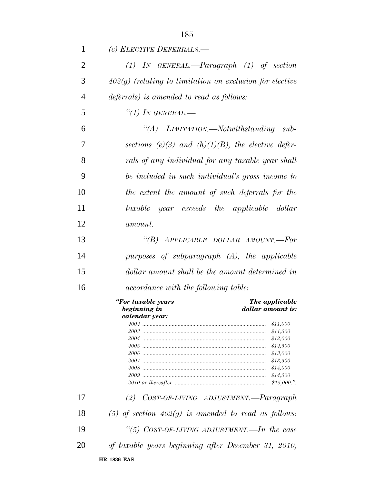| 1              | (c) ELECTIVE DEFERRALS.—                                                                    |
|----------------|---------------------------------------------------------------------------------------------|
| $\overline{2}$ | $(1)$ IN GENERAL.—Paragraph $(1)$ of section                                                |
| 3              | $402(g)$ (relating to limitation on exclusion for elective                                  |
| $\overline{4}$ | deferrals) is amended to read as follows:                                                   |
| 5              | $``(1)$ IN GENERAL.—                                                                        |
| 6              | "(A) LIMITATION.—Notwithstanding sub-                                                       |
| 7              | sections (e)(3) and (h)(1)(B), the elective defer-                                          |
| 8              | rals of any individual for any taxable year shall                                           |
| 9              | be included in such individual's gross income to                                            |
| 10             | the extent the amount of such deferrals for the                                             |
| 11             | year exceeds the applicable dollar<br>taxable                                               |
| 12             | <i>amount.</i>                                                                              |
| 13             | "(B) APPLICABLE DOLLAR AMOUNT.—For                                                          |
| 14             | purposes of subparagraph (A), the applicable                                                |
| 15             | dollar amount shall be the amount determined in                                             |
| 16             | <i>accordance with the following table:</i>                                                 |
|                | "For taxable years<br>The applicable<br>beginning in<br>dollar amount is:<br>calendar year: |
|                | \$11,000                                                                                    |
|                | \$11,500                                                                                    |
|                | \$12,000                                                                                    |
|                | \$12,500                                                                                    |
|                | \$13,000                                                                                    |
|                | \$13,500<br>\$14,000                                                                        |
|                | \$14,500                                                                                    |
|                | \$15,000."                                                                                  |
| 17             | COST-OF-LIVING ADJUSTMENT.—Paragraph<br>(2)                                                 |
| 18             | (5) of section $402(g)$ is amended to read as follows:                                      |
| 19             | "(5) $CosT-OF-LIVING ADJUSTMENT.$ —In the case                                              |
| 20             | of taxable years beginning after December 31, 2010,                                         |
|                | <b>HR 1836 EAS</b>                                                                          |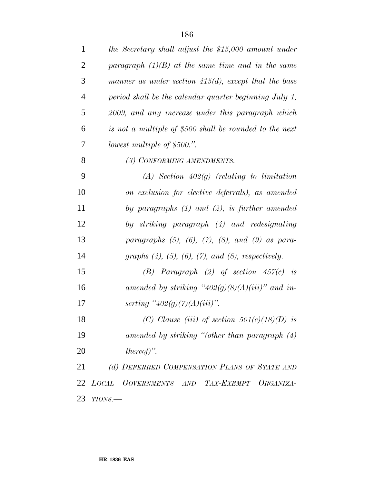| $\mathbf{1}$   | the Secretary shall adjust the \$15,000 amount under             |
|----------------|------------------------------------------------------------------|
| $\overline{2}$ | paragraph $(1)(B)$ at the same time and in the same              |
| 3              | manner as under section $415(d)$ , except that the base          |
| $\overline{4}$ | period shall be the calendar quarter beginning July 1,           |
| 5              | 2009, and any increase under this paragraph which                |
| 6              | is not a multiple of \$500 shall be rounded to the next          |
| 7              | lowest multiple of \$500.".                                      |
| 8              | (3) CONFORMING AMENDMENTS.-                                      |
| 9              | $(A)$ Section 402(g) (relating to limitation                     |
| 10             | on exclusion for elective deferrals), as amended                 |
| 11             | by paragraphs $(1)$ and $(2)$ , is further amended               |
| 12             | by striking paragraph (4) and redesignating                      |
| 13             | paragraphs $(5)$ , $(6)$ , $(7)$ , $(8)$ , and $(9)$ as para-    |
| 14             | graphs $(4)$ , $(5)$ , $(6)$ , $(7)$ , and $(8)$ , respectively. |
| 15             | (B) Paragraph (2) of section $457(c)$ is                         |
| 16             | amended by striking "402(g)(8)(A)(iii)" and in-                  |
| 17             | serting "402(g)(7)(A)(iii)".                                     |
| 18             | (C) Clause (iii) of section $501(c)(18)(D)$ is                   |
| 19             | amended by striking "(other than paragraph $(4)$ )               |
| 20             | $thereof)$ ".                                                    |
| 21             | (d) DEFERRED COMPENSATION PLANS OF STATE AND                     |
|                | 22 LOCAL GOVERNMENTS AND TAX-EXEMPT ORGANIZA-                    |
| 23             | $TIONS$ .                                                        |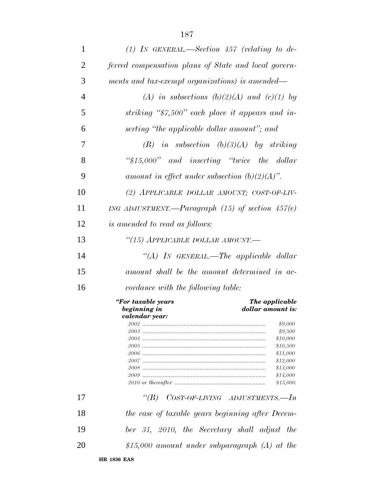| $\mathbf{1}$   | (1) IN GENERAL.—Section $457$ (relating to de-                            |
|----------------|---------------------------------------------------------------------------|
| 2              | ferred compensation plans of State and local govern-                      |
| 3              | ments and tax-exempt organizations) is amended—                           |
| $\overline{4}$ | (A) in subsections (b)(2)(A) and (c)(1) by                                |
| 5              | striking " $\frac{2}{3}$ 7,500" each place it appears and in-             |
| 6              | serting "the applicable dollar amount"; and                               |
| 7              | $(B)$ in subsection $(b)(3)(A)$ by striking                               |
| 8              | " $$15,000"$ and inserting "twice the dollar"                             |
| 9              | amount in effect under subsection $(b)(2)(A)$ ".                          |
| 10             | (2) APPLICABLE DOLLAR AMOUNT; COST-OF-LIV-                                |
| 11             | ING ADJUSTMENT.—Paragraph $(15)$ of section $457(e)$                      |
| 12             | <i>is amended to read as follows:</i>                                     |
| 13             | "(15) APPLICABLE DOLLAR AMOUNT.—                                          |
| 14             | "(A) IN GENERAL.—The applicable dollar                                    |
| 15             | amount shall be the amount determined in ac-                              |
| 16             | cordance with the following table:                                        |
|                |                                                                           |
|                | "For taxable years<br>The applicable<br>beginning in<br>dollar amount is: |
|                | calendar vear:                                                            |
|                | \$9,000                                                                   |
|                | \$9,500                                                                   |
|                | \$10,000                                                                  |
|                | \$10,500                                                                  |
|                | \$11,000                                                                  |
|                | \$12,000                                                                  |
|                | \$13,000                                                                  |
|                | \$14,000                                                                  |
|                | \$15,000.                                                                 |
|                |                                                                           |
| 17             | "(B) $CosT-OF-LIVING$ ADJUSTMENTS.—In                                     |
| 18             | the case of taxable years beginning after Decem-                          |
| 19             | ber 31, 2010, the Secretary shall adjust the                              |
| 20             | \$15,000 amount under subparagraph $(A)$ at the                           |
|                | <b>HR 1836 EAS</b>                                                        |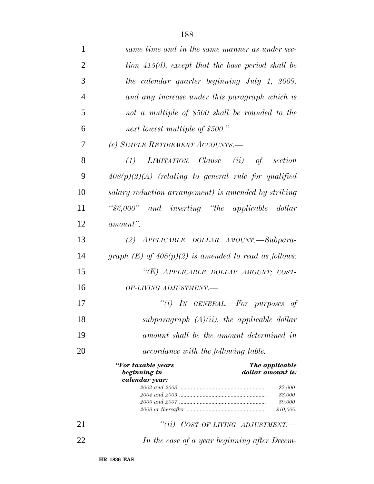| $\mathbf{1}$   | same time and in the same manner as under sec-                                              |
|----------------|---------------------------------------------------------------------------------------------|
| $\overline{2}$ | tion $415(d)$ , except that the base period shall be                                        |
| 3              | the calendar quarter beginning July 1, 2009,                                                |
| $\overline{4}$ | and any increase under this paragraph which is                                              |
| 5              | not a multiple of \$500 shall be rounded to the                                             |
| 6              | next lowest multiple of \$500.".                                                            |
| 7              | (e) SIMPLE RETIREMENT ACCOUNTS.—                                                            |
| 8              | $(1)$ LIMITATION.—Clause $(ii)$ of section                                                  |
| 9              | $408(p)(2)(A)$ (relating to general rule for qualified                                      |
| 10             | salary reduction arrangement) is amended by striking                                        |
| 11             | "\$6,000" and inserting "the applicable dollar"                                             |
| 12             | amount".                                                                                    |
| 13             | (2) APPLICABLE DOLLAR AMOUNT.—Subpara-                                                      |
| 14             | graph $(E)$ of $408(p)(2)$ is amended to read as follows:                                   |
| 15             | "(E) APPLICABLE DOLLAR AMOUNT; COST-                                                        |
| 16             | OF-LIVING ADJUSTMENT.-                                                                      |
| 17             | "(i) IN GENERAL.—For purposes of                                                            |
| 18             | subparagraph $(A)(ii)$ , the applicable dollar                                              |
| 19             | amount shall be the amount determined in                                                    |
| 20             | <i>accordance with the following table:</i>                                                 |
|                | "For taxable years<br>The applicable<br>beginning in<br>dollar amount is:<br>calendar year: |
|                | \$7,000                                                                                     |
|                | \$8,000<br>\$9,000                                                                          |
|                | \$10,000.                                                                                   |
| 21             | ``(ii)<br>$COST-OF-LIVING$ ADJUSTMENT.                                                      |
| 22             | In the case of a year beginning after Decem-                                                |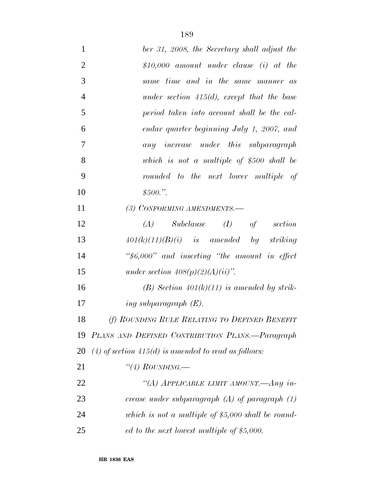| 1              | ber 31, 2008, the Secretary shall adjust the           |
|----------------|--------------------------------------------------------|
| $\overline{2}$ | $$10,000$ amount under clause (i) at the               |
| 3              | same time and in the same manner as                    |
| $\overline{4}$ | under section $415(d)$ , except that the base          |
| 5              | period taken into account shall be the cal-            |
| 6              | endar quarter beginning July 1, 2007, and              |
| 7              | any increase under this subparagraph                   |
| 8              | which is not a multiple of $$500$ shall be             |
| 9              | rounded to the next lower multiple of                  |
| 10             | \$500."                                                |
| 11             | (3) CONFORMING AMENDMENTS.-                            |
| 12             | $(A)$ Subclause $(I)$ of<br>section                    |
| 13             | $401(k)(11)(B)(i)$ is amended by striking              |
| 14             | " $$6,000"$ and inserting "the amount in effect"       |
| 15             | under section $408(p)(2)(A)(ii)$ ".                    |
| 16             | (B) Section $401(k)(11)$ is amended by strik-          |
| 17             | ing subparagraph $(E)$ .                               |
| 18             | (f) ROUNDING RULE RELATING TO DEFINED BENEFIT          |
| 19             | PLANS AND DEFINED CONTRIBUTION PLANS.-Paragraph        |
| 20             | (4) of section $415(d)$ is amended to read as follows: |
| 21             | "(4) ROUNDING.—                                        |
| 22             | "(A) APPLICABLE LIMIT AMOUNT.—Any in-                  |
| 23             | crease under subparagraph $(A)$ of paragraph $(1)$     |
| 24             | which is not a multiple of $$5,000$ shall be round-    |
| 25             | ed to the next lowest multiple of $$5,000$ .           |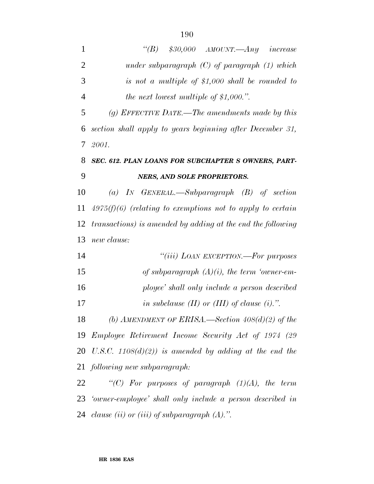| $\mathbf{1}$   | "(B) $$30,000$ AMOUNT.—Any increase                          |
|----------------|--------------------------------------------------------------|
| $\overline{2}$ | under subparagraph $(C)$ of paragraph $(1)$ which            |
| 3              | is not a multiple of $$1,000$ shall be rounded to            |
| $\overline{4}$ | the next lowest multiple of $$1,000."$ .                     |
| 5              | (g) EFFECTIVE DATE.—The amendments made by this              |
| 6              | section shall apply to years beginning after December 31,    |
| 7              | 2001.                                                        |
| 8              | SEC. 612. PLAN LOANS FOR SUBCHAPTER S OWNERS, PART-          |
| 9              | <b>NERS, AND SOLE PROPRIETORS.</b>                           |
| 10             | (a) IN GENERAL.—Subparagraph $(B)$ of section                |
| 11             | $4975(f)(6)$ (relating to exemptions not to apply to certain |
| 12             | transactions) is amended by adding at the end the following  |
| 13             | new clause:                                                  |
| 14             | "( <i>iii</i> ) LOAN EXCEPTION.—For purposes                 |
| 15             | of subparagraph $(A)(i)$ , the term 'owner-em-               |
| 16             | ployee' shall only include a person described                |
| 17             | in subclause $(II)$ or $(III)$ of clause $(i)$ .".           |
| 18             | (b) AMENDMENT OF ERISA.—Section $408(d)(2)$ of the           |
| 19             | Employee Retirement Income Security Act of 1974 (29          |
| 20             | U.S.C. 1108(d)(2)) is amended by adding at the end the       |
| 21             | following new subparagraph:                                  |
| 22             | "(C) For purposes of paragraph $(1)(A)$ , the term           |
|                | 23 'owner-employee' shall only include a person described in |
|                | 24 clause (ii) or (iii) of subparagraph $(A)$ .".            |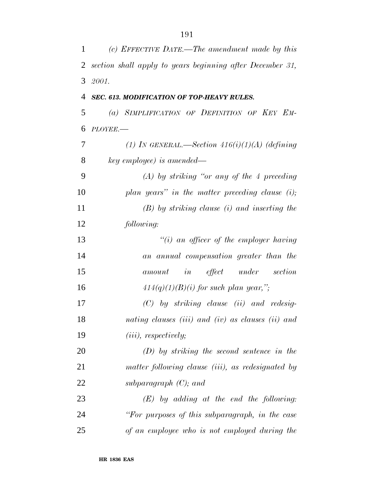| 1              | (c) EFFECTIVE DATE.—The amendment made by this            |
|----------------|-----------------------------------------------------------|
| $\overline{2}$ | section shall apply to years beginning after December 31, |
| 3              | 2001.                                                     |
| 4              | SEC. 613. MODIFICATION OF TOP-HEAVY RULES.                |
| 5              | (a) SIMPLIFICATION OF DEFINITION OF KEY EM-               |
| 6              | $PLOYEE$ .                                                |
| 7              | (1) IN GENERAL.—Section $416(i)(1)(A)$ (defining          |
| 8              | key employee) is amended—                                 |
| 9              | $(A)$ by striking "or any of the 4 preceding              |
| 10             | plan years" in the matter preceding clause $(i)$ ;        |
| 11             | $(B)$ by striking clause (i) and inserting the            |
| 12             | following:                                                |
| 13             | "(i) an officer of the employer having                    |
| 14             | an annual compensation greater than the                   |
| 15             | effect under<br>section<br>in<br>amount                   |
| 16             | $414(q)(1)(B)(i)$ for such plan year,";                   |
| 17             | $(C)$ by striking clause (ii) and redesig-                |
| 18             | nating clauses (iii) and (iv) as clauses (ii) and         |
| 19             | $(iii)$ , respectively;                                   |
| 20             | $(D)$ by striking the second sentence in the              |
| 21             | matter following clause (iii), as redesignated by         |
| 22             | subparagraph $(C)$ ; and                                  |
| 23             | $(E)$ by adding at the end the following:                 |
| 24             | "For purposes of this subparagraph, in the case           |
| 25             | of an employee who is not employed during the             |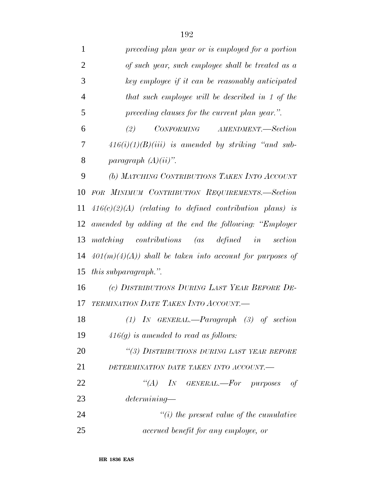| $\mathbf{1}$   | preceding plan year or is employed for a portion           |
|----------------|------------------------------------------------------------|
| $\overline{2}$ | of such year, such employee shall be treated as a          |
| 3              | key employee if it can be reasonably anticipated           |
| $\overline{4}$ | that such employee will be described in 1 of the           |
| 5              | preceding clauses for the current plan year.".             |
| 6              | CONFORMING AMENDMENT.—Section<br>(2)                       |
| 7              | $416(i)(1)(B)(iii)$ is amended by striking "and sub-       |
| 8              | paragraph $(A)(ii)$ ".                                     |
| 9              | (b) MATCHING CONTRIBUTIONS TAKEN INTO ACCOUNT              |
| 10             | FOR MINIMUM CONTRIBUTION REQUIREMENTS.-Section             |
| 11             | $416(c)(2)(A)$ (relating to defined contribution plans) is |
| 12             | amended by adding at the end the following: "Employer      |
| 13             | matching contributions (as defined in<br>section           |
| 14             | $401(m)(4)(A)$ shall be taken into account for purposes of |
| 15             | <i>this subparagraph.</i> ".                               |
| 16             | (c) DISTRIBUTIONS DURING LAST YEAR BEFORE DE-              |
| 17             | TERMINATION DATE TAKEN INTO ACCOUNT.                       |
| 18             | $(1)$ IN GENERAL.—Paragraph $(3)$ of section               |
| 19             | $416(g)$ is amended to read as follows:                    |
| 20             | "(3) DISTRIBUTIONS DURING LAST YEAR BEFORE                 |
| 21             | DETERMINATION DATE TAKEN INTO ACCOUNT.-                    |
| 22             | "(A) IN GENERAL.—For purposes<br>- of                      |
| 23             | determining                                                |
| 24             | $\tilde{f}(i)$ the present value of the cumulative         |
| 25             | accrued benefit for any employee, or                       |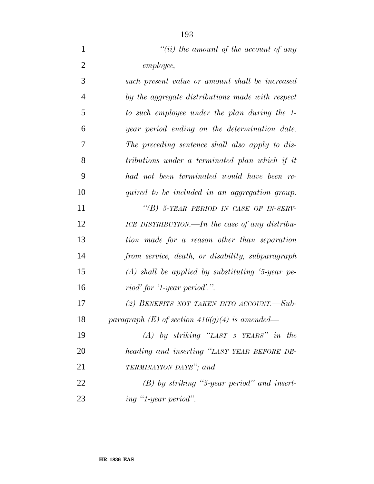| $\mathbf{1}$   | "(ii) the amount of the account of any             |
|----------------|----------------------------------------------------|
| $\overline{2}$ | employee,                                          |
| 3              | such present value or amount shall be increased    |
| $\overline{4}$ | by the aggregate distributions made with respect   |
| 5              | to such employee under the plan during the 1-      |
| 6              | year period ending on the determination date.      |
| 7              | The preceding sentence shall also apply to dis-    |
| 8              | tributions under a terminated plan which if it     |
| 9              | had not been terminated would have been re-        |
| 10             | quired to be included in an aggregation group.     |
| 11             | "(B) 5-YEAR PERIOD IN CASE OF IN-SERV-             |
| 12             | ICE DISTRIBUTION.—In the case of any distribu-     |
| 13             | tion made for a reason other than separation       |
| 14             | from service, death, or disability, subparagraph   |
| 15             | $(A)$ shall be applied by substituting '5-year pe- |
| 16             | riod' for '1-year period'.".                       |
| 17             | (2) BENEFITS NOT TAKEN INTO ACCOUNT.—Sub-          |
| 18             | paragraph $(E)$ of section 416(g)(4) is amended—   |
| 19             | $(A)$ by striking "LAST 5 YEARS" in the            |
| 20             | heading and inserting "LAST YEAR BEFORE DE-        |
| 21             | TERMINATION DATE"; and                             |
| 22             | $(B)$ by striking "5-year period" and insert-      |
| 23             | ing "1-year period".                               |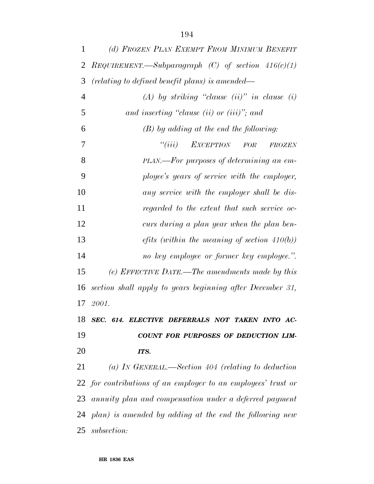| 1              | (d) FROZEN PLAN EXEMPT FROM MINIMUM BENEFIT                   |
|----------------|---------------------------------------------------------------|
| 2              | $RegUIREMENT. - Subparagraph$ (C) of section $416(c)(1)$      |
| 3              | (relating to defined benefit plans) is amended—               |
| $\overline{4}$ | $(A)$ by striking "clause (ii)" in clause (i)                 |
| 5              | and inserting "clause (ii) or (iii)"; and                     |
| 6              | $(B)$ by adding at the end the following:                     |
| 7              | ``(iii)<br>EXCEPTION FOR<br>FROZEN                            |
| 8              | PLAN.—For purposes of determining an em-                      |
| 9              | ployee's years of service with the employer,                  |
| 10             | any service with the employer shall be dis-                   |
| 11             | regarded to the extent that such service oc-                  |
| 12             | curs during a plan year when the plan ben-                    |
| 13             | <i>efits</i> (within the meaning of section $410(b)$ )        |
| 14             | no key employee or former key employee.".                     |
| 15             | (e) EFFECTIVE DATE.—The amendments made by this               |
| 16             | section shall apply to years beginning after December 31,     |
|                | 17 2001.                                                      |
| 18             | SEC. 614. ELECTIVE DEFERRALS NOT TAKEN INTO AC-               |
| 19             | COUNT FOR PURPOSES OF DEDUCTION LIM-                          |
| 20             | ITS.                                                          |
| 21             | (a) IN GENERAL.—Section 404 (relating to deduction            |
|                | 22 for contributions of an employer to an employees' trust or |
|                | 23 annuity plan and compensation under a deferred payment     |
|                | $24$ plan) is amended by adding at the end the following new  |
| 25             | subsection:                                                   |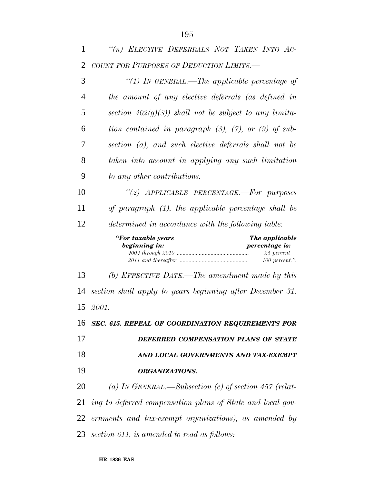| 1  | "(n) ELECTIVE DEFERRALS NOT TAKEN INTO AC-                        |
|----|-------------------------------------------------------------------|
| 2  | COUNT FOR PURPOSES OF DEDUCTION LIMITS.-                          |
| 3  | "(1) IN GENERAL.—The applicable percentage of                     |
| 4  | the amount of any elective deferrals (as defined in               |
| 5  | section $402(g)(3)$ ) shall not be subject to any limita-         |
| 6  | tion contained in paragraph $(3)$ , $(7)$ , or $(9)$ of sub-      |
| 7  | section (a), and such elective deferrals shall not be             |
| 8  | taken into account in applying any such limitation                |
| 9  | to any other contributions.                                       |
| 10 | "(2) APPLICABLE PERCENTAGE.-For purposes                          |
| 11 | of paragraph $(1)$ , the applicable percentage shall be           |
| 12 | determined in accordance with the following table:                |
|    | "For taxable years<br>The applicable                              |
|    | beginning in:<br>percentage is:<br>$25$ percent<br>100 percent.". |
| 13 | (b) EFFECTIVE DATE.—The amendment made by this                    |
| 14 | section shall apply to years beginning after December 31,         |
|    | 15 2001.                                                          |
| 16 | SEC. 615. REPEAL OF COORDINATION REQUIREMENTS FOR                 |
| 17 | DEFERRED COMPENSATION PLANS OF STATE                              |
| 18 | AND LOCAL GOVERNMENTS AND TAX-EXEMPT                              |
| 19 | <b>ORGANIZATIONS.</b>                                             |
| 20 | (a) IN GENERAL.—Subsection (c) of section 457 (relat-             |
| 21 | ing to deferred compensation plans of State and local gov-        |
| 22 | ernments and tax-exempt organizations), as amended by             |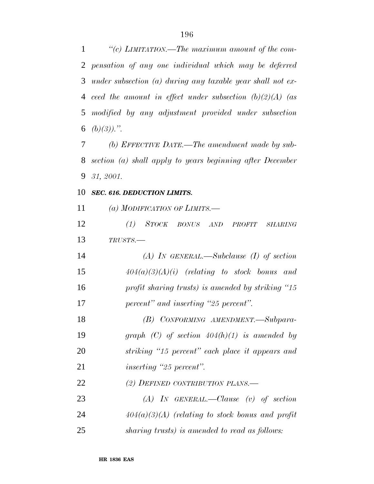*''(c) LIMITATION.—The maximum amount of the com- pensation of any one individual which may be deferred under subsection (a) during any taxable year shall not ex- ceed the amount in effect under subsection (b)(2)(A) (as modified by any adjustment provided under subsection (b)(3)).''.*

 *(b) EFFECTIVE DATE.—The amendment made by sub- section (a) shall apply to years beginning after December 31, 2001.*

## *SEC. 616. DEDUCTION LIMITS.*

*(a) MODIFICATION OF LIMITS.—*

 *(1) STOCK BONUS AND PROFIT SHARING TRUSTS.—*

 *(A) IN GENERAL.—Subclause (I) of section 404(a)(3)(A)(i) (relating to stock bonus and profit sharing trusts) is amended by striking ''15 percent'' and inserting ''25 percent''.*

 *(B) CONFORMING AMENDMENT.—Subpara- graph (C) of section 404(h)(1) is amended by striking ''15 percent'' each place it appears and inserting ''25 percent''.*

## *(2) DEFINED CONTRIBUTION PLANS.—*

 *(A) IN GENERAL.—Clause (v) of section 404(a)(3)(A) (relating to stock bonus and profit sharing trusts) is amended to read as follows:*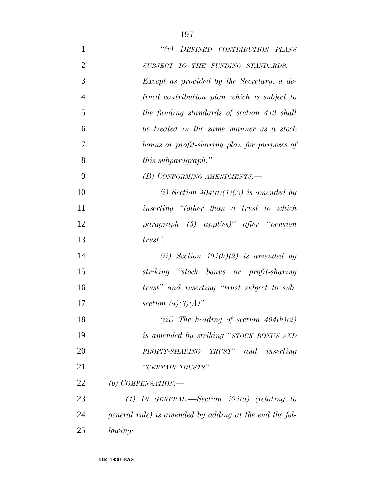| $\mathbf{1}$   | $``(v)$ DEFINED CONTRIBUTION PLANS                     |
|----------------|--------------------------------------------------------|
| $\overline{2}$ | SUBJECT TO THE FUNDING STANDARDS.-                     |
| 3              | Except as provided by the Secretary, a de-             |
| $\overline{4}$ | fined contribution plan which is subject to            |
| 5              | the funding standards of section 412 shall             |
| 6              | be treated in the same manner as a stock               |
| 7              | bonus or profit-sharing plan for purposes of           |
| 8              | <i>this subparagraph.</i> "                            |
| 9              | (B) CONFORMING AMENDMENTS.—                            |
| 10             | (i) Section $404(a)(1)(A)$ is amended by               |
| 11             | inserting "(other than a trust to which                |
| 12             | paragraph (3) applies)" after "pension                 |
| 13             | $trust"$ .                                             |
| 14             | (ii) Section $404(h)(2)$ is amended by                 |
| 15             | striking "stock bonus or profit-sharing                |
| 16             | trust" and inserting "trust subject to sub-            |
| 17             | section $(a)(3)(A)$ .                                  |
| 18             | (iii) The heading of section $404(h)(2)$               |
| 19             | is amended by striking "STOCK BONUS AND                |
| 20             | PROFIT-SHARING TRUST" and inserting                    |
| 21             | "CERTAIN TRUSTS".                                      |
| 22             | (b) COMPENSATION.—                                     |
| 23             | (1) IN GENERAL.—Section $404(a)$ (relating to          |
| 24             | general rule) is amended by adding at the end the fol- |
| 25             | lowing:                                                |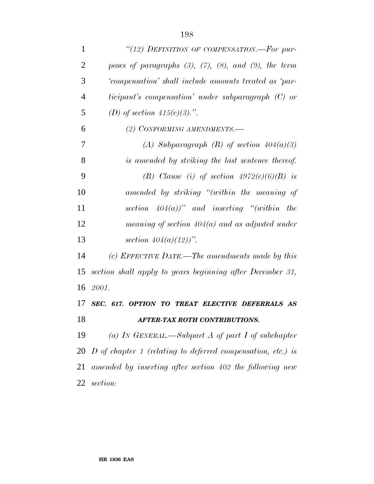| $\mathbf{1}$   | "(12) DEFINITION OF COMPENSATION.—For pur-                       |
|----------------|------------------------------------------------------------------|
| $\overline{2}$ | poses of paragraphs $(3)$ , $(7)$ , $(8)$ , and $(9)$ , the term |
| 3              | 'compensation' shall include amounts treated as 'par-            |
| $\overline{4}$ | ticipant's compensation' under subparagraph (C) or               |
| 5              | (D) of section $415(c)(3)$ .".                                   |
| 6              | (2) CONFORMING AMENDMENTS.-                                      |
| 7              | (A) Subparagraph (B) of section $404(a)(3)$                      |
| 8              | is amended by striking the last sentence thereof.                |
| 9              | (B) Clause (i) of section $4972(c)(6)(B)$ is                     |
| 10             | amended by striking "(within the meaning of                      |
| 11             | section $404(a)$ " and inserting "(within the                    |
| 12             | meaning of section $404(a)$ and as adjusted under                |
| 13             | section $404(a)(12)$ .                                           |
| 14             | (c) EFFECTIVE DATE.—The amendments made by this                  |
| 15             | section shall apply to years beginning after December 31,        |
| 16             | 2001.                                                            |
| 17             | SEC. 617. OPTION TO TREAT ELECTIVE DEFERRALS AS                  |
| 18             | <b>AFTER-TAX ROTH CONTRIBUTIONS.</b>                             |
| 19             | (a) IN GENERAL.—Subpart A of part I of subchapter                |
|                | 20 D of chapter 1 (relating to deferred compensation, etc.) is   |
| 21             | amended by inserting after section 402 the following new         |
| 22             | section:                                                         |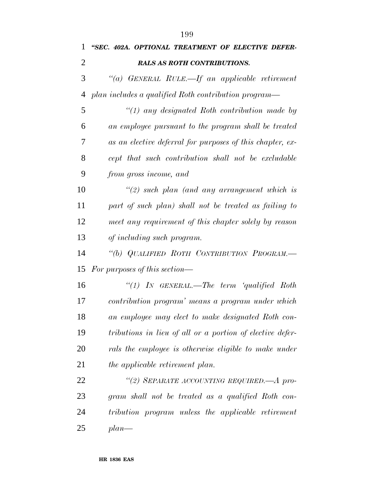| 1  | "SEC. 402A. OPTIONAL TREATMENT OF ELECTIVE DEFER-         |
|----|-----------------------------------------------------------|
| 2  | <b>RALS AS ROTH CONTRIBUTIONS.</b>                        |
| 3  | "(a) GENERAL RULE.—If an applicable retirement            |
| 4  | plan includes a qualified Roth contribution program—      |
| 5  | $\lq(1)$ any designated Roth contribution made by         |
| 6  | an employee pursuant to the program shall be treated      |
| 7  | as an elective deferral for purposes of this chapter, ex- |
| 8  | cept that such contribution shall not be excludable       |
| 9  | from gross income, and                                    |
| 10 | $\lq(2)$ such plan (and any arrangement which is          |
| 11 | part of such plan) shall not be treated as failing to     |
| 12 | meet any requirement of this chapter solely by reason     |
| 13 | of including such program.                                |
| 14 | "(b) QUALIFIED ROTH CONTRIBUTION PROGRAM.-                |
| 15 | For purposes of this section—                             |
| 16 | "(1) In GENERAL.—The term 'qualified Roth                 |
| 17 | contribution program' means a program under which         |
| 18 | an employee may elect to make designated Roth con-        |
| 19 | tributions in lieu of all or a portion of elective defer- |
| 20 | rals the employee is otherwise eligible to make under     |
| 21 | the applicable retirement plan.                           |
| 22 | "(2) SEPARATE ACCOUNTING REQUIRED.—A pro-                 |
| 23 | gram shall not be treated as a qualified Roth con-        |
| 24 | tribution program unless the applicable retirement        |
| 25 | $plan$ —                                                  |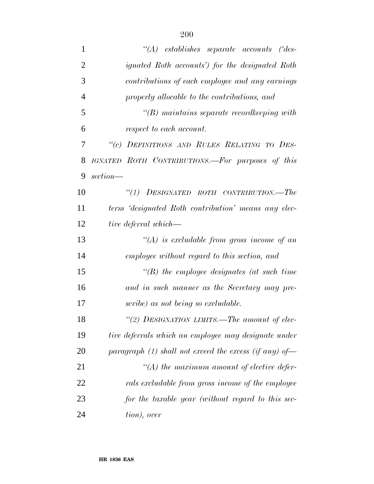| $\mathbf{1}$   | $\lq\lq (A)$ establishes separate accounts ('des-      |
|----------------|--------------------------------------------------------|
| $\overline{2}$ | <i>ignated Roth accounts')</i> for the designated Roth |
| 3              | contributions of each employee and any earnings        |
| $\overline{4}$ | properly allocable to the contributions, and           |
| 5              | $\lq\lq(B)$ maintains separate record keeping with     |
| 6              | respect to each account.                               |
| 7              | "(c) DEFINITIONS AND RULES RELATING TO DES-            |
| 8              | IGNATED ROTH CONTRIBUTIONS.—For purposes of this       |
| 9              | $section$ —                                            |
| 10             | ``(1)<br>DESIGNATED ROTH CONTRIBUTION.—The             |
| 11             | term 'designated Roth contribution' means any elec-    |
| 12             | tive deferral which—                                   |
| 13             | $\lq (A)$ is excludable from gross income of an        |
| 14             | employee without regard to this section, and           |
| 15             | $\lq\lq(B)$ the employee designates (at such time      |
| 16             | and in such manner as the Secretary may pre-           |
| 17             | scribe) as not being so excludable.                    |
| 18             | "(2) DESIGNATION LIMITS.—The amount of elec-           |
| 19             | tive deferrals which an employee may designate under   |
| 20             | paragraph (1) shall not exceed the excess (if any) of- |
| 21             | $\lq (A)$ the maximum amount of elective defer-        |
| 22             | rals excludable from gross income of the employee      |
| 23             | for the taxable year (without regard to this sec-      |
| 24             | tion), over                                            |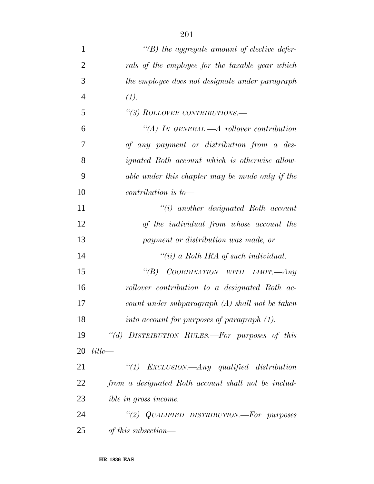| $\mathbf{1}$   | $\lq\lq(B)$ the aggregate amount of elective defer- |
|----------------|-----------------------------------------------------|
| $\overline{2}$ | rals of the employee for the taxable year which     |
| 3              | the employee does not designate under paragraph     |
| $\overline{4}$ | (1).                                                |
| 5              | "(3) ROLLOVER CONTRIBUTIONS.-                       |
| 6              | "(A) IN GENERAL.—A rollover contribution            |
| 7              | of any payment or distribution from a des-          |
| 8              | ignated Roth account which is otherwise allow-      |
| 9              | able under this chapter may be made only if the     |
| 10             | contribution is to-                                 |
| 11             | $``(i)$ another designated Roth account             |
| 12             | of the individual from whose account the            |
| 13             | payment or distribution was made, or                |
| 14             | "(ii) a Roth IRA of such individual.                |
| 15             | COORDINATION WITH LIMIT.-Any<br>$\lq(B)$            |
| 16             | rollover contribution to a designated Roth ac-      |
| 17             | count under subparagraph $(A)$ shall not be taken   |
| 18             | into account for purposes of paragraph (1).         |
| 19             | "(d) DISTRIBUTION RULES.—For purposes of this       |
| 20             | $title-$                                            |
| 21             | "(1) EXCLUSION.—Any qualified distribution          |
| 22             | from a designated Roth account shall not be includ- |
| 23             | <i>ible in gross income.</i>                        |
| 24             | "(2) QUALIFIED DISTRIBUTION.—For purposes           |
| 25             | of this subsection—                                 |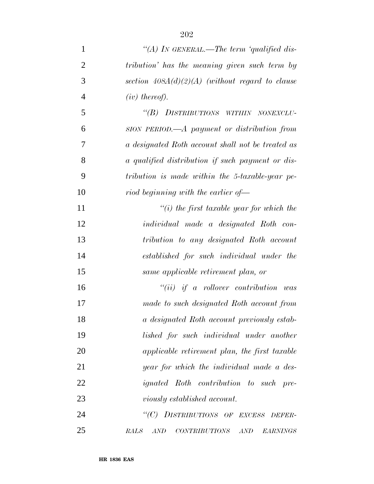| $\mathbf{1}$   | "(A) IN GENERAL.—The term 'qualified dis-                          |
|----------------|--------------------------------------------------------------------|
| $\overline{2}$ | tribution' has the meaning given such term by                      |
| 3              | section $408A(d)(2)(A)$ (without regard to clause                  |
| $\overline{4}$ | $(iv)$ thereof).                                                   |
| 5              | "(B) DISTRIBUTIONS WITHIN NONEXCLU-                                |
| 6              | SION PERIOD.—A payment or distribution from                        |
| 7              | a designated Roth account shall not be treated as                  |
| 8              | a qualified distribution if such payment or dis-                   |
| 9              | tribution is made within the 5-taxable-year pe-                    |
| 10             | riod beginning with the earlier of-                                |
| 11             | $\lq\lq(i)$ the first taxable year for which the                   |
| 12             | individual made a designated Roth con-                             |
| 13             | tribution to any designated Roth account                           |
| 14             | established for such individual under the                          |
| 15             | same applicable retirement plan, or                                |
| 16             | $``(ii)$ if a rollover contribution was                            |
| 17             | made to such designated Roth account from                          |
| 18             | a designated Roth account previously estab-                        |
| 19             | lished for such individual under another                           |
| 20             | applicable retirement plan, the first taxable                      |
| 21             | year for which the individual made a des-                          |
| 22             | <i>ignated</i> Roth contribution to such pre-                      |
| 23             | <i>viously established account.</i>                                |
| 24             | "(C) DISTRIBUTIONS OF EXCESS DEFER-                                |
| 25             | <b>RALS</b><br>$CONTRIBUTIONS \quad AND$<br>AND<br><b>EARNINGS</b> |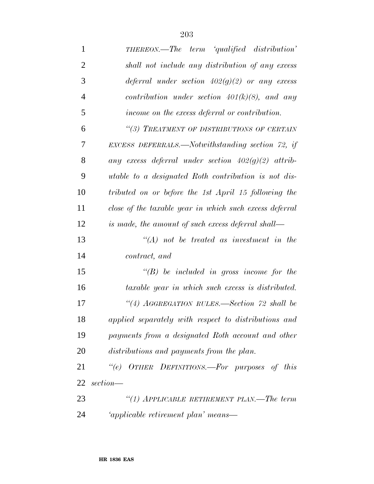| $\mathbf{1}$   | <b>THEREON.—The term 'qualified distribution'</b>       |
|----------------|---------------------------------------------------------|
| $\overline{2}$ | shall not include any distribution of any excess        |
| 3              | deferral under section $402(g)(2)$ or any excess        |
| $\overline{4}$ | contribution under section $401(k)(8)$ , and any        |
| 5              | income on the excess deferral or contribution.          |
| 6              | "(3) TREATMENT OF DISTRIBUTIONS OF CERTAIN              |
| 7              | EXCESS DEFERRALS.—Notwithstanding section 72, if        |
| 8              | any excess deferral under section $402(g)(2)$ attrib-   |
| 9              | utable to a designated Roth contribution is not dis-    |
| 10             | tributed on or before the 1st April 15 following the    |
| 11             | close of the taxable year in which such excess deferral |
| 12             | is made, the amount of such excess deferral shall—      |
| 13             | $\lq (A)$ not be treated as investment in the           |
| 14             | contract, and                                           |
| 15             | $\lq\lq(B)$ be included in gross income for the         |
| 16             | taxable year in which such excess is distributed.       |
| 17             | "(4) AGGREGATION RULES.—Section 72 shall be             |
| 18             | applied separately with respect to distributions and    |
| 19             | payments from a designated Roth account and other       |
| 20             | distributions and payments from the plan.               |
| 21             | "(e) OTHER DEFINITIONS.—For purposes of this            |
| 22             | $section$ —                                             |
| 23             | "(1) APPLICABLE RETIREMENT PLAN.—The term               |
| 24             | 'applicable retirement plan' means—                     |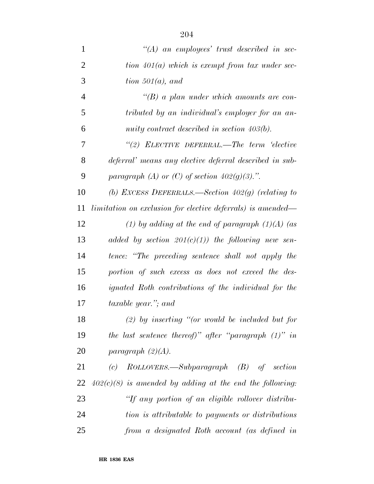| $\mathbf{1}$   | $\lq\lq (A)$ an employees' trust described in sec-                 |
|----------------|--------------------------------------------------------------------|
| $\overline{2}$ | tion $401(a)$ which is exempt from tax under sec-                  |
| 3              | tion $501(a)$ , and                                                |
| $\overline{4}$ | $\lq\lq(B)$ a plan under which amounts are con-                    |
| 5              | tributed by an individual's employer for an an-                    |
| 6              | nuity contract described in section $403(b)$ .                     |
| 7              | $\lq(2)$ ELECTIVE DEFERRAL.—The term 'elective'                    |
| 8              | deferral' means any elective deferral described in sub-            |
| 9              | paragraph (A) or (C) of section $402(g)(3)$ .".                    |
| 10             | (b) EXCESS DEFERRALS.—Section $402(g)$ (relating to                |
| 11             | <i>limitation on exclusion for elective deferrals) is amended—</i> |
| 12             | (1) by adding at the end of paragraph $(1)(A)$ (as                 |
| 13             | added by section $201(c)(1)$ the following new sen-                |
| 14             | tence: "The preceding sentence shall not apply the                 |
| 15             | portion of such excess as does not exceed the des-                 |
| 16             | ignated Roth contributions of the individual for the               |
| 17             | <i>taxable year.</i> "; and                                        |
| 18             | $(2)$ by inserting "(or would be included but for                  |
| 19             | the last sentence thereof)" after "paragraph $(1)$ " in            |
| 20             | paragraph $(2)(A)$ .                                               |
| 21             | $ROLLOVERS.$ —Subparagraph $(B)$ of section<br>(c)                 |
| 22             | $402(c)(8)$ is amended by adding at the end the following:         |
| 23             | "If any portion of an eligible rollover distribu-                  |

 *tion is attributable to payments or distributions from a designated Roth account (as defined in*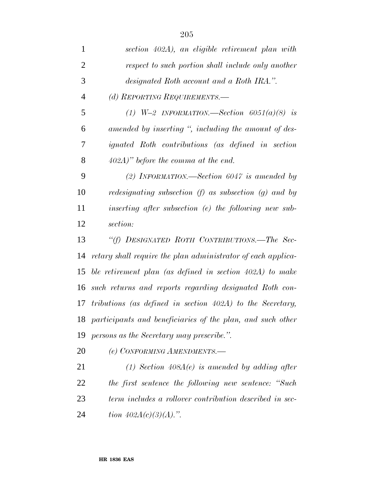| $\mathbf{1}$   | section 402A), an eligible retirement plan with              |
|----------------|--------------------------------------------------------------|
| $\overline{2}$ | respect to such portion shall include only another           |
| 3              | designated Roth account and a Roth IRA.".                    |
| $\overline{4}$ | (d) REPORTING REQUIREMENTS.-                                 |
| 5              | (1) $W=2$ INFORMATION.—Section 6051(a)(8) is                 |
| 6              | amended by inserting ", including the amount of des-         |
| 7              | ignated Roth contributions (as defined in section            |
| 8              | $402A$ )" before the comma at the end.                       |
| 9              | (2) INFORMATION.—Section $6047$ is amended by                |
| 10             | redesignating subsection $(f)$ as subsection $(g)$ and by    |
| 11             | inserting after subsection $(e)$ the following new sub-      |
| 12             | section:                                                     |
| 13             | "(f) DESIGNATED ROTH CONTRIBUTIONS.—The Sec-                 |
| 14             | retary shall require the plan administrator of each applica- |
| 15             | ble retirement plan (as defined in section 402A) to make     |
| 16             | such returns and reports regarding designated Roth con-      |
|                | 17 tributions (as defined in section 402A) to the Secretary, |
| 18             | participants and beneficiaries of the plan, and such other   |
| 19             | persons as the Secretary may prescribe.".                    |
| 20             | (e) CONFORMING AMENDMENTS.-                                  |
| 21             | $(1)$ Section 408A(e) is amended by adding after             |
| 22             | the first sentence the following new sentence: "Such         |
| 23             | term includes a rollover contribution described in sec-      |

*tion 402A(c)(3)(A).''.*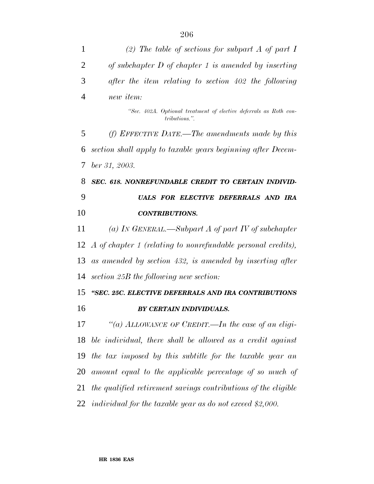| 1  | (2) The table of sections for subpart A of part I                                  |
|----|------------------------------------------------------------------------------------|
| 2  | of subchapter $D$ of chapter 1 is amended by inserting                             |
| 3  | after the item relating to section 402 the following                               |
| 4  | new <i>item</i> :                                                                  |
|    | "Sec. 402A. Optional treatment of elective deferrals as Roth con-<br>tributions.". |
| 5  | (f) EFFECTIVE DATE.—The amendments made by this                                    |
| 6  | section shall apply to taxable years beginning after Decem-                        |
| 7  | ber 31, 2003.                                                                      |
| 8  | SEC. 618. NONREFUNDABLE CREDIT TO CERTAIN INDIVID-                                 |
| 9  | UALS FOR ELECTIVE DEFERRALS AND IRA                                                |
| 10 | <b>CONTRIBUTIONS.</b>                                                              |
| 11 | (a) In GENERAL.—Subpart A of part IV of subchapter                                 |
|    | 12 A of chapter 1 (relating to nonrefundable personal credits),                    |
| 13 | as amended by section 432, is amended by inserting after                           |
| 14 | section 25B the following new section:                                             |
| 15 | "SEC. 25C. ELECTIVE DEFERRALS AND IRA CONTRIBUTIONS                                |
| 16 | BY CERTAIN INDIVIDUALS.                                                            |
| 17 | "(a) ALLOWANCE OF CREDIT.—In the case of an eligi-                                 |
| 18 | ble individual, there shall be allowed as a credit against                         |
| 19 | the tax imposed by this subtitle for the taxable year an                           |
| 20 | amount equal to the applicable percentage of so much of                            |
| 21 | the qualified retirement savings contributions of the eligible                     |
|    | 22 individual for the taxable year as do not exceed \$2,000.                       |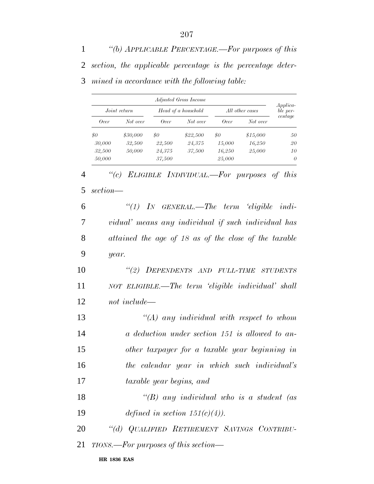*''(b) APPLICABLE PERCENTAGE.—For purposes of this section, the applicable percentage is the percentage deter-mined in accordance with the following table:*

|              |          |                     | Adjusted Gross Income |                 |          |                             |
|--------------|----------|---------------------|-----------------------|-----------------|----------|-----------------------------|
| Joint return |          | Head of a household |                       | All other cases |          | <i>Applica-</i><br>ble per- |
| <i>Over</i>  | Not over | Over                | Not over              | Over            | Not over | centage                     |
| \$0          | \$30,000 | \$0                 | \$22,500              | \$0             | \$15,000 | 50                          |
| 30,000       | 32,500   | 22,500              | 24,375                | 15,000          | 16,250   | 20                          |
| 32,500       | 50,000   | 24,375              | 37,500                | 16,250          | 25,000   | 10                          |
| 50,000       |          | 37,500              |                       | 25,000          |          | $\theta$                    |

*''(c) ELIGIBLE INDIVIDUAL.—For purposes of this*

| 5              | section—                                              |
|----------------|-------------------------------------------------------|
| 6              | "(1) IN GENERAL.—The term 'eligible indi-             |
| $\overline{7}$ | vidual' means any individual if such individual has   |
| 8              | attained the age of 18 as of the close of the taxable |
| 9              | year.                                                 |
| 10             | "(2) DEPENDENTS AND FULL-TIME STUDENTS                |
| 11             | NOT ELIGIBLE.—The term 'eligible individual' shall    |
| 12             | not include—                                          |
| 13             | $\lq (A)$ any individual with respect to whom         |
| 14             | a deduction under section 151 is allowed to an-       |
| 15             | other taxpayer for a taxable year beginning in        |
| 16             | the calendar year in which such individual's          |
| 17             | taxable year begins, and                              |
| 18             | "(B) any individual who is a student (as              |
| 19             | defined in section $151(c)(4)$ .                      |
| 20             | "(d) QUALIFIED RETIREMENT SAVINGS CONTRIBU-           |
| 21             | TIONS.—For purposes of this section—                  |

**HR 1836 EAS**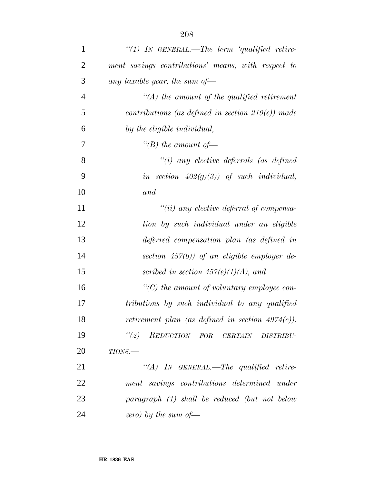| $\mathbf{1}$   | "(1) IN GENERAL.—The term 'qualified retire-         |
|----------------|------------------------------------------------------|
| $\overline{2}$ | ment savings contributions' means, with respect to   |
| 3              | any taxable year, the sum of-                        |
| $\overline{4}$ | $\lq (A)$ the amount of the qualified retirement     |
| 5              | contributions (as defined in section $219(e)$ ) made |
| 6              | by the eligible individual,                          |
| 7              | "(B) the amount of —                                 |
| 8              | $``(i)$ any elective deferrals (as defined           |
| 9              | in section $402(g)(3)$ ) of such individual,         |
| 10             | and                                                  |
| 11             | $``(ii)$ any elective deferral of compensa-          |
| 12             | tion by such individual under an eligible            |
| 13             | deferred compensation plan (as defined in            |
| 14             | section $457(b)$ ) of an eligible employer de-       |
| 15             | scribed in section $457(e)(1)(A)$ , and              |
| 16             | $\lq\lq C$ ) the amount of voluntary employee con-   |
| 17             | tributions by such individual to any qualified       |
| 18             | retirement plan (as defined in section $4974(c)$ ).  |
| 19             | "(2) REDUCTION FOR CERTAIN DISTRIBU-                 |
| 20             | $TIONS$ .                                            |
| 21             | "(A) IN GENERAL.—The qualified retire-               |
| 22             | ment savings contributions determined under          |
| 23             | $paramph$ (1) shall be reduced (but not below        |
| 24             | zero) by the sum of $\equiv$                         |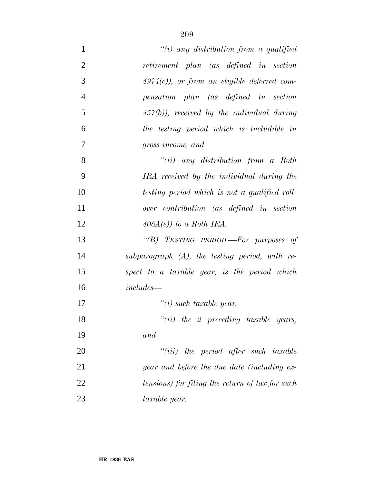| $\mathbf{1}$   | "(i) any distribution from a qualified            |
|----------------|---------------------------------------------------|
| $\overline{2}$ | retirement plan (as defined in section            |
| 3              | $4974(c)$ , or from an eligible deferred com-     |
| $\overline{4}$ | pensation plan (as defined in section             |
| 5              | $457(b)$ , received by the individual during      |
| 6              | the testing period which is includible in         |
| 7              | gross income, and                                 |
| 8              | $``(ii)$ any distribution from a Roth             |
| 9              | IRA received by the individual during the         |
| 10             | testing period which is not a qualified roll-     |
| 11             | over contribution (as defined in section          |
| 12             | $408A(e)$ ) to a Roth IRA.                        |
| 13             | "(B) TESTING PERIOD.—For purposes of              |
| 14             | subparagraph $(A)$ , the testing period, with re- |
| 15             | spect to a taxable year, is the period which      |
| 16             | $includes-$                                       |
| 17             | $\lq\lq(i)$ such taxable year,                    |
| 18             | $``(ii)$ the 2 preceding taxable years,           |
| 19             | and                                               |
| 20             | $``(iii)$ the period after such taxable           |
| 21             | year and before the due date (including ex-       |
| 22             | tensions) for filing the return of tax for such   |
| 23             | taxable year.                                     |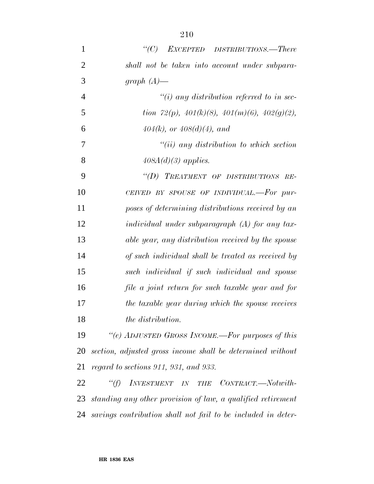| $\mathbf{1}$   | EXCEPTED DISTRIBUTIONS.-There<br>$\lq C$ )                        |
|----------------|-------------------------------------------------------------------|
| $\overline{2}$ | shall not be taken into account under subpara-                    |
| 3              | graph $(A)$ —                                                     |
| $\overline{4}$ | $\tilde{f}(i)$ any distribution referred to in sec-               |
| 5              | tion 72(p), $401(k)(8)$ , $401(m)(6)$ , $402(g)(2)$ ,             |
| 6              | $404(k)$ , or $408(d)(4)$ , and                                   |
| 7              | $``(ii)$ any distribution to which section                        |
| 8              | $408A(d)(3)$ applies.                                             |
| 9              | "(D) TREATMENT OF DISTRIBUTIONS RE-                               |
| 10             | CEIVED BY SPOUSE OF INDIVIDUAL.-For pur-                          |
| 11             | poses of determining distributions received by an                 |
| 12             | $individual$ under subparagraph $(A)$ for any tax-                |
| 13             | able year, any distribution received by the spouse                |
| 14             | of such individual shall be treated as received by                |
| 15             | such individual if such individual and spouse                     |
| 16             | file a joint return for such taxable year and for                 |
| 17             | the taxable year during which the spouse receives                 |
| 18             | <i>the distribution.</i>                                          |
| 19             | "(e) ADJUSTED GROSS INCOME.-For purposes of this                  |
| 20             | section, adjusted gross income shall be determined without        |
| 21             | regard to sections 911, 931, and 933.                             |
| 22             | $\lq\lq(f)$<br>INVESTMENT IN THE<br>$CONTRACT. \text{—} Not with$ |
| 23             | standing any other provision of law, a qualified retirement       |
| 24             | savings contribution shall not fail to be included in deter-      |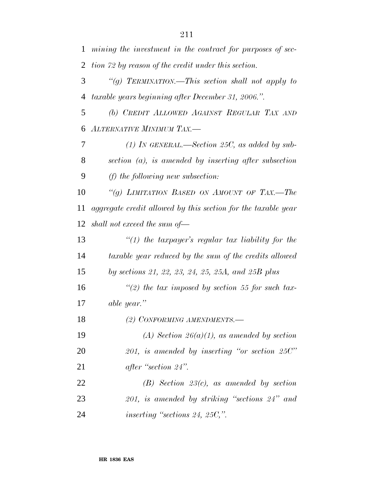|                | 1 mining the investment in the contract for purposes of sec- |
|----------------|--------------------------------------------------------------|
|                | 2 tion 72 by reason of the credit under this section.        |
| 3 <sup>7</sup> | "(g) TERMINATION.—This section shall not apply to            |
|                | 4 taxable years beginning after December 31, 2006.".         |
| 5 <sup>5</sup> | (b) CREDIT ALLOWED AGAINST REGULAR TAX AND                   |
|                | 6 ALTERNATIVE MINIMUM TAX.-                                  |

 *(1) IN GENERAL.—Section 25C, as added by sub- section (a), is amended by inserting after subsection (f) the following new subsection:*

 *''(g) LIMITATION BASED ON AMOUNT OF TAX.—The aggregate credit allowed by this section for the taxable year shall not exceed the sum of—*

 *''(1) the taxpayer's regular tax liability for the taxable year reduced by the sum of the credits allowed by sections 21, 22, 23, 24, 25, 25A, and 25B plus*

 *''(2) the tax imposed by section 55 for such tax-able year.''*

*(2) CONFORMING AMENDMENTS.—*

 *(A) Section 26(a)(1), as amended by section 201, is amended by inserting ''or section 25C'' after ''section 24''.*

 *(B) Section 23(c), as amended by section 201, is amended by striking ''sections 24'' and inserting ''sections 24, 25C,''.*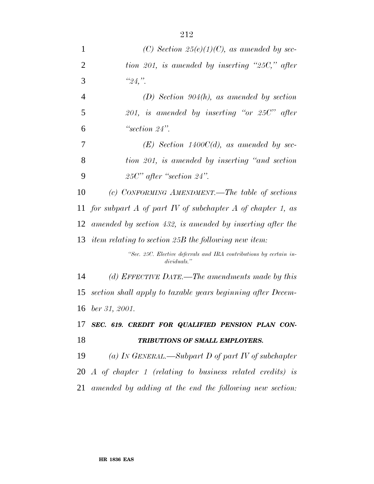| $\mathbf{1}$   | (C) Section $25(e)(1)(C)$ , as amended by sec-                                    |
|----------------|-----------------------------------------------------------------------------------|
| $\overline{2}$ | tion 201, is amended by inserting "25C," after                                    |
| 3              | "24,"                                                                             |
| 4              | $(D)$ Section 904(h), as amended by section                                       |
| 5              | 201, is amended by inserting "or 25 $C$ " after                                   |
| 6              | "section $24$ ".                                                                  |
| $\overline{7}$ | $(E)$ Section 1400C(d), as amended by sec-                                        |
| 8              | tion 201, is amended by inserting "and section                                    |
| 9              | $25C'$ after "section $24$ ".                                                     |
| 10             | (c) CONFORMING AMENDMENT.—The table of sections                                   |
| 11             | for subpart A of part IV of subchapter A of chapter 1, as                         |
| 12             | amended by section 432, is amended by inserting after the                         |
| 13             | item relating to section 25B the following new item:                              |
|                | "Sec. 25C. Elective deferrals and IRA contributions by certain in-<br>dividuals." |
| 14             | (d) EFFECTIVE DATE.—The amendments made by this                                   |
| 15             | section shall apply to taxable years beginning after Decem-                       |
|                | 16 ber 31, 2001.                                                                  |
|                | 17 SEC. 619. CREDIT FOR QUALIFIED PENSION PLAN CON-                               |
| 18             | TRIBUTIONS OF SMALL EMPLOYERS.                                                    |
| 19             | (a) In GENERAL.—Subpart D of part IV of subchapter                                |

 *A of chapter 1 (relating to business related credits) is amended by adding at the end the following new section:*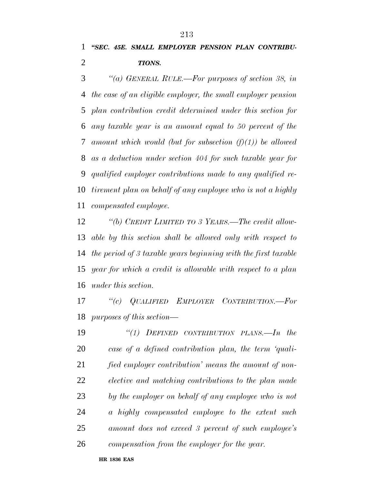*''(a) GENERAL RULE.—For purposes of section 38, in the case of an eligible employer, the small employer pension plan contribution credit determined under this section for any taxable year is an amount equal to 50 percent of the amount which would (but for subsection (f)(1)) be allowed as a deduction under section 404 for such taxable year for qualified employer contributions made to any qualified re- tirement plan on behalf of any employee who is not a highly compensated employee.*

 *''(b) CREDIT LIMITED TO 3 YEARS.—The credit allow- able by this section shall be allowed only with respect to the period of 3 taxable years beginning with the first taxable year for which a credit is allowable with respect to a plan under this section.*

 *''(c) QUALIFIED EMPLOYER CONTRIBUTION.—For purposes of this section—*

 *''(1) DEFINED CONTRIBUTION PLANS.—In the case of a defined contribution plan, the term 'quali- fied employer contribution' means the amount of non- elective and matching contributions to the plan made by the employer on behalf of any employee who is not a highly compensated employee to the extent such amount does not exceed 3 percent of such employee's compensation from the employer for the year.*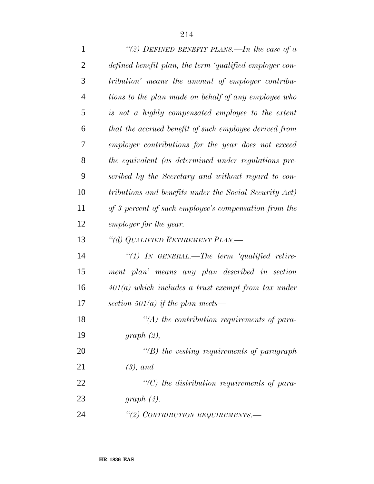| $\mathbf{1}$   | "(2) DEFINED BENEFIT PLANS.—In the case of $a$          |
|----------------|---------------------------------------------------------|
| $\overline{2}$ | defined benefit plan, the term 'qualified employer con- |
| 3              | tribution' means the amount of employer contribu-       |
| $\overline{4}$ | tions to the plan made on behalf of any employee who    |
| 5              | is not a highly compensated employee to the extent      |
| 6              | that the accrued benefit of such employee derived from  |
| 7              | employer contributions for the year does not exceed     |
| 8              | the equivalent (as determined under regulations pre-    |
| 9              | scribed by the Secretary and without regard to con-     |
| 10             | tributions and benefits under the Social Security Act)  |
| 11             | of 3 percent of such employee's compensation from the   |
| 12             | employer for the year.                                  |
| 13             | "(d) QUALIFIED RETIREMENT PLAN.—                        |
| 14             | "(1) IN GENERAL.—The term 'qualified retire-            |
| 15             | ment plan' means any plan described in section          |
| 16             | $401(a)$ which includes a trust exempt from tax under   |
| 17             | section 501(a) if the plan meets—                       |
| 18             | $\lq (A)$ the contribution requirements of para-        |
| 19             | graph(2),                                               |
| 20             | $\lq\lq(B)$ the vesting requirements of paragraph       |
| 21             | $(3)$ , and                                             |
| 22             | $\lq\lq C$ ) the distribution requirements of para-     |
| 23             | graph $(4)$ .                                           |
| 24             | "(2) CONTRIBUTION REQUIREMENTS.                         |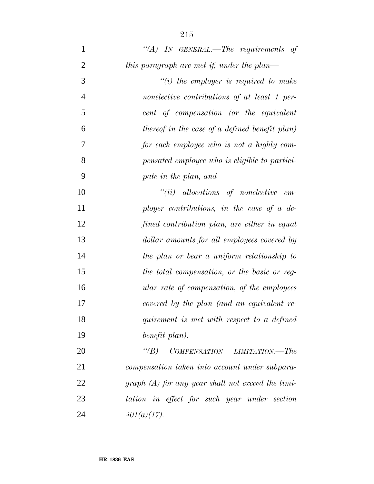| $\mathbf{1}$   | "(A) IN GENERAL.—The requirements of           |
|----------------|------------------------------------------------|
| $\overline{2}$ | this paragraph are met if, under the plan—     |
| 3              | $"(i)$ the employer is required to make        |
| $\overline{4}$ | nonelective contributions of at least 1 per-   |
| 5              | cent of compensation (or the equivalent        |
| 6              | thereof in the case of a defined benefit plan) |
| 7              | for each employee who is not a highly com-     |
| 8              | pensated employee who is eligible to partici-  |
| 9              | pate in the plan, and                          |
| 10             | $``(ii)$ allocations of nonelective em-        |
| 11             | ployer contributions, in the case of a de-     |
| 12             | fined contribution plan, are either in equal   |
| 13             | dollar amounts for all employees covered by    |
| 14             | the plan or bear a uniform relationship to     |
| 15             | the total compensation, or the basic or reg-   |
| 16             | ular rate of compensation, of the employees    |
| 17             | covered by the plan (and an equivalent re-     |
| 18             | quirement is met with respect to a defined     |
| 19             | benefit plan).                                 |
| 20             | $COMPENSATION$ $LIMITATION. - The$<br>$\lq(B)$ |
| 21             | compensation taken into account under subpara- |

 *graph (A) for any year shall not exceed the limi- tation in effect for such year under section 401(a)(17).*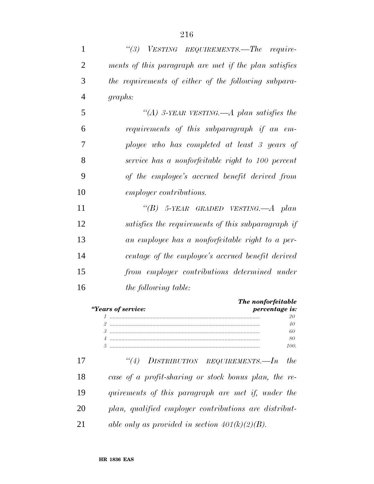| 1  | "(3) VESTING REQUIREMENTS.—The require-                    |
|----|------------------------------------------------------------|
| 2  | ments of this paragraph are met if the plan satisfies      |
| 3  | the requirements of either of the following subpara-       |
| 4  | graphs:                                                    |
| 5  | "(A) 3-YEAR VESTING.—A plan satisfies the                  |
| 6  | requirements of this subparagraph if an em-                |
| 7  | ployee who has completed at least 3 years of               |
| 8  | service has a nonforfeitable right to 100 percent          |
| 9  | of the employee's accrued benefit derived from             |
| 10 | <i>employer contributions.</i>                             |
| 11 | "(B) 5-YEAR GRADED VESTING.—A plan                         |
| 12 | satisfies the requirements of this subparagraph if         |
| 13 | an employee has a nonforfeitable right to a per-           |
| 14 | centage of the employee's accrued benefit derived          |
| 15 | from employer contributions determined under               |
| 16 | the following table:                                       |
|    | The nonforfeitable<br>"Years of service:<br>percentage is: |
|    | 20                                                         |
|    | 40                                                         |
|    | 60                                                         |
|    | 80                                                         |

 *''(4) DISTRIBUTION REQUIREMENTS.—In the case of a profit-sharing or stock bonus plan, the re- quirements of this paragraph are met if, under the plan, qualified employer contributions are distribut-able only as provided in section 401(k)(2)(B).*

*5 ...................................................................................................... 100.*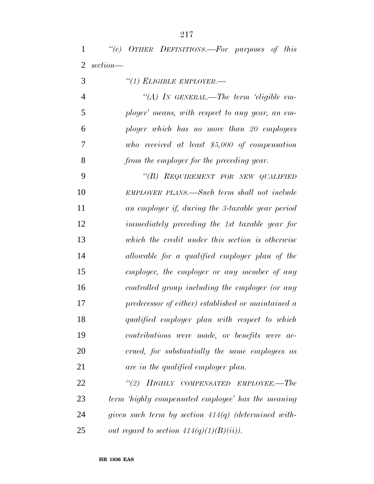|            | "(e) OTHER DEFINITIONS.—For purposes of this |  |  |
|------------|----------------------------------------------|--|--|
| 2 section— |                                              |  |  |

*''(1) ELIGIBLE EMPLOYER.—*

 *''(A) IN GENERAL.—The term 'eligible em- ployer' means, with respect to any year, an em- ployer which has no more than 20 employees who received at least \$5,000 of compensation from the employer for the preceding year.*

 *''(B) REQUIREMENT FOR NEW QUALIFIED EMPLOYER PLANS.—Such term shall not include an employer if, during the 3-taxable year period immediately preceding the 1st taxable year for which the credit under this section is otherwise allowable for a qualified employer plan of the employer, the employer or any member of any controlled group including the employer (or any predecessor of either) established or maintained a qualified employer plan with respect to which contributions were made, or benefits were ac- crued, for substantially the same employees as are in the qualified employer plan.*

 *''(2) HIGHLY COMPENSATED EMPLOYEE.—The term 'highly compensated employee' has the meaning given such term by section 414(q) (determined with-out regard to section*  $414(q)(1)(B)(ii)$ *.*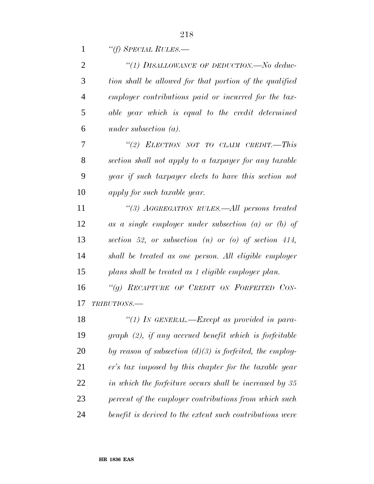*''(f) SPECIAL RULES.—*

| 2              | "(1) DISALLOWANCE OF DEDUCTION.—No deduc-                  |
|----------------|------------------------------------------------------------|
| 3              | tion shall be allowed for that portion of the qualified    |
| $\overline{4}$ | employer contributions paid or incurred for the tax-       |
| 5              | able year which is equal to the credit determined          |
| 6              | under subsection $(a)$ .                                   |
| 7              | "(2) ELECTION NOT TO CLAIM CREDIT.—This                    |
| 8              | section shall not apply to a taxpayer for any taxable      |
| 9              | year if such taxpayer elects to have this section not      |
| 10             | apply for such taxable year.                               |
| 11             | "(3) AGGREGATION RULES.—All persons treated                |
| 12             | as a single employer under subsection $(a)$ or $(b)$ of    |
| 13             | section 52, or subsection $(n)$ or $(o)$ of section 414,   |
| 14             | shall be treated as one person. All eligible employer      |
| 15             | plans shall be treated as 1 eligible employer plan.        |
| 16             | "(g) RECAPTURE OF CREDIT ON FORFEITED CON-                 |
| 17             | TRIBUTIONS.-                                               |
| 18             | "(1) IN GENERAL.—Except as provided in para-               |
| 19             | $graph (2), if any accrued benefit which is forf eitable$  |
| 20             | by reason of subsection $(d)(3)$ is forfeited, the employ- |
| 21             | er's tax imposed by this chapter for the taxable year      |
| 22             | in which the forfeiture occurs shall be increased by 35    |
| 23             | percent of the employer contributions from which such      |
| 24             | benefit is derived to the extent such contributions were   |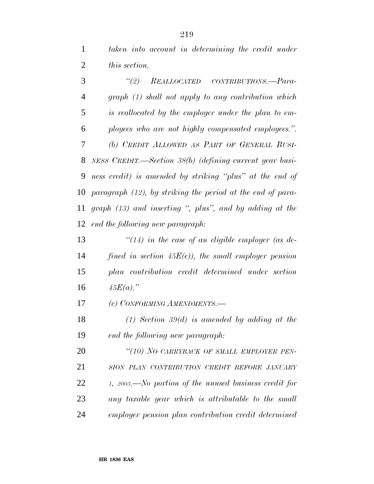*taken into account in determining the credit under this section.*

 *''(2) REALLOCATED CONTRIBUTIONS.—Para- graph (1) shall not apply to any contribution which is reallocated by the employer under the plan to em- ployees who are not highly compensated employees.''. (b) CREDIT ALLOWED AS PART OF GENERAL BUSI- NESS CREDIT.—Section 38(b) (defining current year busi- ness credit) is amended by striking ''plus'' at the end of paragraph (12), by striking the period at the end of para- graph (13) and inserting '', plus'', and by adding at the end the following new paragraph:*

 *''(14) in the case of an eligible employer (as de- fined in section 45E(e)), the small employer pension plan contribution credit determined under section 45E(a).''*

*(c) CONFORMING AMENDMENTS.—*

 *(1) Section 39(d) is amended by adding at the end the following new paragraph:*

 *''(10) NO CARRYBACK OF SMALL EMPLOYER PEN- SION PLAN CONTRIBUTION CREDIT BEFORE JANUARY 1, 2003.—No portion of the unused business credit for any taxable year which is attributable to the small employer pension plan contribution credit determined*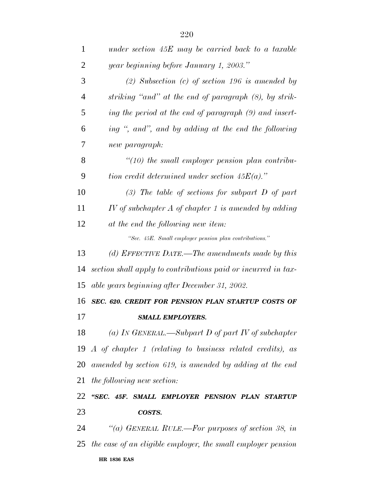| $\mathbf{1}$   | under section $45E$ may be carried back to a taxable                 |
|----------------|----------------------------------------------------------------------|
| $\overline{2}$ | year beginning before January 1, 2003."                              |
| 3              | $(2)$ Subsection $(c)$ of section 196 is amended by                  |
| 4              | striking "and" at the end of paragraph (8), by strik-                |
| 5              | ing the period at the end of paragraph (9) and insert-               |
| 6              | ing ", and", and by adding at the end the following                  |
| 7              | new paragraph:                                                       |
| 8              | $\lq(10)$ the small employer pension plan contribu-                  |
| 9              | tion credit determined under section $45E(a)$ ."                     |
| 10             | $(3)$ The table of sections for subpart D of part                    |
| 11             | IV of subchapter $A$ of chapter 1 is amended by adding               |
| 12             | at the end the following new item:                                   |
|                | "Sec. 45E. Small employer pension plan contributions."               |
| 13             | (d) EFFECTIVE DATE.—The amendments made by this                      |
| 14             | section shall apply to contributions paid or incurred in tax-        |
| 15             | able years beginning after December 31, 2002.                        |
| 16             | SEC. 620. CREDIT FOR PENSION PLAN STARTUP COSTS OF                   |
| 17             | <b>SMALL EMPLOYERS.</b>                                              |
| 18             | (a) IN GENERAL.—Subpart D of part IV of subchapter                   |
|                | 19 $\Lambda$ of chapter 1 (relating to business related credits), as |
| 20             | amended by section 619, is amended by adding at the end              |
| 21             | the following new section:                                           |
| 22             | "SEC. 45F. SMALL EMPLOYER PENSION PLAN STARTUP                       |
| 23             | COSTS.                                                               |
| 24             | "(a) GENERAL RULE.—For purposes of section 38, in                    |
| 25             | the case of an eligible employer, the small employer pension         |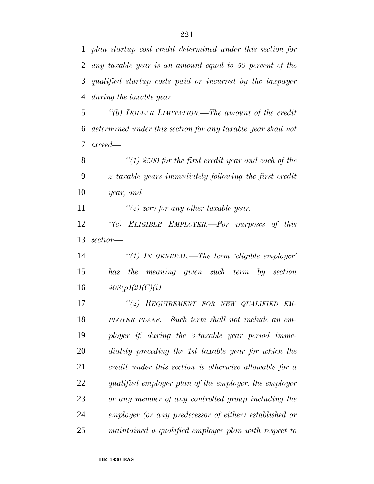*plan startup cost credit determined under this section for any taxable year is an amount equal to 50 percent of the qualified startup costs paid or incurred by the taxpayer during the taxable year.*

 *''(b) DOLLAR LIMITATION.—The amount of the credit determined under this section for any taxable year shall not exceed—*

 *''(1) \$500 for the first credit year and each of the 2 taxable years immediately following the first credit year, and*

*''(2) zero for any other taxable year.*

 *''(c) ELIGIBLE EMPLOYER.—For purposes of this section—*

 *''(1) IN GENERAL.—The term 'eligible employer' has the meaning given such term by section* 16  $408(p)(2)(C)(i)$ .

 *''(2) REQUIREMENT FOR NEW QUALIFIED EM- PLOYER PLANS.—Such term shall not include an em- ployer if, during the 3-taxable year period imme- diately preceding the 1st taxable year for which the credit under this section is otherwise allowable for a qualified employer plan of the employer, the employer or any member of any controlled group including the employer (or any predecessor of either) established or maintained a qualified employer plan with respect to*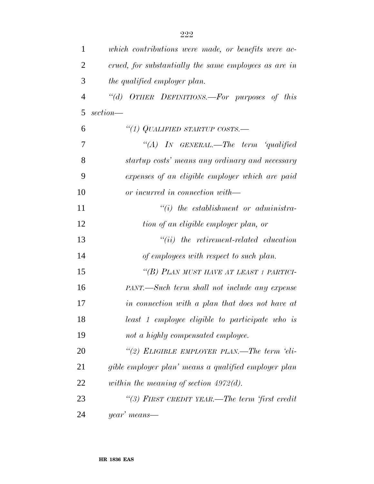| $\mathbf{1}$   | which contributions were made, or benefits were ac-   |
|----------------|-------------------------------------------------------|
| $\overline{2}$ | crued, for substantially the same employees as are in |
| 3              | the qualified employer plan.                          |
| $\overline{4}$ | OTHER DEFINITIONS.-For purposes of this<br>$\lq(a)$   |
| 5              | section—                                              |
| 6              | "(1) QUALIFIED STARTUP COSTS.—                        |
| 7              | "(A) IN GENERAL.—The term 'qualified                  |
| 8              | startup costs' means any ordinary and necessary       |
| 9              | expenses of an eligible employer which are paid       |
| 10             | or incurred in connection with—                       |
| 11             | $``(i)$ the establishment or administra-              |
| 12             | tion of an eligible employer plan, or                 |
| 13             | $``(ii)$ the retirement-related education             |
| 14             | of employees with respect to such plan.               |
| 15             | "(B) PLAN MUST HAVE AT LEAST 1 PARTICI-               |
| 16             | PANT.—Such term shall not include any expense         |
| 17             | in connection with a plan that does not have at       |
| 18             | least 1 employee eligible to participate who is       |
| 19             | not a highly compensated employee.                    |
| 20             | "(2) ELIGIBLE EMPLOYER PLAN.—The term 'eli-           |
| 21             | gible employer plan' means a qualified employer plan  |
| 22             | within the meaning of section $4972(d)$ .             |
| 23             | "(3) FIRST CREDIT YEAR.—The term 'first credit        |
| 24             | year' means—                                          |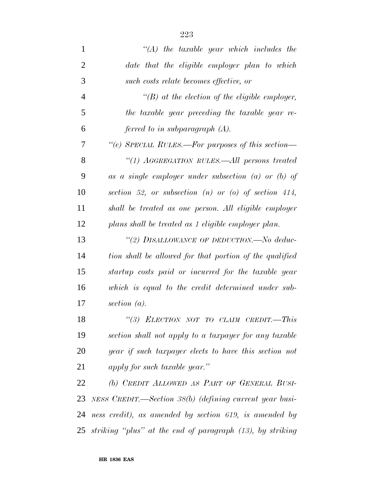| $\mathbf{1}$   | $\lq (A)$ the taxable year which includes the             |
|----------------|-----------------------------------------------------------|
| $\overline{2}$ | date that the eligible employer plan to which             |
| 3              | such costs relate becomes effective, or                   |
| $\overline{4}$ | $\lq\lq(B)$ at the election of the eligible employer,     |
| 5              | the taxable year preceding the taxable year re-           |
| 6              | ferred to in subparagraph $(A)$ .                         |
| 7              | "(e) SPECIAL RULES.—For purposes of this section—         |
| 8              | "(1) AGGREGATION RULES.—All persons treated               |
| 9              | as a single employer under subsection $(a)$ or $(b)$ of   |
| 10             | section 52, or subsection $(n)$ or $(o)$ of section 414,  |
| 11             | shall be treated as one person. All eligible employer     |
| 12             | plans shall be treated as 1 eligible employer plan.       |
| 13             | "(2) DISALLOWANCE OF DEDUCTION.—No deduc-                 |
| 14             | tion shall be allowed for that portion of the qualified   |
| 15             | startup costs paid or incurred for the taxable year       |
| 16             | which is equal to the credit determined under sub-        |
| 17             | section $(a)$ .                                           |
| 18             | "(3) ELECTION NOT TO CLAIM CREDIT.-This                   |
| 19             | section shall not apply to a taxpayer for any taxable     |
| 20             | year if such taxpayer elects to have this section not     |
| 21             | apply for such taxable year."                             |
| 22             | (b) CREDIT ALLOWED AS PART OF GENERAL BUSI-               |
| 23             | NESS CREDIT.—Section $38(b)$ (defining current year busi- |
| 24             | ness credit), as amended by section 619, is amended by    |
| 25             | striking "plus" at the end of paragraph (13), by striking |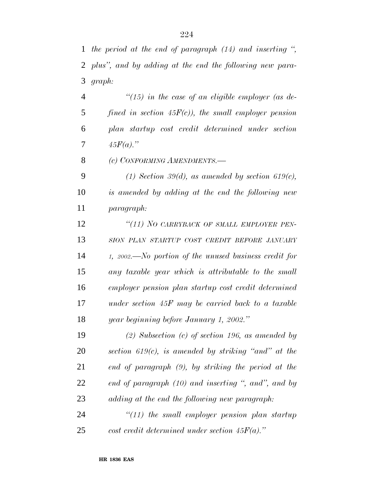*the period at the end of paragraph (14) and inserting '', plus'', and by adding at the end the following new para-graph:*

 *''(15) in the case of an eligible employer (as de- fined in section 45F(c)), the small employer pension plan startup cost credit determined under section* 7  $45F(a)$ ."

*(c) CONFORMING AMENDMENTS.—*

 *(1) Section 39(d), as amended by section 619(c), is amended by adding at the end the following new paragraph:*

 *''(11) NO CARRYBACK OF SMALL EMPLOYER PEN- SION PLAN STARTUP COST CREDIT BEFORE JANUARY 1, 2002.—No portion of the unused business credit for any taxable year which is attributable to the small employer pension plan startup cost credit determined under section 45F may be carried back to a taxable year beginning before January 1, 2002.''*

 *(2) Subsection (c) of section 196, as amended by section 619(c), is amended by striking ''and'' at the end of paragraph (9), by striking the period at the end of paragraph (10) and inserting '', and'', and by adding at the end the following new paragraph:*

 *''(11) the small employer pension plan startup cost credit determined under section 45F(a).''*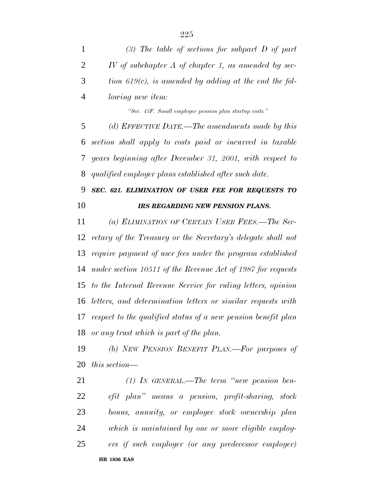|                | (3) The table of sections for subpart $D$ of part         |
|----------------|-----------------------------------------------------------|
| 2              | $IV$ of subchapter $A$ of chapter 1, as amended by sec-   |
| 3              | tion 619 $(c)$ , is amended by adding at the end the fol- |
| $\overline{4}$ | <i>lowing new item:</i>                                   |

*''Sec. 45F. Small employer pension plan startup costs.''*

 *(d) EFFECTIVE DATE.—The amendments made by this section shall apply to costs paid or incurred in taxable years beginning after December 31, 2001, with respect to qualified employer plans established after such date.*

## *SEC. 621. ELIMINATION OF USER FEE FOR REQUESTS TO IRS REGARDING NEW PENSION PLANS.*

 *(a) ELIMINATION OF CERTAIN USER FEES.—The Sec- retary of the Treasury or the Secretary's delegate shall not require payment of user fees under the program established under section 10511 of the Revenue Act of 1987 for requests to the Internal Revenue Service for ruling letters, opinion letters, and determination letters or similar requests with respect to the qualified status of a new pension benefit plan or any trust which is part of the plan.*

 *(b) NEW PENSION BENEFIT PLAN.—For purposes of this section—*

 *(1) IN GENERAL.—The term ''new pension ben- efit plan'' means a pension, profit-sharing, stock bonus, annuity, or employee stock ownership plan which is maintained by one or more eligible employ-ers if such employer (or any predecessor employer)*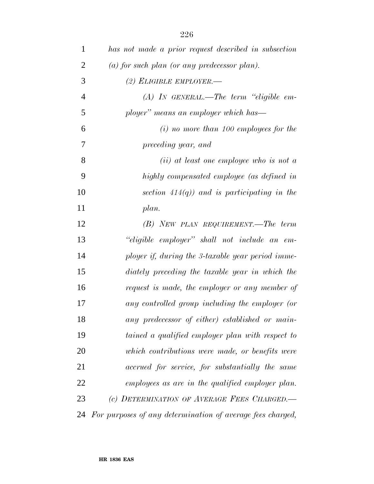| 1              | has not made a prior request described in subsection       |
|----------------|------------------------------------------------------------|
| $\overline{2}$ | (a) for such plan (or any predecessor plan).               |
| 3              | $(2)$ ELIGIBLE EMPLOYER.-                                  |
| $\overline{4}$ | $(A)$ IN GENERAL.—The term "eligible em-                   |
| 5              | ployer" means an employer which has—                       |
| 6              | $(i)$ no more than 100 employees for the                   |
| 7              | preceding year, and                                        |
| 8              | $(ii)$ at least one employee who is not a                  |
| 9              | highly compensated employee (as defined in                 |
| 10             | section $414(q)$ ) and is participating in the             |
| 11             | plan.                                                      |
| 12             | $(B)$ NEW PLAN REQUIREMENT.—The term                       |
| 13             | "eligible employer" shall not include an em-               |
| 14             | ployer if, during the 3-taxable year period imme-          |
| 15             | diately preceding the taxable year in which the            |
| 16             | request is made, the employer or any member of             |
| 17             | any controlled group including the employer (or            |
| 18             | any predecessor of either) established or main-            |
| 19             | tained a qualified employer plan with respect to           |
| 20             | which contributions were made, or benefits were            |
| 21             | accrued for service, for substantially the same            |
| 22             | employees as are in the qualified employer plan.           |
| 23             | (c) DETERMINATION OF AVERAGE FEES CHARGED.                 |
| 24             | For purposes of any determination of average fees charged, |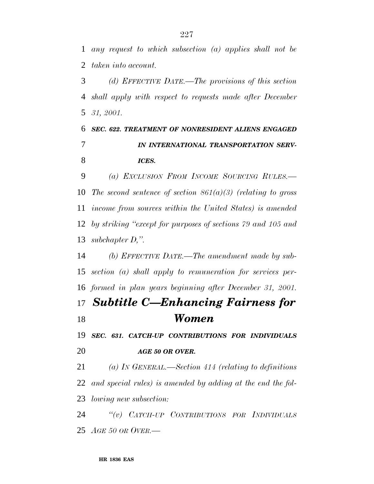*any request to which subsection (a) applies shall not be taken into account.*

 *(d) EFFECTIVE DATE.—The provisions of this section shall apply with respect to requests made after December 31, 2001.*

## *SEC. 622. TREATMENT OF NONRESIDENT ALIENS ENGAGED IN INTERNATIONAL TRANSPORTATION SERV-ICES.*

 *(a) EXCLUSION FROM INCOME SOURCING RULES.— The second sentence of section 861(a)(3) (relating to gross income from sources within the United States) is amended by striking ''except for purposes of sections 79 and 105 and subchapter D,''.*

 *(b) EFFECTIVE DATE.—The amendment made by sub- section (a) shall apply to remuneration for services per-formed in plan years beginning after December 31, 2001.*

## *Subtitle C—Enhancing Fairness for Women*

 *SEC. 631. CATCH-UP CONTRIBUTIONS FOR INDIVIDUALS AGE 50 OR OVER.*

 *(a) IN GENERAL.—Section 414 (relating to definitions and special rules) is amended by adding at the end the fol-lowing new subsection:*

 *''(v) CATCH-UP CONTRIBUTIONS FOR INDIVIDUALS AGE 50 OR OVER.—*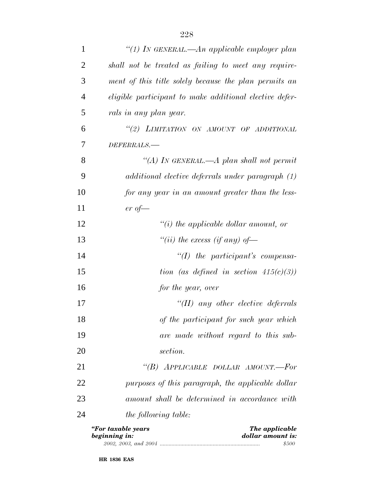| $\mathbf{1}$   | "(1) In GENERAL.—An applicable employer plan                               |
|----------------|----------------------------------------------------------------------------|
| $\overline{2}$ | shall not be treated as failing to meet any require-                       |
| 3              | ment of this title solely because the plan permits an                      |
| $\overline{4}$ | eligible participant to make additional elective defer-                    |
| 5              | rals in any plan year.                                                     |
| 6              | "(2) LIMITATION ON AMOUNT OF ADDITIONAL                                    |
| 7              | DEFERRALS.-                                                                |
| 8              | "(A) In GENERAL.—A plan shall not permit                                   |
| 9              | additional elective deferrals under paragraph (1)                          |
| 10             | for any year in an amount greater than the less-                           |
| 11             | $er\ of$ —                                                                 |
| 12             | $\lq\lq(i)$ the applicable dollar amount, or                               |
| 13             | "(ii) the excess (if any) of —                                             |
| 14             | $\lq (I)$ the participant's compensa-                                      |
| 15             | tion (as defined in section $415(c)(3)$ )                                  |
| 16             | for the year, over                                                         |
| 17             | "(II) any other elective deferrals                                         |
| 18             | of the participant for such year which                                     |
| 19             | are made without regard to this sub-                                       |
| 20             | section.                                                                   |
| 21             | "(B) APPLICABLE DOLLAR AMOUNT.—For                                         |
| 22             | purposes of this paragraph, the applicable dollar                          |
| 23             | amount shall be determined in accordance with                              |
| 24             | <i>the following table:</i>                                                |
|                | "For taxable years<br>The applicable<br>beginning in:<br>dollar amount is: |

| 2002 | 2003. | ഹെ<br>and<br>$\mathcal{L}UU^{\mathcal{A}}$ |  |
|------|-------|--------------------------------------------|--|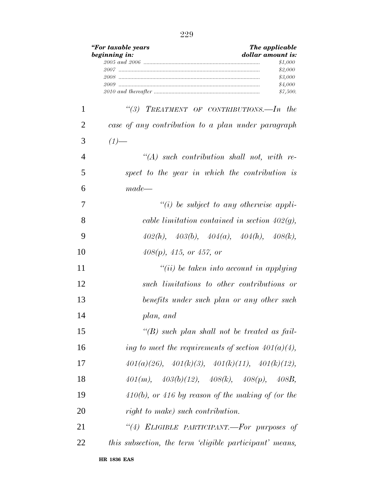|                | "For taxable years<br>beginning in: | The applicable<br>dollar amount is:<br>\$1,000<br>\$2,000<br>\$3,000<br>\$4,000 |
|----------------|-------------------------------------|---------------------------------------------------------------------------------|
|                |                                     | \$7,500.                                                                        |
| 1              |                                     | "(3) TREATMENT OF CONTRIBUTIONS.—In the                                         |
| 2              |                                     | case of any contribution to a plan under paragraph                              |
| 3              | $(1)$ —                             |                                                                                 |
| $\overline{4}$ |                                     | $\lq (A)$ such contribution shall not, with re-                                 |
| 5              |                                     | spect to the year in which the contribution is                                  |
| 6              | $made-$                             |                                                                                 |
| 7              |                                     | $``(i)$ be subject to any otherwise appli-                                      |
| 8              |                                     | cable limitation contained in section $402(q)$ ,                                |
| 9              |                                     | $402(h), 403(b), 404(a), 404(h), 408(k),$                                       |
| 10             |                                     | $408(p)$ , $415$ , or $457$ , or                                                |
| 11             |                                     | $``(ii)$ be taken into account in applying                                      |
| 12             |                                     | such limitations to other contributions or                                      |
| 13             |                                     | benefits under such plan or any other such                                      |
| 14             |                                     | plan, and                                                                       |
| 15             |                                     | "(B) such plan shall not be treated as fail-                                    |
| 16             |                                     | ing to meet the requirements of section $401(a)(4)$ ,                           |
| 17             |                                     | $401(a)(26)$ , $401(k)(3)$ , $401(k)(11)$ , $401(k)(12)$ ,                      |
| 18             |                                     | $401(m), \quad 403(b)(12), \quad 408(k), \quad 408(p), \quad 408B,$             |
| 19             |                                     | $410(b)$ , or $416$ by reason of the making of (or the                          |
| 20             |                                     | right to make) such contribution.                                               |
| 21             |                                     | "(4) ELIGIBLE PARTICIPANT.—For purposes of                                      |
| 22             |                                     | this subsection, the term 'eligible participant' means,                         |
|                |                                     |                                                                                 |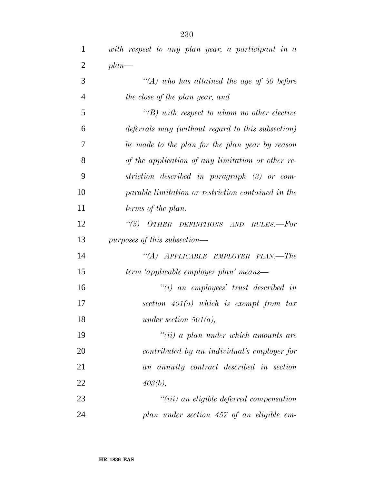| 1              | with respect to any plan year, a participant in a  |
|----------------|----------------------------------------------------|
| $\overline{2}$ | $plan$ —                                           |
| 3              | $\lq (A)$ who has attained the age of 50 before    |
| $\overline{4}$ | the close of the plan year, and                    |
| 5              | $\lq\lq(B)$ with respect to whom no other elective |
| 6              | deferrals may (without regard to this subsection)  |
| 7              | be made to the plan for the plan year by reason    |
| 8              | of the application of any limitation or other re-  |
| 9              | striction described in paragraph (3) or com-       |
| 10             | parable limitation or restriction contained in the |
| 11             | terms of the plan.                                 |
| 12             | $``(5)$ OTHER<br>DEFINITIONS AND RULES.—For        |
| 13             | purposes of this subsection—                       |
| 14             | "(A) APPLICABLE EMPLOYER PLAN.—The                 |
| 15             | term 'applicable employer plan' means—             |
| 16             |                                                    |
|                | $"(i)$ an employees' trust described in            |
| 17             | section $401(a)$ which is exempt from $tax$        |
| 18             | under section $501(a)$ ,                           |
| 19             | $``(ii)$ a plan under which amounts are            |
| 20             | contributed by an individual's employer for        |
| 21             | an annuity contract described in section           |
| 22             | 403(b),                                            |
| 23             | $"(iii)$ an eligible deferred compensation         |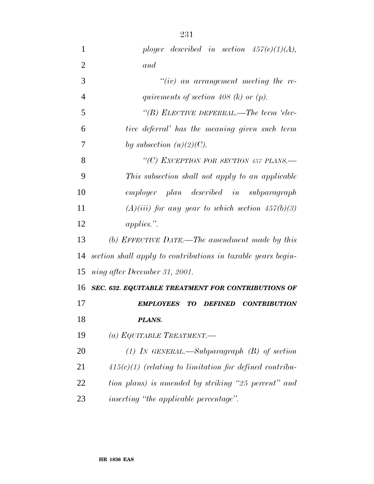| $\mathbf{1}$   | ployer described in section $457(e)(1)(A)$ ,                    |
|----------------|-----------------------------------------------------------------|
| $\overline{2}$ | and                                                             |
| 3              | $``(iv)$ an arrangement meeting the re-                         |
| $\overline{4}$ | quirements of section 408 (k) or $(p)$ .                        |
| 5              | "(B) ELECTIVE DEFERRAL.—The term 'elec-                         |
| 6              | tive deferral' has the meaning given such term                  |
| 7              | by subsection $(u)(2)(C)$ .                                     |
| 8              | "(C) EXCEPTION FOR SECTION 457 PLANS.—                          |
| 9              | This subsection shall not apply to an applicable                |
| 10             | employer plan described in subparagraph                         |
| 11             | $(A)(iii)$ for any year to which section $457(b)(3)$            |
| 12             | applies.".                                                      |
| 13             | (b) EFFECTIVE DATE.—The amendment made by this                  |
| 14             | section shall apply to contributions in taxable years begin-    |
| 15             | ning after December 31, 2001.                                   |
| 16             | SEC. 632. EQUITABLE TREATMENT FOR CONTRIBUTIONS OF              |
| 17             | <b>EMPLOYEES</b><br>TO<br><b>DEFINED</b><br><b>CONTRIBUTION</b> |
| 18             | PLANS.                                                          |
| 19             | (a) EQUITABLE TREATMENT.—                                       |
| 20             | (1) IN GENERAL.—Subparagraph $(B)$ of section                   |
| 21             | $415(c)(1)$ (relating to limitation for defined contribu-       |
| 22             | tion plans) is amended by striking "25 percent" and             |
| 23             | <i>inserting</i> "the applicable percentage".                   |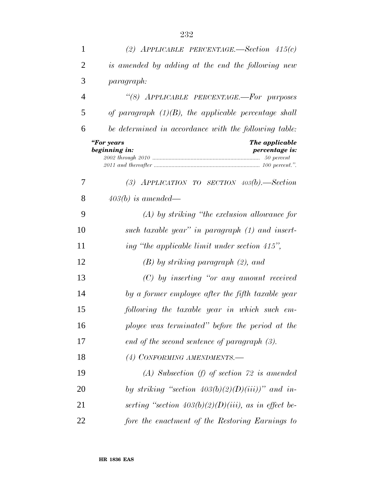| 1  | (2) APPLICABLE PERCENTAGE.-Section $415(c)$                            |
|----|------------------------------------------------------------------------|
| 2  | is amended by adding at the end the following new                      |
| 3  | paragraph:                                                             |
| 4  | "(8) APPLICABLE PERCENTAGE.-For purposes                               |
| 5  | of paragraph $(1)(B)$ , the applicable percentage shall                |
| 6  | be determined in accordance with the following table:                  |
|    | "For years<br>The applicable<br>beginning in:<br><i>percentage is:</i> |
| 7  | (3) APPLICATION TO SECTION $403(b)$ . Section                          |
| 8  | $403(b)$ is amended—                                                   |
| 9  | $(A)$ by striking "the exclusion allowance for                         |
| 10 | such taxable year" in paragraph $(1)$ and insert-                      |
| 11 | ing "the applicable limit under section 415",                          |
| 12 | $(B)$ by striking paragraph $(2)$ , and                                |
| 13 | $(C)$ by inserting "or any amount received                             |
| 14 | by a former employee after the fifth taxable year                      |
| 15 | following the taxable year in which such em-                           |
| 16 | ployee was terminated" before the period at the                        |
| 17 | end of the second sentence of paragraph $(3)$ .                        |
| 18 | (4) CONFORMING AMENDMENTS.-                                            |
| 19 | $(A)$ Subsection (f) of section 72 is amended                          |
| 20 | by striking "section $403(b)(2)(D)(iii)$ " and in-                     |
| 21 | serting "section $403(b)(2)(D)(iii)$ , as in effect be-                |
| 22 | fore the enactment of the Restoring Earnings to                        |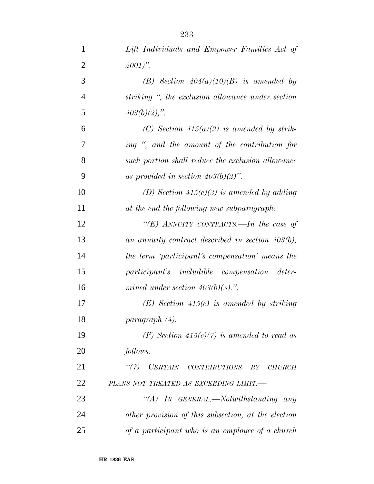| 1              | Lift Individuals and Empower Families Act of        |
|----------------|-----------------------------------------------------|
| $\overline{2}$ | $2001$ ".                                           |
| 3              | (B) Section $404(a)(10)(B)$ is amended by           |
| $\overline{4}$ | striking ", the exclusion allowance under section   |
| 5              | $403(b)(2)$ ,".                                     |
| 6              | (C) Section $415(a)(2)$ is amended by strik-        |
| 7              | ing ", and the amount of the contribution for       |
| 8              | such portion shall reduce the exclusion allowance   |
| 9              | as provided in section $403(b)(2)$ ".               |
| 10             | (D) Section $415(c)(3)$ is amended by adding        |
| 11             | at the end the following new subparagraph:          |
| 12             | "(E) ANNUITY CONTRACTS.—In the case of              |
| 13             | an annuity contract described in section $403(b)$ , |
| 14             | the term 'participant's compensation' means the     |
| 15             | participant's includible compensation deter-        |
| 16             | mined under section $403(b)(3)$ .".                 |
| 17             | $(E)$ Section 415(c) is amended by striking         |
| 18             | paragnph(4).                                        |
| 19             | (F) Section 415(c)(7) is amended to read as         |
| 20             | follows:                                            |
| 21             | "(7) CERTAIN CONTRIBUTIONS BY<br><i>CHURCH</i>      |
| 22             | PLANS NOT TREATED AS EXCEEDING LIMIT.-              |
| 23             | "(A) IN GENERAL.—Notwithstanding any                |
| 24             | other provision of this subsection, at the election |
| 25             | of a participant who is an employee of a church     |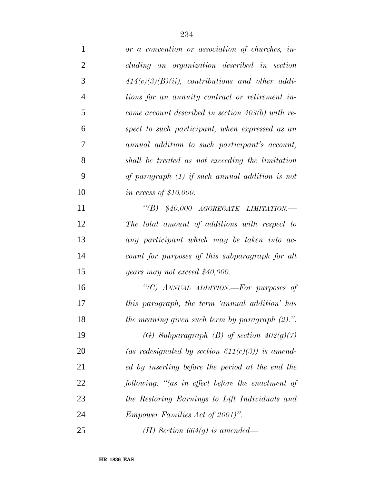| $\mathbf{1}$   | or a convention or association of churches, in-     |
|----------------|-----------------------------------------------------|
| $\overline{2}$ | cluding an organization described in section        |
| 3              | $414(e)(3)(B)(ii)$ , contributions and other addi-  |
| $\overline{4}$ | tions for an annuity contract or retirement in-     |
| 5              | come account described in section $403(b)$ with re- |
| 6              | spect to such participant, when expressed as an     |
| 7              | annual addition to such participant's account,      |
| 8              | shall be treated as not exceeding the limitation    |
| 9              | of paragraph $(1)$ if such annual addition is not   |
| 10             | <i>in excess of \$10,000.</i>                       |
| 11             | $\lq\lq B$ \$40,000 AGGREGATE LIMITATION.—          |
| 12             | The total amount of additions with respect to       |
| 13             | any participant which may be taken into ac-         |
| 14             | count for purposes of this subparagraph for all     |
| 15             | years may not exceed $$40,000$ .                    |
| 16             | "(C) ANNUAL ADDITION.-For purposes of               |
| 17             | this paragraph, the term 'annual addition' has      |
| 18             | the meaning given such term by paragraph $(2)$ .".  |
| 19             | (G) Subparagraph (B) of section $402(g)(7)$         |
| 20             | (as redesignated by section $611(c)(3)$ ) is amend- |
| 21             | ed by inserting before the period at the end the    |
| 22             | following: "(as in effect before the enactment of   |
| 23             | the Restoring Earnings to Lift Individuals and      |
| 24             | <i>Empower Families Act of 2001)".</i>              |
| 25             | ( <i>H</i> ) Section 664( <i>g</i> ) is amended—    |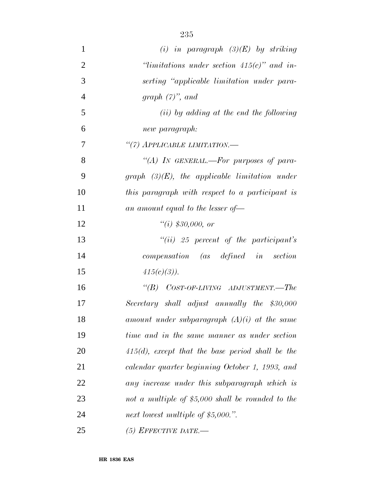| $\mathbf{1}$   | (i) in paragraph $(3)(E)$ by striking               |
|----------------|-----------------------------------------------------|
| $\overline{2}$ | $\lq$ imitations under section 415(c)" and in-      |
| 3              | serting "applicable limitation under para-          |
| $\overline{4}$ | graph $(7)$ ", and                                  |
| 5              | $(ii)$ by adding at the end the following           |
| 6              | new paragraph:                                      |
| 7              | "(7) APPLICABLE LIMITATION.-                        |
| 8              | "(A) IN GENERAL.—For purposes of para-              |
| 9              | graph $(3)(E)$ , the applicable limitation under    |
| 10             | this paragraph with respect to a participant is     |
| 11             | an amount equal to the lesser of-                   |
| 12             | ``(i) \$30,000, or"                                 |
| 13             | $``(ii)$ 25 percent of the participant's            |
| 14             | $compensation$ $(as$ $defined$ $in$ $section$       |
| 15             | $415(c)(3)$ ).                                      |
| 16             | "(B) COST-OF-LIVING ADJUSTMENT.—The                 |
| 17             | Secretary shall adjust annually the \$30,000        |
| 18             | amount under subparagraph $(A)(i)$ at the same      |
| 19             | time and in the same manner as under section        |
| 20             | $415(d)$ , except that the base period shall be the |
| 21             | calendar quarter beginning October 1, 1993, and     |
| 22             | any increase under this subparagraph which is       |
| 23             | not a multiple of $$5,000$ shall be rounded to the  |
| 24             | next lowest multiple of \$5,000.".                  |
| 25             | $(5)$ EFFECTIVE DATE.-                              |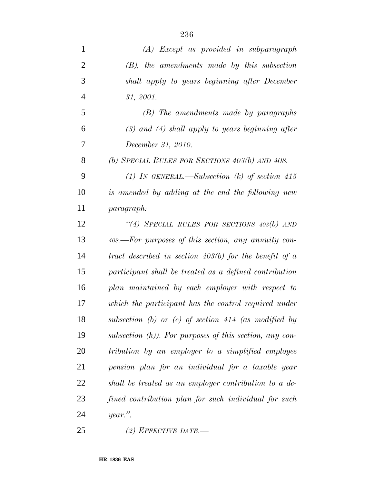| $\mathbf{1}$   | (A) Except as provided in subparagraph                     |
|----------------|------------------------------------------------------------|
| $\overline{2}$ | $(B)$ , the amendments made by this subsection             |
| 3              | shall apply to years beginning after December              |
| $\overline{4}$ | 31, 2001.                                                  |
| $\mathfrak{S}$ | (B) The amendments made by paragraphs                      |
| 6              | $(3)$ and $(4)$ shall apply to years beginning after       |
| 7              | December 31, 2010.                                         |
| 8              | (b) SPECIAL RULES FOR SECTIONS $403(b)$ AND $408$ .        |
| 9              | (1) In GENERAL.—Subsection (k) of section 415              |
| 10             | is amended by adding at the end the following new          |
| 11             | paragraph:                                                 |
| 12             | "(4) SPECIAL RULES FOR SECTIONS $403(b)$ AND               |
| 13             | 408.—For purposes of this section, any annuity con-        |
| 14             | tract described in section $403(b)$ for the benefit of a   |
| 15             | participant shall be treated as a defined contribution     |
| 16             | plan maintained by each employer with respect to           |
| 17             | which the participant has the control required under       |
| 18             | subsection (b) or (c) of section $414$ (as modified by     |
| 19             | subsection $(h)$ ). For purposes of this section, any con- |
| 20             | tribution by an employer to a simplified employee          |
| 21             | pension plan for an individual for a taxable year          |
| 22             | shall be treated as an employer contribution to a de-      |
| 23             | fined contribution plan for such individual for such       |
| 24             | $year.$ ".                                                 |
| 25             | (2) EFFECTIVE DATE.—                                       |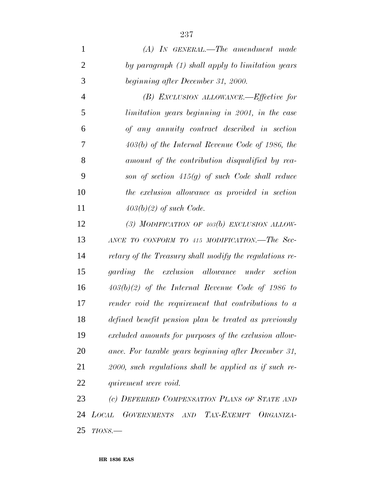|   | $(A)$ IN GENERAL.—The amendment made             |
|---|--------------------------------------------------|
| 2 | by paragraph (1) shall apply to limitation years |
| 3 | beginning after December 31, 2000.               |
|   | (B) EXCLUSION ALLOWANCE.—Effective for           |

 *limitation years beginning in 2001, in the case of any annuity contract described in section 403(b) of the Internal Revenue Code of 1986, the amount of the contribution disqualified by rea- son of section 415(g) of such Code shall reduce the exclusion allowance as provided in section 403(b)(2) of such Code.*

 *(3) MODIFICATION OF 403(b) EXCLUSION ALLOW- ANCE TO CONFORM TO 415 MODIFICATION.—The Sec- retary of the Treasury shall modify the regulations re- garding the exclusion allowance under section 403(b)(2) of the Internal Revenue Code of 1986 to render void the requirement that contributions to a defined benefit pension plan be treated as previously excluded amounts for purposes of the exclusion allow- ance. For taxable years beginning after December 31, 2000, such regulations shall be applied as if such re-quirement were void.*

 *(c) DEFERRED COMPENSATION PLANS OF STATE AND LOCAL GOVERNMENTS AND TAX-EXEMPT ORGANIZA-TIONS.—*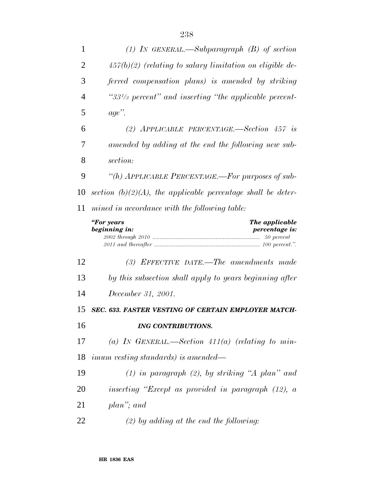| 1              | (1) IN GENERAL.—Subparagraph $(B)$ of section                          |
|----------------|------------------------------------------------------------------------|
| 2              | $457(b)(2)$ (relating to salary limitation on eligible de-             |
| 3              | ferred compensation plans) is amended by striking                      |
| 4              | " $33^{1/3}$ percent" and inserting "the applicable percent-           |
| 5              | $age$ ".                                                               |
| 6              | (2) APPLICABLE PERCENTAGE.—Section $457$ is                            |
| 7              | amended by adding at the end the following new sub-                    |
| 8              | section:                                                               |
| 9              | "(h) APPLICABLE PERCENTAGE.—For purposes of sub-                       |
| 10             | section $(b)(2)(A)$ , the applicable percentage shall be deter-        |
| 11             | mined in accordance with the following table:                          |
|                | "For years<br>The applicable<br>beginning in:<br><i>percentage is:</i> |
|                |                                                                        |
| 12             | (3) EFFECTIVE DATE.—The amendments made                                |
| 13             | by this subsection shall apply to years beginning after                |
|                | December 31, 2001.                                                     |
|                | <b>SEC. 633. FASTER VESTING OF CERTAIN EMPLOYER MATCH-</b>             |
| 14<br>15<br>16 | <b>ING CONTRIBUTIONS.</b>                                              |
| 17             | (a) IN GENERAL.—Section $411(a)$ (relating to min-                     |
| 18             | <i>imum vesting standards) is amended—</i>                             |
| 19             | $(1)$ in paragraph $(2)$ , by striking "A plan" and                    |
| 20             | inserting "Except as provided in paragraph $(12)$ , a                  |
| 21             | plan"; and                                                             |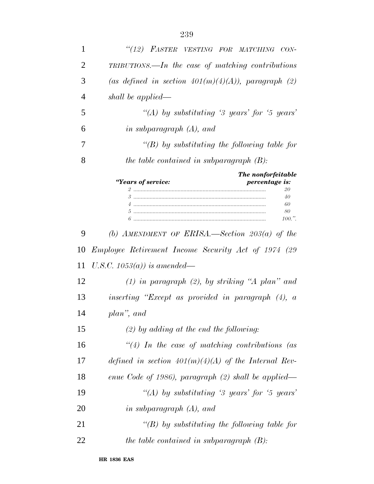| 1  | "(12) FASTER VESTING FOR MATCHING CON-                                             |
|----|------------------------------------------------------------------------------------|
| 2  | TRIBUTIONS.—In the case of matching contributions                                  |
| 3  | (as defined in section $401(m)(4)(A)$ ), paragraph (2)                             |
| 4  | shall be applied—                                                                  |
| 5  | "(A) by substituting '3 years' for '5 years'                                       |
| 6  | in subparagraph $(A)$ , and                                                        |
| 7  | " $(B)$ by substituting the following table for                                    |
| 8  | the table contained in subparagraph $(B)$ :                                        |
|    | The nonforfeitable<br>"Years of service:<br>percentage is:<br>20<br>40<br>60<br>80 |
|    | 100.".                                                                             |
| 9  | (b) AMENDMENT OF ERISA.—Section $203(a)$ of the                                    |
| 10 | Employee Retirement Income Security Act of 1974 (29                                |
| 11 | U.S.C. 1053(a)) is amended—                                                        |
| 12 | $(1)$ in paragraph $(2)$ , by striking "A plan" and                                |
| 13 | inserting "Except as provided in paragraph (4), a                                  |
| 14 | plan", and                                                                         |
| 15 | $(2)$ by adding at the end the following:                                          |
| 16 | $\lq(4)$ In the case of matching contributions (as                                 |
| 17 | defined in section $401(m)(4)(A)$ of the Internal Rev-                             |
| 18 | enue Code of 1986), paragraph $(2)$ shall be applied—                              |
| 19 | "(A) by substituting '3 years' for '5 years'                                       |
| 20 | in subparagraph $(A)$ , and                                                        |
| 21 | $\lq (B)$ by substituting the following table for                                  |
| 22 | the table contained in subparagraph $(B)$ :                                        |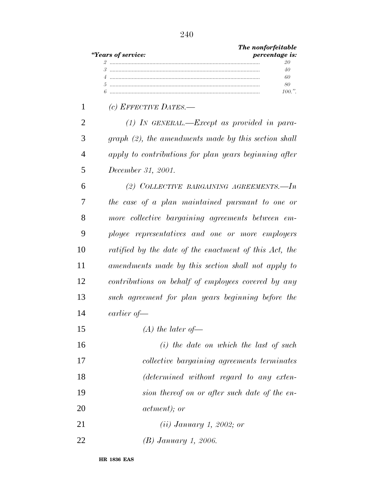|    | The nonforfeitable<br>"Years of service:<br>percentage is: |
|----|------------------------------------------------------------|
|    | 20<br>40                                                   |
|    | 60<br>$\overline{4}$                                       |
|    | 80                                                         |
|    | $100.$ ".                                                  |
| 1  | (c) EFFECTIVE DATES.-                                      |
| 2  | $(1)$ In GENERAL.—Except as provided in para-              |
| 3  | $graph (2)$ , the amendments made by this section shall    |
| 4  | apply to contributions for plan years beginning after      |
| 5  | December 31, 2001.                                         |
| 6  | (2) COLLECTIVE BARGAINING AGREEMENTS.-In                   |
| 7  | the case of a plan maintained pursuant to one or           |
| 8  | more collective bargaining agreements between em-          |
| 9  | ployee representatives and one or more employers           |
| 10 | ratified by the date of the enactment of this Act, the     |
| 11 | amendments made by this section shall not apply to         |
| 12 | contributions on behalf of employees covered by any        |
| 13 | such agreement for plan years beginning before the         |
| 14 | earlier of-                                                |
| 15 | $(A)$ the later of —                                       |
| 16 | $(i)$ the date on which the last of such                   |
| 17 | collective bargaining agreements terminates                |
| 18 | (determined without regard to any exten-                   |
| 19 | sion thereof on or after such date of the en-              |
| 20 | <i>actment</i> ); or                                       |
| 21 | $(ii)$ January 1, 2002; or                                 |
| 22 | (B) January 1, 2006.                                       |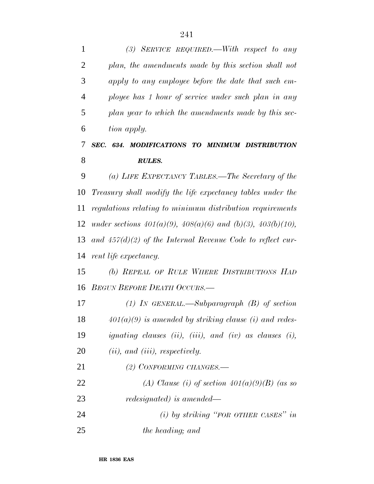| 1              | (3) SERVICE REQUIRED.—With respect to any                              |
|----------------|------------------------------------------------------------------------|
| 2              | plan, the amendments made by this section shall not                    |
| 3              | apply to any employee before the date that such em-                    |
| $\overline{4}$ | ployee has 1 hour of service under such plan in any                    |
| 5              | plan year to which the amendments made by this sec-                    |
| 6              | tion apply.                                                            |
| 7              | SEC. 634. MODIFICATIONS TO MINIMUM DISTRIBUTION                        |
| 8              | <b>RULES.</b>                                                          |
| 9              | (a) LIFE EXPECTANCY TABLES.—The Secretary of the                       |
| 10             | Treasury shall modify the life expectancy tables under the             |
| 11             | regulations relating to minimum distribution requirements              |
| 12             | under sections $401(a)(9)$ , $408(a)(6)$ and $(b)(3)$ , $403(b)(10)$ , |
| 13             | and $457(d)(2)$ of the Internal Revenue Code to reflect cur-           |
| 14             | rent life expectancy.                                                  |
| 15             | (b) REPEAL OF RULE WHERE DISTRIBUTIONS HAD                             |
| 16             | <b>BEGUN BEFORE DEATH OCCURS.—</b>                                     |
| 17             | (1) IN GENERAL.—Subparagraph $(B)$ of section                          |
| 18             | $401(a)(9)$ is amended by striking clause (i) and redes-               |
| 19             | ignating clauses (ii), (iii), and (iv) as clauses (i),                 |
| 20             | $(ii)$ , and $(iii)$ , respectively.                                   |
| 21             | $(2)$ CONFORMING CHANGES.                                              |
| 22             | (A) Clause (i) of section $401(a)(9)(B)$ (as so                        |
| 23             | redesignated) is amended—                                              |
| 24             | (i) by striking "FOR OTHER CASES" in                                   |
| 25             | the heading; and                                                       |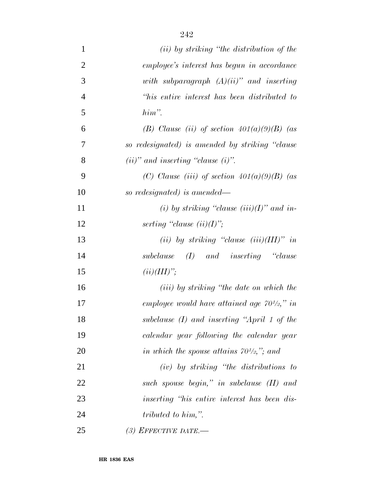| 1              | ( <i>ii</i> ) by striking "the distribution of the  |
|----------------|-----------------------------------------------------|
| $\overline{2}$ | employee's interest has begun in accordance         |
| 3              | with subparagraph $(A)(ii)$ " and inserting         |
| $\overline{4}$ | "his entire interest has been distributed to        |
| 5              | $him$ ".                                            |
| 6              | (B) Clause (ii) of section $401(a)(9)(B)$ (as       |
| 7              | so redesignated) is amended by striking "clause     |
| 8              | $(ii)$ " and inserting "clause $(i)$ ".             |
| 9              | (C) Clause (iii) of section $401(a)(9)(B)$ (as      |
| 10             | so redesignated) is amended—                        |
| 11             | (i) by striking "clause $(iii)(I)$ " and in-        |
| 12             | serting "clause $(ii)(I)$ ";                        |
| 13             | (ii) by striking "clause $(iii)(III)$ " in          |
| 14             | $subclause$ (I) and inserting "clause               |
| 15             | $(ii)(III)$ ";                                      |
| 16             | $(iii)$ by striking "the date on which the          |
| 17             | employee would have attained age $70^{1/2}$ ," in   |
| 18             | subclause $(I)$ and inserting "April 1 of the       |
| 19             | calendar year following the calendar year           |
| 20             | in which the spouse attains $70\frac{1}{2}$ ,"; and |
| 21             | $(iv)$ by striking "the distributions to            |
| 22             | such spouse begin," in subclause (II) and           |
| 23             | inserting "his entire interest has been dis-        |
| 24             | tributed to him,".                                  |
| 25             | (3) EFFECTIVE DATE.—                                |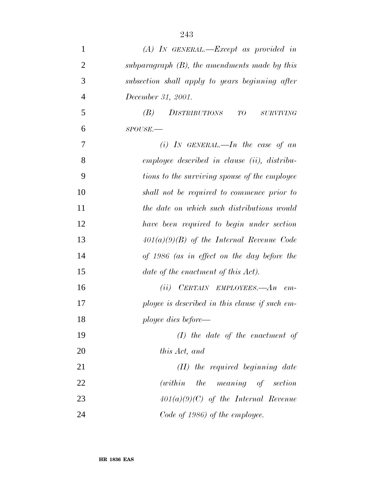| $\mathbf{1}$   | $(A)$ IN GENERAL.—Except as provided in          |
|----------------|--------------------------------------------------|
| $\overline{2}$ | subparagraph $(B)$ , the amendments made by this |
| 3              | subsection shall apply to years beginning after  |
| $\overline{4}$ | December 31, 2001.                               |
| 5              | (B)<br>DISTRIBUTIONS<br>TO<br>$\it SURVIVING$    |
| 6              | SPOUSE.                                          |
| 7              | (i) IN GENERAL.—In the case of an                |
| 8              | employee described in clause (ii), distribu-     |
| 9              | tions to the surviving spouse of the employee    |
| 10             | shall not be required to commence prior to       |
| 11             | the date on which such distributions would       |
| 12             | have been required to begin under section        |
| 13             | $401(a)(9)(B)$ of the Internal Revenue Code      |
| 14             | of 1986 (as in effect on the day before the      |
| 15             | date of the enactment of this Act).              |
| 16             | $(ii)$ CERTAIN EMPLOYEES.— $An$ em-              |
| 17             | ployee is described in this clause if such em-   |
| 18             | ployee dies before—                              |
| 19             | $(I)$ the date of the enactment of               |
| 20             | this Act, and                                    |
| 21             | $(II)$ the required beginning date               |
| 22             | $(within$ the meaning of section                 |
| 23             | $401(a)(9)(C)$ of the Internal Revenue           |
| 24             | Code of 1986) of the employee.                   |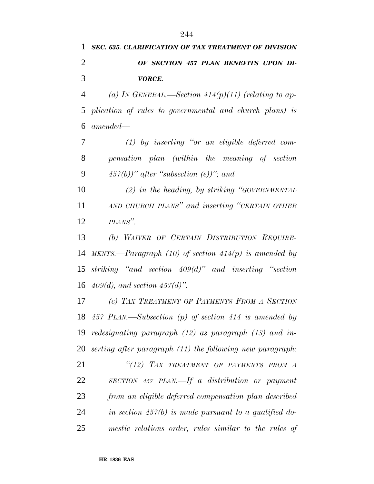## *SEC. 635. CLARIFICATION OF TAX TREATMENT OF DIVISION OF SECTION 457 PLAN BENEFITS UPON DI-VORCE.*

 *(a) IN GENERAL.—Section 414(p)(11) (relating to ap- plication of rules to governmental and church plans) is amended—*

 *(1) by inserting ''or an eligible deferred com- pensation plan (within the meaning of section 457(b))'' after ''subsection (e))''; and*

 *(2) in the heading, by striking ''GOVERNMENTAL AND CHURCH PLANS'' and inserting ''CERTAIN OTHER PLANS''.*

 *(b) WAIVER OF CERTAIN DISTRIBUTION REQUIRE- MENTS.—Paragraph (10) of section 414(p) is amended by striking ''and section 409(d)'' and inserting ''section 409(d), and section 457(d)''.*

 *(c) TAX TREATMENT OF PAYMENTS FROM A SECTION 457 PLAN.—Subsection (p) of section 414 is amended by redesignating paragraph (12) as paragraph (13) and in- serting after paragraph (11) the following new paragraph: ''(12) TAX TREATMENT OF PAYMENTS FROM A SECTION 457 PLAN.—If a distribution or payment from an eligible deferred compensation plan described in section 457(b) is made pursuant to a qualified do-mestic relations order, rules similar to the rules of*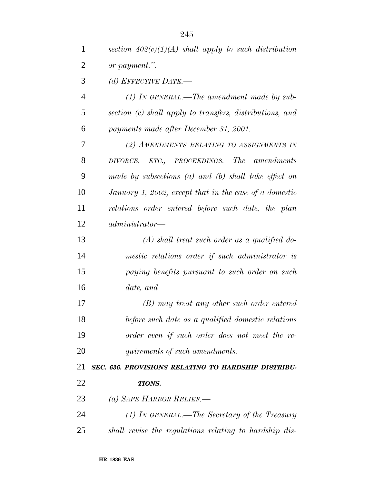| $\mathbf{1}$   | section $402(e)(1)(A)$ shall apply to such distribution  |
|----------------|----------------------------------------------------------|
| $\overline{2}$ | or payment.".                                            |
| 3              | (d) EFFECTIVE DATE.—                                     |
| $\overline{4}$ | $(1)$ IN GENERAL.—The amendment made by sub-             |
| 5              | section (c) shall apply to transfers, distributions, and |
| 6              | payments made after December 31, 2001.                   |
| 7              | (2) AMENDMENTS RELATING TO ASSIGNMENTS IN                |
| 8              | DIVORCE, ETC., PROCEEDINGS.—The amendments               |
| 9              | made by subsections $(a)$ and $(b)$ shall take effect on |
| 10             | January 1, 2002, except that in the case of a domestic   |
| 11             | relations order entered before such date, the plan       |
| 12             | $administrator -$                                        |
| 13             | $(A)$ shall treat such order as a qualified do-          |
| 14             | mestic relations order if such administrator is          |
| 15             | paying benefits pursuant to such order on such           |
| 16             | date, and                                                |
| 17             | (B) may treat any other such order entered               |
| 18             | before such date as a qualified domestic relations       |
| 19             | order even if such order does not meet the re-           |
| 20             | quirements of such amendments.                           |
| 21             | SEC. 636. PROVISIONS RELATING TO HARDSHIP DISTRIBU-      |
| 22             | <b>TIONS.</b>                                            |
| 23             | (a) SAFE HARBOR RELIEF.—                                 |
| 24             | (1) IN GENERAL.—The Secretary of the Treasury            |
| 25             | shall revise the regulations relating to hardship dis-   |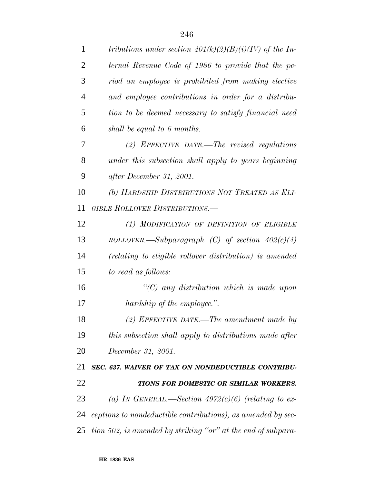| 1              | tributions under section $401(k)(2)(B)(i)(IV)$ of the In-    |
|----------------|--------------------------------------------------------------|
| $\overline{2}$ | ternal Revenue Code of 1986 to provide that the pe-          |
| 3              | riod an employee is prohibited from making elective          |
| $\overline{4}$ | and employee contributions in order for a distribu-          |
| 5              | tion to be deemed necessary to satisfy financial need        |
| 6              | shall be equal to 6 months.                                  |
| 7              | (2) EFFECTIVE DATE.—The revised regulations                  |
| 8              | under this subsection shall apply to years beginning         |
| 9              | after December 31, 2001.                                     |
| 10             | (b) HARDSHIP DISTRIBUTIONS NOT TREATED AS ELI-               |
| 11             | <b>GIBLE ROLLOVER DISTRIBUTIONS.—</b>                        |
| 12             | (1) MODIFICATION OF DEFINITION OF ELIGIBLE                   |
| 13             | ROLLOVER.—Subparagraph (C) of section $402(c)(4)$            |
| 14             | (relating to eligible rollover distribution) is amended      |
| 15             | to read as follows:                                          |
| 16             | $\lq$ <sup>"</sup> (C) any distribution which is made upon   |
| 17             | hardship of the employee.".                                  |
| 18             | (2) EFFECTIVE DATE.—The amendment made by                    |
| 19             | this subsection shall apply to distributions made after      |
| 20             | December 31, 2001.                                           |
| 21             | SEC. 637. WAIVER OF TAX ON NONDEDUCTIBLE CONTRIBU-           |
| 22             | TIONS FOR DOMESTIC OR SIMILAR WORKERS.                       |
| 23             | (a) IN GENERAL.—Section $4972(c)(6)$ (relating to ex-        |
| 24             | ceptions to nondeductible contributions), as amended by sec- |
| 25             | tion 502, is amended by striking "or" at the end of subpara- |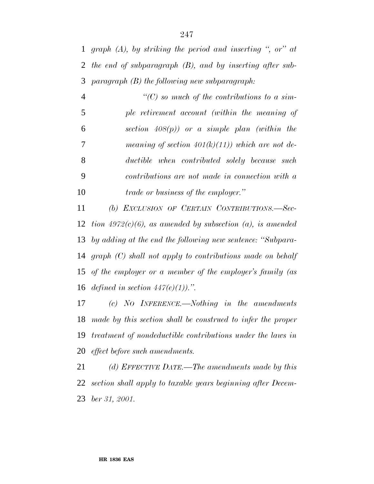*graph (A), by striking the period and inserting '', or'' at the end of subparagraph (B), and by inserting after sub-paragraph (B) the following new subparagraph:*

 *''(C) so much of the contributions to a sim- ple retirement account (within the meaning of section 408(p)) or a simple plan (within the meaning of section 401(k)(11)) which are not de- ductible when contributed solely because such contributions are not made in connection with a trade or business of the employer.''*

 *(b) EXCLUSION OF CERTAIN CONTRIBUTIONS.—Sec- tion 4972(c)(6), as amended by subsection (a), is amended by adding at the end the following new sentence: ''Subpara- graph (C) shall not apply to contributions made on behalf of the employer or a member of the employer's family (as defined in section 447(e)(1)).''.*

 *(c) NO INFERENCE.—Nothing in the amendments made by this section shall be construed to infer the proper treatment of nondeductible contributions under the laws in effect before such amendments.*

 *(d) EFFECTIVE DATE.—The amendments made by this section shall apply to taxable years beginning after Decem-ber 31, 2001.*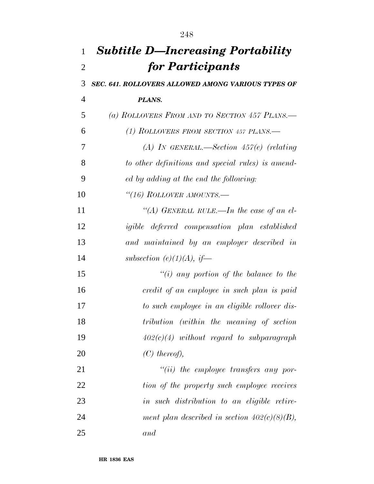| $\mathbf{1}$   | <b>Subtitle D—Increasing Portability</b>             |
|----------------|------------------------------------------------------|
| $\overline{2}$ | for Participants                                     |
| 3              | SEC. 641. ROLLOVERS ALLOWED AMONG VARIOUS TYPES OF   |
| 4              | PLANS.                                               |
| 5              | (a) ROLLOVERS FROM AND TO SECTION 457 PLANS.         |
| 6              | (1) ROLLOVERS FROM SECTION 457 PLANS.—               |
| 7              | (A) IN GENERAL.—Section $457(e)$ (relating           |
| 8              | to other definitions and special rules) is amend-    |
| 9              | ed by adding at the end the following:               |
| 10             | "(16) ROLLOVER AMOUNTS.—                             |
| 11             | "(A) GENERAL RULE.—In the case of an el-             |
| 12             | <i>igible</i> deferred compensation plan established |
| 13             | and maintained by an employer described in           |
| 14             | subsection (e)(1)(A), if—                            |
| 15             | $\lq\lq(i)$ any portion of the balance to the        |
| 16             | credit of an employee in such plan is paid           |
| 17             | to such employee in an eligible rollover dis-        |
| 18             | tribution (within the meaning of section             |
| 19             | $402(c)(4)$ without regard to subparagraph           |
| 20             | $(C)$ thereof),                                      |
| 21             | $``(ii)$ the employee transfers any por-             |
| 22             | tion of the property such employee receives          |
| 23             | in such distribution to an eligible retire-          |
| 24             | ment plan described in section $402(c)(8)(B)$ ,      |
| 25             | and                                                  |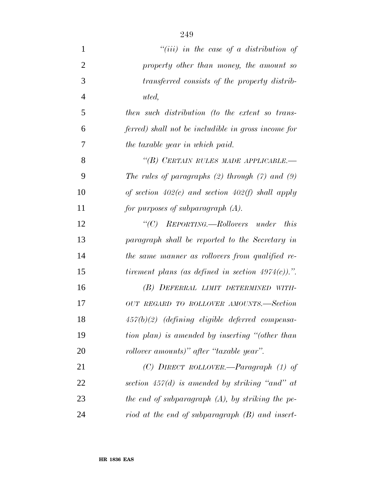| 1              | "(iii) in the case of a distribution of               |
|----------------|-------------------------------------------------------|
| $\overline{2}$ | property other than money, the amount so              |
| 3              | transferred consists of the property distrib-         |
| $\overline{4}$ | uted,                                                 |
| 5              | then such distribution (to the extent so trans-       |
| 6              | ferred) shall not be includible in gross income for   |
| 7              | the taxable year in which paid.                       |
| 8              | "(B) CERTAIN RULES MADE APPLICABLE.—                  |
| 9              | The rules of paragraphs $(2)$ through $(7)$ and $(9)$ |
| 10             | of section $402(c)$ and section $402(f)$ shall apply  |
| 11             | for purposes of subparagraph $(A)$ .                  |
| 12             | "(C) REPORTING.—Rollovers under<br><i>this</i>        |
| 13             | paragraph shall be reported to the Secretary in       |
| 14             | the same manner as rollovers from qualified re-       |
| 15             | tirement plans (as defined in section $4974(c)$ ).".  |
| 16             | (B) DEFERRAL LIMIT DETERMINED WITH-                   |
| 17             | OUT REGARD TO ROLLOVER AMOUNTS.—Section               |
| 18             | $457(b)(2)$ (defining eligible deferred compensa-     |
| 19             | tion plan) is amended by inserting "(other than       |
| 20             | rollover amounts)" after "taxable year".              |
| 21             | (C) DIRECT ROLLOVER.—Paragraph $(1)$ of               |
| 22             | section $457(d)$ is amended by striking "and" at      |
| 23             | the end of subparagraph $(A)$ , by striking the pe-   |
| 24             | riod at the end of subparagraph (B) and insert-       |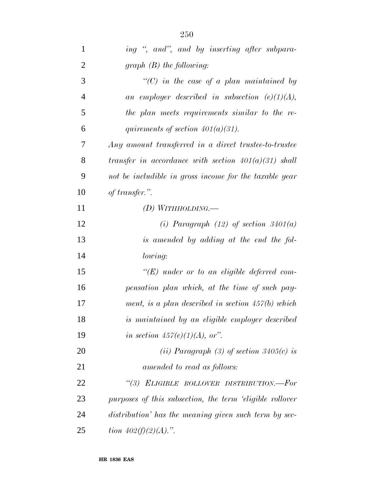| $\mathbf{1}$   | ing ", and", and by inserting after subpara-              |
|----------------|-----------------------------------------------------------|
| $\overline{2}$ | graph $(B)$ the following:                                |
| 3              | $\lq\lq C$ ) in the case of a plan maintained by          |
| $\overline{4}$ | an employer described in subsection $(e)(1)(A)$ ,         |
| 5              | the plan meets requirements similar to the re-            |
| 6              | quirements of section $401(a)(31)$ .                      |
| 7              | Any amount transferred in a direct trustee-to-trustee     |
| 8              | transfer in accordance with section $401(a)(31)$ shall    |
| 9              | not be includible in gross income for the taxable year    |
| 10             | of transfer.".                                            |
| 11             | (D) WITHHOLDING.—                                         |
| 12             | (i) Paragraph $(12)$ of section $3401(a)$                 |
| 13             | is amended by adding at the end the fol-                  |
| 14             | lowing:                                                   |
| 15             | $\lq\lq (E)$ under or to an eligible deferred com-        |
| 16             | pensation plan which, at the time of such pay-            |
| 17             | ment, is a plan described in section $457(b)$ which       |
| 18             | is maintained by an eligible employer described           |
| 19             | in section $457(e)(1)(A)$ , or".                          |
| 20             | (ii) Paragraph (3) of section $3405(c)$ is                |
| 21             | amended to read as follows:                               |
| 22             | "(3) ELIGIBLE ROLLOVER DISTRIBUTION.-For                  |
| 23             | purposes of this subsection, the term 'eligible rollover' |
| 24             | distribution' has the meaning given such term by sec-     |
| 25             | tion $402(f)(2)(A)$ .".                                   |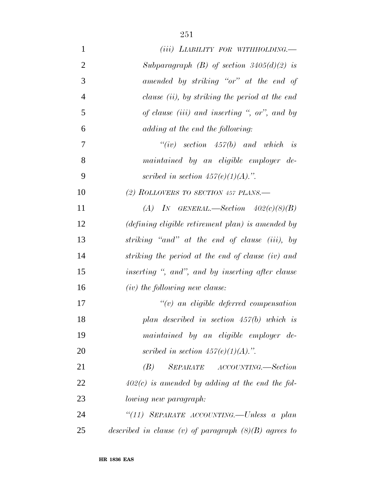| $\mathbf{1}$   | $(iii)$ LIABILITY FOR WITHHOLDING.                                 |
|----------------|--------------------------------------------------------------------|
| $\overline{2}$ | Subparagraph (B) of section $3405(d)(2)$ is                        |
| 3              | amended by striking "or" at the end of                             |
| $\overline{4}$ | clause <i>(ii)</i> , by striking the period at the end             |
| 5              | of clause (iii) and inserting ", or", and by                       |
| 6              | adding at the end the following:                                   |
| 7              | $``(iv) \quad section \quad 457(b) \quad and \quad which \quad is$ |
| 8              | maintained by an eligible employer de-                             |
| 9              | scribed in section $457(e)(1)(A)$ .".                              |
| 10             | (2) ROLLOVERS TO SECTION 457 PLANS.—                               |
| 11             | (A) IN GENERAL.—Section $402(c)(8)(B)$                             |
| 12             | (defining eligible retirement plan) is amended by                  |
| 13             | striking "and" at the end of clause (iii), by                      |
| 14             | striking the period at the end of clause (iv) and                  |
| 15             | inserting ", and", and by inserting after clause                   |
| 16             | $(iv)$ the following new clause:                                   |
| 17             | $\lq\lq(v)$ an eligible deferred compensation                      |
| 18             | plan described in section $457(b)$ which is                        |
| 19             | maintained by an eligible employer de-                             |
| 20             | scribed in section $457(e)(1)(A)$ .".                              |
| 21             | SEPARATE ACCOUNTING.—Section<br>(B)                                |
| 22             | $402(c)$ is amended by adding at the end the fol-                  |
| 23             | lowing new paragraph:                                              |
| 24             | "(11) SEPARATE ACCOUNTING.-Unless a plan                           |
| 25             | described in clause (v) of paragraph $(8)(B)$ agrees to            |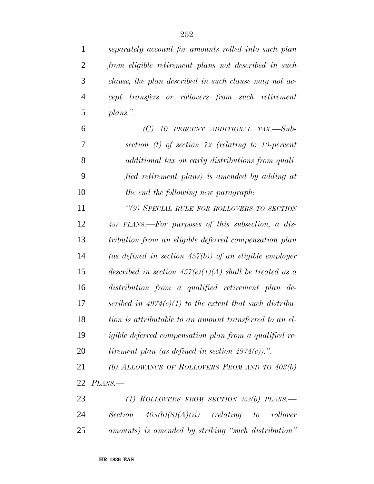| $\mathbf{1}$   | separately account for amounts rolled into such plan      |
|----------------|-----------------------------------------------------------|
| $\overline{2}$ | from eligible retirement plans not described in such      |
| 3              | clause, the plan described in such clause may not ac-     |
| $\overline{4}$ | cept transfers or rollovers from such retirement          |
| 5              | plans.".                                                  |
| 6              | $(C)$ 10 PERCENT ADDITIONAL TAX.—Sub-                     |
| 7              | section $(t)$ of section 72 (relating to 10-percent       |
| 8              | additional tax on early distributions from quali-         |
| 9              | fied retirement plans) is amended by adding at            |
| 10             | the end the following new paragraph:                      |
| 11             | "(9) SPECIAL RULE FOR ROLLOVERS TO SECTION                |
| 12             | 457 PLANS.—For purposes of this subsection, a dis-        |
| 13             | tribution from an eligible deferred compensation plan     |
| 14             | (as defined in section $457(b)$ ) of an eligible employer |
| 15             | described in section $457(e)(1)(A)$ shall be treated as a |
| 16             | distribution from a qualified retirement plan de-         |
| 17             | scribed in $4974(c)(1)$ to the extent that such distribu- |
| 18             | tion is attributable to an amount transferred to an el-   |
| 19             | igible deferred compensation plan from a qualified re-    |
| 20             | tirement plan (as defined in section $4974(c)$ ).".       |
| 21             | (b) ALLOWANCE OF ROLLOVERS FROM AND TO $403(b)$           |
| 22             | PLANS.                                                    |
| 23             | (1) ROLLOVERS FROM SECTION $403(b)$ PLANS.—               |
| 24             | Section $403(b)(8)(A)(ii)$ (relating to<br>rollover       |
| 25             | amounts) is amended by striking "such distribution"       |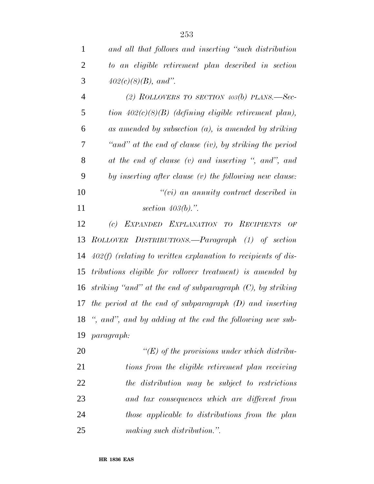| $\mathbf{1}$   | and all that follows and inserting "such distribution           |
|----------------|-----------------------------------------------------------------|
| $\overline{2}$ | to an eligible retirement plan described in section             |
| 3              | $402(c)(8)(B)$ , and".                                          |
| $\overline{4}$ | (2) ROLLOVERS TO SECTION $403(b)$ PLANS.—Sec-                   |
| 5              | tion $402(c)(8)(B)$ (defining eligible retirement plan),        |
| 6              | as amended by subsection $(a)$ , is amended by striking         |
| 7              | "and" at the end of clause (iv), by striking the period         |
| 8              | at the end of clause (v) and inserting ", and", and             |
| 9              | by inserting after clause (v) the following new clause:         |
| 10             | $``(vi)$ an annuity contract described in                       |
| 11             | section $403(b)$ .".                                            |
| 12             | EXPANDED EXPLANATION TO RECIPIENTS OF<br>(c)                    |
| 13             | ROLLOVER DISTRIBUTIONS.—Paragraph (1) of section                |
| 14             | $402(f)$ (relating to written explanation to recipients of dis- |
| 15             | tributions eligible for rollover treatment) is amended by       |
| 16             | striking "and" at the end of subparagraph $(C)$ , by striking   |
| 17             | the period at the end of subparagraph $(D)$ and inserting       |
|                | 18 ", and", and by adding at the end the following new sub-     |
| 19             | <i>paragraph:</i>                                               |
| 20             | " $(E)$ of the provisions under which distribu-                 |
| 21             | tions from the eligible retirement plan receiving               |
| 22             | the distribution may be subject to restrictions                 |
| 23             | and tax consequences which are different from                   |
| 24             | those applicable to distributions from the plan                 |
| 25             | making such distribution.".                                     |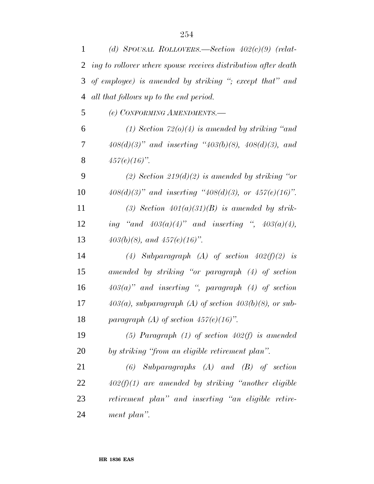| 1  | (d) SPOUSAL ROLLOVERS.—Section $402(c)(9)$ (relat-             |
|----|----------------------------------------------------------------|
| 2  | ing to rollover where spouse receives distribution after death |
| 3  | of employee) is amended by striking "; except that" and        |
| 4  | all that follows up to the end period.                         |
| 5  | (e) CONFORMING AMENDMENTS.-                                    |
| 6  | (1) Section $72(0)(4)$ is amended by striking "and             |
| 7  | $408(d)(3)$ " and inserting " $403(b)(8)$ , $408(d)(3)$ , and  |
| 8  | $457(e)(16)$ ".                                                |
| 9  | (2) Section 219(d)(2) is amended by striking "or               |
| 10 | $408(d)(3)$ " and inserting " $408(d)(3)$ , or $457(e)(16)$ ". |
| 11 | (3) Section $401(a)(31)(B)$ is amended by strik-               |
| 12 | ing "and $403(a)(4)$ " and inserting ", $403(a)(4)$ ,          |
| 13 | $403(b)(8)$ , and $457(e)(16)$ ".                              |
| 14 | (4) Subparagraph (A) of section $402(f)(2)$ is                 |
| 15 | amended by striking "or paragraph (4) of section               |
| 16 | $403(a)$ " and inserting ", paragraph (4) of section           |
| 17 | $403(a)$ , subparagraph (A) of section $403(b)(8)$ , or sub-   |
| 18 | paragraph (A) of section $457(e)(16)$ ".                       |
| 19 | (5) Paragraph (1) of section $402(f)$ is amended               |
| 20 | by striking "from an eligible retirement plan".                |
| 21 | $Subparagnphs$ $(A)$ and $(B)$ of section<br>(6)               |
| 22 | $402(f)(1)$ are amended by striking "another eligible"         |
| 23 | retirement plan" and inserting "an eligible retire-            |
| 24 | ment plan".                                                    |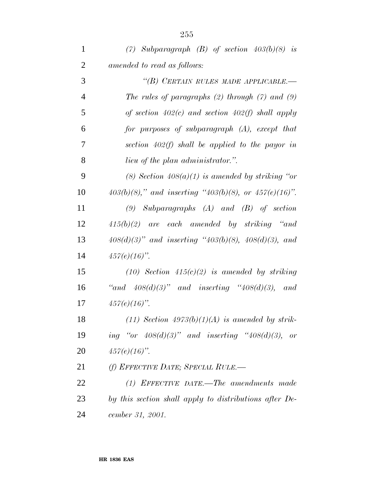| $\mathbf{1}$   | (7) Subparagraph (B) of section $403(b)(8)$ is                  |
|----------------|-----------------------------------------------------------------|
| $\overline{2}$ | amended to read as follows:                                     |
| 3              | "(B) CERTAIN RULES MADE APPLICABLE.-                            |
| $\overline{4}$ | The rules of paragraphs $(2)$ through $(7)$ and $(9)$           |
| 5              | of section $402(c)$ and section $402(f)$ shall apply            |
| 6              | for purposes of subparagraph (A), except that                   |
| 7              | section $402(f)$ shall be applied to the payor in               |
| 8              | <i>lieu of the plan administrator.</i> ".                       |
| 9              | (8) Section $408(a)(1)$ is amended by striking "or              |
| 10             | $403(b)(8)$ ," and inserting " $403(b)(8)$ , or $457(e)(16)$ ". |
| 11             | $(9)$ Subparagraphs $(A)$ and $(B)$ of section                  |
| 12             | $415(b)(2)$ are each amended by striking "and                   |
| 13             | $408(d)(3)$ " and inserting " $403(b)(8)$ , $408(d)(3)$ , and   |
| 14             | $457(e)(16)$ ".                                                 |
| 15             | $(10)$ Section $415(c)(2)$ is amended by striking               |
| 16             | "and $408(d)(3)$ " and inserting " $408(d)(3)$ , and            |
| 17             | $457(e)(16)$ ".                                                 |
| 18             | $(11)$ Section $4973(b)(1)(A)$ is amended by strik-             |
| 19             | ing "or $408(d)(3)$ " and inserting " $408(d)(3)$ ,<br>or       |
| 20             | $457(e)(16)$ ".                                                 |
| 21             | (f) EFFECTIVE DATE; SPECIAL RULE.—                              |
| 22             | $(1)$ EFFECTIVE DATE.—The amendments made                       |
| 23             | by this section shall apply to distributions after De-          |
| 24             | cember 31, 2001.                                                |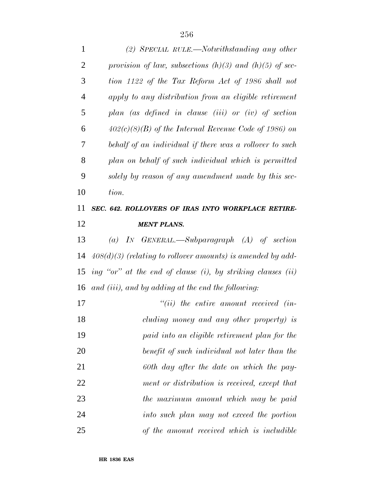| $\mathbf{1}$   | (2) SPECIAL RULE.—Notwithstanding any other                      |
|----------------|------------------------------------------------------------------|
| $\overline{2}$ | provision of law, subsections $(h)(3)$ and $(h)(5)$ of sec-      |
| 3              | tion 1122 of the Tax Reform Act of 1986 shall not                |
| $\overline{4}$ | apply to any distribution from an eligible retirement            |
| 5              | plan (as defined in clause (iii) or (iv) of section              |
| 6              | $402(c)(8)(B)$ of the Internal Revenue Code of 1986) on          |
| 7              | behalf of an individual if there was a rollover to such          |
| 8              | plan on behalf of such individual which is permitted             |
| 9              | solely by reason of any amendment made by this sec-              |
| 10             | tion.                                                            |
| 11             | SEC. 642. ROLLOVERS OF IRAS INTO WORKPLACE RETIRE-               |
| 12             | <b>MENT PLANS.</b>                                               |
| 13             | (a) IN GENERAL.—Subparagraph $(A)$ of section                    |
| 14             | $408(d)(3)$ (relating to rollover amounts) is amended by add-    |
| 15             | ing "or" at the end of clause $(i)$ , by striking clauses $(ii)$ |
| 16             | and (iii), and by adding at the end the following:               |
| 17             | $``(ii)$ the entire amount received (in-                         |
| 18             | cluding money and any other property) is                         |
| 19             | paid into an eligible retirement plan for the                    |
| 20             | benefit of such individual not later than the                    |
| 21             | 60th day after the date on which the pay-                        |
| 22             | ment or distribution is received, except that                    |
| 23             | the maximum amount which may be paid                             |
| 24             | into such plan may not exceed the portion                        |
| 25             | of the amount received which is includible                       |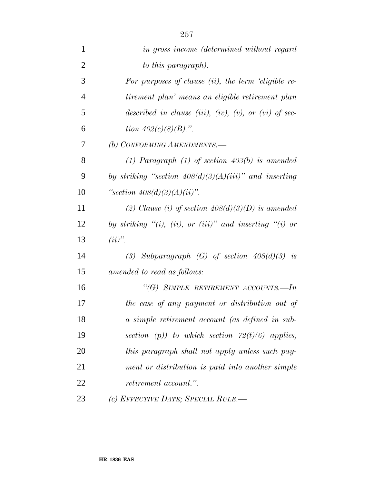| $\mathbf{1}$   | in gross income (determined without regard               |
|----------------|----------------------------------------------------------|
| $\overline{2}$ | to this paragraph).                                      |
| 3              | For purposes of clause $(ii)$ , the term 'eligible re-   |
| $\overline{4}$ | tirement plan' means an eligible retirement plan         |
| 5              | described in clause (iii), (iv), (v), or (vi) of sec-    |
| 6              | tion $402(c)(8)(B)$ .".                                  |
| 7              | (b) CONFORMING AMENDMENTS.-                              |
| 8              | (1) Paragraph (1) of section $403(b)$ is amended         |
| 9              | by striking "section $408(d)(3)(A)(iii)$ " and inserting |
| 10             | "section $408(d)(3)(A)(ii)$ ".                           |
| 11             | (2) Clause (i) of section $408(d)(3)(D)$ is amended      |
| 12             | by striking "(i), (ii), or (iii)" and inserting "(i) or  |
| 13             | $(ii)$ ".                                                |
| 14             | (3) Subparagraph $(G)$ of section $408(d)(3)$ is         |
| 15             | amended to read as follows:                              |
| 16             | "(G) SIMPLE RETIREMENT ACCOUNTS.-In                      |
| 17             | the case of any payment or distribution out of           |
| 18             | a simple retirement account (as defined in sub-          |
| 19             | section (p)) to which section $72(t)(6)$ applies,        |
| 20             | this paragraph shall not apply unless such pay-          |
| 21             | ment or distribution is paid into another simple         |
| 22             | <i>retirement account.</i> ".                            |
| 23             | (c) EFFECTIVE DATE; SPECIAL RULE.—                       |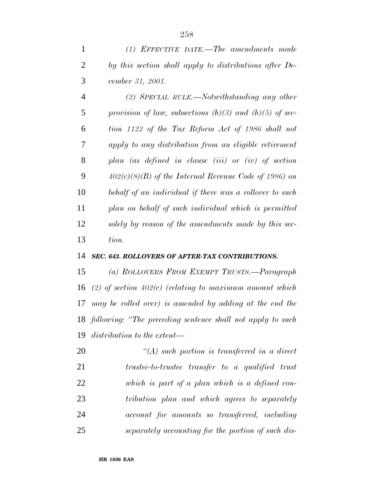*(2) SPECIAL RULE.—Notwithstanding any other provision of law, subsections (h)(3) and (h)(5) of sec- tion 1122 of the Tax Reform Act of 1986 shall not apply to any distribution from an eligible retirement plan (as defined in clause (iii) or (iv) of section 402(c)(8)(B) of the Internal Revenue Code of 1986) on behalf of an individual if there was a rollover to such plan on behalf of such individual which is permitted solely by reason of the amendments made by this sec-tion.*

## *SEC. 643. ROLLOVERS OF AFTER-TAX CONTRIBUTIONS.*

 *(a) ROLLOVERS FROM EXEMPT TRUSTS.—Paragraph (2) of section 402(c) (relating to maximum amount which may be rolled over) is amended by adding at the end the following: ''The preceding sentence shall not apply to such distribution to the extent—*

 *''(A) such portion is transferred in a direct trustee-to-trustee transfer to a qualified trust which is part of a plan which is a defined con- tribution plan and which agrees to separately account for amounts so transferred, including separately accounting for the portion of such dis-*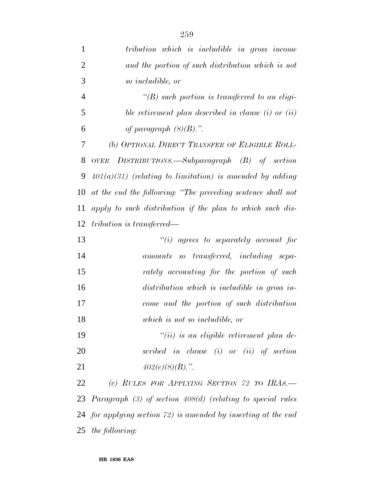| $\mathbf{1}$   | tribution which is includible in gross income                  |
|----------------|----------------------------------------------------------------|
| $\overline{2}$ | and the portion of such distribution which is not              |
| 3              | so includible, or                                              |
| $\overline{4}$ | $\lq (B)$ such portion is transferred to an eligi-             |
| 5              | ble retirement plan described in clause $(i)$ or $(ii)$        |
| 6              | of paragraph $(8)(B)$ .".                                      |
| 7              | (b) OPTIONAL DIRECT TRANSFER OF ELIGIBLE ROLL-                 |
| 8              | OVER DISTRIBUTIONS.—Subparagraph $(B)$ of section              |
| 9              | $401(a)(31)$ (relating to limitation) is amended by adding     |
| 10             | at the end the following: "The preceding sentence shall not    |
| 11             | apply to such distribution if the plan to which such dis-      |
| 12             | tribution is transferred—                                      |
| 13             | $\lq\lq(i)$ agrees to separately account for                   |
| 14             | amounts so transferred, including sepa-                        |
| 15             | rately accounting for the portion of such                      |
| 16             | distribution which is includible in gross in-                  |
| 17             | come and the portion of such distribution                      |
| 18             | which is not so includible, or                                 |
| 19             | $``(ii)$ is an eligible retirement plan de-                    |
| 20             | scribed in clause $(i)$ or $(ii)$ of section                   |
| 21             | $402(c)(8)(B)$ .".                                             |
| 22             | (c) RULES FOR APPLYING SECTION 72 TO IRAS.—                    |
|                | 23 Paragraph (3) of section 408(d) (relating to special rules  |
|                | 24 for applying section 72) is amended by inserting at the end |
|                | 25 the following:                                              |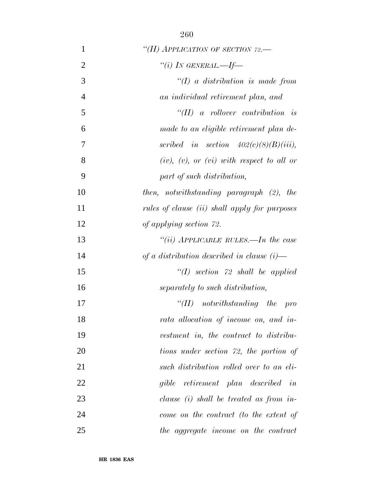| 1              | "(H) APPLICATION OF SECTION 72.-              |
|----------------|-----------------------------------------------|
| $\overline{2}$ | "(i) IN GENERAL.—If—                          |
| 3              | $\lq (I)$ a distribution is made from         |
| $\overline{4}$ | an individual retirement plan, and            |
| 5              | $\lq \lq (II)$ a rollover contribution is     |
| 6              | made to an eligible retirement plan de-       |
| 7              | scribed in section $402(c)(8)(B)(iii)$ ,      |
| 8              | $(iv), (v), or (vi) with respect to all or$   |
| 9              | part of such distribution,                    |
| 10             | then, notwithstanding paragraph (2), the      |
| 11             | rules of clause (ii) shall apply for purposes |
| 12             | of applying section 72.                       |
| 13             | "(ii) APPLICABLE RULES.—In the case           |
| 14             | of a distribution described in clause $(i)$ — |
| 15             | $\lq (I)$ section 72 shall be applied         |
| 16             | separately to such distribution,              |
| 17             | $``(II)$ notwithstanding the<br>$- pro$       |
| 18             | rata allocation of income on, and in-         |
| 19             | vestment in, the contract to distribu-        |
| 20             | tions under section 72, the portion of        |
| 21             | such distribution rolled over to an eli-      |
| 22             | gible retirement plan described in            |
| 23             | clause $(i)$ shall be treated as from in-     |
| 24             | come on the contract (to the extent of        |
| 25             | the aggregate income on the contract          |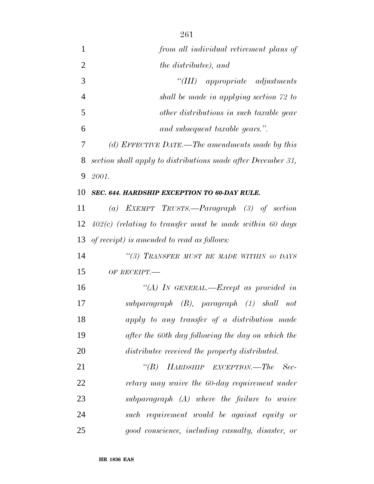| 1              | from all individual retirement plans of                      |
|----------------|--------------------------------------------------------------|
| $\overline{2}$ | <i>the distributee)</i> , and                                |
| 3              | $``(III)$ appropriate adjustments                            |
| 4              | shall be made in applying section 72 to                      |
| 5              | other distributions in such taxable year                     |
| 6              | and subsequent taxable years.".                              |
| 7              | (d) EFFECTIVE DATE.—The amendments made by this              |
| 8              | section shall apply to distributions made after December 31, |
| 9              | 2001.                                                        |
| 10             | SEC. 644. HARDSHIP EXCEPTION TO 60-DAY RULE.                 |
| 11             | (a) EXEMPT TRUSTS.—Paragraph $(3)$ of section                |
| 12             | $402(c)$ (relating to transfer must be made within 60 days   |
| 13             | of receipt) is amended to read as follows:                   |
| 14             | "(3) TRANSFER MUST BE MADE WITHIN 60 DAYS                    |
| 15             | OF RECEIPT.                                                  |
| 16             | "(A) IN GENERAL.—Except as provided in                       |
| 17             | subparagraph (B), paragraph (1) shall not                    |
| 18             | apply to any transfer of a distribution made                 |
| 19             | after the 60th day following the day on which the            |
| 20             | distributee received the property distributed.               |
| 21             | $\lq (B)$<br>HARDSHIP EXCEPTION.—The<br>$-$ Sec-             |
| 22             | retary may waive the 60-day requirement under                |
| 23             | $subparagnph$ $(A)$ where the failure to waive               |
| 24             | such requirement would be against equity or                  |
| 25             | good conscience, including casualty, disaster, or            |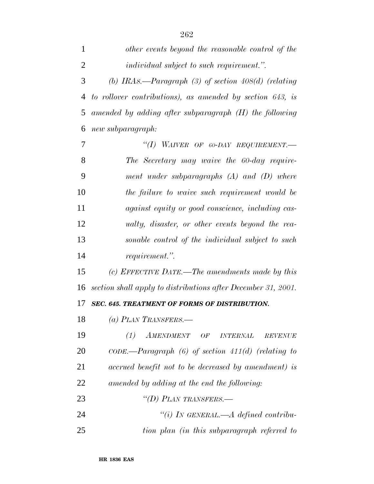| 1              | other events beyond the reasonable control of the                                       |
|----------------|-----------------------------------------------------------------------------------------|
| $\overline{2}$ | <i>individual subject to such requirement."</i> .                                       |
| 3              | (b) IRAs.—Paragraph $(3)$ of section 408 $(d)$ (relating                                |
| 4              | to rollover contributions), as amended by section 643, is                               |
| 5              | amended by adding after subparagraph $(H)$ the following                                |
| 6              | new subparagraph:                                                                       |
| 7              | "(I) WAIVER OF 60-DAY REQUIREMENT.                                                      |
| 8              | The Secretary may waive the 60-day require-                                             |
| 9              | ment under subparagraphs $(A)$ and $(D)$ where                                          |
| 10             | the failure to waive such requirement would be                                          |
| 11             | <i>against equity or good conscience, including cas-</i>                                |
| 12             | ualty, disaster, or other events beyond the rea-                                        |
| 13             | sonable control of the individual subject to such                                       |
| 14             | requirement.".                                                                          |
| 15             | (c) EFFECTIVE DATE.—The amendments made by this                                         |
| 16             | section shall apply to distributions after December 31, 2001.                           |
| 17             | SEC. 645. TREATMENT OF FORMS OF DISTRIBUTION.                                           |
| 18             | (a) PLAN TRANSFERS.—                                                                    |
| 19             | (1)<br>AMENDMENT<br>$\cal{O}F$ $\_INTERNAL$<br>$\begin{array}{lll} REVENUE \end{array}$ |
| 20             | $CODE. - Paragraph (6) of section 411(d) (relating to$                                  |
| 21             | accrued benefit not to be decreased by amendment) is                                    |
| 22             | amended by adding at the end the following:                                             |
| 23             | "(D) PLAN TRANSFERS.—                                                                   |
| 24             | "(i) IN GENERAL.—A defined contribu-                                                    |
| 25             | tion plan (in this subparagraph referred to                                             |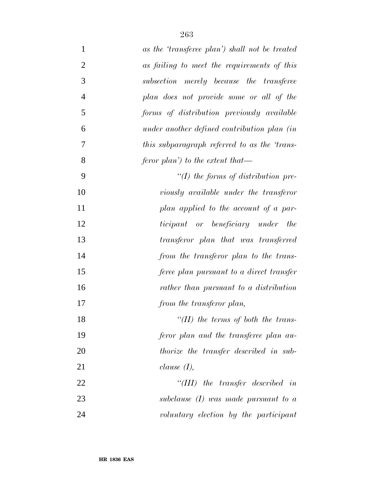| $\mathbf{1}$   | as the 'transferee plan') shall not be treated |
|----------------|------------------------------------------------|
| $\overline{2}$ | as failing to meet the requirements of this    |
| 3              | subsection merely because the transferee       |
| $\overline{4}$ | plan does not provide some or all of the       |
| 5              | forms of distribution previously available     |
| 6              | under another defined contribution plan (in    |
| 7              | this subparagraph referred to as the 'trans-   |
| 8              | feror plan') to the extent that—               |
| 9              | $\lq (I)$ the forms of distribution pre-       |
| 10             | viously available under the transferor         |
| 11             | plan applied to the account of a par-          |
| 12             | ticipant or beneficiary under the              |
| 13             | transferor plan that was transferred           |
| 14             | from the transferor plan to the trans-         |
| 15             | feree plan pursuant to a direct transfer       |
| 16             | rather than pursuant to a distribution         |
| 17             | from the transferor plan,                      |
| 18             | "( $II$ ) the terms of both the trans-         |
| 19             | feror plan and the transferee plan au-         |
| 20             | thorize the transfer described in sub-         |
| 21             | clause $(I)$ ,                                 |
| 22             | "(III) the transfer described in               |
| 23             | subclause $(I)$ was made pursuant to a         |
| 24             | voluntary election by the participant          |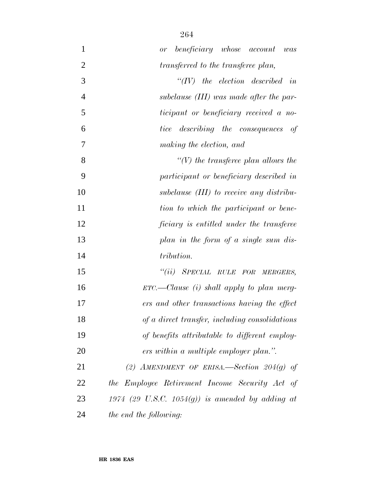| $\mathbf{1}$   | beneficiary whose account was<br>or              |
|----------------|--------------------------------------------------|
| $\overline{2}$ | transferred to the transferee plan,              |
| 3              | $``(IV)$ the election described in               |
| $\overline{4}$ | subclause <i>(III)</i> was made after the par-   |
| 5              | ticipant or beneficiary received a no-           |
| 6              | <i>tice</i> describing the consequences<br>of    |
| 7              | making the election, and                         |
| 8              | $\lq\lq(V)$ the transferee plan allows the       |
| 9              | participant or beneficiary described in          |
| 10             | subclause <i>(III)</i> to receive any distribu-  |
| 11             | tion to which the participant or bene-           |
| 12             | ficiary is entitled under the transferee         |
| 13             | plan in the form of a single sum dis-            |
| 14             | tribution.                                       |
| 15             | "(ii) SPECIAL RULE FOR MERGERS,                  |
| 16             | $ETC.$ — Clause (i) shall apply to plan merg-    |
| 17             | ers and other transactions having the effect     |
| 18             | of a direct transfer, including consolidations   |
| 19             | of benefits attributable to different employ-    |
| 20             | ers within a multiple employer plan.".           |
| 21             | (2) AMENDMENT OF ERISA.—Section $204(q)$ of      |
| 22             | the Employee Retirement Income Security Act of   |
| 23             | 1974 (29 U.S.C. 1054(g)) is amended by adding at |
| 24             | the end the following:                           |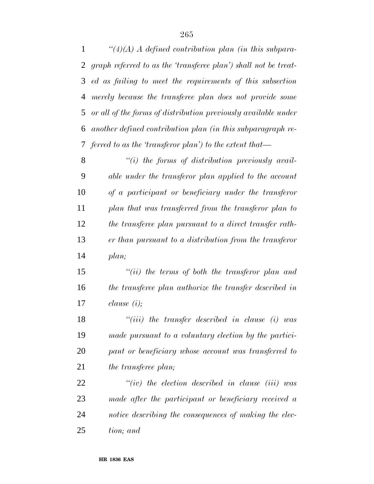*''(4)(A) A defined contribution plan (in this subpara- graph referred to as the 'transferee plan') shall not be treat- ed as failing to meet the requirements of this subsection merely because the transferee plan does not provide some or all of the forms of distribution previously available under another defined contribution plan (in this subparagraph re-ferred to as the 'transferor plan') to the extent that—*

 *''(i) the forms of distribution previously avail- able under the transferor plan applied to the account of a participant or beneficiary under the transferor plan that was transferred from the transferor plan to the transferee plan pursuant to a direct transfer rath- er than pursuant to a distribution from the transferor plan;*

 *''(ii) the terms of both the transferor plan and the transferee plan authorize the transfer described in clause (i);*

 *''(iii) the transfer described in clause (i) was made pursuant to a voluntary election by the partici- pant or beneficiary whose account was transferred to the transferee plan;*

 *''(iv) the election described in clause (iii) was made after the participant or beneficiary received a notice describing the consequences of making the elec-tion; and*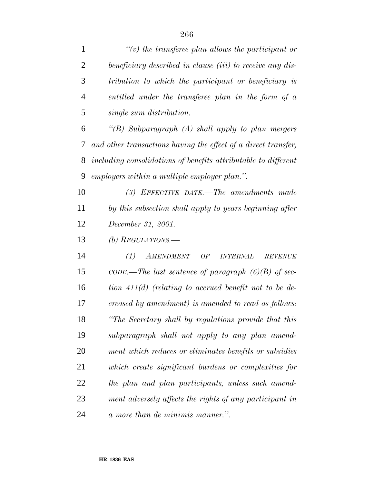| $\mathbf{1}$   | $\lq\lq(v)$ the transferee plan allows the participant or          |
|----------------|--------------------------------------------------------------------|
| $\overline{2}$ | beneficiary described in clause (iii) to receive any dis-          |
| 3              | tribution to which the participant or beneficiary is               |
| $\overline{4}$ | entitled under the transferee plan in the form of a                |
| 5              | single sum distribution.                                           |
| 6              | "(B) Subparagraph (A) shall apply to plan mergers                  |
| 7              | and other transactions having the effect of a direct transfer,     |
| 8              | including consolidations of benefits attributable to different     |
| 9              | employers within a multiple employer plan.".                       |
| 10             | $(3)$ EFFECTIVE DATE.—The amendments made                          |
| 11             | by this subsection shall apply to years beginning after            |
| 12             | December 31, 2001.                                                 |
| 13             | (b) REGULATIONS.—                                                  |
| 14             | (1)<br><b>AMENDMENT</b><br>OF<br><b>INTERNAL</b><br><b>REVENUE</b> |
| 15             | CODE.—The last sentence of paragraph $(6)(B)$ of sec-              |
| 16             | tion $411(d)$ (relating to accrued benefit not to be de-           |
| 17             | creased by amendment) is amended to read as follows:               |
| 18             | "The Secretary shall by regulations provide that this              |
| 19             | subparagraph shall not apply to any plan amend-                    |
| 20             | ment which reduces or eliminates benefits or subsidies             |
| 21             | which create significant burdens or complexities for               |
| 22             | the plan and plan participants, unless such amend-                 |
| 23             | ment adversely affects the rights of any participant in            |
| 24             | a more than de minimis manner.".                                   |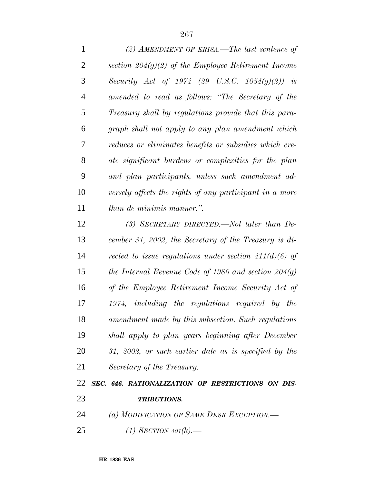*(2) AMENDMENT OF ERISA.—The last sentence of section 204(g)(2) of the Employee Retirement Income Security Act of 1974 (29 U.S.C. 1054(g)(2)) is amended to read as follows: ''The Secretary of the Treasury shall by regulations provide that this para- graph shall not apply to any plan amendment which reduces or eliminates benefits or subsidies which cre- ate significant burdens or complexities for the plan and plan participants, unless such amendment ad- versely affects the rights of any participant in a more than de minimis manner.''. (3) SECRETARY DIRECTED.—Not later than De- cember 31, 2002, the Secretary of the Treasury is di- rected to issue regulations under section 411(d)(6) of the Internal Revenue Code of 1986 and section 204(g) of the Employee Retirement Income Security Act of 1974, including the regulations required by the amendment made by this subsection. Such regulations shall apply to plan years beginning after December 31, 2002, or such earlier date as is specified by the Secretary of the Treasury. SEC. 646. RATIONALIZATION OF RESTRICTIONS ON DIS-*

## *TRIBUTIONS.*

- *(a) MODIFICATION OF SAME DESK EXCEPTION.—*
- *(1) SECTION 401(k).—*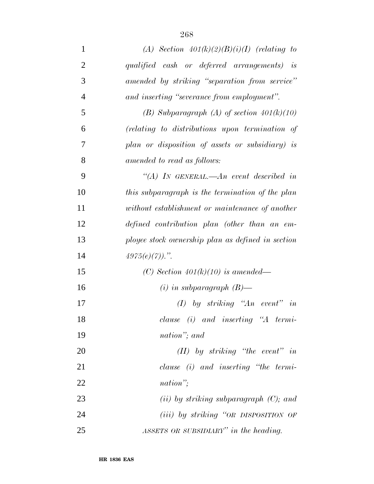| $\mathbf{1}$   | (A) Section $401(k)(2)(B)(i)(I)$ (relating to     |
|----------------|---------------------------------------------------|
| $\overline{2}$ | qualified cash or deferred arrangements) is       |
| 3              | amended by striking "separation from service"     |
| $\overline{4}$ | and inserting "severance from employment".        |
| 5              | (B) Subparagraph (A) of section $401(k)(10)$      |
| 6              | (relating to distributions upon termination of    |
| 7              | plan or disposition of assets or subsidiary) is   |
| 8              | amended to read as follows:                       |
| 9              | "(A) IN GENERAL.—An event described in            |
| 10             | this subparagraph is the termination of the plan  |
| 11             | without establishment or maintenance of another   |
| 12             | defined contribution plan (other than an em-      |
| 13             | ployee stock ownership plan as defined in section |
| 14             | $4975(e)(7)$ .".                                  |
| 15             | (C) Section $401(k)(10)$ is amended—              |
| 16             | $(i)$ in subparagraph $(B)$ —                     |
| 17             | $(I)$ by striking "An event" in                   |
| 18             | $clause$ (i) and inserting "A termi-              |
| 19             | nation"; and                                      |
| 20             | $(II)$ by striking "the event" in                 |
| 21             | $clause$ (i) and inserting "the termi-            |
| 22             | nation";                                          |
| 23             | (ii) by striking subparagraph $(C)$ ; and         |
| 24             | $(iii)$ by striking "OR DISPOSITION OF            |
| 25             | ASSETS OR SUBSIDIARY" in the heading.             |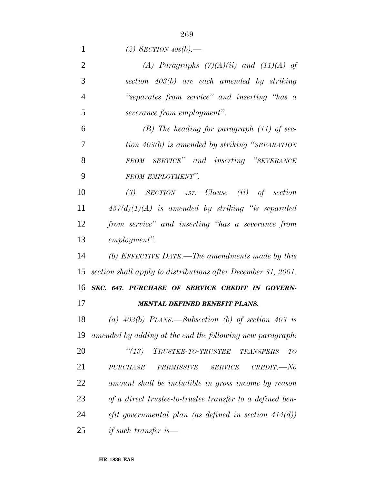*(2) SECTION 403(b).— (A) Paragraphs (7)(A)(ii) and (11)(A) of section 403(b) are each amended by striking ''separates from service'' and inserting ''has a severance from employment''. (B) The heading for paragraph (11) of sec- tion 403(b) is amended by striking ''SEPARATION FROM SERVICE'' and inserting ''SEVERANCE FROM EMPLOYMENT''. (3) SECTION 457.—Clause (ii) of section 457(d)(1)(A) is amended by striking ''is separated from service'' and inserting ''has a severance from employment''. (b) EFFECTIVE DATE.—The amendments made by this section shall apply to distributions after December 31, 2001. SEC. 647. PURCHASE OF SERVICE CREDIT IN GOVERN-*

*MENTAL DEFINED BENEFIT PLANS.*

 *(a) 403(b) PLANS.—Subsection (b) of section 403 is amended by adding at the end the following new paragraph:*

 *''(13) TRUSTEE-TO-TRUSTEE TRANSFERS TO PURCHASE PERMISSIVE SERVICE CREDIT.—No amount shall be includible in gross income by reason of a direct trustee-to-trustee transfer to a defined ben- efit governmental plan (as defined in section 414(d)) if such transfer is—*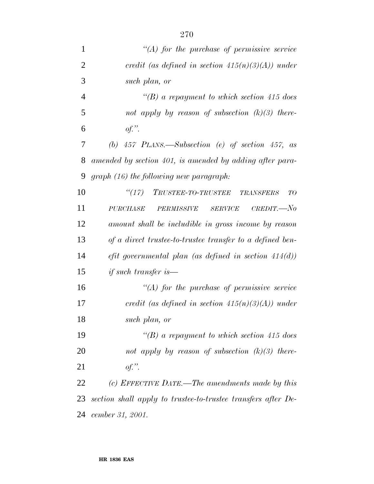| $\mathbf{1}$   | $\lq (A)$ for the purchase of permissive service                         |
|----------------|--------------------------------------------------------------------------|
| $\overline{2}$ | credit (as defined in section $415(n)(3)(A)$ ) under                     |
| 3              | such plan, or                                                            |
| $\overline{4}$ | "(B) a repayment to which section 415 does                               |
| 5              | not apply by reason of subsection $(k)(3)$ there-                        |
| 6              | $of.$ "                                                                  |
| 7              | (b) $457$ PLANS.—Subsection (e) of section $457$ , as                    |
| 8              | amended by section 401, is amended by adding after para-                 |
| 9              | $graph (16)$ the following new paragraph:                                |
| 10             | ``(17)<br>TRUSTEE-TO-TRUSTEE<br><b>TRANSFERS</b><br>TO                   |
| 11             | $CREDIT. - No$<br><b>PURCHASE</b><br><b>SERVICE</b><br><b>PERMISSIVE</b> |
| 12             | amount shall be includible in gross income by reason                     |
| 13             | of a direct trustee-to-trustee transfer to a defined ben-                |
| 14             | $_{eff}$ governmental plan (as defined in section 414(d))                |
| 15             | <i>if such transfer is</i> —                                             |
| 16             | $\lq (A)$ for the purchase of permissive service                         |
| 17             | credit (as defined in section $415(n)(3)(A)$ ) under                     |
| 18             | such plan, or                                                            |
| 19             | "(B) a repayment to which section 415 does                               |
| 20             | not apply by reason of subsection $(k)(3)$ there-                        |
| 21             | $of.$ "                                                                  |
| 22             | (c) EFFECTIVE DATE.—The amendments made by this                          |
| 23             | section shall apply to trustee-to-trustee transfers after De-            |
| 24             | cember 31, 2001.                                                         |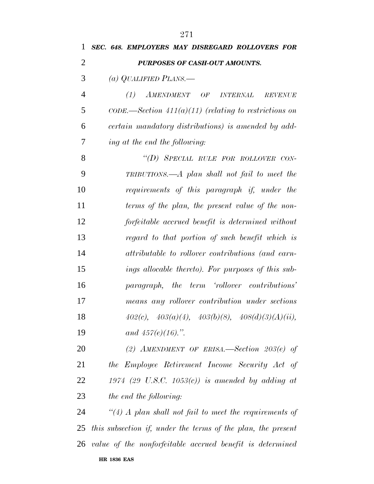| 1              | SEC. 648. EMPLOYERS MAY DISREGARD ROLLOVERS FOR                     |
|----------------|---------------------------------------------------------------------|
| $\overline{2}$ | PURPOSES OF CASH-OUT AMOUNTS.                                       |
| 3              | (a) QUALIFIED PLANS.—                                               |
| $\overline{4}$ | $(1)$ AMENDMENT OF<br><i><b>INTERNAL</b></i><br><b>REVENUE</b>      |
| 5              | $CODE. \rightarrow Section 411(a)(11)$ (relating to restrictions on |
| 6              | certain mandatory distributions) is amended by add-                 |
| 7              | ing at the end the following:                                       |
| 8              | "(D) SPECIAL RULE FOR ROLLOVER CON-                                 |
| 9              | TRIBUTIONS.— $A$ plan shall not fail to meet the                    |
| 10             | requirements of this paragraph if, under the                        |
| 11             | terms of the plan, the present value of the non-                    |
| 12             | forfeitable accrued benefit is determined without                   |
| 13             | regard to that portion of such benefit which is                     |
| 14             | attributable to rollover contributions (and earn-                   |
| 15             | ings allocable thereto). For purposes of this sub-                  |
| 16             | paragraph, the term 'rollover contributions'                        |
| 17             | means any rollover contribution under sections                      |
| 18             | $402(c), 403(a)(4), 403(b)(8), 408(d)(3)(A)(ii),$                   |
| 19             | and $457(e)(16)$ .".                                                |
| 20             | (2) AMENDMENT OF ERISA.—Section $203(e)$ of                         |
| 21             | the Employee Retirement Income Security Act of                      |
| 22             | 1974 (29 U.S.C. 1053(c)) is amended by adding at                    |
| 23             | the end the following:                                              |
| 24             | "(4) A plan shall not fail to meet the requirements of              |
| 25             | this subsection if, under the terms of the plan, the present        |
|                | 26 value of the nonforfeitable accrued benefit is determined        |
|                |                                                                     |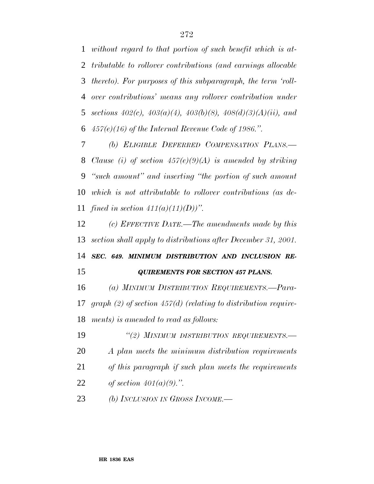*without regard to that portion of such benefit which is at- tributable to rollover contributions (and earnings allocable thereto). For purposes of this subparagraph, the term 'roll- over contributions' means any rollover contribution under sections 402(c), 403(a)(4), 403(b)(8), 408(d)(3)(A)(ii), and 457(e)(16) of the Internal Revenue Code of 1986.''.*

 *(b) ELIGIBLE DEFERRED COMPENSATION PLANS.— Clause (i) of section 457(e)(9)(A) is amended by striking ''such amount'' and inserting ''the portion of such amount which is not attributable to rollover contributions (as de-fined in section 411(a)(11)(D))''.*

 *(c) EFFECTIVE DATE.—The amendments made by this section shall apply to distributions after December 31, 2001.*

 *SEC. 649. MINIMUM DISTRIBUTION AND INCLUSION RE-QUIREMENTS FOR SECTION 457 PLANS.*

*(a) MINIMUM DISTRIBUTION REQUIREMENTS.—Para-*

 *graph (2) of section 457(d) (relating to distribution require-ments) is amended to read as follows:*

 *''(2) MINIMUM DISTRIBUTION REQUIREMENTS.— A plan meets the minimum distribution requirements*

*of this paragraph if such plan meets the requirements*

*of section 401(a)(9).''.*

*(b) INCLUSION IN GROSS INCOME.—*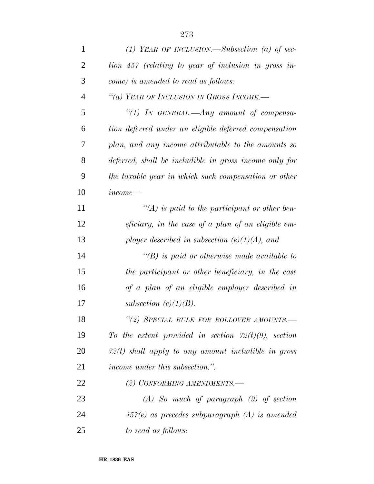| $\mathbf{1}$   | (1) YEAR OF INCLUSION.—Subsection (a) of sec-              |
|----------------|------------------------------------------------------------|
| $\overline{2}$ | tion 457 (relating to year of inclusion in gross in-       |
| 3              | come) is amended to read as follows:                       |
| $\overline{4}$ | "(a) YEAR OF INCLUSION IN GROSS INCOME.-                   |
| 5              | "(1) In GENERAL.—Any amount of compensa-                   |
| 6              | tion deferred under an eligible deferred compensation      |
| 7              | plan, and any income attributable to the amounts so        |
| 8              | deferred, shall be includible in gross income only for     |
| 9              | the taxable year in which such compensation or other       |
| 10             | $income-$                                                  |
| 11             | $\mathcal{H}(A)$ is paid to the participant or other ben-  |
| 12             | <i>eficiary</i> , in the case of a plan of an eligible em- |
| 13             | ployer described in subsection $(e)(1)(A)$ , and           |
| 14             | $\lq\lq(B)$ is paid or otherwise made available to         |
| 15             | the participant or other beneficiary, in the case          |
| 16             | of a plan of an eligible employer described in             |
| 17             | subsection $(e)(1)(B)$ .                                   |
| 18             | "(2) SPECIAL RULE FOR ROLLOVER AMOUNTS.-                   |
| 19             | To the extent provided in section $72(t)(9)$ , section     |
| 20             | $72(t)$ shall apply to any amount includible in gross      |
| 21             | <i>income under this subsection.</i> ".                    |
| 22             | (2) CONFORMING AMENDMENTS.                                 |
| 23             | $(A)$ So much of paragraph $(9)$ of section                |
| 24             | $457(e)$ as precedes subparagraph $(A)$ is amended         |
| 25             | to read as follows:                                        |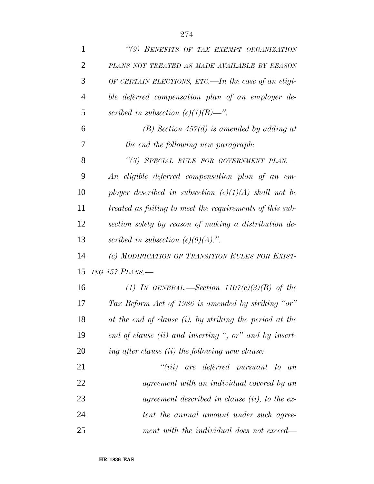| 1              | "(9) BENEFITS OF TAX EXEMPT ORGANIZATION                 |
|----------------|----------------------------------------------------------|
| $\overline{2}$ | PLANS NOT TREATED AS MADE AVAILABLE BY REASON            |
| 3              | OF CERTAIN ELECTIONS, ETC.—In the case of an eligi-      |
| $\overline{4}$ | ble deferred compensation plan of an employer de-        |
| 5              | scribed in subsection (e)(1)(B)—".                       |
| 6              | $(B)$ Section 457(d) is amended by adding at             |
| 7              | the end the following new paragraph:                     |
| 8              | "(3) SPECIAL RULE FOR GOVERNMENT PLAN.-                  |
| 9              | An eligible deferred compensation plan of an em-         |
| 10             | ployer described in subsection $(e)(1)(A)$ shall not be  |
| 11             | treated as failing to meet the requirements of this sub- |
| 12             | section solely by reason of making a distribution de-    |
| 13             | scribed in subsection $(e)(9)(A)$ .".                    |
| 14             | (c) MODIFICATION OF TRANSITION RULES FOR EXIST-          |
| 15             | ING $457$ PLANS.—                                        |
| 16             | (1) IN GENERAL.—Section $1107(c)(3)(B)$ of the           |
| 17             | Tax Reform Act of 1986 is amended by striking "or"       |
| 18             | at the end of clause (i), by striking the period at the  |
| 19             | end of clause (ii) and inserting ", or" and by insert-   |
| 20             | ing after clause (ii) the following new clause:          |
| 21             | "(iii) are deferred pursuant to<br>a n                   |
| 22             | agreement with an individual covered by an               |
| 23             | agreement described in clause (ii), to the ex-           |
| 24             | tent the annual amount under such agree-                 |
| 25             | ment with the individual does not exceed—                |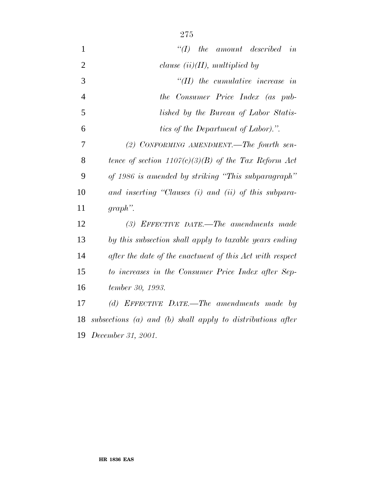| $\mathbf{1}$   | $\lq (I)$ the amount described in                          |
|----------------|------------------------------------------------------------|
| $\overline{2}$ | clause $(ii)(II)$ , multiplied by                          |
| 3              | $\lq\lq (II)$ the cumulative increase in                   |
| $\overline{4}$ | the Consumer Price Index (as pub-                          |
| 5              | lished by the Bureau of Labor Statis-                      |
| 6              | tics of the Department of Labor).".                        |
| 7              | (2) CONFORMING AMENDMENT.—The fourth sen-                  |
| 8              | tence of section $1107(c)(3)(B)$ of the Tax Reform Act     |
| 9              | of 1986 is amended by striking "This subparagraph"         |
| 10             | and inserting "Clauses (i) and (ii) of this subpara-       |
| 11             | $graph$ ".                                                 |
| 12             | (3) EFFECTIVE DATE.—The amendments made                    |
| 13             | by this subsection shall apply to taxable years ending     |
| 14             | after the date of the enactment of this Act with respect   |
| 15             | to increases in the Consumer Price Index after Sep-        |
| 16             | tember 30, 1993.                                           |
| 17             | (d) EFFECTIVE DATE.—The amendments made by                 |
| 18             | subsections (a) and (b) shall apply to distributions after |
|                | 19 December 31, 2001.                                      |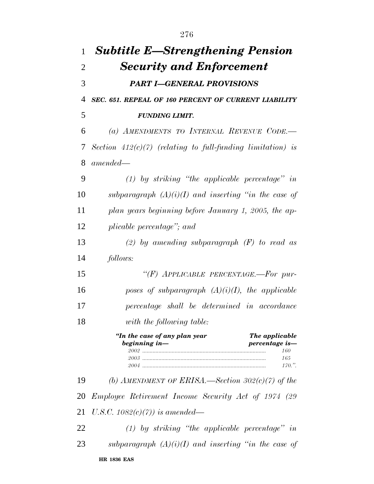| $\mathbf{1}$ | <b>Subtitle E—Strengthening Pension</b>                                                                    |
|--------------|------------------------------------------------------------------------------------------------------------|
| 2            | <b>Security and Enforcement</b>                                                                            |
| 3            | <b>PART I-GENERAL PROVISIONS</b>                                                                           |
| 4            | SEC. 651. REPEAL OF 160 PERCENT OF CURRENT LIABILITY                                                       |
| 5            | <b>FUNDING LIMIT.</b>                                                                                      |
| 6            | (a) AMENDMENTS TO INTERNAL REVENUE CODE.                                                                   |
| 7            | Section $412(c)(7)$ (relating to full-funding limitation) is                                               |
| 8            | $amended-$                                                                                                 |
| 9            | $(1)$ by striking "the applicable percentage" in                                                           |
| 10           | subparagraph $(A)(i)(I)$ and inserting "in the case of                                                     |
| 11           | plan years beginning before January 1, 2005, the ap-                                                       |
| 12           | plicable percentage"; and                                                                                  |
| 13           | (2) by amending subparagraph $(F)$ to read as                                                              |
| 14           | follows:                                                                                                   |
| 15           | "(F) APPLICABLE PERCENTAGE.-For pur-                                                                       |
| 16           | poses of subparagraph $(A)(i)(I)$ , the applicable                                                         |
| 17           | percentage shall be determined in accordance                                                               |
| 18           | with the following table:                                                                                  |
|              | "In the case of any plan year<br>The applicable<br>beginning in-<br>percentage is-<br>160<br>165<br>170.". |
| 19           | (b) AMENDMENT OF ERISA.—Section $302(c)(7)$ of the                                                         |
| 20           | <i>Employee Retirement Income Security Act of 1974 (29)</i>                                                |
| 21           | U.S.C. $1082(c)(7)$ ) is amended—                                                                          |
| 22           | $(1)$ by striking "the applicable percentage" in                                                           |
| 23           | subparagraph $(A)(i)(I)$ and inserting "in the case of                                                     |
|              | <b>HR 1836 EAS</b>                                                                                         |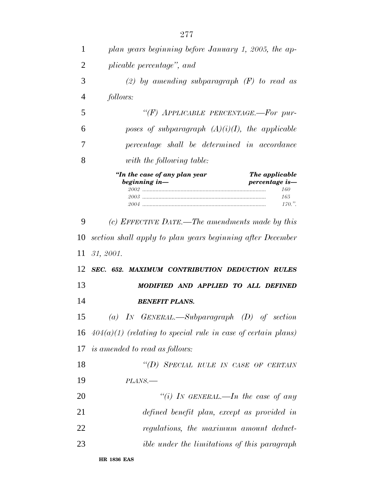| 1              | plan years beginning before January 1, 2005, the ap-                                                       |
|----------------|------------------------------------------------------------------------------------------------------------|
| 2              | plicable percentage", and                                                                                  |
| 3              | (2) by amending subparagraph $(F)$ to read as                                                              |
| $\overline{4}$ | <i>follows:</i>                                                                                            |
| 5              | "(F) APPLICABLE PERCENTAGE.-For pur-                                                                       |
| 6              | poses of subparagraph $(A)(i)(I)$ , the applicable                                                         |
| 7              | percentage shall be determined in accordance                                                               |
| 8              | with the following table:                                                                                  |
|                | "In the case of any plan year<br>The applicable<br>beginning in-<br>percentage is-<br>160<br>165<br>170.". |
| 9              | (c) EFFECTIVE DATE.—The amendments made by this                                                            |
| 10             | section shall apply to plan years beginning after December                                                 |
| 11             | 31, 2001.                                                                                                  |
| 12             | SEC. 652. MAXIMUM CONTRIBUTION DEDUCTION RULES                                                             |
| 13             | MODIFIED AND APPLIED TO ALL DEFINED                                                                        |
| 14             | <b>BENEFIT PLANS.</b>                                                                                      |
| 15             | (a) IN GENERAL.—Subparagraph $(D)$ of section                                                              |
|                | 16 $404(a)(1)$ (relating to special rule in case of certain plans)                                         |
|                | 17 is amended to read as follows:                                                                          |
| 18             | "(D) SPECIAL RULE IN CASE OF CERTAIN                                                                       |
| 19             | PLANS.-                                                                                                    |
| 20             | "(i) IN GENERAL.—In the case of any                                                                        |
| 21             | defined benefit plan, except as provided in                                                                |
| 22             | regulations, the maximum amount deduct-                                                                    |
|                |                                                                                                            |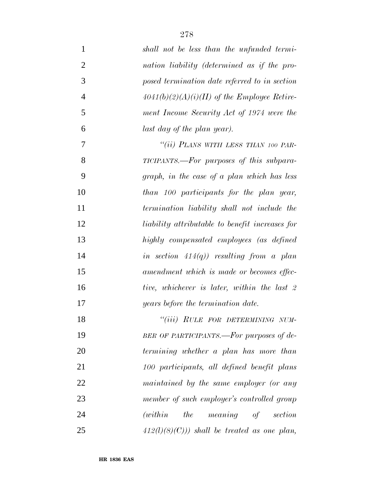| $\mathbf{1}$   | shall not be less than the unfunded termi-       |
|----------------|--------------------------------------------------|
| $\overline{2}$ | nation liability (determined as if the pro-      |
| 3              | posed termination date referred to in section    |
| $\overline{4}$ | $4041(b)(2)(A)(i)(II)$ of the Employee Retire-   |
| 5              | ment Income Security Act of 1974 were the        |
| 6              | last day of the plan year).                      |
| 7              | "(ii) PLANS WITH LESS THAN 100 PAR-              |
| 8              | TICIPANTS.—For purposes of this subpara-         |
| 9              | graph, in the case of a plan which has less      |
| 10             | than 100 participants for the plan year,         |
| 11             | termination liability shall not include the      |
| 12             | liability attributable to benefit increases for  |
| 13             | highly compensated employees (as defined         |
| 14             | in section $414(q)$ ) resulting from a plan      |
| 15             | amendment which is made or becomes effec-        |
| 16             | tive, whichever is later, within the last 2      |
| 17             | years before the termination date.               |
| 18             | "(iii) RULE FOR DETERMINING NUM-                 |
| 19             | BER OF PARTICIPANTS.-For purposes of de-         |
| 20             | termining whether a plan has more than           |
| 21             | 100 participants, all defined benefit plans      |
| 22             | maintained by the same employer (or any          |
| 23             | member of such employer's controlled group       |
| 24             | <i>(within)</i><br><i>the meaning of section</i> |
| 25             | $412(l)(8)(C))$ shall be treated as one plan,    |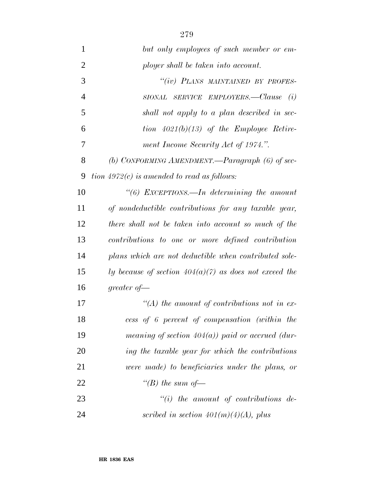| $\mathbf{1}$   | but only employees of such member or em-                 |
|----------------|----------------------------------------------------------|
| $\overline{2}$ | ployer shall be taken into account.                      |
| 3              | "(iv) PLANS MAINTAINED BY PROFES-                        |
| $\overline{4}$ | SIONAL SERVICE EMPLOYERS.—Clause $(i)$                   |
| 5              | shall not apply to a plan described in sec-              |
| 6              | tion $4021(b)(13)$ of the Employee Retire-               |
| 7              | ment Income Security Act of 1974.".                      |
| 8              | (b) CONFORMING AMENDMENT.—Paragraph $(6)$ of sec-        |
| 9              | tion $4972(c)$ is amended to read as follows:            |
| 10             | "(6) EXCEPTIONS.—In determining the amount               |
| 11             | of nondeductible contributions for any taxable year,     |
| 12             | there shall not be taken into account so much of the     |
| 13             | contributions to one or more defined contribution        |
| 14             | plans which are not deductible when contributed sole-    |
| 15             | ly because of section $404(a)(7)$ as does not exceed the |
| 16             | greater of $-$                                           |
| 17             | $\lq (A)$ the amount of contributions not in ex-         |
| 18             | cess of 6 percent of compensation (within the            |
| 19             | meaning of section $404(a)$ ) paid or accrued (dur-      |
| 20             | ing the taxable year for which the contributions         |
| 21             | were made) to beneficiaries under the plans, or          |
| 22             | "(B) the sum of $-$                                      |
| 23             | $``(i)$ the amount of contributions de-                  |
|                |                                                          |

*scribed in section 401(m)(4)(A), plus*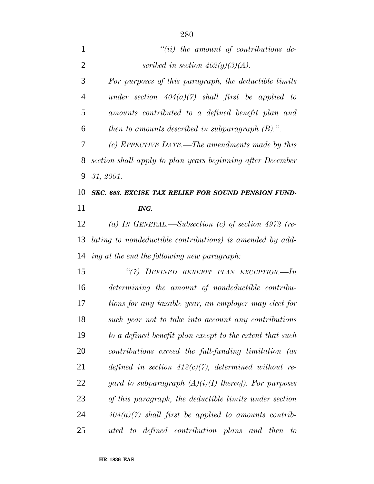| $\mathbf{1}$   | $``(ii)$ the amount of contributions de-                   |
|----------------|------------------------------------------------------------|
| $\overline{2}$ | scribed in section $402(g)(3)(A)$ .                        |
| 3              | For purposes of this paragraph, the deductible limits      |
| $\overline{4}$ | under section $404(a)(7)$ shall first be applied to        |
| 5              | amounts contributed to a defined benefit plan and          |
| 6              | then to amounts described in subparagraph $(B)$ .".        |
| 7              | (c) EFFECTIVE DATE.—The amendments made by this            |
| 8              | section shall apply to plan years beginning after December |
| 9              | 31, 2001.                                                  |
| 10             | SEC. 653. EXCISE TAX RELIEF FOR SOUND PENSION FUND-        |
| 11             | ING.                                                       |
| 12             | (a) IN GENERAL.—Subsection (c) of section 4972 (re-        |
| 13             | lating to nondeductible contributions) is amended by add-  |
| 14             | ing at the end the following new paragraph:                |
| 15             | "(7) DEFINED BENEFIT PLAN EXCEPTION.-In                    |
| 16             | determining the amount of nondeductible contribu-          |
| 17             | tions for any taxable year, an employer may elect for      |
| 18             | such year not to take into account any contributions       |
| 19             | to a defined benefit plan except to the extent that such   |
| 20             | contributions exceed the full-funding limitation (as       |
| 21             | defined in section $412(c)(7)$ , determined without re-    |
| 22             | gard to subparagraph $(A)(i)(I)$ thereof). For purposes    |
| 23             | of this paragraph, the deductible limits under section     |
| 24             | $404(a)(7)$ shall first be applied to amounts contrib-     |
| 25             | uted to defined contribution plans and then<br>to          |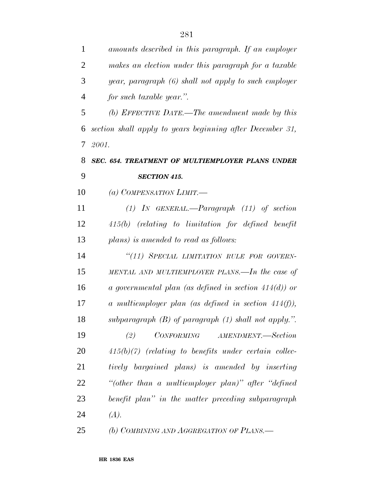| 1              | amounts described in this paragraph. If an employer       |
|----------------|-----------------------------------------------------------|
| $\overline{2}$ | makes an election under this paragraph for a taxable      |
| 3              | year, paragraph (6) shall not apply to such employer      |
| $\overline{4}$ | for such taxable year.".                                  |
| 5              | (b) EFFECTIVE DATE.—The amendment made by this            |
| 6              | section shall apply to years beginning after December 31, |
| 7              | 2001.                                                     |
| 8              | SEC. 654. TREATMENT OF MULTIEMPLOYER PLANS UNDER          |
| 9              | <b>SECTION 415.</b>                                       |
| 10             | (a) COMPENSATION LIMIT.—                                  |
| 11             | $(1)$ In GENERAL.—Paragraph $(11)$ of section             |
| 12             | 415(b) (relating to limitation for defined benefit        |
| 13             | plans) is amended to read as follows:                     |
| 14             | "(11) SPECIAL LIMITATION RULE FOR GOVERN-                 |
| 15             | MENTAL AND MULTIEMPLOYER PLANS.—In the case of            |
| 16             | a governmental plan (as defined in section $414(d)$ ) or  |
| 17             | a multiemployer plan (as defined in section $414(f)$ ),   |
| 18             | subparagraph $(B)$ of paragraph $(1)$ shall not apply.".  |
| 19             | <i>CONFORMING</i><br>AMENDMENT.-Section<br>(2)            |
| 20             | $415(b)(7)$ (relating to benefits under certain collec-   |
| 21             | tively bargained plans) is amended by inserting           |
| 22             | "(other than a multiemployer plan)" after "defined"       |
| 23             | benefit plan" in the matter preceding subparagraph        |
| 24             | (A).                                                      |
| 25             | (b) COMBINING AND AGGREGATION OF PLANS.—                  |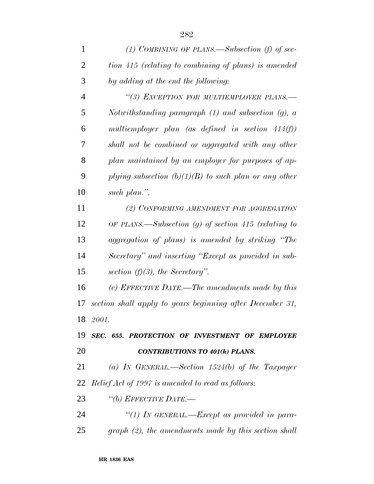| 1              | (1) COMBINING OF PLANS.—Subsection (f) of sec-            |
|----------------|-----------------------------------------------------------|
| $\overline{2}$ | tion 415 (relating to combining of plans) is amended      |
| 3              | by adding at the end the following:                       |
| $\overline{4}$ | "(3) EXCEPTION FOR MULTIEMPLOYER PLANS.-                  |
| 5              | Notwithstanding paragraph $(1)$ and subsection $(q)$ , a  |
| 6              | multiemployer plan (as defined in section $414(f)$ )      |
| 7              | shall not be combined or aggregated with any other        |
| 8              | plan maintained by an employer for purposes of ap-        |
| 9              | plying subsection $(b)(1)(B)$ to such plan or any other   |
| 10             | such plan.".                                              |
| 11             | (2) CONFORMING AMENDMENT FOR AGGREGATION                  |
| 12             | OF PLANS.—Subsection $(g)$ of section 415 (relating to    |
| 13             | aggregation of plans) is amended by striking "The         |
| 14             | Secretary" and inserting "Except as provided in sub-      |
| 15             | section $(f)(3)$ , the Secretary".                        |
| 16             | (c) EFFECTIVE DATE.—The amendments made by this           |
| 17             | section shall apply to years beginning after December 31, |
|                | 18 2001.                                                  |
| 19             | SEC. 655. PROTECTION OF INVESTMENT OF EMPLOYEE            |
| <b>20</b>      | <b>CONTRIBUTIONS TO 401(k) PLANS.</b>                     |
| 21             | (a) IN GENERAL.—Section $1524(b)$ of the Taxpayer         |
| 22             | <i>Relief Act of 1997 is amended to read as follows:</i>  |
| 23             | "(b) EFFECTIVE DATE.-                                     |
| 24             | "(1) In GENERAL.—Except as provided in para-              |
| 25             | $graph (2)$ , the amendments made by this section shall   |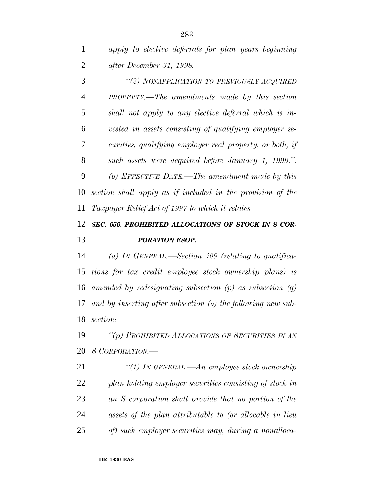*apply to elective deferrals for plan years beginning after December 31, 1998.*

 *''(2) NONAPPLICATION TO PREVIOUSLY ACQUIRED PROPERTY.—The amendments made by this section shall not apply to any elective deferral which is in- vested in assets consisting of qualifying employer se- curities, qualifying employer real property, or both, if such assets were acquired before January 1, 1999.''. (b) EFFECTIVE DATE.—The amendment made by this section shall apply as if included in the provision of the Taxpayer Relief Act of 1997 to which it relates.*

## *SEC. 656. PROHIBITED ALLOCATIONS OF STOCK IN S COR-PORATION ESOP.*

 *(a) IN GENERAL.—Section 409 (relating to qualifica- tions for tax credit employee stock ownership plans) is amended by redesignating subsection (p) as subsection (q) and by inserting after subsection (o) the following new sub-section:*

 *''(p) PROHIBITED ALLOCATIONS OF SECURITIES IN AN S CORPORATION.—*

 *''(1) IN GENERAL.—An employee stock ownership plan holding employer securities consisting of stock in an S corporation shall provide that no portion of the assets of the plan attributable to (or allocable in lieu of) such employer securities may, during a nonalloca-*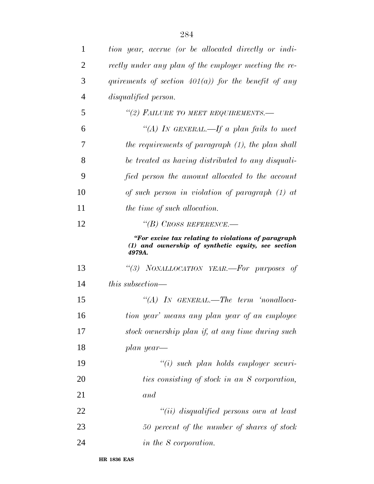| 1              | tion year, accrue (or be allocated directly or indi-                                                                |
|----------------|---------------------------------------------------------------------------------------------------------------------|
| 2              | rectly under any plan of the employer meeting the re-                                                               |
| 3              | quirements of section $401(a)$ for the benefit of any                                                               |
| $\overline{4}$ | disqualified person.                                                                                                |
| 5              | "(2) FAILURE TO MEET REQUIREMENTS.-                                                                                 |
| 6              | "(A) In GENERAL.—If a plan fails to meet                                                                            |
| 7              | the requirements of paragraph (1), the plan shall                                                                   |
| 8              | be treated as having distributed to any disquali-                                                                   |
| 9              | fied person the amount allocated to the account                                                                     |
| 10             | of such person in violation of paragraph $(1)$ at                                                                   |
| 11             | the time of such allocation.                                                                                        |
| 12             | "(B) CROSS REFERENCE.—                                                                                              |
|                | "For excise tax relating to violations of paragraph<br>(1) and ownership of synthetic equity, see section<br>4979A. |
| 13             | "(3) NONALLOCATION YEAR.—For purposes of                                                                            |
| 14             | $this$ subsection—                                                                                                  |
| 15             | $\lq\lq (A)$ IN GENERAL.—The term 'nonalloca-                                                                       |
| 16             | tion year' means any plan year of an employee                                                                       |
| 17             | stock ownership plan if, at any time during such                                                                    |
| 18             | plan year—                                                                                                          |
| 19             | $``(i)$ such plan holds employer securi-                                                                            |
| 20             | ties consisting of stock in an S corporation,                                                                       |
| 21             | and                                                                                                                 |
| 22             | "(ii) disqualified persons own at least                                                                             |
| 23             | 50 percent of the number of shares of stock                                                                         |
| 24             | in the S corporation.                                                                                               |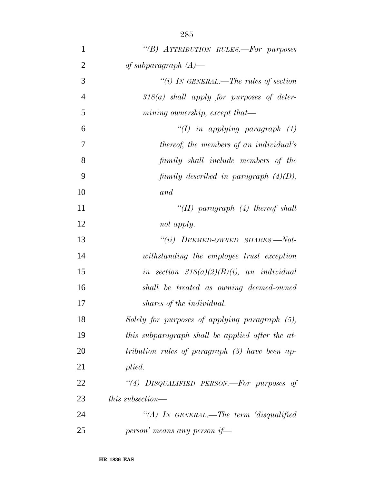| $\mathbf{1}$   | "(B) ATTRIBUTION RULES.-For purposes             |
|----------------|--------------------------------------------------|
| $\overline{2}$ | of subparagraph $(A)$ —                          |
| 3              | "(i) In GENERAL.—The rules of section            |
| $\overline{4}$ | $318(a)$ shall apply for purposes of deter-      |
| 5              | mining ownership, except that—                   |
| 6              | "(I) in applying paragraph $(1)$                 |
| 7              | thereof, the members of an individual's          |
| 8              | family shall include members of the              |
| 9              | family described in paragraph $(4)(D)$ ,         |
| 10             | and                                              |
| 11             | "(II) paragraph $(4)$ thereof shall              |
| 12             | not apply.                                       |
| 13             | $``(ii)$ DEEMED-OWNED SHARES.—Not-               |
| 14             | withstanding the employee trust exception        |
| 15             | in section $318(a)(2)(B)(i)$ , an individual     |
| 16             | shall be treated as owning deemed-owned          |
| 17             | shares of the individual.                        |
| 18             | Solely for purposes of applying paragraph (5),   |
| 19             | this subparagraph shall be applied after the at- |
| 20             | tribution rules of paragraph (5) have been ap-   |
| 21             | plied.                                           |
| 22             | "(4) DISQUALIFIED PERSON.—For purposes of        |
| 23             | this subsection—                                 |
| 24             | "(A) IN GENERAL.—The term 'disqualified          |
| 25             | person' means any person if—                     |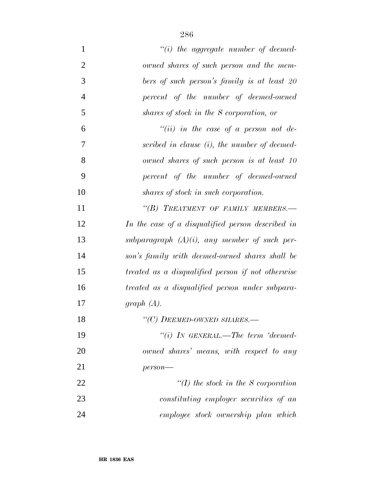| $\mathbf{1}$   | $"(i)$ the aggregate number of deemed-            |
|----------------|---------------------------------------------------|
| $\overline{2}$ | owned shares of such person and the mem-          |
| 3              | bers of such person's family is at least 20       |
| $\overline{4}$ | percent of the number of deemed-owned             |
| 5              | shares of stock in the S corporation, or          |
| 6              | "(ii) in the case of a person not de-             |
| 7              | scribed in clause (i), the number of deemed-      |
| 8              | owned shares of such person is at least 10        |
| 9              | percent of the number of deemed-owned             |
| 10             | shares of stock in such corporation.              |
| 11             | "(B) TREATMENT OF FAMILY MEMBERS.-                |
| 12             | In the case of a disqualified person described in |
| 13             | subparagraph $(A)(i)$ , any member of such per-   |
| 14             | son's family with deemed-owned shares shall be    |
| 15             | treated as a disqualified person if not otherwise |
| 16             | treated as a disqualified person under subpara-   |
| 17             | graph $(A)$ .                                     |
| 18             | "(C) DEEMED-OWNED SHARES.-                        |
| 19             | "(i) IN GENERAL.—The term 'deemed-                |
| 20             | owned shares' means, with respect to any          |
| 21             | $person-$                                         |
| 22             | $\lq (I)$ the stock in the S corporation          |
| 23             | constituting employer securities of an            |
| 24             | employee stock ownership plan which               |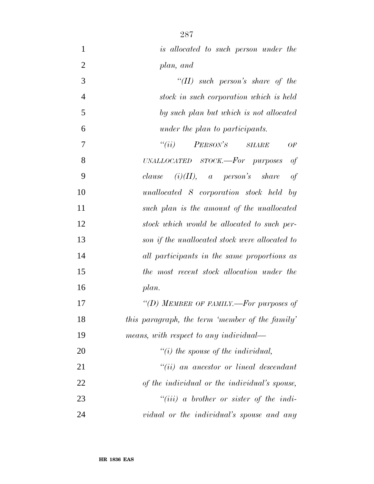| $\mathbf{1}$   | is allocated to such person under the                       |
|----------------|-------------------------------------------------------------|
| $\overline{2}$ | plan, and                                                   |
| 3              | "(II) such person's share of the                            |
| $\overline{4}$ | stock in such corporation which is held                     |
| 5              | by such plan but which is not allocated                     |
| 6              | under the plan to participants.                             |
| 7              | $``(ii)$ PERSON'S<br><b>SHARE</b><br>OF                     |
| 8              | of<br>$UNALLOCALED$ $STOCK.$ $\rightarrow$ $For$ $purposes$ |
| 9              | $clause$ (i)(II), a person's share<br>of                    |
| 10             | unallocated S corporation stock held by                     |
| 11             | such plan is the amount of the unallocated                  |
| 12             | stock which would be allocated to such per-                 |
| 13             | son if the unallocated stock were allocated to              |
| 14             | all participants in the same proportions as                 |
| 15             | the most recent stock allocation under the                  |
| 16             | plan.                                                       |
| 17             | "(D) MEMBER OF FAMILY.-For purposes of                      |
| 18             | this paragraph, the term 'member of the family'             |
| 19             | means, with respect to any individual—                      |
| 20             | $"(i)$ the spouse of the individual,                        |
| 21             | $"(ii)$ an ancestor or lineal descendant                    |
| 22             | of the individual or the individual's spouse,               |
| 23             | $``(iii)$ a brother or sister of the indi-                  |
| 24             | vidual or the individual's spouse and any                   |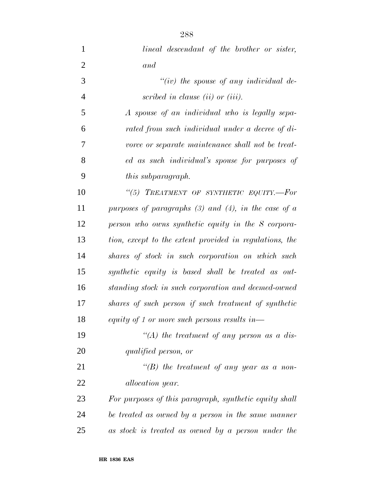- *lineal descendant of the brother or sister, and ''(iv) the spouse of any individual de- scribed in clause (ii) or (iii). A spouse of an individual who is legally sepa- rated from such individual under a decree of di- vorce or separate maintenance shall not be treat- ed as such individual's spouse for purposes of this subparagraph. ''(5) TREATMENT OF SYNTHETIC EQUITY.—For purposes of paragraphs (3) and (4), in the case of a person who owns synthetic equity in the S corpora- tion, except to the extent provided in regulations, the shares of stock in such corporation on which such synthetic equity is based shall be treated as out- standing stock in such corporation and deemed-owned shares of such person if such treatment of synthetic equity of 1 or more such persons results in— ''(A) the treatment of any person as a dis- qualified person, or ''(B) the treatment of any year as a non- allocation year. For purposes of this paragraph, synthetic equity shall be treated as owned by a person in the same manner*
- *as stock is treated as owned by a person under the*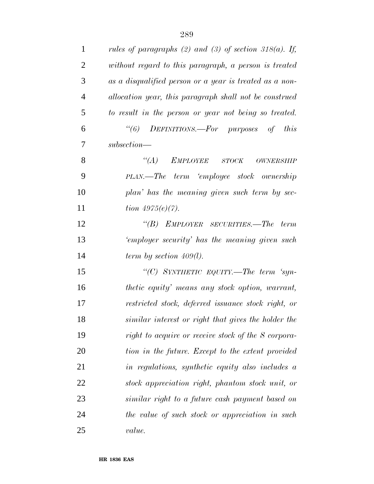| $\mathbf{1}$   | rules of paragraphs (2) and (3) of section 318(a). If,  |
|----------------|---------------------------------------------------------|
| $\overline{2}$ | without regard to this paragraph, a person is treated   |
| 3              | as a disqualified person or a year is treated as a non- |
| $\overline{4}$ | allocation year, this paragraph shall not be construed  |
| 5              | to result in the person or year not being so treated.   |
| 6              | "(6) DEFINITIONS.—For purposes of this                  |
| 7              | $subsection$ —                                          |
| 8              | $\lq (A)$<br>EMPLOYEE STOCK<br>$OWNERSHIP$              |
| 9              | PLAN.—The term 'employee stock ownership                |
| 10             | plan' has the meaning given such term by sec-           |
| 11             | <i>tion</i> $4975(e)(7)$ .                              |
| 12             | "(B) EMPLOYER SECURITIES.—The term                      |
| 13             | 'employer security' has the meaning given such          |
| 14             | term by section $409(l)$ .                              |
| 15             | "(C) SYNTHETIC EQUITY.—The term 'syn-                   |
| 16             | <i>thetic equity' means any stock option, warrant,</i>  |
| 17             | restricted stock, deferred issuance stock right, or     |
| 18             | similar interest or right that gives the holder the     |
| 19             | right to acquire or receive stock of the S corpora-     |
| 20             | tion in the future. Except to the extent provided       |
| 21             | in regulations, synthetic equity also includes a        |
| 22             | stock appreciation right, phantom stock unit, or        |
| 23             | similar right to a future cash payment based on         |
| 24             | the value of such stock or appreciation in such         |
| 25             | value.                                                  |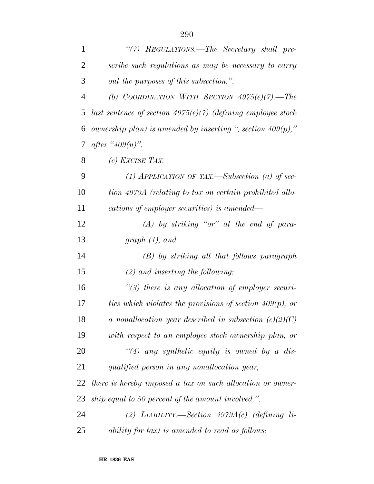| $\mathbf{1}$   | "(7) REGULATIONS.—The Secretary shall pre-                     |
|----------------|----------------------------------------------------------------|
| $\overline{2}$ | scribe such regulations as may be necessary to carry           |
| 3              | out the purposes of this subsection.".                         |
| $\overline{4}$ | (b) COORDINATION WITH SECTION $4975(e)(7)$ . The               |
| 5              | last sentence of section $4975(e)(7)$ (defining employee stock |
| 6              | ownership plan) is amended by inserting ", section $409(p)$ ," |
| 7              | <i>after</i> " $409(n)$ ".                                     |
| 8              | (c) EXCISE TAX.—                                               |
| 9              | (1) APPLICATION OF TAX.—Subsection (a) of sec-                 |
| 10             | tion 4979A (relating to tax on certain prohibited allo-        |
| 11             | cations of employer securities) is amended—                    |
| 12             | $(A)$ by striking "or" at the end of para-                     |
| 13             | graph(1), and                                                  |
| 14             | $(B)$ by striking all that follows paragraph                   |
| 15             | $(2)$ and inserting the following:                             |
| 16             | $\lq(3)$ there is any allocation of employer securi-           |
| 17             | ties which violates the provisions of section $409(p)$ , or    |
| 18             | a nonallocation year described in subsection $(e)(2)(C)$       |
| 19             | with respect to an employee stock ownership plan, or           |
| 20             | "(4) any synthetic equity is owned by a dis-                   |
| 21             | qualified person in any nonallocation year,                    |
| 22             | there is hereby imposed a tax on such allocation or owner-     |
| 23             | ship equal to 50 percent of the amount involved.".             |
| 24             | (2) LIABILITY.—Section $4979A(c)$ (defining li-                |
| 25             | ability for tax) is amended to read as follows:                |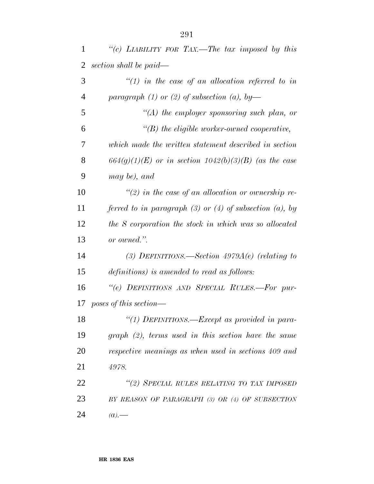| $\mathbf{1}$   | "(c) LIABILITY FOR TAX.—The tax imposed by this                |
|----------------|----------------------------------------------------------------|
| $\overline{2}$ | section shall be paid—                                         |
| 3              | $\lq(1)$ in the case of an allocation referred to in           |
| 4              | paragraph (1) or (2) of subsection (a), by-                    |
| 5              | $\lq (A)$ the employer sponsoring such plan, or                |
| 6              | $\lq\lq(B)$ the eligible worker-owned cooperative,             |
| 7              | which made the written statement described in section          |
| 8              | $664(g)(1)(E)$ or in section $1042(b)(3)(B)$ (as the case      |
| 9              | may be), and                                                   |
| 10             | $\lq(2)$ in the case of an allocation or ownership re-         |
| 11             | ferred to in paragraph $(3)$ or $(4)$ of subsection $(a)$ , by |
| 12             | the S corporation the stock in which was so allocated          |
| 13             | or owned.".                                                    |
| 14             | (3) DEFINITIONS.—Section $4979A(e)$ (relating to               |
| 15             | definitions) is amended to read as follows:                    |
| 16             | "(e) DEFINITIONS AND SPECIAL RULES.-For pur-                   |
| 17             | poses of this section—                                         |
| 18             | "(1) DEFINITIONS.—Except as provided in para-                  |
| 19             | $graph (2)$ , terms used in this section have the same         |
| 20             | respective meanings as when used in sections 409 and           |
| 21             | 4978.                                                          |
| 22             | "(2) SPECIAL RULES RELATING TO TAX IMPOSED                     |
| 23             | BY REASON OF PARAGRAPH (3) OR (4) OF SUBSECTION                |
| 24             | $(a)$ .                                                        |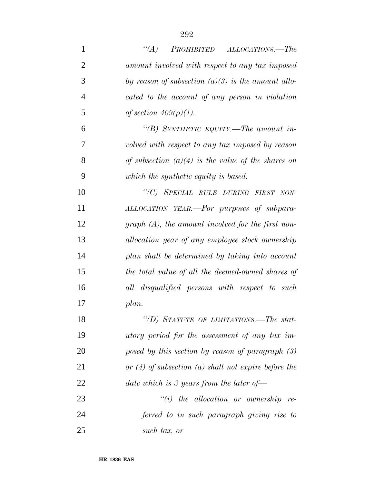| $\mathbf{1}$   | $\lq\lq (A)$<br>PROHIBITED ALLOCATIONS.—The              |
|----------------|----------------------------------------------------------|
| $\overline{2}$ | amount involved with respect to any tax imposed          |
| 3              | by reason of subsection $(a)(3)$ is the amount allo-     |
| $\overline{4}$ | cated to the account of any person in violation          |
| 5              | of section $409(p)(1)$ .                                 |
| 6              | "(B) SYNTHETIC EQUITY.—The amount in-                    |
| 7              | volved with respect to any tax imposed by reason         |
| 8              | of subsection $(a)(4)$ is the value of the shares on     |
| 9              | which the synthetic equity is based.                     |
| 10             | "(C) SPECIAL RULE DURING FIRST NON-                      |
| 11             | ALLOCATION YEAR.—For purposes of subpara-                |
| 12             | graph $(A)$ , the amount involved for the first non-     |
| 13             | allocation year of any employee stock ownership          |
| 14             | plan shall be determined by taking into account          |
| 15             | the total value of all the deemed-owned shares of        |
| 16             | all disqualified persons with respect to such            |
| 17             | plan.                                                    |
| 18             | "(D) STATUTE OF LIMITATIONS.—The stat-                   |
| 19             | utory period for the assessment of any tax im-           |
| 20             | posed by this section by reason of paragraph $(3)$       |
| 21             | or $(4)$ of subsection $(a)$ shall not expire before the |
| 22             | date which is 3 years from the later of $-$              |
| 23             | $``(i)$ the allocation or ownership re-                  |
| 24             | ferred to in such paragraph giving rise to               |
| 25             | such tax, or                                             |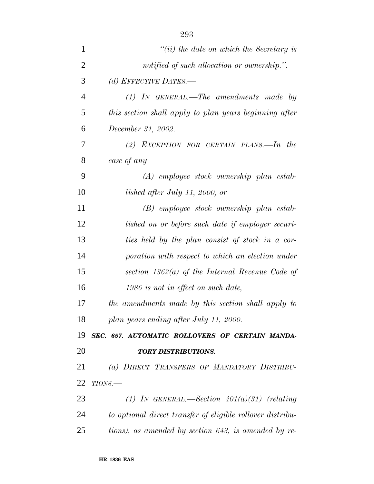| 1              | $``(ii)$ the date on which the Secretary is                |
|----------------|------------------------------------------------------------|
| $\overline{2}$ | notified of such allocation or ownership.".                |
| 3              | (d) EFFECTIVE DATES.—                                      |
| 4              | $(1)$ IN GENERAL.—The amendments made by                   |
| 5              | this section shall apply to plan years beginning after     |
| 6              | December 31, 2002.                                         |
| 7              | (2) EXCEPTION FOR CERTAIN PLANS.—In the                    |
| 8              | case of any-                                               |
| 9              | $(A)$ employee stock ownership plan estab-                 |
| 10             | lished after July 11, 2000, or                             |
| 11             | (B) employee stock ownership plan estab-                   |
| 12             | lished on or before such date if employer securi-          |
| 13             | ties held by the plan consist of stock in a cor-           |
| 14             | poration with respect to which an election under           |
| 15             | section $1362(a)$ of the Internal Revenue Code of          |
| 16             | 1986 is not in effect on such date,                        |
| 17             | the amendments made by this section shall apply to         |
| 18             | plan years ending after July 11, 2000.                     |
| 19             | SEC. 657. AUTOMATIC ROLLOVERS OF CERTAIN MANDA-            |
| 20             | <b>TORY DISTRIBUTIONS.</b>                                 |
| 21             | (a) DIRECT TRANSFERS OF MANDATORY DISTRIBU-                |
| 22             | $TIONS$ .                                                  |
| 23             | (1) IN GENERAL.—Section $401(a)(31)$ (relating             |
| 24             | to optional direct transfer of eligible rollover distribu- |
| 25             | tions), as amended by section 643, is amended by re-       |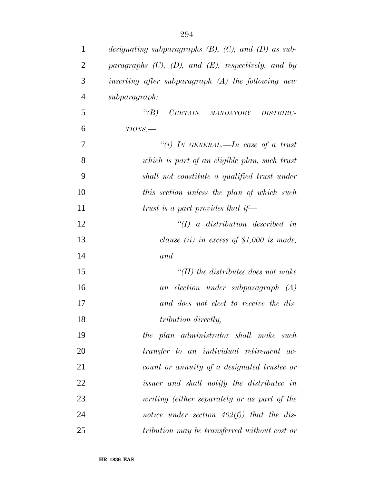| $\mathbf{1}$   | designating subparagraphs $(B)$ , $(C)$ , and $(D)$ as sub- |
|----------------|-------------------------------------------------------------|
| $\overline{2}$ | paragraphs $(C)$ , $(D)$ , and $(E)$ , respectively, and by |
| 3              | inserting after subparagraph $(A)$ the following new        |
| $\overline{4}$ | subparagraph:                                               |
| 5              | CERTAIN MANDATORY DISTRIBU-<br>$\lq(B)$                     |
| 6              | $TIONS$ .                                                   |
| $\tau$         | "(i) IN GENERAL.—In case of a trust                         |
| 8              | which is part of an eligible plan, such trust               |
| 9              | shall not constitute a qualified trust under                |
| 10             | this section unless the plan of which such                  |
| 11             | trust is a part provides that if-                           |
| 12             | $\lq (I)$ a distribution described in                       |
| 13             | clause (ii) in excess of $$1,000$ is made,                  |
| 14             | and                                                         |
| 15             | $H(H)$ the distributee does not make                        |
| 16             | an election under subparagraph (A)                          |
| 17             | and does not elect to receive the dis-                      |
| 18             | tribution directly,                                         |
| 19             | the plan administrator shall make such                      |
| 20             | transfer to an individual retirement ac-                    |
| 21             | count or annuity of a designated trustee or                 |
| 22             | issuer and shall notify the distributee in                  |
| 23             | writing (either separately or as part of the                |
| 24             | notice under section $402(f)$ ) that the dis-               |
| 25             | tribution may be transferred without cost or                |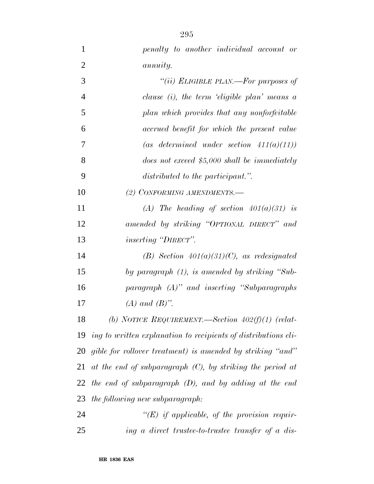| $\mathbf{1}$   | penalty to another individual account or                       |
|----------------|----------------------------------------------------------------|
| $\overline{2}$ | <i>annuity.</i>                                                |
| 3              | "(ii) ELIGIBLE PLAN.—For purposes of                           |
| $\overline{4}$ | clause $(i)$ , the term 'eligible plan' means a                |
| 5              | plan which provides that any nonforfeitable                    |
| 6              | accrued benefit for which the present value                    |
| 7              | (as determined under section $411(a)(11)$ )                    |
| 8              | does not exceed $$5,000$ shall be immediately                  |
| 9              | distributed to the participant.".                              |
| 10             | (2) CONFORMING AMENDMENTS.-                                    |
| 11             | (A) The heading of section $401(a)(31)$ is                     |
| 12             | amended by striking "OPTIONAL DIRECT" and                      |
| 13             | <i>inserting "DIRECT".</i>                                     |
| 14             | (B) Section $401(a)(31)(C)$ , as redesignated                  |
| 15             | by paragraph $(1)$ , is amended by striking "Sub-              |
| 16             | $paragnph$ $(A)$ " and inserting "Subparagraphs"               |
| 17             | $(A)$ and $(B)$ ".                                             |
| 18             | (b) NOTICE REQUIREMENT.—Section $402(f)(1)$ (relat-            |
| 19             | ing to written explanation to recipients of distributions eli- |
| 20             | gible for rollover treatment) is amended by striking "and"     |
| 21             | at the end of subparagraph $(C)$ , by striking the period at   |
| 22             | the end of subparagraph $(D)$ , and by adding at the end       |
| 23             | the following new subparagraph:                                |
| 24             | " $(E)$ if applicable, of the provision requir-                |
| 25             | ing a direct trustee-to-trustee transfer of a dis-             |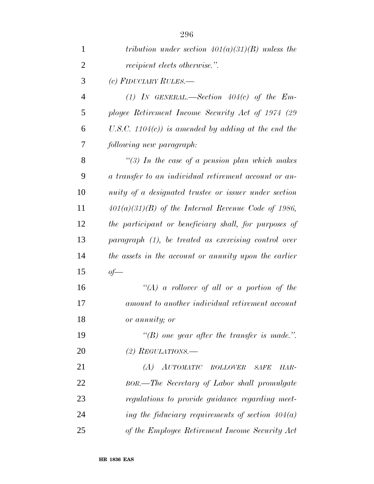| 1              | tribution under section $401(a)(31)(B)$ unless the     |
|----------------|--------------------------------------------------------|
| $\overline{2}$ | <i>recipient elects otherwise.</i> ".                  |
| 3              | (c) FIDUCIARY RULES.—                                  |
| $\overline{4}$ | (1) IN GENERAL.—Section $404(c)$ of the Em-            |
| 5              | ployee Retirement Income Security Act of 1974 (29      |
| 6              | U.S.C. $1104(c)$ ) is amended by adding at the end the |
| 7              | following new paragraph:                               |
| 8              | "(3) In the case of a pension plan which makes         |
| 9              | a transfer to an individual retirement account or an-  |
| 10             | nuity of a designated trustee or issuer under section  |
| 11             | $401(a)(31)(B)$ of the Internal Revenue Code of 1986,  |
| 12             | the participant or beneficiary shall, for purposes of  |
| 13             | paragraph (1), be treated as exercising control over   |
| 14             | the assets in the account or annuity upon the earlier  |
| 15             | $of$ —                                                 |
| 16             | "(A) a rollover of all or a portion of the             |
| 17             | amount to another individual retirement account        |
| 18             | or annuity; or                                         |
| 19             | "(B) one year after the transfer is made.".            |
| 20             | (2) REGULATIONS.—                                      |
| 21             | AUTOMATIC ROLLOVER<br>(A)<br><b>SAFE</b><br>HAR-       |
| 22             | BOR.—The Secretary of Labor shall promulgate           |
| 23             | regulations to provide guidance regarding meet-        |
| 24             | ing the fiduciary requirements of section $404(a)$     |
| 25             | of the Employee Retirement Income Security Act         |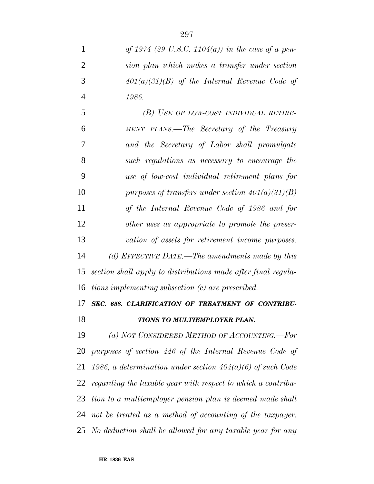| of 1974 (29 U.S.C. 1104(a)) in the case of a pen-             |
|---------------------------------------------------------------|
| sion plan which makes a transfer under section                |
| $401(a)(31)(B)$ of the Internal Revenue Code of               |
| 1986.                                                         |
| (B) USE OF LOW-COST INDIVIDUAL RETIRE-                        |
| MENT PLANS.—The Secretary of the Treasury                     |
| and the Secretary of Labor shall promulgate                   |
| such regulations as necessary to encourage the                |
| use of low-cost individual retirement plans for               |
| purposes of transfers under section $401(a)(31)(B)$           |
| of the Internal Revenue Code of 1986 and for                  |
| other uses as appropriate to promote the preser-              |
| vation of assets for retirement income purposes.              |
|                                                               |
| (d) EFFECTIVE DATE.—The amendments made by this               |
| section shall apply to distributions made after final regula- |
| tions implementing subsection (c) are prescribed.             |
| SEC. 658. CLARIFICATION OF TREATMENT OF CONTRIBU-             |
| TIONS TO MULTIEMPLOYER PLAN.                                  |
| (a) NOT CONSIDERED METHOD OF ACCOUNTING.-For                  |
| purposes of section 446 of the Internal Revenue Code of       |
| 1986, a determination under section $404(a)(6)$ of such Code  |
| regarding the taxable year with respect to which a contribu-  |
| tion to a multiemployer pension plan is deemed made shall     |
| 24 not be treated as a method of accounting of the taxpayer.  |
|                                                               |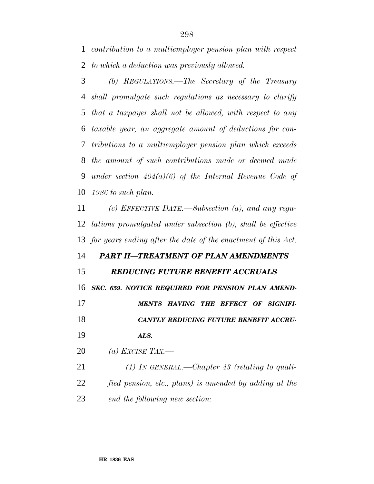*contribution to a multiemployer pension plan with respect to which a deduction was previously allowed.*

 *(b) REGULATIONS.—The Secretary of the Treasury shall promulgate such regulations as necessary to clarify that a taxpayer shall not be allowed, with respect to any taxable year, an aggregate amount of deductions for con- tributions to a multiemployer pension plan which exceeds the amount of such contributions made or deemed made under section 404(a)(6) of the Internal Revenue Code of 1986 to such plan.*

 *(c) EFFECTIVE DATE.—Subsection (a), and any regu- lations promulgated under subsection (b), shall be effective for years ending after the date of the enactment of this Act.*

### *PART II—TREATMENT OF PLAN AMENDMENTS*

### *REDUCING FUTURE BENEFIT ACCRUALS*

*SEC. 659. NOTICE REQUIRED FOR PENSION PLAN AMEND-*

*MENTS HAVING THE EFFECT OF SIGNIFI-*

*CANTLY REDUCING FUTURE BENEFIT ACCRU-*

*ALS.*

*(a) EXCISE TAX.—*

 *(1) IN GENERAL.—Chapter 43 (relating to quali- fied pension, etc., plans) is amended by adding at the end the following new section:*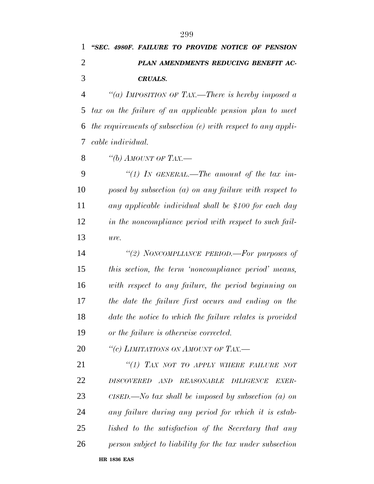## *''SEC. 4980F. FAILURE TO PROVIDE NOTICE OF PENSION PLAN AMENDMENTS REDUCING BENEFIT AC-CRUALS.*

 *''(a) IMPOSITION OF TAX.—There is hereby imposed a tax on the failure of an applicable pension plan to meet the requirements of subsection (e) with respect to any appli-cable individual.*

*''(b) AMOUNT OF TAX.—*

 *''(1) IN GENERAL.—The amount of the tax im- posed by subsection (a) on any failure with respect to any applicable individual shall be \$100 for each day in the noncompliance period with respect to such fail-ure.*

 *''(2) NONCOMPLIANCE PERIOD.—For purposes of this section, the term 'noncompliance period' means, with respect to any failure, the period beginning on the date the failure first occurs and ending on the date the notice to which the failure relates is provided or the failure is otherwise corrected.*

*''(c) LIMITATIONS ON AMOUNT OF TAX.—*

 *''(1) TAX NOT TO APPLY WHERE FAILURE NOT DISCOVERED AND REASONABLE DILIGENCE EXER- CISED.—No tax shall be imposed by subsection (a) on any failure during any period for which it is estab- lished to the satisfaction of the Secretary that any person subject to liability for the tax under subsection*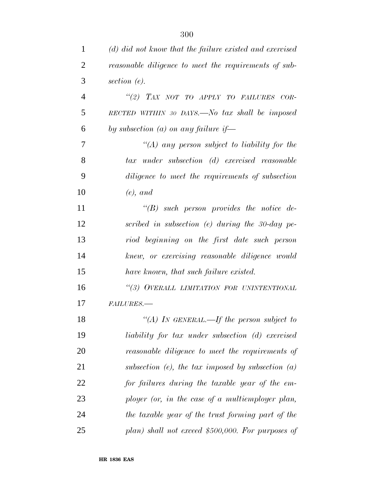| $\mathbf{1}$   | (d) did not know that the failure existed and exercised |
|----------------|---------------------------------------------------------|
| $\overline{2}$ | reasonable diligence to meet the requirements of sub-   |
| 3              | section $(e)$ .                                         |
| $\overline{4}$ | "(2) TAX NOT TO APPLY TO FAILURES COR-                  |
| 5              | RECTED WITHIN 30 DAYS.—No tax shall be imposed          |
| 6              | by subsection (a) on any failure if-                    |
| 7              | "(A) any person subject to liability for the            |
| 8              | tax under subsection (d) exercised reasonable           |
| 9              | diligence to meet the requirements of subsection        |
| 10             | $(e)$ , and                                             |
| 11             | $\lq\lq(B)$ such person provides the notice de-         |
| 12             | scribed in subsection (e) during the 30-day pe-         |
| 13             | riod beginning on the first date such person            |
| 14             | knew, or exercising reasonable diligence would          |
| 15             | have known, that such failure existed.                  |
| 16             | "(3) OVERALL LIMITATION FOR UNINTENTIONAL               |
| 17             | <b>FAILURES.-</b>                                       |
| 18             | "(A) IN GENERAL.—If the person subject to               |
| 19             | liability for tax under subsection (d) exercised        |
| 20             | reasonable diligence to meet the requirements of        |
| 21             | subsection (e), the tax imposed by subsection $(a)$     |
| 22             | for failures during the taxable year of the em-         |
| 23             | ployer (or, in the case of a multiemployer plan,        |
| 24             | the taxable year of the trust forming part of the       |
| 25             | plan) shall not exceed $$500,000$ . For purposes of     |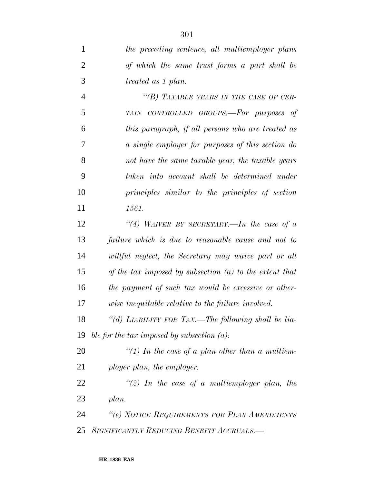*the preceding sentence, all multiemployer plans of which the same trust forms a part shall be treated as 1 plan. ''(B) TAXABLE YEARS IN THE CASE OF CER- TAIN CONTROLLED GROUPS.—For purposes of this paragraph, if all persons who are treated as a single employer for purposes of this section do not have the same taxable year, the taxable years taken into account shall be determined under principles similar to the principles of section 1561. ''(4) WAIVER BY SECRETARY.—In the case of a failure which is due to reasonable cause and not to willful neglect, the Secretary may waive part or all of the tax imposed by subsection (a) to the extent that the payment of such tax would be excessive or other- wise inequitable relative to the failure involved. ''(d) LIABILITY FOR TAX.—The following shall be lia- ble for the tax imposed by subsection (a): ''(1) In the case of a plan other than a multiem- ployer plan, the employer. ''(2) In the case of a multiemployer plan, the plan. ''(e) NOTICE REQUIREMENTS FOR PLAN AMENDMENTS SIGNIFICANTLY REDUCING BENEFIT ACCRUALS.—*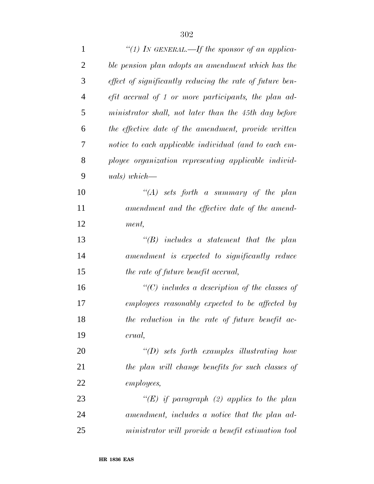| $\mathbf{1}$   | "(1) In GENERAL.—If the sponsor of an applica-           |
|----------------|----------------------------------------------------------|
| $\overline{2}$ | ble pension plan adopts an amendment which has the       |
| 3              | effect of significantly reducing the rate of future ben- |
| $\overline{4}$ | efit accrual of 1 or more participants, the plan ad-     |
| 5              | ministrator shall, not later than the 45th day before    |
| 6              | the effective date of the amendment, provide written     |
| $\tau$         | notice to each applicable individual (and to each em-    |
| 8              | ployee organization representing applicable individ-     |
| 9              | $uals) which$ —                                          |
| 10             | "(A) sets forth a summary of the plan                    |
| 11             | amendment and the effective date of the amend-           |
| 12             | ment,                                                    |
| 13             | $\lq\lq B$ includes a statement that the plan            |
| 14             | amendment is expected to significantly reduce            |
| 15             | the rate of future benefit accrual,                      |
| 16             | $\lq\lq$ includes a description of the classes of        |
| 17             | employees reasonably expected to be affected by          |
| 18             | the reduction in the rate of future benefit ac-          |
| 19             | crual,                                                   |
| 20             | $\lq\lq D$ sets forth examples illustrating how          |
| 21             | the plan will change benefits for such classes of        |
| 22             | <i>employees,</i>                                        |
| 23             | "(E) if paragraph (2) applies to the plan                |
| 24             | amendment, includes a notice that the plan ad-           |
| 25             | ministrator will provide a benefit estimation tool       |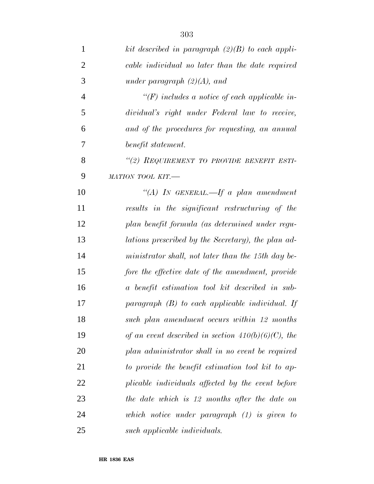| $\mathbf{1}$   | kit described in paragraph $(2)(B)$ to each appli-    |
|----------------|-------------------------------------------------------|
| $\overline{2}$ | cable individual no later than the date required      |
| 3              | under paragraph $(2)(A)$ , and                        |
| $\overline{4}$ | $\lq (F)$ includes a notice of each applicable in-    |
| 5              | dividual's right under Federal law to receive,        |
| 6              | and of the procedures for requesting, an annual       |
| 7              | benefit statement.                                    |
| 8              | "(2) REQUIREMENT TO PROVIDE BENEFIT ESTI-             |
| 9              | MATION TOOL KIT.-                                     |
| 10             | "(A) IN GENERAL.—If a plan amendment                  |
| 11             | results in the significant restructuring of the       |
| 12             | plan benefit formula (as determined under regu-       |
| 13             | lations prescribed by the Secretary), the plan ad-    |
| 14             | ministrator shall, not later than the 15th day be-    |
| 15             | fore the effective date of the amendment, provide     |
| 16             | a benefit estimation tool kit described in sub-       |
| 17             | paragraph $(B)$ to each applicable individual. If     |
| 18             | such plan amendment occurs within 12 months           |
| 19             | of an event described in section $410(b)(6)(C)$ , the |
| 20             | plan administrator shall in no event be required      |
| 21             | to provide the benefit estimation tool kit to ap-     |
| 22             | plicable individuals affected by the event before     |
| 23             | the date which is 12 months after the date on         |
| 24             | which notice under paragraph $(1)$ is given to        |
| 25             | such applicable individuals.                          |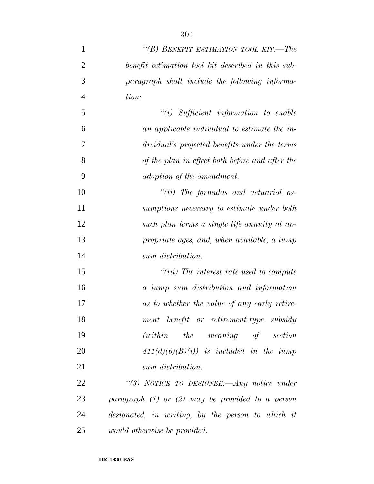| 1              | "(B) BENEFIT ESTIMATION TOOL KIT.—The                |
|----------------|------------------------------------------------------|
| $\overline{2}$ | benefit estimation tool kit described in this sub-   |
| 3              | paragraph shall include the following informa-       |
| $\overline{4}$ | tion:                                                |
| 5              | $``(i)$ Sufficient information to enable             |
| 6              | an applicable individual to estimate the in-         |
| 7              | dividual's projected benefits under the terms        |
| 8              | of the plan in effect both before and after the      |
| 9              | adoption of the amendment.                           |
| 10             | $``(ii)$ The formulas and actuarial as-              |
| 11             | sumptions necessary to estimate under both           |
| 12             | such plan terms a single life annuity at ap-         |
| 13             | propriate ages, and, when available, a lump          |
| 14             | sum distribution.                                    |
| 15             | $``(iii)$ The interest rate used to compute          |
| 16             | a lump sum distribution and information              |
| 17             | as to whether the value of any early retire-         |
| 18             | ment benefit or retirement-type subsidy              |
| 19             | $(within$ the meaning of section                     |
| 20             | $411(d)(6)(B(i))$ is included in the lump            |
| 21             | sum distribution.                                    |
| 22             | "(3) NOTICE TO DESIGNEE.—Any notice under            |
| 23             | paragraph $(1)$ or $(2)$ may be provided to a person |
| 24             | designated, in writing, by the person to which it    |
| 25             | <i>would otherwise be provided.</i>                  |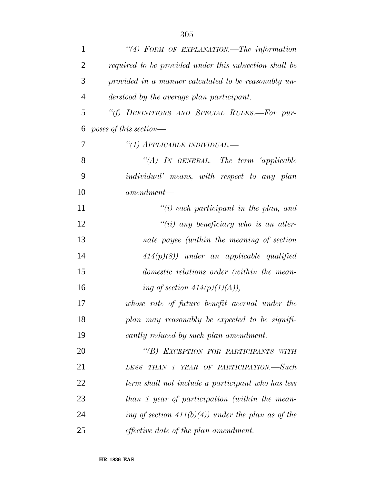| $\mathbf{1}$   | "(4) FORM OF EXPLANATION.—The information              |
|----------------|--------------------------------------------------------|
| $\overline{2}$ | required to be provided under this subsection shall be |
| 3              | provided in a manner calculated to be reasonably un-   |
| $\overline{4}$ | derstood by the average plan participant.              |
| 5              | "(f) DEFINITIONS AND SPECIAL RULES.-For pur-           |
| 6              | poses of this section—                                 |
| 7              | "(1) APPLICABLE INDIVIDUAL.—                           |
| 8              | "(A) IN GENERAL.—The term 'applicable                  |
| 9              | individual' means, with respect to any plan            |
| 10             | $a$ mendment—                                          |
| 11             | $\tilde{f}(i)$ each participant in the plan, and       |
| 12             | $``(ii)$ any beneficiary who is an alter-              |
| 13             | nate payee (within the meaning of section              |
| 14             | $414(p)(8)$ under an applicable qualified              |
| 15             | domestic relations order (within the mean-             |
| 16             | ing of section $414(p)(1)(A)$ ,                        |
| 17             | whose rate of future benefit accrual under the         |
| 18             | plan may reasonably be expected to be signifi-         |
| 19             | cantly reduced by such plan amendment.                 |
| 20             | "(B) EXCEPTION FOR PARTICIPANTS WITH                   |
| 21             | THAN 1 YEAR OF PARTICIPATION.—Such<br>LESS             |
| 22             | term shall not include a participant who has less      |
| 23             | than 1 year of participation (within the mean-         |
| 24             | ing of section $411(b)(4)$ under the plan as of the    |
| 25             | <i>effective date of the plan amendment.</i>           |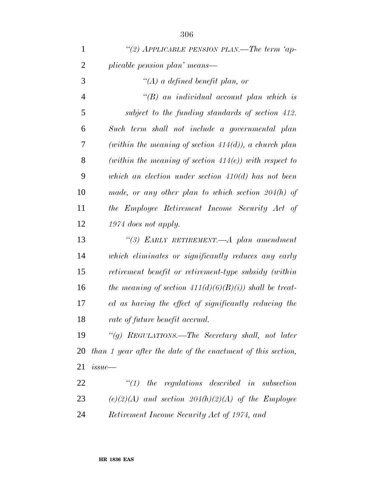| $\mathbf{1}$   | "(2) APPLICABLE PENSION PLAN.—The term 'ap-                  |
|----------------|--------------------------------------------------------------|
| $\overline{2}$ | plicable pension plan' means—                                |
| 3              | $\lq (A)$ a defined benefit plan, or                         |
| $\overline{4}$ | $\lq\lq B$ an individual account plan which is               |
| 5              | subject to the funding standards of section 412.             |
| 6              | Such term shall not include a governmental plan              |
| 7              | (within the meaning of section $414(d)$ ), a church plan     |
| 8              | (within the meaning of section $414(e)$ ) with respect to    |
| 9              | which an election under section $410(d)$ has not been        |
| 10             | made, or any other plan to which section $204(h)$ of         |
| 11             | the Employee Retirement Income Security Act of               |
| 12             | 1974 does not apply.                                         |
| 13             | "(3) EARLY RETIREMENT.—A plan amendment                      |
| 14             | which eliminates or significantly reduces any early          |
| 15             | retirement benefit or retirement-type subsidy (within        |
| 16             | the meaning of section $411(d)(6)(B(i))$ shall be treat-     |
| 17             | ed as having the effect of significantly reducing the        |
| 18             | rate of future benefit accrual.                              |
| 19             | "(g) REGULATIONS.—The Secretary shall, not later             |
| 20             | than 1 year after the date of the enactment of this section, |
| 21             | is sue                                                       |
| 22             | the regulations described in subsection<br>$\lq(1)$          |
| 23             | $(e)(2)(A)$ and section $204(h)(2)(A)$ of the Employee       |
| 24             | Retirement Income Security Act of 1974, and                  |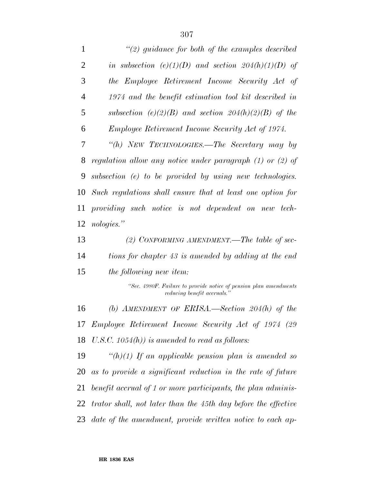| 1              | $\lq(2)$ guidance for both of the examples described                                             |
|----------------|--------------------------------------------------------------------------------------------------|
| 2              | in subsection (e)(1)(D) and section $204(h)(1)(D)$ of                                            |
| 3              | the Employee Retirement Income Security Act of                                                   |
| $\overline{4}$ | 1974 and the benefit estimation tool kit described in                                            |
| 5              | subsection (e)(2)(B) and section 204(h)(2)(B) of the                                             |
| 6              | <i>Employee Retirement Income Security Act of 1974.</i>                                          |
| 7              | "(h) NEW TECHNOLOGIES.—The Secretary may by                                                      |
| 8              | regulation allow any notice under paragraph $(1)$ or $(2)$ of                                    |
| 9              | subsection $(e)$ to be provided by using new technologies.                                       |
| 10             | Such regulations shall ensure that at least one option for                                       |
| 11             | providing such notice is not dependent on new tech-                                              |
| 12             | nologies."                                                                                       |
| 13             | (2) CONFORMING AMENDMENT.—The table of sec-                                                      |
| 14             | tions for chapter 43 is amended by adding at the end                                             |
| 15             | the following new item:                                                                          |
|                | "Sec. 4980F. Failure to provide notice of pension plan amendments<br>reducing benefit accruals." |
| 16             | (b) AMENDMENT OF ERISA.—Section $204(h)$ of the                                                  |
| 17             | Employee Retirement Income Security Act of 1974 (29                                              |
| 18             | U.S.C. $1054(h)$ ) is amended to read as follows:                                                |
| 19             | "(h)(1) If an applicable pension plan is amended so                                              |
| 20             | as to provide a significant reduction in the rate of future                                      |
| 21             | benefit accrual of 1 or more participants, the plan adminis-                                     |
| 22             | trator shall, not later than the 45th day before the effective                                   |
| 23             | date of the amendment, provide written notice to each ap-                                        |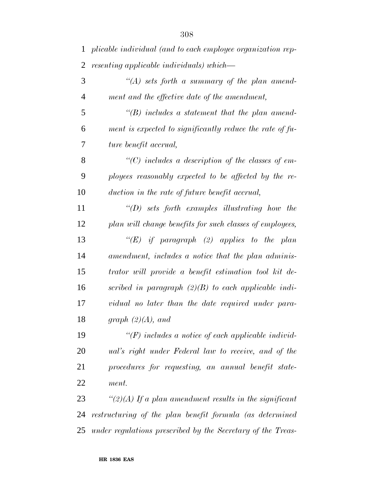| 1              | plicable individual (and to each employee organization rep- |
|----------------|-------------------------------------------------------------|
| $\overline{2}$ | resenting applicable individuals) which—                    |
| 3              | "(A) sets forth a summary of the plan amend-                |
| $\overline{4}$ | ment and the effective date of the amendment,               |
| 5              | $\lq\lq(B)$ includes a statement that the plan amend-       |
| 6              | ment is expected to significantly reduce the rate of fu-    |
| 7              | ture benefit accrual,                                       |
| 8              | $\lq$ (C) includes a description of the classes of em-      |
| 9              | ployees reasonably expected to be affected by the re-       |
| 10             | duction in the rate of future benefit accrual,              |
| 11             | $\lq (D)$ sets forth examples illustrating how the          |
| 12             | plan will change benefits for such classes of employees,    |
| 13             | "(E) if paragraph (2) applies to the plan                   |
| 14             | amendment, includes a notice that the plan adminis-         |
| 15             | trator will provide a benefit estimation tool kit de-       |
| 16             | scribed in paragraph $(2)(B)$ to each applicable indi-      |
| 17             | vidual no later than the date required under para-          |
| 18             | graph $(2)(A)$ , and                                        |
| 19             | $\lq (F)$ includes a notice of each applicable individ-     |
| 20             | ual's right under Federal law to receive, and of the        |
| 21             | procedures for requesting, an annual benefit state-         |
| 22             | ment.                                                       |
| 23             | " $(2)(A)$ If a plan amendment results in the significant   |
| 24             | restructuring of the plan benefit formula (as determined    |
| 25             | under regulations prescribed by the Secretary of the Treas- |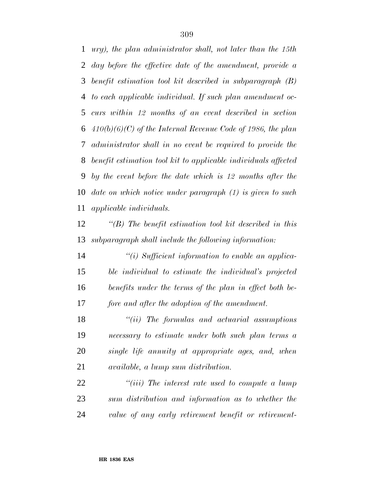*ury), the plan administrator shall, not later than the 15th day before the effective date of the amendment, provide a benefit estimation tool kit described in subparagraph (B) to each applicable individual. If such plan amendment oc- curs within 12 months of an event described in section 410(b)(6)(C) of the Internal Revenue Code of 1986, the plan administrator shall in no event be required to provide the benefit estimation tool kit to applicable individuals affected by the event before the date which is 12 months after the date on which notice under paragraph (1) is given to such applicable individuals.*

 *''(B) The benefit estimation tool kit described in this subparagraph shall include the following information:*

 *''(i) Sufficient information to enable an applica- ble individual to estimate the individual's projected benefits under the terms of the plan in effect both be-fore and after the adoption of the amendment.*

 *''(ii) The formulas and actuarial assumptions necessary to estimate under both such plan terms a single life annuity at appropriate ages, and, when available, a lump sum distribution.*

 *''(iii) The interest rate used to compute a lump sum distribution and information as to whether the value of any early retirement benefit or retirement-*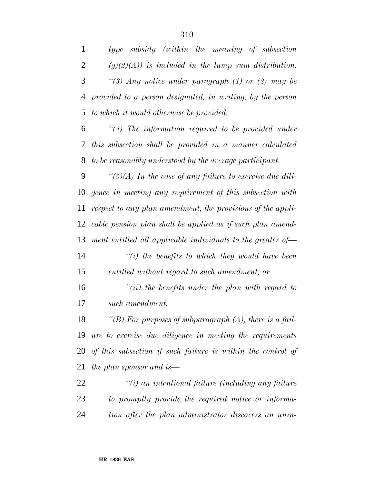*type subsidy (within the meaning of subsection (g)(2)(A)) is included in the lump sum distribution. ''(3) Any notice under paragraph (1) or (2) may be provided to a person designated, in writing, by the person to which it would otherwise be provided. ''(4) The information required to be provided under*

 *this subsection shall be provided in a manner calculated to be reasonably understood by the average participant.*

 *''(5)(A) In the case of any failure to exercise due dili- gence in meeting any requirement of this subsection with respect to any plan amendment, the provisions of the appli- cable pension plan shall be applied as if such plan amend-ment entitled all applicable individuals to the greater of—*

 *''(i) the benefits to which they would have been entitled without regard to such amendment, or*

 *''(ii) the benefits under the plan with regard to such amendment.*

 *''(B) For purposes of subparagraph (A), there is a fail- ure to exercise due diligence in meeting the requirements of this subsection if such failure is within the control of the plan sponsor and is—*

 *''(i) an intentional failure (including any failure to promptly provide the required notice or informa-tion after the plan administrator discovers an unin-*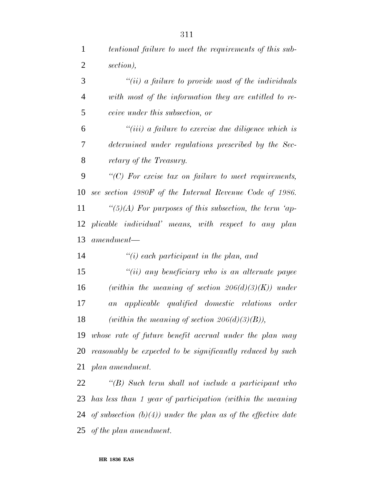*''(ii) a failure to provide most of the individuals with most of the information they are entitled to re-ceive under this subsection, or*

 *''(iii) a failure to exercise due diligence which is determined under regulations prescribed by the Sec-retary of the Treasury.*

 *''(C) For excise tax on failure to meet requirements, see section 4980F of the Internal Revenue Code of 1986. ''(5)(A) For purposes of this subsection, the term 'ap- plicable individual' means, with respect to any plan amendment—*

*''(i) each participant in the plan, and*

 *''(ii) any beneficiary who is an alternate payee (within the meaning of section 206(d)(3)(K)) under an applicable qualified domestic relations order (within the meaning of section 206(d)(3)(B)),*

 *whose rate of future benefit accrual under the plan may reasonably be expected to be significantly reduced by such plan amendment.*

 *''(B) Such term shall not include a participant who has less than 1 year of participation (within the meaning of subsection (b)(4)) under the plan as of the effective date of the plan amendment.*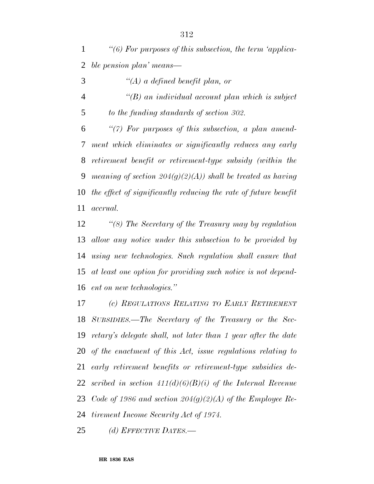*''(6) For purposes of this subsection, the term 'applica-ble pension plan' means—*

- *''(A) a defined benefit plan, or*
- *''(B) an individual account plan which is subject to the funding standards of section 302.*

 *''(7) For purposes of this subsection, a plan amend- ment which eliminates or significantly reduces any early retirement benefit or retirement-type subsidy (within the meaning of section 204(g)(2)(A)) shall be treated as having the effect of significantly reducing the rate of future benefit accrual.*

 *''(8) The Secretary of the Treasury may by regulation allow any notice under this subsection to be provided by using new technologies. Such regulation shall ensure that at least one option for providing such notice is not depend-ent on new technologies.''*

 *(c) REGULATIONS RELATING TO EARLY RETIREMENT SUBSIDIES.—The Secretary of the Treasury or the Sec- retary's delegate shall, not later than 1 year after the date of the enactment of this Act, issue regulations relating to early retirement benefits or retirement-type subsidies de- scribed in section 411(d)(6)(B)(i) of the Internal Revenue Code of 1986 and section 204(g)(2)(A) of the Employee Re-tirement Income Security Act of 1974.*

*(d) EFFECTIVE DATES.—*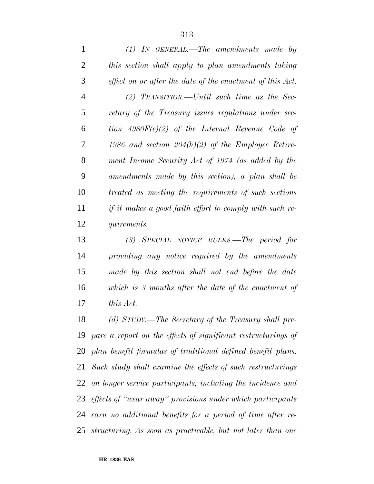*(1) IN GENERAL.—The amendments made by this section shall apply to plan amendments taking effect on or after the date of the enactment of this Act. (2) TRANSITION.—Until such time as the Sec- retary of the Treasury issues regulations under sec- tion 4980F(e)(2) of the Internal Revenue Code of 1986 and section 204(h)(2) of the Employee Retire- ment Income Security Act of 1974 (as added by the amendments made by this section), a plan shall be treated as meeting the requirements of such sections if it makes a good faith effort to comply with such re-quirements.*

 *(3) SPECIAL NOTICE RULES.—The period for providing any notice required by the amendments made by this section shall not end before the date which is 3 months after the date of the enactment of this Act.*

 *(d) STUDY.—The Secretary of the Treasury shall pre- pare a report on the effects of significant restructurings of plan benefit formulas of traditional defined benefit plans. Such study shall examine the effects of such restructurings on longer service participants, including the incidence and effects of ''wear away'' provisions under which participants earn no additional benefits for a period of time after re-structuring. As soon as practicable, but not later than one*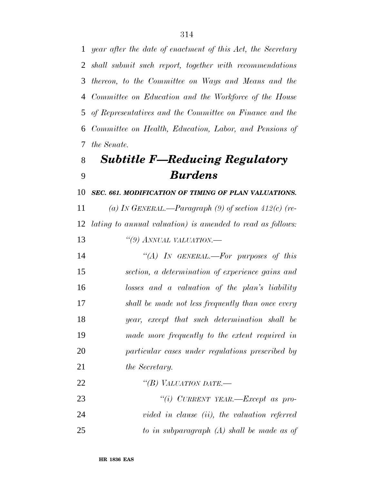*year after the date of enactment of this Act, the Secretary shall submit such report, together with recommendations thereon, to the Committee on Ways and Means and the Committee on Education and the Workforce of the House of Representatives and the Committee on Finance and the Committee on Health, Education, Labor, and Pensions of the Senate.*

# *Subtitle F—Reducing Regulatory Burdens*

*SEC. 661. MODIFICATION OF TIMING OF PLAN VALUATIONS.*

 *(a) IN GENERAL.—Paragraph (9) of section 412(c) (re- lating to annual valuation) is amended to read as follows: ''(9) ANNUAL VALUATION.—*

 *''(A) IN GENERAL.—For purposes of this section, a determination of experience gains and losses and a valuation of the plan's liability shall be made not less frequently than once every year, except that such determination shall be made more frequently to the extent required in particular cases under regulations prescribed by the Secretary.*

*''(B) VALUATION DATE.—*

 *''(i) CURRENT YEAR.—Except as pro- vided in clause (ii), the valuation referred to in subparagraph (A) shall be made as of*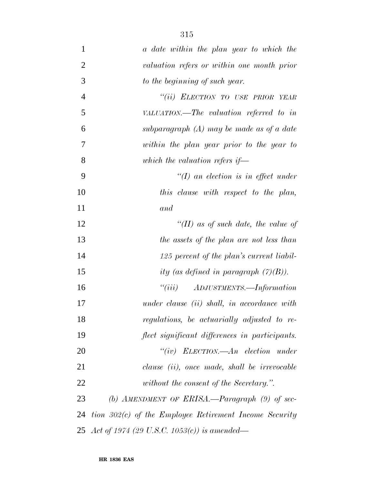| $\mathbf{1}$   | a date within the plan year to which the                 |
|----------------|----------------------------------------------------------|
| $\overline{2}$ | valuation refers or within one month prior               |
| 3              | to the beginning of such year.                           |
| $\overline{4}$ | "(ii) ELECTION TO USE PRIOR YEAR                         |
| 5              | VALUATION.—The valuation referred to in                  |
| 6              | subparagraph $(A)$ may be made as of a date              |
| 7              | within the plan year prior to the year to                |
| 8              | which the valuation refers if—                           |
| 9              | $\lq (I)$ an election is in effect under                 |
| 10             | this clause with respect to the plan,                    |
| 11             | and                                                      |
| 12             | "(II) as of such date, the value of                      |
| 13             | the assets of the plan are not less than                 |
| 14             | 125 percent of the plan's current liabil-                |
| 15             | ity (as defined in paragraph $(7)(B)$ ).                 |
| 16             | $``(iii)$ ADJUSTMENTS.—Information                       |
| 17             | under clause (ii) shall, in accordance with              |
| 18             | regulations, be actuarially adjusted to re-              |
| 19             | flect significant differences in participants.           |
| 20             | "(iv) $ELECTION. - An \text{ } electron \text{ } under$  |
| 21             | clause <i>(ii)</i> , once made, shall be irrevocable     |
| 22             | without the consent of the Secretary.".                  |
| 23             | (b) AMENDMENT OF ERISA.—Paragraph $(9)$ of sec-          |
| 24             | tion $302(c)$ of the Employee Retirement Income Security |
|                | 25 Act of 1974 (29 U.S.C. 1053(c)) is amended—           |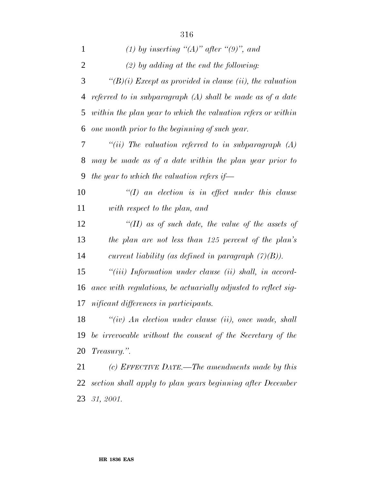| $\mathbf{1}$   | (1) by inserting " $(A)$ " after " $(9)$ ", and                |
|----------------|----------------------------------------------------------------|
| $\overline{2}$ | $(2)$ by adding at the end the following:                      |
| 3              | $\lq (B)(i)$ Except as provided in clause (ii), the valuation  |
| 4              | referred to in subparagraph $(A)$ shall be made as of a date   |
| 5              | within the plan year to which the valuation refers or within   |
| 6              | one month prior to the beginning of such year.                 |
| 7              | "(ii) The valuation referred to in subparagraph $(A)$          |
| 8              | may be made as of a date within the plan year prior to         |
| 9              | the year to which the valuation refers if $-$                  |
| 10             | $\lq (I)$ an election is in effect under this clause           |
| 11             | with respect to the plan, and                                  |
| 12             | "(II) as of such date, the value of the assets of              |
| 13             | the plan are not less than 125 percent of the plan's           |
| 14             | current liability (as defined in paragraph $(7)(B)$ ).         |
| 15             | $``(iii)$ Information under clause $(ii)$ shall, in accord-    |
| 16             | ance with regulations, be actuarially adjusted to reflect sig- |
| 17             | nificant differences in participants.                          |
| 18             | $``(iv)$ An election under clause (ii), once made, shall       |
| 19             | be irrevocable without the consent of the Secretary of the     |
| 20             | Treasury.".                                                    |
| 21             | (c) EFFECTIVE DATE.—The amendments made by this                |
| 22             | section shall apply to plan years beginning after December     |

*31, 2001.*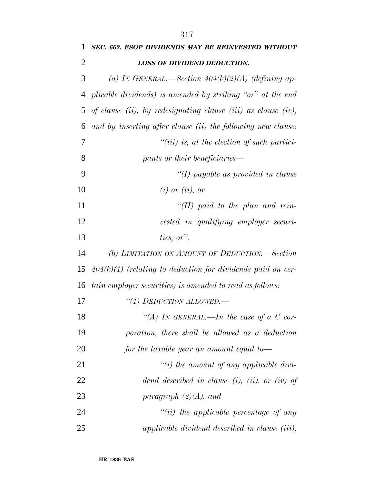| $\mathbf{1}$   | SEC. 662. ESOP DIVIDENDS MAY BE REINVESTED WITHOUT            |
|----------------|---------------------------------------------------------------|
| $\overline{2}$ | <b>LOSS OF DIVIDEND DEDUCTION.</b>                            |
| 3              | (a) IN GENERAL.—Section $404(k)(2)(A)$ (defining ap-          |
| $\overline{4}$ | plicable dividends) is amended by striking "or" at the end    |
| 5              | of clause (ii), by redesignating clause (iii) as clause (iv), |
| 6              | and by inserting after clause (ii) the following new clause:  |
| $\overline{7}$ | $``(iii)$ is, at the election of such partici-                |
| 8              | pants or their beneficiaries—                                 |
| 9              | "(I) payable as provided in clause                            |
| 10             | $(i)$ or $(ii)$ , or                                          |
| 11             | "(II) paid to the plan and rein-                              |
| 12             | vested in qualifying employer securi-                         |
| 13             | ties, or".                                                    |
| 14             | (b) LIMITATION ON AMOUNT OF DEDUCTION.—Section                |
| 15             | $404(k)(1)$ (relating to deduction for dividends paid on cer- |
| 16             | tain employer securities) is amended to read as follows:      |
| 17             | "(1) DEDUCTION ALLOWED.-                                      |
| 18             | "(A) IN GENERAL.—In the case of a C cor-                      |
| 19             | poration, there shall be allowed as a deduction               |
| 20             | for the taxable year an amount equal to-                      |

- *''(i) the amount of any applicable divi- dend described in clause (i), (ii), or (iv) of paragraph (2)(A), and ''(ii) the applicable percentage of any*
- *applicable dividend described in clause (iii),*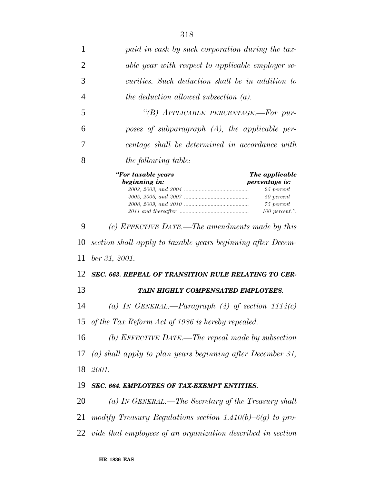| 1              | paid in cash by such corporation during the tax-                                                                                      |
|----------------|---------------------------------------------------------------------------------------------------------------------------------------|
| $\overline{2}$ | able year with respect to applicable employer se-                                                                                     |
| 3              | curities. Such deduction shall be in addition to                                                                                      |
| 4              | the deduction allowed subsection $(a)$ .                                                                                              |
| 5              | "(B) APPLICABLE PERCENTAGE.-For pur-                                                                                                  |
| 6              | poses of subparagraph $(A)$ , the applicable per-                                                                                     |
| 7              | centage shall be determined in accordance with                                                                                        |
| 8              | <i>the following table:</i>                                                                                                           |
|                | "For taxable years<br>The applicable<br>beginning in:<br>percentage is:<br>25 percent<br>$50$ percent<br>75 percent<br>100 percent.". |
| 9              | (c) EFFECTIVE DATE.—The amendments made by this                                                                                       |
| 10             | section shall apply to taxable years beginning after Decem-                                                                           |
| 11             | $ber\,31,\,2001.$                                                                                                                     |
| 12             | SEC. 663. REPEAL OF TRANSITION RULE RELATING TO CER-                                                                                  |
| 13             | TAIN HIGHLY COMPENSATED EMPLOYEES.                                                                                                    |
| 14             | (a) IN GENERAL.—Paragraph (4) of section $1114(c)$                                                                                    |
|                | 15 of the Tax Reform Act of 1986 is hereby repealed.                                                                                  |
| 16             | (b) EFFECTIVE DATE.—The repeal made by subsection                                                                                     |
| 17             | (a) shall apply to plan years beginning after December 31,                                                                            |
| 18             | 2001.                                                                                                                                 |
| 19             | SEC. 664. EMPLOYEES OF TAX-EXEMPT ENTITIES.                                                                                           |
| 20             | (a) IN GENERAL.—The Secretary of the Treasury shall                                                                                   |
| 21             | modify Treasury Regulations section 1.410(b)-6(g) to pro-                                                                             |
| 22             | vide that employees of an organization described in section                                                                           |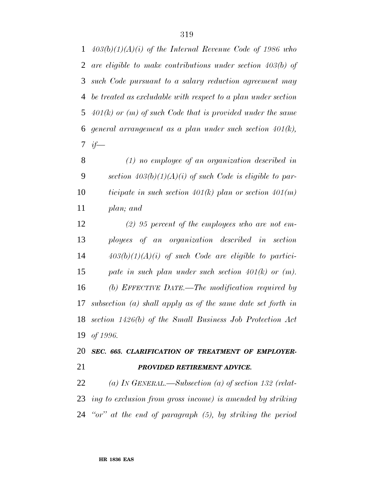*403(b)(1)(A)(i) of the Internal Revenue Code of 1986 who are eligible to make contributions under section 403(b) of such Code pursuant to a salary reduction agreement may be treated as excludable with respect to a plan under section 401(k) or (m) of such Code that is provided under the same general arrangement as a plan under such section 401(k), if—*

 *(1) no employee of an organization described in section 403(b)(1)(A)(i) of such Code is eligible to par- ticipate in such section 401(k) plan or section 401(m) plan; and*

 *(2) 95 percent of the employees who are not em- ployees of an organization described in section 403(b)(1)(A)(i) of such Code are eligible to partici- pate in such plan under such section 401(k) or (m). (b) EFFECTIVE DATE.—The modification required by subsection (a) shall apply as of the same date set forth in section 1426(b) of the Small Business Job Protection Act of 1996.*

### *SEC. 665. CLARIFICATION OF TREATMENT OF EMPLOYER-PROVIDED RETIREMENT ADVICE.*

 *(a) IN GENERAL.—Subsection (a) of section 132 (relat- ing to exclusion from gross income) is amended by striking ''or'' at the end of paragraph (5), by striking the period*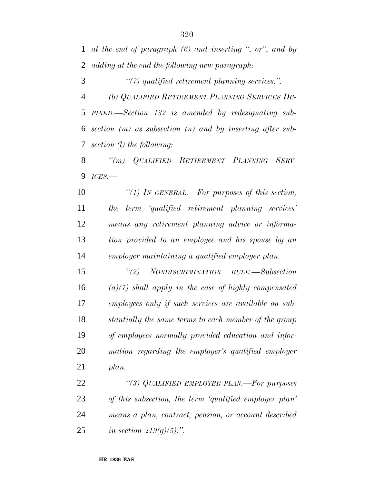*at the end of paragraph (6) and inserting '', or'', and by adding at the end the following new paragraph:*

*''(7) qualified retirement planning services.''.*

 *(b) QUALIFIED RETIREMENT PLANNING SERVICES DE- FINED.—Section 132 is amended by redesignating sub- section (m) as subsection (n) and by inserting after sub-section (l) the following:*

 *''(m) QUALIFIED RETIREMENT PLANNING SERV-ICES.—*

 *''(1) IN GENERAL.—For purposes of this section, the term 'qualified retirement planning services' means any retirement planning advice or informa- tion provided to an employee and his spouse by an employer maintaining a qualified employer plan.*

 *''(2) NONDISCRIMINATION RULE.—Subsection (a)(7) shall apply in the case of highly compensated employees only if such services are available on sub- stantially the same terms to each member of the group of employees normally provided education and infor- mation regarding the employer's qualified employer plan.*

 *''(3) QUALIFIED EMPLOYER PLAN.—For purposes of this subsection, the term 'qualified employer plan' means a plan, contract, pension, or account described in section 219(g)(5).''.*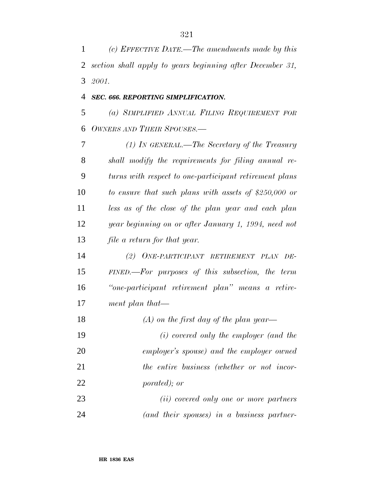*(c) EFFECTIVE DATE.—The amendments made by this section shall apply to years beginning after December 31, 2001.*

#### *SEC. 666. REPORTING SIMPLIFICATION.*

 *(a) SIMPLIFIED ANNUAL FILING REQUIREMENT FOR OWNERS AND THEIR SPOUSES.—*

 *(1) IN GENERAL.—The Secretary of the Treasury shall modify the requirements for filing annual re- turns with respect to one-participant retirement plans to ensure that such plans with assets of \$250,000 or less as of the close of the plan year and each plan year beginning on or after January 1, 1994, need not file a return for that year.*

 *(2) ONE-PARTICIPANT RETIREMENT PLAN DE- FINED.—For purposes of this subsection, the term ''one-participant retirement plan'' means a retire-ment plan that—*

 *(A) on the first day of the plan year— (i) covered only the employer (and the employer's spouse) and the employer owned the entire business (whether or not incor- porated); or (ii) covered only one or more partners*

*(and their spouses) in a business partner-*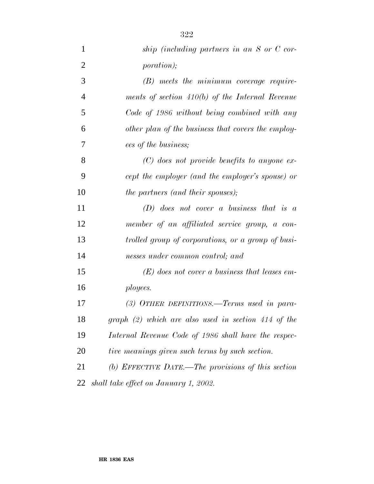| $\mathbf{1}$   | ship (including partners in an S or C cor-            |
|----------------|-------------------------------------------------------|
| $\overline{2}$ | <i>poration</i> );                                    |
| 3              | $(B)$ meets the minimum coverage require-             |
| $\overline{4}$ | ments of section $410(b)$ of the Internal Revenue     |
| 5              | Code of 1986 without being combined with any          |
| 6              | other plan of the business that covers the employ-    |
| 7              | ees of the business;                                  |
| 8              | $(C)$ does not provide benefits to anyone ex-         |
| 9              | cept the employer (and the employer's spouse) or      |
| 10             | <i>the partners (and their spouses)</i> ;             |
| 11             | $(D)$ does not cover a business that is a             |
| 12             | member of an affiliated service group, a con-         |
| 13             | trolled group of corporations, or a group of busi-    |
| 14             | nesses under common control; and                      |
| 15             | $(E)$ does not cover a business that leases em-       |
| 16             | ployees.                                              |
| 17             | (3) OTHER DEFINITIONS.—Terms used in para-            |
| 18             | $graph (2) which are also used in section 414 of the$ |
| 19             | Internal Revenue Code of 1986 shall have the respec-  |
| 20             | tive meanings given such terms by such section.       |
| 21             | (b) EFFECTIVE DATE.—The provisions of this section    |
| 22             | shall take effect on January 1, 2002.                 |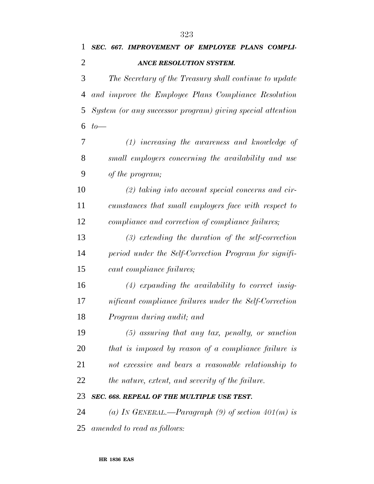| SEC. 667. IMPROVEMENT OF EMPLOYEE PLANS COMPLI-            |
|------------------------------------------------------------|
| ANCE RESOLUTION SYSTEM.                                    |
| The Secretary of the Treasury shall continue to update     |
| and improve the Employee Plans Compliance Resolution       |
| System (or any successor program) giving special attention |
| $to-$                                                      |
| $(1)$ increasing the awareness and knowledge of            |
| small employers concerning the availability and use        |
| of the program;                                            |
| $(2)$ taking into account special concerns and cir-        |
| cumstances that small employers face with respect to       |
| compliance and correction of compliance failures;          |
| $(3)$ extending the duration of the self-correction        |
| period under the Self-Correction Program for signifi-      |
| cant compliance failures;                                  |
| $(4)$ expanding the availability to correct insig-         |
| nificant compliance failures under the Self-Correction     |
| Program during audit; and                                  |
| $(5)$ assuring that any tax, penalty, or sanction          |
| that is imposed by reason of a compliance failure is       |
| not excessive and bears a reasonable relationship to       |
| the nature, extent, and severity of the failure.           |
| SEC. 668. REPEAL OF THE MULTIPLE USE TEST.                 |
| (a) IN GENERAL.—Paragraph (9) of section $401(m)$ is       |
| amended to read as follows:                                |
|                                                            |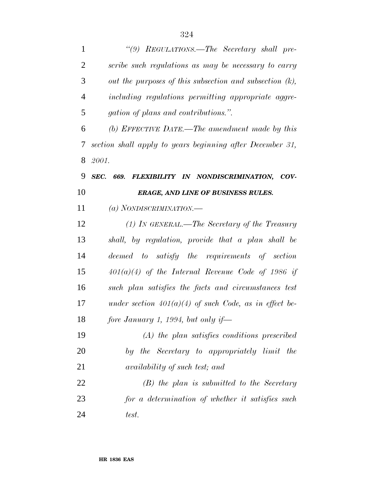| $\mathbf{1}$   | "(9) REGULATIONS.—The Secretary shall pre-                 |
|----------------|------------------------------------------------------------|
| $\overline{2}$ | scribe such regulations as may be necessary to carry       |
| 3              | out the purposes of this subsection and subsection $(k)$ , |
| $\overline{4}$ | including regulations permitting appropriate aggre-        |
| 5              | <i>gation of plans and contributions.".</i>                |
| 6              | (b) EFFECTIVE DATE.—The amendment made by this             |
| 7              | section shall apply to years beginning after December 31,  |
| 8              | 2001.                                                      |
| 9              | SEC. 669. FLEXIBILITY IN NONDISCRIMINATION, COV-           |
| 10             | <b>ERAGE, AND LINE OF BUSINESS RULES.</b>                  |
| 11             | (a) NONDISCRIMINATION.-                                    |
| 12             | $(1)$ In GENERAL.—The Secretary of the Treasury            |
| 13             | shall, by regulation, provide that a plan shall be         |
| 14             | deemed to satisfy the requirements of section              |
| 15             | $401(a)(4)$ of the Internal Revenue Code of 1986 if        |
| 16             | such plan satisfies the facts and circumstances test       |
| 17             | under section $401(a)(4)$ of such Code, as in effect be-   |
| 18             | fore January 1, 1994, but only if—                         |
| 19             | $(A)$ the plan satisfies conditions prescribed             |
| 20             | by the Secretary to appropriately limit the                |
| 21             | availability of such test; and                             |
| 22             | $(B)$ the plan is submitted to the Secretary               |
| 23             | for a determination of whether it satisfies such           |
| 24             | test.                                                      |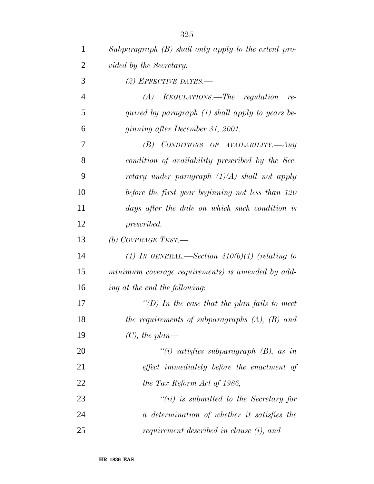| $\mathbf{1}$ | Subparagraph $(B)$ shall only apply to the extent pro- |
|--------------|--------------------------------------------------------|
| 2            | vided by the Secretary.                                |
| 3            | (2) EFFECTIVE DATES.—                                  |
| 4            | $(A)$ REGULATIONS.—The regulation<br>$re-$             |
| 5            | quired by paragraph (1) shall apply to years be-       |
| 6            | ginning after December 31, 2001.                       |
| 7            | CONDITIONS OF AVAILABILITY.- Any<br>(B)                |
| 8            | condition of availability prescribed by the Sec-       |
| 9            | retary under paragraph $(1)(A)$ shall not apply        |
| 10           | before the first year beginning not less than 120      |
| 11           | days after the date on which such condition is         |
| 12           | prescribed.                                            |
| 13           | (b) COVERAGE TEST.—                                    |
| 14           | (1) In GENERAL.—Section $410(b)(1)$ (relating to       |
| 15           | minimum coverage requirements) is amended by add-      |
| 16           | ing at the end the following:                          |
| 17           | "(D) In the case that the plan fails to meet           |
| 18           | the requirements of subparagraphs $(A)$ , $(B)$ and    |
| 19           | $(C)$ , the plan—                                      |
| 20           | "(i) satisfies subparagraph $(B)$ , as in              |
| 21           | effect immediately before the enactment of             |
| 22           | the Tax Reform Act of 1986,                            |
| 23           | $``(ii)$ is submitted to the Secretary for             |
| 24           | a determination of whether it satisfies the            |
| 25           | requirement described in clause (i), and               |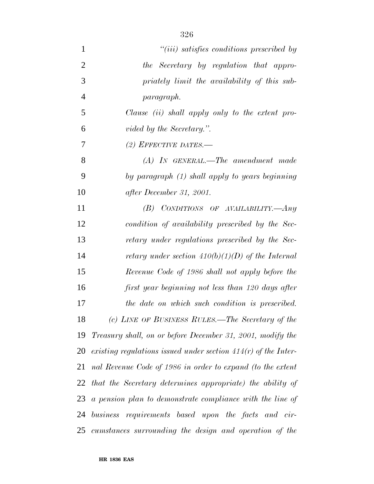| $\mathbf{1}$   | "( <i>iii</i> ) satisfies conditions prescribed by               |
|----------------|------------------------------------------------------------------|
| $\overline{2}$ | the Secretary by regulation that appro-                          |
| 3              | priately limit the availability of this sub-                     |
| $\overline{4}$ | paragraph.                                                       |
| 5              | Clause (ii) shall apply only to the extent pro-                  |
| 6              | vided by the Secretary.".                                        |
| 7              | (2) EFFECTIVE DATES.—                                            |
| 8              | $(A)$ IN GENERAL.—The amendment made                             |
| 9              | by paragraph (1) shall apply to years beginning                  |
| 10             | after December 31, 2001.                                         |
| 11             | (B) CONDITIONS OF AVAILABILITY.— $Any$                           |
| 12             | condition of availability prescribed by the Sec-                 |
| 13             | retary under regulations prescribed by the Sec-                  |
| 14             | retary under section $410(b)(1)(D)$ of the Internal              |
| 15             | Revenue Code of 1986 shall not apply before the                  |
| 16             | first year beginning not less than 120 days after                |
| 17             | the date on which such condition is prescribed.                  |
| 18             | (c) LINE OF BUSINESS RULES.—The Secretary of the                 |
| 19             | Treasury shall, on or before December 31, 2001, modify the       |
| 20             | existing regulations issued under section $414(r)$ of the Inter- |
| 21             | nal Revenue Code of 1986 in order to expand (to the extent       |
|                | 22 that the Secretary determines appropriate) the ability of     |
| 23             | a pension plan to demonstrate compliance with the line of        |
| 24             | business requirements based upon the facts and cir-              |
| 25             | cumstances surrounding the design and operation of the           |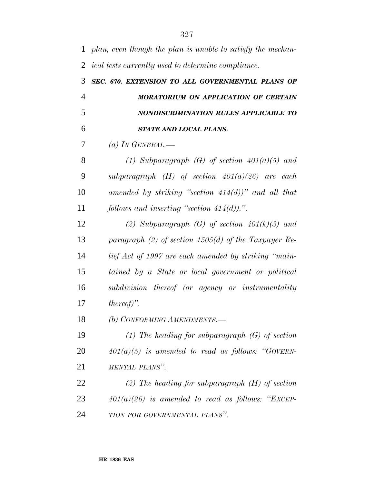| $\mathbf{1}$   | plan, even though the plan is unable to satisfy the mechan- |
|----------------|-------------------------------------------------------------|
| 2              | <i>ical tests currently used to determine compliance.</i>   |
| 3              | SEC. 670. EXTENSION TO ALL GOVERNMENTAL PLANS OF            |
| $\overline{4}$ | <b>MORATORIUM ON APPLICATION OF CERTAIN</b>                 |
| 5              | NONDISCRIMINATION RULES APPLICABLE TO                       |
| 6              | STATE AND LOCAL PLANS.                                      |
| 7              | (a) IN GENERAL.—                                            |
| 8              | (1) Subparagraph (G) of section $401(a)(5)$ and             |
| 9              | subparagraph $(H)$ of section $401(a)(26)$ are each         |
| 10             | amended by striking "section $414(d)$ " and all that        |
| 11             | follows and inserting "section $414(d)$ ).".                |
| 12             | (2) Subparagraph (G) of section $401(k)(3)$ and             |
| 13             | paragraph (2) of section 1505(d) of the Taxpayer Re-        |
| 14             | lief Act of 1997 are each amended by striking "main-        |
| 15             | tained by a State or local government or political          |
| 16             | subdivision thereof (or agency or instrumentality           |
| 17             | $thereof)$ .                                                |
| 18             | (b) CONFORMING AMENDMENTS.-                                 |
| 19             | (1) The heading for subparagraph $(G)$ of section           |
| 20             | $401(a)(5)$ is amended to read as follows: "GOVERN-         |
| 21             | MENTAL PLANS".                                              |
| 22             | (2) The heading for subparagraph $(H)$ of section           |
| 23             | $401(a)(26)$ is amended to read as follows: "EXCEP-         |
| 24             | TION FOR GOVERNMENTAL PLANS".                               |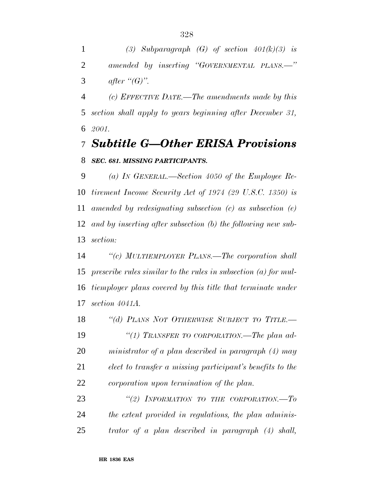*(3) Subparagraph (G) of section 401(k)(3) is amended by inserting ''GOVERNMENTAL PLANS.—''* 3 *after*  $``(G)$ ".

 *(c) EFFECTIVE DATE.—The amendments made by this section shall apply to years beginning after December 31, 2001.*

### *Subtitle G—Other ERISA Provisions SEC. 681. MISSING PARTICIPANTS.*

 *(a) IN GENERAL.—Section 4050 of the Employee Re- tirement Income Security Act of 1974 (29 U.S.C. 1350) is amended by redesignating subsection (c) as subsection (e) and by inserting after subsection (b) the following new sub-section:*

 *''(c) MULTIEMPLOYER PLANS.—The corporation shall prescribe rules similar to the rules in subsection (a) for mul- tiemployer plans covered by this title that terminate under section 4041A.*

 *''(d) PLANS NOT OTHERWISE SUBJECT TO TITLE.— ''(1) TRANSFER TO CORPORATION.—The plan ad- ministrator of a plan described in paragraph (4) may elect to transfer a missing participant's benefits to the corporation upon termination of the plan.*

 *''(2) INFORMATION TO THE CORPORATION.—To the extent provided in regulations, the plan adminis-trator of a plan described in paragraph (4) shall,*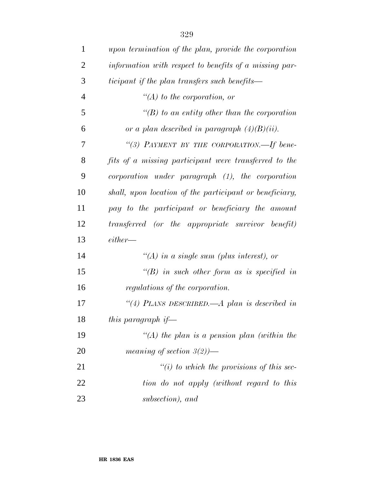| $\mathbf{1}$   | upon termination of the plan, provide the corporation   |
|----------------|---------------------------------------------------------|
| $\overline{2}$ | information with respect to benefits of a missing par-  |
| 3              | ticipant if the plan transfers such benefits—           |
| $\overline{4}$ | $\lq (A)$ to the corporation, or                        |
| 5              | "(B) to an entity other than the corporation            |
| 6              | or a plan described in paragraph $(4)(B)(ii)$ .         |
| 7              | "(3) PAYMENT BY THE CORPORATION.—If bene-               |
| 8              | fits of a missing participant were transferred to the   |
| 9              | $corportion$ under paragraph $(1)$ , the corporation    |
| 10             | shall, upon location of the participant or beneficiary, |
| 11             | pay to the participant or beneficiary the amount        |
| 12             | transferred (or the appropriate survivor benefit)       |
| 13             | either                                                  |
| 14             | "(A) in a single sum (plus interest), or                |
| 15             | $\lq (B)$ in such other form as is specified in         |
| 16             | regulations of the corporation.                         |
| 17             | "(4) PLANS DESCRIBED.—A plan is described in            |
| 18             | this paragraph if—                                      |
| 19             | "(A) the plan is a pension plan (within the             |
| 20             | meaning of section $3(2)$ )—                            |
| 21             | $\lq\lq(i)$ to which the provisions of this sec-        |
| 22             | tion do not apply (without regard to this               |
| 23             | subsection), and                                        |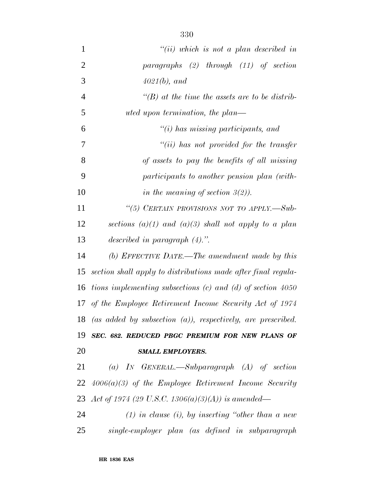| $\mathbf{1}$   | $``(ii)$ which is not a plan described in                      |
|----------------|----------------------------------------------------------------|
| $\overline{2}$ | paragraphs $(2)$ through $(11)$ of section                     |
| 3              | $4021(b)$ , and                                                |
| $\overline{4}$ | "(B) at the time the assets are to be distrib-                 |
| 5              | uted upon termination, the plan—                               |
| 6              | $"(i)$ has missing participants, and                           |
| 7              | $``(ii)$ has not provided for the transfer                     |
| 8              | of assets to pay the benefits of all missing                   |
| 9              | participants to another pension plan (with-                    |
| 10             | in the meaning of section $3(2)$ ).                            |
| 11             | "(5) CERTAIN PROVISIONS NOT TO APPLY.-Sub-                     |
| 12             | sections (a)(1) and (a)(3) shall not apply to a plan           |
| 13             | described in paragraph $(4)$ .".                               |
| 14             | (b) EFFECTIVE DATE.—The amendment made by this                 |
| 15             | section shall apply to distributions made after final regula-  |
| 16             | tions implementing subsections $(c)$ and $(d)$ of section 4050 |
| 17             | of the Employee Retirement Income Security Act of 1974         |
| 18             | (as added by subsection $(a)$ ), respectively, are prescribed. |
| 19             | SEC. 682. REDUCED PBGC PREMIUM FOR NEW PLANS OF                |
| 20             | <b>SMALL EMPLOYERS.</b>                                        |
| 21             | (a) IN GENERAL.—Subparagraph $(A)$ of section                  |
| 22             | $4006(a)(3)$ of the Employee Retirement Income Security        |
| 23             | Act of 1974 (29 U.S.C. 1306(a)(3)(A)) is amended—              |
| 24             | $(1)$ in clause $(i)$ , by inserting "other than a new         |
| 25             | single-employer plan (as defined in subparagraph               |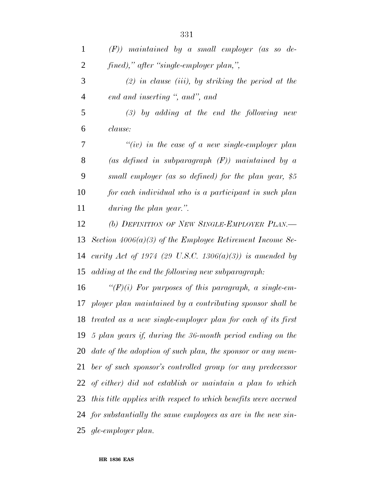| $\mathbf 1$    | $(F)$ ) maintained by a small employer (as so de-              |
|----------------|----------------------------------------------------------------|
| $\overline{2}$ | fined)," after "single-employer plan,",                        |
| 3              | $(2)$ in clause (iii), by striking the period at the           |
| $\overline{4}$ | end and inserting ", and", and                                 |
| 5              | $(3)$ by adding at the end the following new                   |
| 6              | clause:                                                        |
| 7              | "(iv) in the case of a new single-employer plan                |
| 8              | (as defined in subparagraph $(F)$ ) maintained by a            |
| 9              | small employer (as so defined) for the plan year, \$5          |
| 10             | for each individual who is a participant in such plan          |
| 11             | during the plan year.".                                        |
| 12             | (b) DEFINITION OF NEW SINGLE-EMPLOYER PLAN.                    |
| 13             | Section $4006(a)(3)$ of the Employee Retirement Income Se-     |
| 14             | curity Act of 1974 (29 U.S.C. 1306(a)(3)) is amended by        |
| 15             | adding at the end the following new subparagraph:              |
| 16             | " $(F)(i)$ For purposes of this paragraph, a single-em-        |
| 17             | ployer plan maintained by a contributing sponsor shall be      |
|                | 18 treated as a new single-employer plan for each of its first |
| 19             | 5 plan years if, during the 36-month period ending on the      |
|                | 20 date of the adoption of such plan, the sponsor or any mem-  |
| 21             | ber of such sponsor's controlled group (or any predecessor     |
| 22             | of either) did not establish or maintain a plan to which       |
| 23             | this title applies with respect to which benefits were accrued |
|                | 24 for substantially the same employees as are in the new sin- |
|                | 25 gle-employer plan.                                          |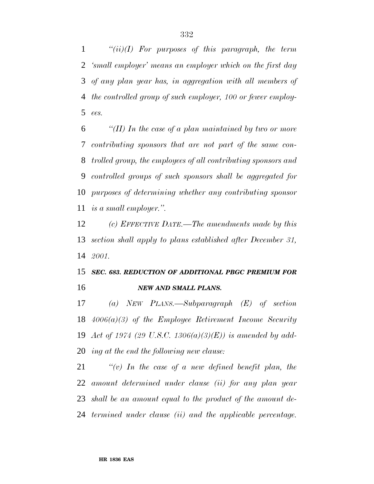*''(ii)(I) For purposes of this paragraph, the term 'small employer' means an employer which on the first day of any plan year has, in aggregation with all members of the controlled group of such employer, 100 or fewer employ-ees.*

 *''(II) In the case of a plan maintained by two or more contributing sponsors that are not part of the same con- trolled group, the employees of all contributing sponsors and controlled groups of such sponsors shall be aggregated for purposes of determining whether any contributing sponsor is a small employer.''.*

 *(c) EFFECTIVE DATE.—The amendments made by this section shall apply to plans established after December 31, 2001.*

### *SEC. 683. REDUCTION OF ADDITIONAL PBGC PREMIUM FOR NEW AND SMALL PLANS.*

 *(a) NEW PLANS.—Subparagraph (E) of section 4006(a)(3) of the Employee Retirement Income Security Act of 1974 (29 U.S.C. 1306(a)(3)(E)) is amended by add-ing at the end the following new clause:*

 *''(v) In the case of a new defined benefit plan, the amount determined under clause (ii) for any plan year shall be an amount equal to the product of the amount de-termined under clause (ii) and the applicable percentage.*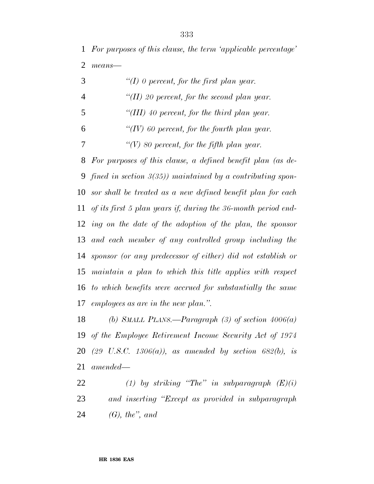*For purposes of this clause, the term 'applicable percentage' means—*

| 3 | "(I) 0 percent, for the first plan year.    |
|---|---------------------------------------------|
| 4 | "(II) 20 percent, for the second plan year. |
| 5 | "(III) 40 percent, for the third plan year. |
| 6 | "(IV) 60 percent, for the fourth plan year. |
|   | "(V) 80 percent, for the fifth plan year.   |

 *For purposes of this clause, a defined benefit plan (as de- fined in section 3(35)) maintained by a contributing spon- sor shall be treated as a new defined benefit plan for each of its first 5 plan years if, during the 36-month period end- ing on the date of the adoption of the plan, the sponsor and each member of any controlled group including the sponsor (or any predecessor of either) did not establish or maintain a plan to which this title applies with respect to which benefits were accrued for substantially the same employees as are in the new plan.''.*

 *(b) SMALL PLANS.—Paragraph (3) of section 4006(a) of the Employee Retirement Income Security Act of 1974 (29 U.S.C. 1306(a)), as amended by section 682(b), is amended—*

 *(1) by striking ''The'' in subparagraph (E)(i) and inserting ''Except as provided in subparagraph (G), the'', and*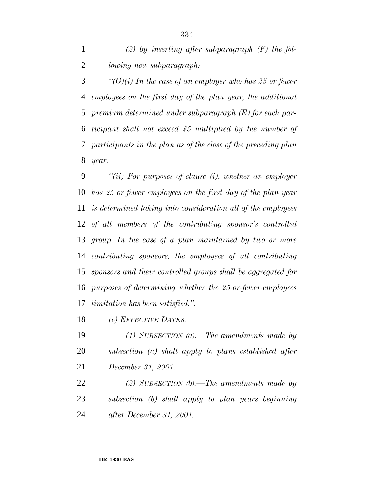*(2) by inserting after subparagraph (F) the fol-lowing new subparagraph:*

 *''(G)(i) In the case of an employer who has 25 or fewer employees on the first day of the plan year, the additional premium determined under subparagraph (E) for each par- ticipant shall not exceed \$5 multiplied by the number of participants in the plan as of the close of the preceding plan year.*

 *''(ii) For purposes of clause (i), whether an employer has 25 or fewer employees on the first day of the plan year is determined taking into consideration all of the employees of all members of the contributing sponsor's controlled group. In the case of a plan maintained by two or more contributing sponsors, the employees of all contributing sponsors and their controlled groups shall be aggregated for purposes of determining whether the 25-or-fewer-employees limitation has been satisfied.''.*

*(c) EFFECTIVE DATES.—*

 *(1) SUBSECTION (a).—The amendments made by subsection (a) shall apply to plans established after December 31, 2001.*

 *(2) SUBSECTION (b).—The amendments made by subsection (b) shall apply to plan years beginning after December 31, 2001.*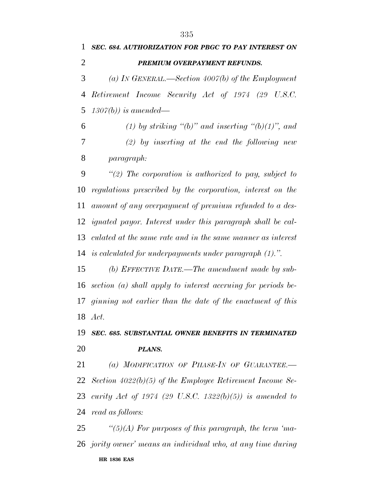*SEC. 684. AUTHORIZATION FOR PBGC TO PAY INTEREST ON*

# **HR 1836 EAS** *PREMIUM OVERPAYMENT REFUNDS. (a) IN GENERAL.—Section 4007(b) of the Employment Retirement Income Security Act of 1974 (29 U.S.C. 1307(b)) is amended— (1) by striking ''(b)'' and inserting ''(b)(1)'', and (2) by inserting at the end the following new paragraph: ''(2) The corporation is authorized to pay, subject to regulations prescribed by the corporation, interest on the amount of any overpayment of premium refunded to a des- ignated payor. Interest under this paragraph shall be cal- culated at the same rate and in the same manner as interest is calculated for underpayments under paragraph (1).''. (b) EFFECTIVE DATE.—The amendment made by sub- section (a) shall apply to interest accruing for periods be- ginning not earlier than the date of the enactment of this Act. SEC. 685. SUBSTANTIAL OWNER BENEFITS IN TERMINATED PLANS. (a) MODIFICATION OF PHASE-IN OF GUARANTEE.— Section 4022(b)(5) of the Employee Retirement Income Se- curity Act of 1974 (29 U.S.C. 1322(b)(5)) is amended to read as follows: ''(5)(A) For purposes of this paragraph, the term 'ma-jority owner' means an individual who, at any time during*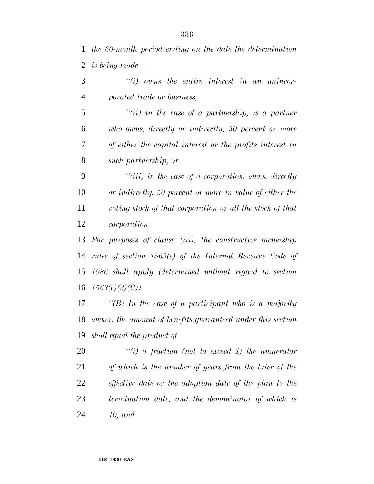*the 60-month period ending on the date the determination is being made—*

 *''(i) owns the entire interest in an unincor-porated trade or business,*

 *''(ii) in the case of a partnership, is a partner who owns, directly or indirectly, 50 percent or more of either the capital interest or the profits interest in such partnership, or*

 *''(iii) in the case of a corporation, owns, directly or indirectly, 50 percent or more in value of either the voting stock of that corporation or all the stock of that corporation.*

 *For purposes of clause (iii), the constructive ownership rules of section 1563(e) of the Internal Revenue Code of 1986 shall apply (determined without regard to section 1563(e)(3)(C)).*

 *''(B) In the case of a participant who is a majority owner, the amount of benefits guaranteed under this section shall equal the product of—*

 *''(i) a fraction (not to exceed 1) the numerator of which is the number of years from the later of the effective date or the adoption date of the plan to the termination date, and the denominator of which is 10, and*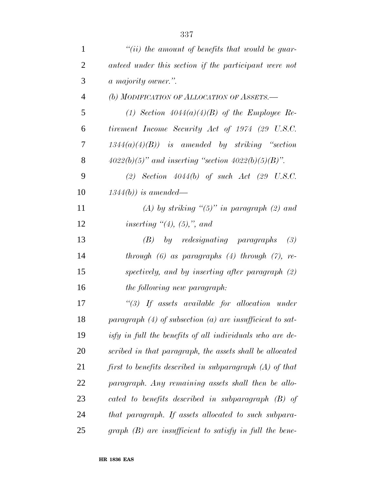| $\mathbf{1}$   | "(ii) the amount of benefits that would be guar-             |
|----------------|--------------------------------------------------------------|
| $\overline{2}$ | anteed under this section if the participant were not        |
| 3              | a majority owner.".                                          |
| $\overline{4}$ | (b) MODIFICATION OF ALLOCATION OF ASSETS.-                   |
| 5              | (1) Section $4044(a)(4)(B)$ of the Employee Re-              |
| 6              | tirement Income Security Act of 1974 (29 U.S.C.              |
| 7              | $1344(a)(4)(B)$ is amended by striking "section              |
| 8              | $4022(b)(5)$ " and inserting "section $4022(b)(5)(B)$ ".     |
| 9              | (2) Section $4044(b)$ of such Act (29 U.S.C.                 |
| 10             | $1344(b)$ ) is amended—                                      |
| 11             | (A) by striking " $(5)$ " in paragraph (2) and               |
| 12             | inserting $\lq(4)$ , (5),", and                              |
| 13             | $by$ redesignating paragraphs<br>(B)<br>(3)                  |
| 14             | through $(6)$ as paragraphs $(4)$ through $(7)$ , re-        |
| 15             | spectively, and by inserting after paragraph (2)             |
| 16             | the following new paragraph:                                 |
| 17             | $\lq(3)$ If assets available for allocation under            |
| 18             | paragraph $(4)$ of subsection $(a)$ are insufficient to sat- |
| 19             | isfy in full the benefits of all individuals who are de-     |
| 20             | scribed in that paragraph, the assets shall be allocated     |
| 21             | first to benefits described in subparagraph $(A)$ of that    |
| 22             | paragraph. Any remaining assets shall then be allo-          |
| 23             | cated to benefits described in subparagraph (B) of           |
| 24             | that paragraph. If assets allocated to such subpara-         |
| 25             | $graph (B)$ are insufficient to satisfy in full the bene-    |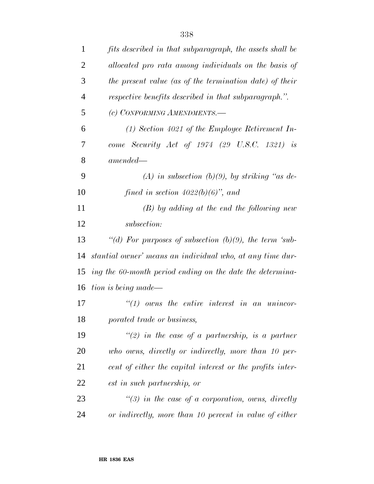| 1              | fits described in that subparagraph, the assets shall be  |
|----------------|-----------------------------------------------------------|
| $\overline{2}$ | allocated pro rata among individuals on the basis of      |
| 3              | the present value (as of the termination date) of their   |
| $\overline{4}$ | respective benefits described in that subparagraph.".     |
| 5              | (c) CONFORMING AMENDMENTS.-                               |
| 6              | $(1)$ Section 4021 of the Employee Retirement In-         |
| 7              | come Security Act of $1974$ (29 U.S.C. 1321) is           |
| 8              | $amended -$                                               |
| 9              | (A) in subsection (b)(9), by striking "as de-             |
| 10             | fined in section $4022(b)(6)$ , and                       |
| 11             | $(B)$ by adding at the end the following new              |
| 12             | subsection:                                               |
| 13             | "(d) For purposes of subsection $(b)(9)$ , the term 'sub- |
| 14             | stantial owner' means an individual who, at any time dur- |
| 15             | ing the 60-month period ending on the date the determina- |
| 16             | tion is being made—                                       |
| 17             | $\lq(1)$ owns the entire interest in an unincor-          |
| 18             | porated trade or business,                                |
| 19             | "(2) in the case of a partnership, is a partner           |
| 20             | who owns, directly or indirectly, more than 10 per-       |
| 21             | cent of either the capital interest or the profits inter- |
| 22             | est in such partnership, or                               |
| 23             | $\lq(3)$ in the case of a corporation, owns, directly     |
| 24             | or indirectly, more than 10 percent in value of either    |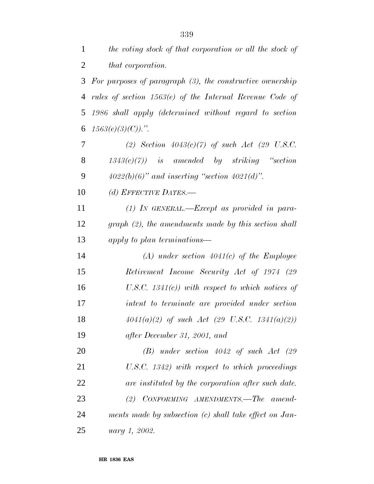*the voting stock of that corporation or all the stock of*

| 2  | that corporation.                                            |
|----|--------------------------------------------------------------|
| 3  | For purposes of paragraph $(3)$ , the constructive ownership |
| 4  | rules of section $1563(e)$ of the Internal Revenue Code of   |
| 5  | 1986 shall apply (determined without regard to section       |
| 6  | $1563(e)(3)(C)$ .".                                          |
| 7  | (2) Section $4043(c)(7)$ of such Act (29 U.S.C.              |
| 8  | $1343(c)(7)$ is amended by striking "section"                |
| 9  | $4022(b)(6)$ " and inserting "section $4021(d)$ ".           |
| 10 | (d) EFFECTIVE DATES.-                                        |
| 11 | $(1)$ In GENERAL.—Except as provided in para-                |
| 12 | $graph (2)$ , the amendments made by this section shall      |
| 13 | apply to plan terminations—                                  |
| 14 | $(A)$ under section 4041(c) of the Employee                  |
| 15 | Retirement Income Security Act of 1974 (29                   |
| 16 | U.S.C. $1341(c)$ ) with respect to which notices of          |
| 17 | intent to terminate are provided under section               |
| 18 | $4041(a)(2)$ of such Act (29 U.S.C. 1341(a)(2))              |
| 19 | after December 31, 2001, and                                 |

 *(B) under section 4042 of such Act (29 U.S.C. 1342) with respect to which proceedings are instituted by the corporation after such date. (2) CONFORMING AMENDMENTS.—The amend- ments made by subsection (c) shall take effect on Jan-uary 1, 2002.*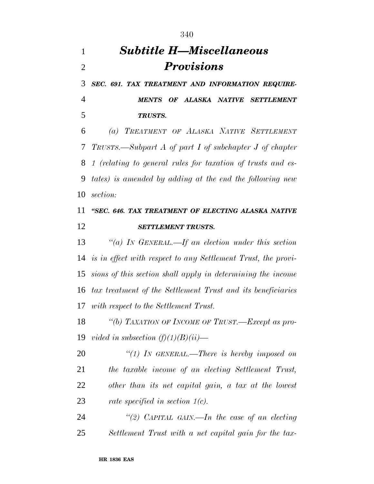## *Subtitle H—Miscellaneous Provisions*

 *SEC. 691. TAX TREATMENT AND INFORMATION REQUIRE-MENTS OF ALASKA NATIVE SETTLEMENT*

*TRUSTS.*

 *(a) TREATMENT OF ALASKA NATIVE SETTLEMENT TRUSTS.—Subpart A of part I of subchapter J of chapter 1 (relating to general rules for taxation of trusts and es- tates) is amended by adding at the end the following new section:*

### *''SEC. 646. TAX TREATMENT OF ELECTING ALASKA NATIVE SETTLEMENT TRUSTS.*

 *''(a) IN GENERAL.—If an election under this section is in effect with respect to any Settlement Trust, the provi- sions of this section shall apply in determining the income tax treatment of the Settlement Trust and its beneficiaries with respect to the Settlement Trust.*

 *''(b) TAXATION OF INCOME OF TRUST.—Except as pro-vided in subsection (f)(1)(B)(ii)—*

 *''(1) IN GENERAL.—There is hereby imposed on the taxable income of an electing Settlement Trust, other than its net capital gain, a tax at the lowest rate specified in section 1(c).*

 *''(2) CAPITAL GAIN.—In the case of an electing Settlement Trust with a net capital gain for the tax-*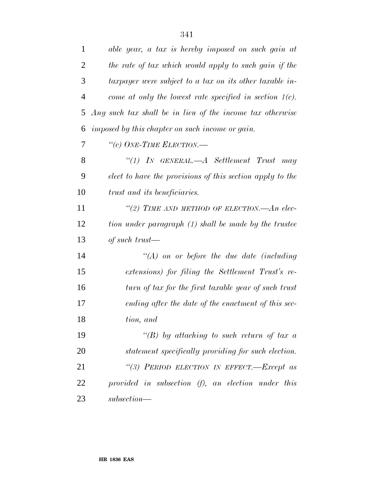| $\mathbf{1}$   | able year, a tax is hereby imposed on such gain at         |
|----------------|------------------------------------------------------------|
| $\overline{2}$ | the rate of tax which would apply to such gain if the      |
| 3              | taxpayer were subject to a tax on its other taxable in-    |
| $\overline{4}$ | come at only the lowest rate specified in section $1(c)$ . |
| 5              | Any such tax shall be in lieu of the income tax otherwise  |
| 6              | imposed by this chapter on such income or gain.            |
| 7              | "(c) ONE-TIME ELECTION.—                                   |
| 8              | $\lq(1)$ IN GENERAL.—A Settlement Trust may                |
| 9              | elect to have the provisions of this section apply to the  |
| 10             | trust and its beneficiaries.                               |
| 11             | "(2) TIME AND METHOD OF ELECTION.—An elec-                 |
| 12             | tion under paragraph (1) shall be made by the trustee      |
| 13             | of such trust—                                             |
| 14             | $\lq (A)$ on or before the due date (including             |
| 15             | extensions) for filing the Settlement Trust's re-          |
| 16             | turn of tax for the first taxable year of such trust       |
| 17             | ending after the date of the enactment of this sec-        |
| 18             | tion, and                                                  |
| 19             | "(B) by attaching to such return of tax a                  |
| 20             | statement specifically providing for such election.        |
| 21             | "(3) PERIOD ELECTION IN EFFECT.-Except as                  |
| 22             | provided in subsection (f), an election under this         |
| 23             | $subsection$ —                                             |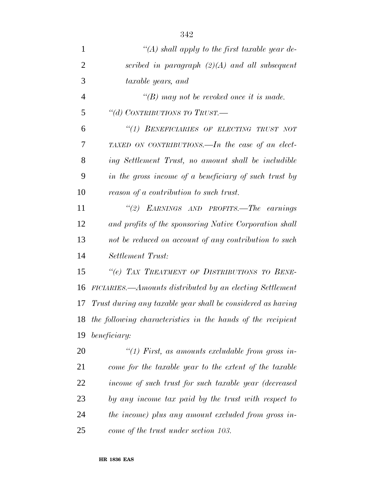| $\mathbf{1}$   | "(A) shall apply to the first taxable year de-              |
|----------------|-------------------------------------------------------------|
| $\overline{2}$ | scribed in paragraph $(2)(A)$ and all subsequent            |
| 3              | taxable years, and                                          |
| $\overline{4}$ | "(B) may not be revoked once it is made.                    |
| 5              | "(d) CONTRIBUTIONS TO TRUST.—                               |
| 6              | "(1) BENEFICIARIES OF ELECTING TRUST NOT                    |
| 7              | TAXED ON CONTRIBUTIONS.—In the case of an elect-            |
| 8              | ing Settlement Trust, no amount shall be includible         |
| 9              | in the gross income of a beneficiary of such trust by       |
| 10             | reason of a contribution to such trust.                     |
| 11             | "(2) EARNINGS AND PROFITS.—The earnings                     |
| 12             | and profits of the sponsoring Native Corporation shall      |
| 13             | not be reduced on account of any contribution to such       |
| 14             | Settlement Trust:                                           |
| 15             | "(e) TAX TREATMENT OF DISTRIBUTIONS TO BENE-                |
| 16             | FICIARIES.—Amounts distributed by an electing Settlement    |
| 17             | Trust during any taxable year shall be considered as having |
| 18             | the following characteristics in the hands of the recipient |
| 19             | beneficiary:                                                |
| 20             | "(1) First, as amounts excludable from gross in-            |
| 21             | come for the taxable year to the extent of the taxable      |
| 22             | income of such trust for such taxable year (decreased       |
| 23             | by any income tax paid by the trust with respect to         |
| 24             | the income) plus any amount excluded from gross in-         |
| 25             | come of the trust under section 103.                        |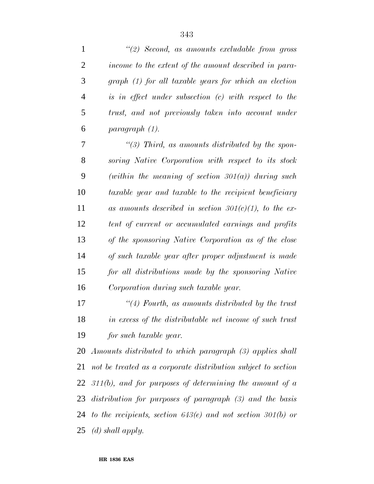| $\mathbf{1}$   | "(2) Second, as amounts excludable from gross                      |
|----------------|--------------------------------------------------------------------|
| $\overline{2}$ | income to the extent of the amount described in para-              |
| 3              | graph (1) for all taxable years for which an election              |
| $\overline{4}$ | is in effect under subsection (c) with respect to the              |
| 5              | trust, and not previously taken into account under                 |
| 6              | paragraph (1).                                                     |
| 7              | $\lq(3)$ Third, as amounts distributed by the spon-                |
| 8              | soring Native Corporation with respect to its stock                |
| 9              | (within the meaning of section 301(a)) during such                 |
| 10             | taxable year and taxable to the recipient beneficiary              |
| 11             | as amounts described in section $301(c)(1)$ , to the ex-           |
| 12             | tent of current or accumulated earnings and profits                |
| 13             | of the sponsoring Native Corporation as of the close               |
| 14             | of such taxable year after proper adjustment is made               |
| 15             | for all distributions made by the sponsoring Native                |
| 16             | Corporation during such taxable year.                              |
| 17             | $\lq(4)$ Fourth, as amounts distributed by the trust               |
| 18             | in excess of the distributable net income of such trust            |
| 19             | for such taxable year.                                             |
| 20             | Amounts distributed to which paragraph (3) applies shall           |
| 21             | not be treated as a corporate distribution subject to section      |
|                | 22 $311(b)$ , and for purposes of determining the amount of a      |
|                | 23 distribution for purposes of paragraph (3) and the basis        |
|                | 24 to the recipients, section $643(e)$ and not section $301(b)$ or |
|                | $25 \,$ (d) shall apply.                                           |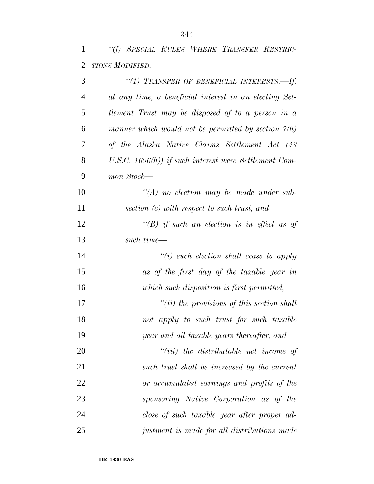|  |                          |  | "(f) SPECIAL RULES WHERE TRANSFER RESTRIC- |  |
|--|--------------------------|--|--------------------------------------------|--|
|  | 2 <i>TIONS MODIFIED.</i> |  |                                            |  |

| 3              | "(1) TRANSFER OF BENEFICIAL INTERESTS.--- If,            |
|----------------|----------------------------------------------------------|
| $\overline{4}$ | at any time, a beneficial interest in an electing Set-   |
| 5              | tlement Trust may be disposed of to a person in a        |
| 6              | manner which would not be permitted by section $\chi(h)$ |
| 7              | of the Alaska Native Claims Settlement Act (43           |
| 8              | U.S.C. $1606(h)$ ) if such interest were Settlement Com- |
| 9              | mon Stock—                                               |
| 10             | $\lq (A)$ no election may be made under sub-             |
| 11             | section (c) with respect to such trust, and              |
| 12             | "(B) if such an election is in effect as of              |
| 13             | such time—                                               |
| 14             | $``(i)$ such election shall cease to apply               |
| 15             | as of the first day of the taxable year in               |
| 16             | which such disposition is first permitted,               |
| 17             | $"(ii)$ the provisions of this section shall             |
| 18             | not apply to such trust for such taxable                 |
| 19             | year and all taxable years thereafter, and               |
| 20             | $``(iii)$ the distributable net income of                |
| 21             | such trust shall be increased by the current             |
| 22             | or accumulated earnings and profits of the               |
| 23             | sponsoring Native Corporation as of the                  |
| 24             | close of such taxable year after proper ad-              |
| 25             | justment is made for all distributions made              |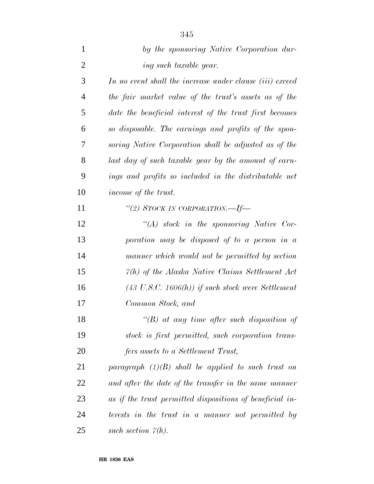| 1              | by the sponsoring Native Corporation dur-                    |
|----------------|--------------------------------------------------------------|
| $\overline{2}$ | ing such taxable year.                                       |
| 3              | In no event shall the increase under clause (iii) exceed     |
| $\overline{4}$ | the fair market value of the trust's assets as of the        |
| 5              | date the beneficial interest of the trust first becomes      |
| 6              | so disposable. The earnings and profits of the spon-         |
| 7              | soring Native Corporation shall be adjusted as of the        |
| 8              | last day of such taxable year by the amount of earn-         |
| 9              | ings and profits so included in the distributable net        |
| 10             | income of the trust.                                         |
| 11             |                                                              |
| 12             | $\lq\lq (A)$ stock in the sponsoring Native Cor-             |
| 13             | poration may be disposed of to a person in a                 |
| 14             | manner which would not be permitted by section               |
| 15             | $\mathcal{V}(h)$ of the Alaska Native Claims Settlement Act  |
| 16             | $(43 \text{ U.S.C. } 1606(h))$ if such stock were Settlement |
| 17             | Common Stock, and                                            |
| 18             | $\lq\lq(B)$ at any time after such disposition of            |
| 19             | stock is first permitted, such corporation trans-            |
| 20             | fers assets to a Settlement Trust,                           |
| 21             | paragraph $(1)(B)$ shall be applied to such trust on         |
| 22             | and after the date of the transfer in the same manner        |
| 23             | as if the trust permitted dispositions of beneficial in-     |
| 24             | terests in the trust in a manner not permitted by            |
| 25             | such section $\mathcal{V}(h)$ .                              |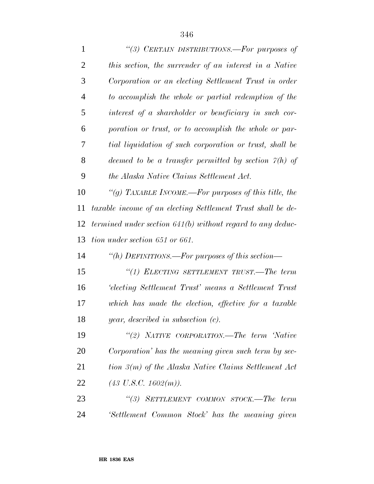| $\mathbf{1}$   | "(3) CERTAIN DISTRIBUTIONS.—For purposes of                         |
|----------------|---------------------------------------------------------------------|
| $\overline{2}$ | this section, the surrender of an interest in a Native              |
| 3              | Corporation or an electing Settlement Trust in order                |
| $\overline{4}$ | to accomplish the whole or partial redemption of the                |
| 5              | interest of a shareholder or beneficiary in such cor-               |
| 6              | poration or trust, or to accomplish the whole or par-               |
| 7              | tial liquidation of such corporation or trust, shall be             |
| 8              | deemed to be a transfer permitted by section $\tilde{\gamma}(h)$ of |
| 9              | the Alaska Native Claims Settlement Act.                            |
| 10             | "(g) TAXABLE INCOME.—For purposes of this title, the                |
| 11             | taxable income of an electing Settlement Trust shall be de-         |
| 12             | termined under section $641(b)$ without regard to any deduc-        |
| 13             | tion under section 651 or 661.                                      |
| 14             | "(h) DEFINITIONS.—For purposes of this section—                     |
| 15             | "(1) ELECTING SETTLEMENT TRUST.—The term                            |
| 16             | Electing Settlement Trust' means a Settlement Trust                 |
| 17             | which has made the election, effective for a taxable                |
| 18             | year, described in subsection $(c)$ .                               |
| 19             | "(2) NATIVE CORPORATION.—The term 'Native                           |
| <b>20</b>      | Corporation' has the meaning given such term by sec-                |
| 21             | tion 3(m) of the Alaska Native Claims Settlement Act                |
| 22             | $(43 \text{ U.S.C. } 1602(m)).$                                     |
| 23             | "(3) SETTLEMENT COMMON STOCK.—The term                              |
| 24             | 'Settlement Common Stock' has the meaning given                     |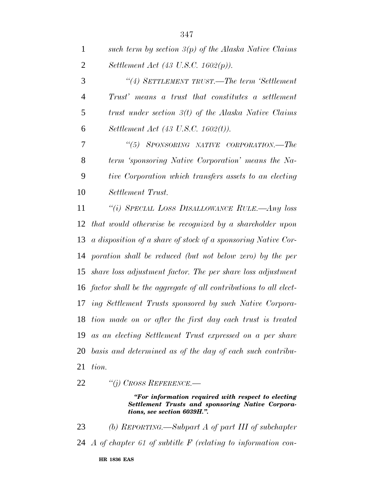| 1              | such term by section $3(p)$ of the Alaska Native Claims             |
|----------------|---------------------------------------------------------------------|
| $\overline{2}$ | Settlement Act (43 U.S.C. 1602 $(p)$ ).                             |
| 3              | "(4) SETTLEMENT TRUST.—The term 'Settlement'                        |
| $\overline{4}$ | Trust' means a trust that constitutes a settlement                  |
| 5              | trust under section $3(t)$ of the Alaska Native Claims              |
| 6              | Settlement Act (43 U.S.C. 1602(t)).                                 |
| 7              | "(5) SPONSORING NATIVE CORPORATION.—The                             |
| 8              | term 'sponsoring Native Corporation' means the Na-                  |
| 9              | tive Corporation which transfers assets to an electing              |
| 10             | Settlement Trust.                                                   |
| 11             | "(i) SPECIAL LOSS DISALLOWANCE RULE.—Any loss                       |
| 12             | that would otherwise be recognized by a shareholder upon            |
| 13             | a disposition of a share of stock of a sponsoring Native Cor-       |
| 14             | poration shall be reduced (but not below zero) by the per           |
|                | 15 share loss adjustment factor. The per share loss adjustment      |
|                | 16 factor shall be the aggregate of all contributions to all elect- |
| 17             | ing Settlement Trusts sponsored by such Native Corpora-             |
|                | 18 tion made on or after the first day each trust is treated        |
|                | 19 as an electing Settlement Trust expressed on a per share         |
| 20             | basis and determined as of the day of each such contribu-           |
| 21             | tion.                                                               |

*''(j) CROSS REFERENCE.—*

*''For information required with respect to electing Settlement Trusts and sponsoring Native Corporations, see section 6039H.''.*

 *(b) REPORTING.—Subpart A of part III of subchapter A of chapter 61 of subtitle F (relating to information con-*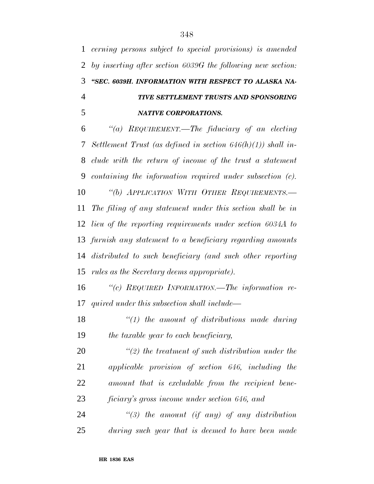*cerning persons subject to special provisions) is amended by inserting after section 6039G the following new section: ''SEC. 6039H. INFORMATION WITH RESPECT TO ALASKA NA- TIVE SETTLEMENT TRUSTS AND SPONSORING NATIVE CORPORATIONS.*

 *''(a) REQUIREMENT.—The fiduciary of an electing Settlement Trust (as defined in section 646(h)(1)) shall in- clude with the return of income of the trust a statement containing the information required under subsection (c). ''(b) APPLICATION WITH OTHER REQUIREMENTS.— The filing of any statement under this section shall be in lieu of the reporting requirements under section 6034A to furnish any statement to a beneficiary regarding amounts distributed to such beneficiary (and such other reporting rules as the Secretary deems appropriate).*

 *''(c) REQUIRED INFORMATION.—The information re-quired under this subsection shall include—*

 *''(1) the amount of distributions made during the taxable year to each beneficiary,*

 *''(2) the treatment of such distribution under the applicable provision of section 646, including the amount that is excludable from the recipient bene-ficiary's gross income under section 646, and*

 *''(3) the amount (if any) of any distribution during such year that is deemed to have been made*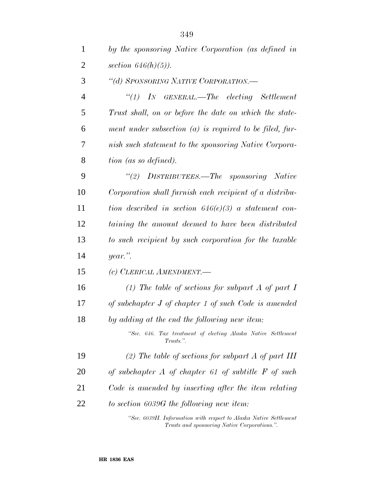| $\mathbf{1}$   | by the sponsoring Native Corporation (as defined in                        |
|----------------|----------------------------------------------------------------------------|
| 2              | section $646(h)(5)$ ).                                                     |
| 3              | "(d) SPONSORING NATIVE CORPORATION.-                                       |
| $\overline{4}$ | $\lq(1)$ IN GENERAL.—The electing Settlement                               |
| 5              | Trust shall, on or before the date on which the state-                     |
| 6              | ment under subsection $(a)$ is required to be filed, fur-                  |
| 7              | nish such statement to the sponsoring Native Corpora-                      |
| 8              | tion (as so defined).                                                      |
| 9              | "(2) DISTRIBUTEES.—The sponsoring Native                                   |
| 10             | Corporation shall furnish each recipient of a distribu-                    |
| 11             | tion described in section $646(e)(3)$ a statement con-                     |
| 12             | taining the amount deemed to have been distributed                         |
| 13             | to such recipient by such corporation for the taxable                      |
| 14             | $year$ ."                                                                  |
| 15             | (c) CLERICAL AMENDMENT.                                                    |
| 16             | (1) The table of sections for subpart A of part I                          |
| 17             | of subchapter J of chapter 1 of such Code is amended                       |
| 18             | by adding at the end the following new item:                               |
|                | "Sec. 646. Tax treatment of electing Alaska Native Settlement<br>Trusts.". |
| 19             | (2) The table of sections for subpart A of part III                        |
| 20             | of subchapter $A$ of chapter 61 of subtitle $F$ of such                    |
| 21             | Code is amended by inserting after the item relating                       |
| 22             | to section 6039G the following new item:                                   |
|                |                                                                            |

*''Sec. 6039H. Information with respect to Alaska Native Settlement Trusts and sponsoring Native Corporations.''.*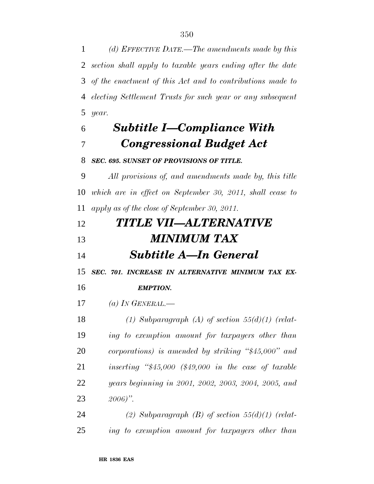*(d) EFFECTIVE DATE.—The amendments made by this section shall apply to taxable years ending after the date of the enactment of this Act and to contributions made to electing Settlement Trusts for such year or any subsequent year.*

### *Subtitle I—Compliance With Congressional Budget Act*

#### *SEC. 695. SUNSET OF PROVISIONS OF TITLE.*

 *All provisions of, and amendments made by, this title which are in effect on September 30, 2011, shall cease to apply as of the close of September 30, 2011.*

| 12 | <b>TITLE VII—ALTERNATIVE</b> |
|----|------------------------------|
| 13 | <b>MINIMUM TAX</b>           |
| 14 | <b>Subtitle A—In General</b> |

*SEC. 701. INCREASE IN ALTERNATIVE MINIMUM TAX EX-*

*EMPTION.*

*(a) IN GENERAL.—*

 *(1) Subparagraph (A) of section 55(d)(1) (relat- ing to exemption amount for taxpayers other than corporations) is amended by striking ''\$45,000'' and inserting ''\$45,000 (\$49,000 in the case of taxable years beginning in 2001, 2002, 2003, 2004, 2005, and 2006)''.*

 *(2) Subparagraph (B) of section 55(d)(1) (relat-ing to exemption amount for taxpayers other than*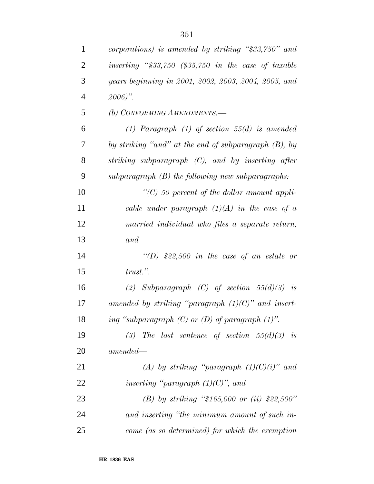| $\mathbf{1}$   | corporations) is amended by striking "\$33,750" and    |
|----------------|--------------------------------------------------------|
| $\overline{c}$ | inserting " $$33,750$ (\$35,750 in the case of taxable |
| 3              | years beginning in 2001, 2002, 2003, 2004, 2005, and   |
| $\overline{4}$ | $2006$ ".                                              |
| 5              | (b) CONFORMING AMENDMENTS.-                            |
| 6              | (1) Paragraph (1) of section $55(d)$ is amended        |
| 7              | by striking "and" at the end of subparagraph (B), by   |
| 8              | striking subparagraph (C), and by inserting after      |
| 9              | $subparagraph$ (B) the following new subparagraphs:    |
| 10             | $\lq\lq C$ 50 percent of the dollar amount appli-      |
| 11             | cable under paragraph $(1)(A)$ in the case of a        |
| 12             | married individual who files a separate return,        |
| 13             | and                                                    |
| 14             | "(D) \$22,500 in the case of an estate or              |
| 15             | $trust.$ ".                                            |
| 16             | (2) Subparagraph (C) of section $55(d)(3)$ is          |
| 17             | amended by striking "paragraph $(1)(C)$ " and insert-  |
| 18             | ing "subparagraph $(C)$ or $(D)$ of paragraph $(1)$ ". |
| 19             | (3) The last sentence of section $55(d)(3)$ is         |
| 20             | $amended -$                                            |
| 21             | (A) by striking "paragraph $(1)(C)(i)$ " and           |
| 22             | inserting "paragraph $(1)(C)$ "; and                   |
| 23             | (B) by striking "\$165,000 or (ii) \$22,500"           |
| 24             | and inserting "the minimum amount of such in-          |
| 25             | come (as so determined) for which the exemption        |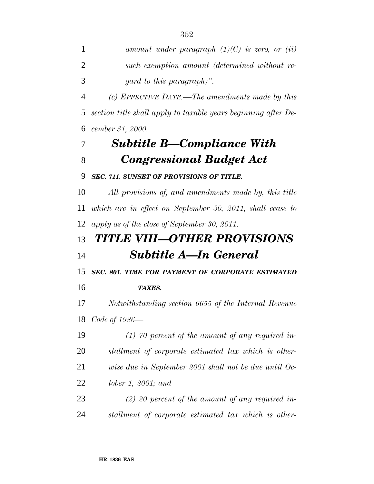*(c) EFFECTIVE DATE.—The amendments made by this section title shall apply to taxable years beginning after De-cember 31, 2000.*

## *Subtitle B—Compliance With Congressional Budget Act*

#### *SEC. 711. SUNSET OF PROVISIONS OF TITLE.*

 *All provisions of, and amendments made by, this title which are in effect on September 30, 2011, shall cease to apply as of the close of September 30, 2011.*

## *TITLE VIII—OTHER PROVISIONS Subtitle A—In General*

*SEC. 801. TIME FOR PAYMENT OF CORPORATE ESTIMATED*

*TAXES.*

 *Notwithstanding section 6655 of the Internal Revenue Code of 1986—*

*(1) 70 percent of the amount of any required in-*

*stallment of corporate estimated tax which is other-*

- *wise due in September 2001 shall not be due until Oc-*
- *tober 1, 2001; and*
- *(2) 20 percent of the amount of any required in-stallment of corporate estimated tax which is other-*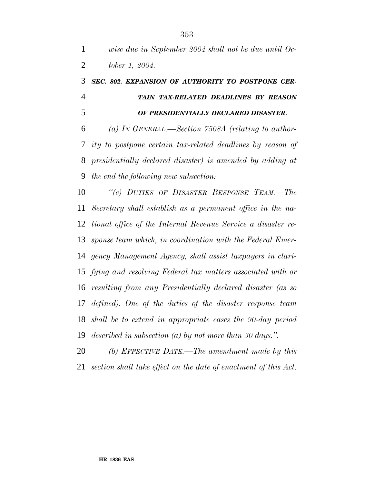### *SEC. 802. EXPANSION OF AUTHORITY TO POSTPONE CER- TAIN TAX-RELATED DEADLINES BY REASON OF PRESIDENTIALLY DECLARED DISASTER.*

 *(a) IN GENERAL.—Section 7508A (relating to author- ity to postpone certain tax-related deadlines by reason of presidentially declared disaster) is amended by adding at the end the following new subsection:*

 *''(c) DUTIES OF DISASTER RESPONSE TEAM.—The Secretary shall establish as a permanent office in the na- tional office of the Internal Revenue Service a disaster re- sponse team which, in coordination with the Federal Emer- gency Management Agency, shall assist taxpayers in clari- fying and resolving Federal tax matters associated with or resulting from any Presidentially declared disaster (as so defined). One of the duties of the disaster response team shall be to extend in appropriate cases the 90-day period described in subsection (a) by not more than 30 days.''.*

 *(b) EFFECTIVE DATE.—The amendment made by this section shall take effect on the date of enactment of this Act.*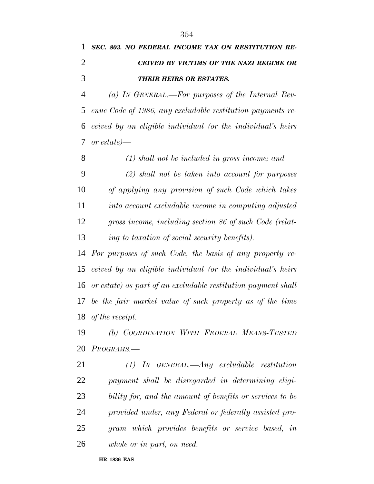|               | 1 SEC. 803. NO FEDERAL INCOME TAX ON RESTITUTION RE- |
|---------------|------------------------------------------------------|
|               | CEIVED BY VICTIMS OF THE NAZI REGIME OR              |
| $\mathcal{R}$ | <b>THEIR HEIRS OR ESTATES.</b>                       |

 *(a) IN GENERAL.—For purposes of the Internal Rev- enue Code of 1986, any excludable restitution payments re- ceived by an eligible individual (or the individual's heirs or estate)—*

 *(1) shall not be included in gross income; and (2) shall not be taken into account for purposes of applying any provision of such Code which takes into account excludable income in computing adjusted gross income, including section 86 of such Code (relat-ing to taxation of social security benefits).*

 *For purposes of such Code, the basis of any property re- ceived by an eligible individual (or the individual's heirs or estate) as part of an excludable restitution payment shall be the fair market value of such property as of the time of the receipt.*

 *(b) COORDINATION WITH FEDERAL MEANS-TESTED PROGRAMS.—*

 *(1) IN GENERAL.—Any excludable restitution payment shall be disregarded in determining eligi- bility for, and the amount of benefits or services to be provided under, any Federal or federally assisted pro- gram which provides benefits or service based, in whole or in part, on need.*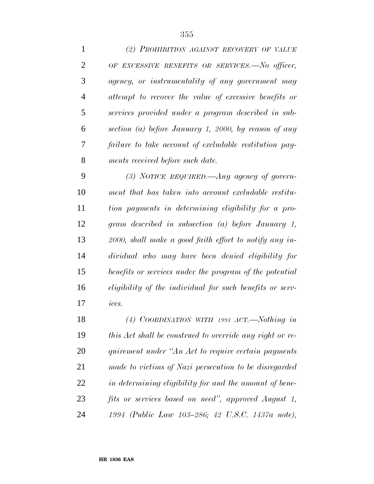| $\mathbf{1}$   | (2) PROHIBITION AGAINST RECOVERY OF VALUE                       |
|----------------|-----------------------------------------------------------------|
| $\overline{2}$ | OF EXCESSIVE BENEFITS OR SERVICES.-No officer,                  |
| 3              | agency, or instrumentality of any government may                |
| $\overline{4}$ | attempt to recover the value of excessive benefits or           |
| 5              | services provided under a program described in sub-             |
| 6              | section (a) before January 1, 2000, by reason of any            |
| 7              | failure to take account of excludable restitution pay-          |
| 8              | ments received before such date.                                |
| 9              | (3) NOTICE REQUIRED.—Any agency of govern-                      |
| 10             | ment that has taken into account excludable restitu-            |
| 11             | tion payments in determining eligibility for a pro-             |
| 12             | gram described in subsection (a) before January 1,              |
| 13             | 2000, shall make a good faith effort to notify any in-          |
| 14             | dividual who may have been denied eligibility for               |
| 15             | benefits or services under the program of the potential         |
| 16             | <i>eligibility of the individual for such benefits or serv-</i> |
| 17             | ices.                                                           |
| 18             | (4) COORDINATION WITH 1994 ACT.—Nothing in                      |
| 19             | this Act shall be construed to override any right or re-        |
| 20             | quirement under "An Act to require certain payments"            |
| 21             | made to victims of Nazi persecution to be disregarded           |
| 22             | in determining eligibility for and the amount of bene-          |
| 23             | fits or services based on need", approved August 1,             |

*1994 (Public Law 103–286; 42 U.S.C. 1437a note),*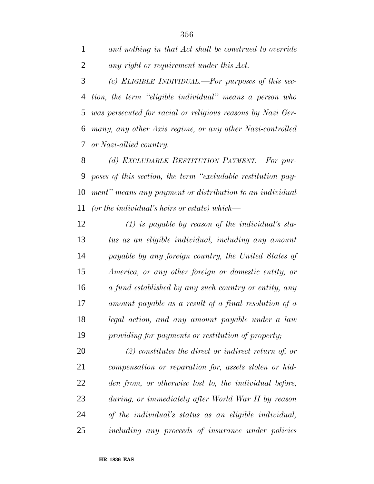*and nothing in that Act shall be construed to override any right or requirement under this Act.*

 *(c) ELIGIBLE INDIVIDUAL.—For purposes of this sec- tion, the term ''eligible individual'' means a person who was persecuted for racial or religious reasons by Nazi Ger- many, any other Axis regime, or any other Nazi-controlled or Nazi-allied country.*

 *(d) EXCLUDABLE RESTITUTION PAYMENT.—For pur- poses of this section, the term ''excludable restitution pay- ment'' means any payment or distribution to an individual (or the individual's heirs or estate) which—*

 *(1) is payable by reason of the individual's sta- tus as an eligible individual, including any amount payable by any foreign country, the United States of America, or any other foreign or domestic entity, or a fund established by any such country or entity, any amount payable as a result of a final resolution of a legal action, and any amount payable under a law providing for payments or restitution of property;*

 *(2) constitutes the direct or indirect return of, or compensation or reparation for, assets stolen or hid- den from, or otherwise lost to, the individual before, during, or immediately after World War II by reason of the individual's status as an eligible individual, including any proceeds of insurance under policies*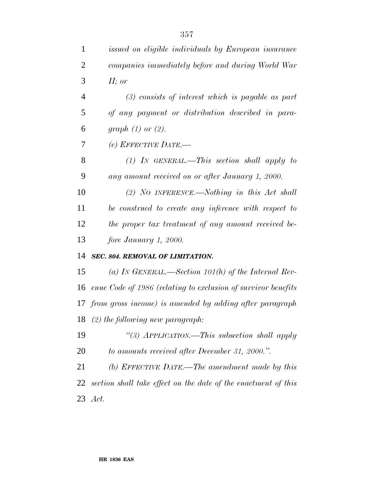| $\mathbf{1}$   | issued on eligible individuals by European insurance           |
|----------------|----------------------------------------------------------------|
| $\overline{2}$ | companies immediately before and during World War              |
| 3              | $H$ ; or                                                       |
| $\overline{4}$ | $(3)$ consists of interest which is payable as part            |
| 5              | of any payment or distribution described in para-              |
| 6              | graph $(1)$ or $(2)$ .                                         |
| 7              | (e) EFFECTIVE DATE.-                                           |
| 8              | $(1)$ IN GENERAL.—This section shall apply to                  |
| 9              | any amount received on or after January 1, 2000.               |
| 10             | (2) NO INFERENCE.—Nothing in this Act shall                    |
| 11             | be construed to create any inference with respect to           |
| 12             | the proper tax treatment of any amount received be-            |
| 13             | fore January 1, 2000.                                          |
| 14             | SEC. 804. REMOVAL OF LIMITATION.                               |
| 15             | (a) IN GENERAL.—Section 101(h) of the Internal Rev-            |
| 16             | enue Code of 1986 (relating to exclusion of survivor benefits  |
|                | 17 from gross income) is amended by adding after paragraph     |
|                | 18 (2) the following new paragraph:                            |
| 19             | "(3) $APPLICATION$ .—This subsection shall apply               |
| 20             | to amounts received after December 31, 2000.".                 |
| 21             | (b) EFFECTIVE DATE.—The amendment made by this                 |
| 22             | section shall take effect on the date of the enactment of this |
| 23             | Act.                                                           |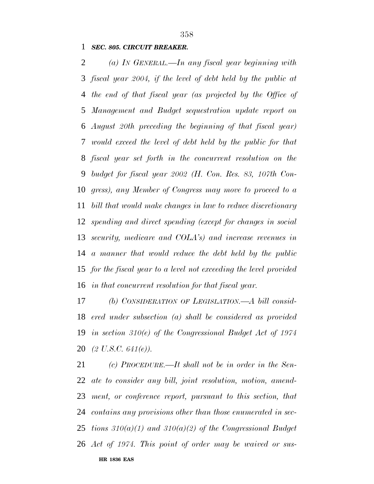*SEC. 805. CIRCUIT BREAKER.*

 *(a) IN GENERAL.—In any fiscal year beginning with fiscal year 2004, if the level of debt held by the public at the end of that fiscal year (as projected by the Office of Management and Budget sequestration update report on August 20th preceding the beginning of that fiscal year) would exceed the level of debt held by the public for that fiscal year set forth in the concurrent resolution on the budget for fiscal year 2002 (H. Con. Res. 83, 107th Con- gress), any Member of Congress may move to proceed to a bill that would make changes in law to reduce discretionary spending and direct spending (except for changes in social security, medicare and COLA's) and increase revenues in a manner that would reduce the debt held by the public for the fiscal year to a level not exceeding the level provided in that concurrent resolution for that fiscal year.*

 *(b) CONSIDERATION OF LEGISLATION.—A bill consid- ered under subsection (a) shall be considered as provided in section 310(e) of the Congressional Budget Act of 1974 (2 U.S.C. 641(e)).*

**HR 1836 EAS** *(c) PROCEDURE.—It shall not be in order in the Sen- ate to consider any bill, joint resolution, motion, amend- ment, or conference report, pursuant to this section, that contains any provisions other than those enumerated in sec- tions 310(a)(1) and 310(a)(2) of the Congressional Budget Act of 1974. This point of order may be waived or sus-*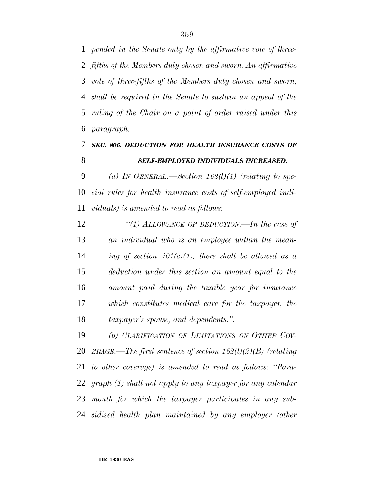*pended in the Senate only by the affirmative vote of three- fifths of the Members duly chosen and sworn. An affirmative vote of three-fifths of the Members duly chosen and sworn, shall be required in the Senate to sustain an appeal of the ruling of the Chair on a point of order raised under this paragraph.*

### *SEC. 806. DEDUCTION FOR HEALTH INSURANCE COSTS OF SELF-EMPLOYED INDIVIDUALS INCREASED.*

 *(a) IN GENERAL.—Section 162(l)(1) (relating to spe- cial rules for health insurance costs of self-employed indi-viduals) is amended to read as follows:*

 *''(1) ALLOWANCE OF DEDUCTION.—In the case of an individual who is an employee within the mean- ing of section 401(c)(1), there shall be allowed as a deduction under this section an amount equal to the amount paid during the taxable year for insurance which constitutes medical care for the taxpayer, the taxpayer's spouse, and dependents.''.*

 *(b) CLARIFICATION OF LIMITATIONS ON OTHER COV- ERAGE.—The first sentence of section 162(l)(2)(B) (relating to other coverage) is amended to read as follows: ''Para- graph (1) shall not apply to any taxpayer for any calendar month for which the taxpayer participates in any sub-sidized health plan maintained by any employer (other*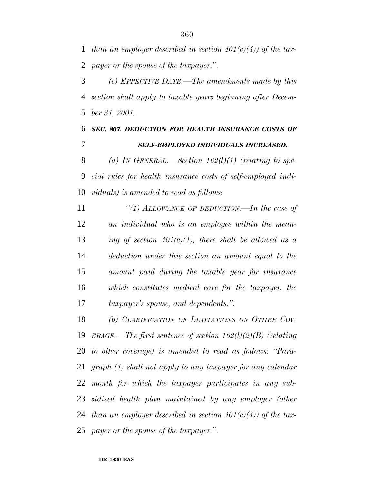*than an employer described in section 401(c)(4)) of the tax-payer or the spouse of the taxpayer.''.*

 *(c) EFFECTIVE DATE.—The amendments made by this section shall apply to taxable years beginning after Decem-ber 31, 2001.*

 *SEC. 807. DEDUCTION FOR HEALTH INSURANCE COSTS OF SELF-EMPLOYED INDIVIDUALS INCREASED.*

 *(a) IN GENERAL.—Section 162(l)(1) (relating to spe- cial rules for health insurance costs of self-employed indi-viduals) is amended to read as follows:*

 *''(1) ALLOWANCE OF DEDUCTION.—In the case of an individual who is an employee within the mean- ing of section 401(c)(1), there shall be allowed as a deduction under this section an amount equal to the amount paid during the taxable year for insurance which constitutes medical care for the taxpayer, the taxpayer's spouse, and dependents.''.*

 *(b) CLARIFICATION OF LIMITATIONS ON OTHER COV- ERAGE.—The first sentence of section 162(l)(2)(B) (relating to other coverage) is amended to read as follows: ''Para- graph (1) shall not apply to any taxpayer for any calendar month for which the taxpayer participates in any sub- sidized health plan maintained by any employer (other than an employer described in section 401(c)(4)) of the tax-payer or the spouse of the taxpayer.''.*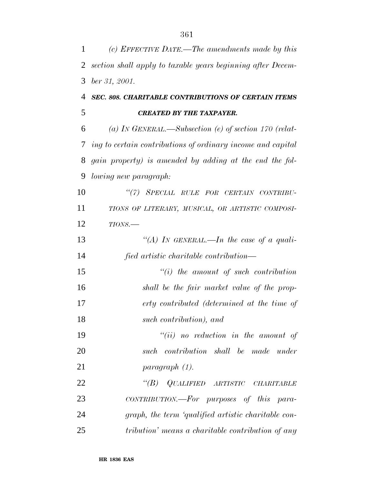| 1  | (c) EFFECTIVE DATE.—The amendments made by this             |
|----|-------------------------------------------------------------|
| 2  | section shall apply to taxable years beginning after Decem- |
| 3  | ber 31, 2001.                                               |
| 4  | SEC. 808. CHARITABLE CONTRIBUTIONS OF CERTAIN ITEMS         |
| 5  | <b>CREATED BY THE TAXPAYER.</b>                             |
| 6  | (a) IN GENERAL.—Subsection (e) of section 170 (relat-       |
| 7  | ing to certain contributions of ordinary income and capital |
| 8  | gain property) is amended by adding at the end the fol-     |
| 9  | <i>lowing new paragraph:</i>                                |
| 10 | "(7) SPECIAL RULE FOR CERTAIN CONTRIBU-                     |
| 11 | TIONS OF LITERARY, MUSICAL, OR ARTISTIC COMPOSI-            |
| 12 | $TIONS$ .                                                   |
| 13 | "(A) IN GENERAL.—In the case of a quali-                    |
| 14 | fied artistic charitable contribution—                      |
| 15 | $``(i)$ the amount of such contribution                     |
| 16 | shall be the fair market value of the prop-                 |
| 17 | erty contributed (determined at the time of                 |
| 18 | such contribution), and                                     |
| 19 | $``(ii)$ no reduction in the amount of                      |
| 20 | such contribution shall be made under                       |
| 21 | paragraph (1).                                              |
| 22 | "(B) QUALIFIED ARTISTIC CHARITABLE                          |
| 23 | CONTRIBUTION.—For purposes of this para-                    |
| 24 | graph, the term 'qualified artistic charitable con-         |
| 25 | tribution' means a charitable contribution of any           |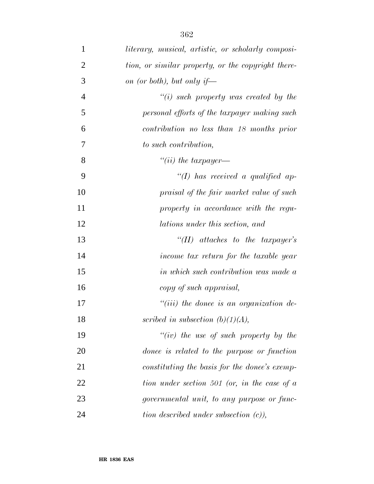| $\mathbf{1}$   | literary, musical, artistic, or scholarly composi- |
|----------------|----------------------------------------------------|
| $\overline{2}$ | tion, or similar property, or the copyright there- |
| 3              | on (or both), but only if—                         |
| $\overline{4}$ | $``(i)$ such property was created by the           |
| 5              | personal efforts of the taxpayer making such       |
| 6              | contribution no less than 18 months prior          |
| 7              | to such contribution,                              |
| 8              | $``(ii)$ the taxpayer—                             |
| 9              | $\lq (I)$ has received a qualified ap-             |
| 10             | praisal of the fair market value of such           |
| 11             | property in accordance with the regu-              |
| 12             | lations under this section, and                    |
| 13             | " $(II)$ attaches to the taxpayer's                |
| 14             | income tax return for the taxable year             |
| 15             | in which such contribution was made a              |
| 16             | copy of such appraisal,                            |
| 17             | $``(iii)$ the donee is an organization de-         |
| 18             | scribed in subsection $(b)(1)(A)$ ,                |
| 19             | "(iv) the use of such property by the              |
| 20             | donee is related to the purpose or function        |
| 21             | constituting the basis for the donee's exemp-      |
| 22             | tion under section 501 (or, in the case of $a$     |
| 23             | governmental unit, to any purpose or func-         |
| 24             | tion described under subsection $(c)$ ),           |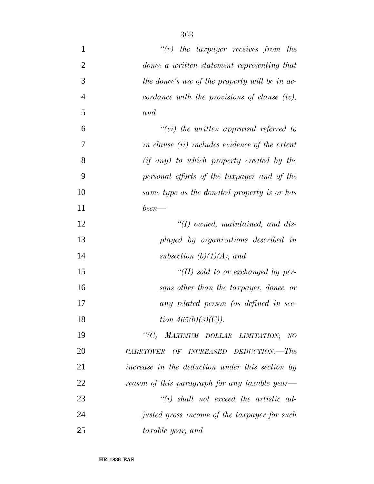| $\mathbf{1}$   | $\lq\lq(v)$ the taxpayer receives from the      |
|----------------|-------------------------------------------------|
| $\overline{2}$ | donee a written statement representing that     |
| 3              | the donee's use of the property will be in ac-  |
| $\overline{4}$ | cordance with the provisions of clause (iv),    |
| 5              | and                                             |
| 6              | $``(vi)$ the written appraisal referred to      |
| $\overline{7}$ | in clause (ii) includes evidence of the extent  |
| 8              | (if any) to which property created by the       |
| 9              | personal efforts of the taxpayer and of the     |
| 10             | same type as the donated property is or has     |
| 11             | $been$ —                                        |
| 12             | $\lq (I)$ owned, maintained, and dis-           |
| 13             | played by organizations described in            |
| 14             | subsection $(b)(1)(A)$ , and                    |
| 15             | "(II) sold to or exchanged by per-              |
| 16             | sons other than the taxpayer, donee, or         |
| 17             | any related person (as defined in sec-          |
| 18             | tion $465(b)(3)(C)$ ).                          |
| 19             | "(C) MAXIMUM DOLLAR LIMITATION; NO              |
| 20             | CARRYOVER OF INCREASED DEDUCTION.—The           |
| 21             | increase in the deduction under this section by |
| 22             | reason of this paragraph for any taxable year-  |
| 23             | $``(i)$ shall not exceed the artistic ad-       |
| 24             | justed gross income of the taxpayer for such    |
| 25             | taxable year, and                               |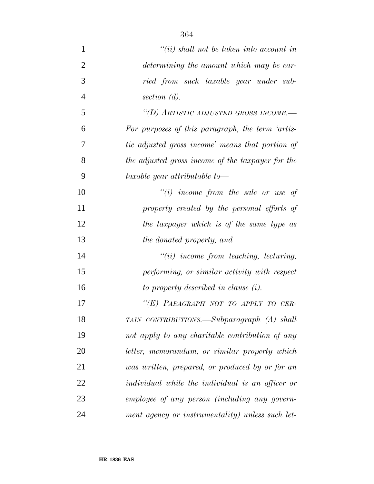| $\mathbf{1}$   | $``(ii)$ shall not be taken into account in       |
|----------------|---------------------------------------------------|
| $\overline{2}$ | determining the amount which may be car-          |
| 3              | ried from such taxable year under sub-            |
| $\overline{4}$ | section $(d)$ .                                   |
| 5              | "(D) ARTISTIC ADJUSTED GROSS INCOME.-             |
| 6              | For purposes of this paragraph, the term 'artis-  |
| 7              | tic adjusted gross income' means that portion of  |
| 8              | the adjusted gross income of the taxpayer for the |
| 9              | taxable year attributable to-                     |
| 10             | $``(i)$ income from the sale or use of            |
| 11             | property created by the personal efforts of       |
| 12             | the taxpayer which is of the same type as         |
| 13             | the donated property, and                         |
| 14             | $"(ii)$ income from teaching, lecturing,          |
| 15             | performing, or similar activity with respect      |
| 16             | to property described in clause (i).              |
| 17             | "(E) PARAGRAPH NOT TO APPLY TO CER-               |
| 18             | TAIN CONTRIBUTIONS.—Subparagraph (A) shall        |
| 19             | not apply to any charitable contribution of any   |
| 20             | letter, memorandum, or similar property which     |
| 21             | was written, prepared, or produced by or for an   |
| 22             | individual while the individual is an officer or  |
| 23             | employee of any person (including any govern-     |
| 24             | ment agency or instrumentality) unless such let-  |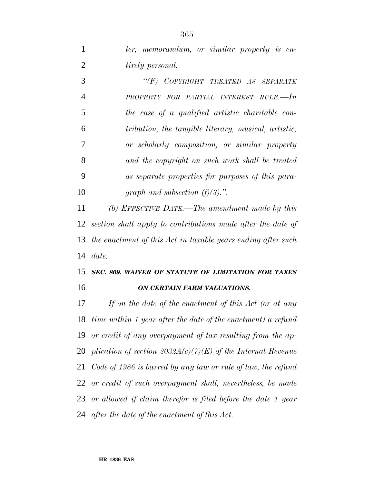| $\overline{2}$ | <i>tirely personal.</i>                                         |
|----------------|-----------------------------------------------------------------|
| 3              | "(F) COPYRIGHT TREATED AS SEPARATE                              |
| $\overline{4}$ | PROPERTY FOR PARTIAL INTEREST RULE.-In                          |
| 5              | the case of a qualified artistic charitable con-                |
| 6              | tribution, the tangible literary, musical, artistic,            |
| 7              | or scholarly composition, or similar property                   |
| 8              | and the copyright on such work shall be treated                 |
| 9              | as separate properties for purposes of this para-               |
| 10             | graph and subsection $(f)(3)$ .".                               |
| 11             | (b) EFFECTIVE DATE.—The amendment made by this                  |
|                | 12 section shall apply to contributions made after the date of  |
|                | 13 the enactment of this Act in taxable years ending after such |
|                | $14$ date.                                                      |
|                | 15 SEC. 809. WAIVER OF STATUTE OF LIMITATION FOR TAXES          |
| 16             | ON CERTAIN FARM VALUATIONS.                                     |

 *If on the date of the enactment of this Act (or at any time within 1 year after the date of the enactment) a refund or credit of any overpayment of tax resulting from the ap- plication of section 2032A(c)(7)(E) of the Internal Revenue Code of 1986 is barred by any law or rule of law, the refund or credit of such overpayment shall, nevertheless, be made or allowed if claim therefor is filed before the date 1 year after the date of the enactment of this Act.*

*ter, memorandum, or similar property is en-*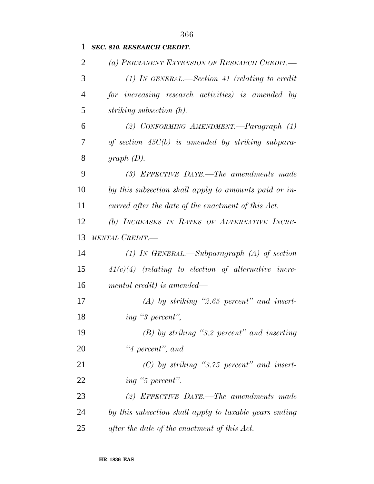## *SEC. 810. RESEARCH CREDIT.*

| 2              | (a) PERMANENT EXTENSION OF RESEARCH CREDIT.-           |
|----------------|--------------------------------------------------------|
| 3              | (1) IN GENERAL.—Section 41 (relating to credit         |
| $\overline{4}$ | for increasing research activities) is amended by      |
| 5              | striking subsection $(h)$ .                            |
| 6              | (2) CONFORMING AMENDMENT.—Paragraph (1)                |
| 7              | of section $45C(b)$ is amended by striking subpara-    |
| 8              | graph $(D)$ .                                          |
| 9              | (3) EFFECTIVE DATE.—The amendments made                |
| 10             | by this subsection shall apply to amounts paid or in-  |
| 11             | curred after the date of the enactment of this Act.    |
| 12             | (b) INCREASES IN RATES OF ALTERNATIVE INCRE-           |
| 13             | MENTAL CREDIT.-                                        |
| 14             | (1) In GENERAL.—Subparagraph (A) of section            |
| 15             | $41(c)(4)$ (relating to election of alternative incre- |
| 16             | mental credit) is amended—                             |
| 17             | $(A)$ by striking "2.65 percent" and insert-           |
| 18             | ing "3 percent",                                       |
| 19             | $(B)$ by striking "3.2 percent" and inserting          |
| 20             | $"4$ percent", and                                     |
| 21             | $(C)$ by striking "3.75 percent" and insert-           |
| 22             | ing "5 percent".                                       |
| 23             | (2) EFFECTIVE DATE.—The amendments made                |
| 24             | by this subsection shall apply to taxable years ending |
| 25             | after the date of the enactment of this Act.           |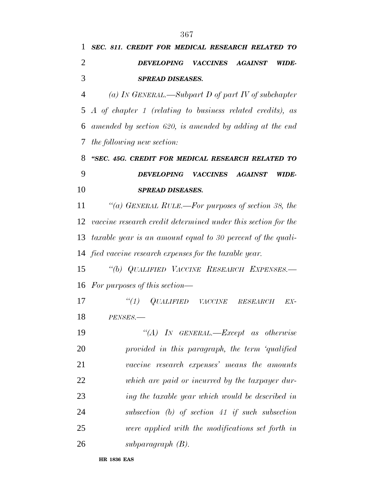*SEC. 811. CREDIT FOR MEDICAL RESEARCH RELATED TO*

| $\overline{2}$ | DEVELOPING VACCINES<br>AGAINST<br>WIDE-                         |
|----------------|-----------------------------------------------------------------|
| 3              | <b>SPREAD DISEASES.</b>                                         |
| $\overline{4}$ | (a) In GENERAL.—Subpart D of part IV of subchapter              |
| 5              | A of chapter 1 (relating to business related credits), as       |
| 6              | amended by section 620, is amended by adding at the end         |
| 7              | the following new section:                                      |
| 8              | "SEC. 45G. CREDIT FOR MEDICAL RESEARCH RELATED TO               |
| 9              | <b>DEVELOPING</b><br><b>VACCINES</b><br><b>AGAINST</b><br>WIDE- |
| 10             | <b>SPREAD DISEASES.</b>                                         |
| 11             | "(a) GENERAL RULE.—For purposes of section 38, the              |
| 12             | vaccine research credit determined under this section for the   |
| 13             | taxable year is an amount equal to 30 percent of the quali-     |
|                | 14 fied vaccine research expenses for the taxable year.         |
| 15             | "(b) QUALIFIED VACCINE RESEARCH EXPENSES.-                      |
| 16             | For purposes of this section—                                   |
| 17             | ``(1)<br>$QUALIFIED$ $VACCINE$ $RESEARCH$<br>EX-                |
| 18             | PENSES.-                                                        |
| 19             | "(A) IN GENERAL.—Except as otherwise                            |
| 20             | provided in this paragraph, the term 'qualified                 |
| 21             | vaccine research expenses' means the amounts                    |
| 22             | which are paid or incurred by the taxpayer dur-                 |
| 23             | ing the taxable year which would be described in                |
| 24             | subsection $(b)$ of section 41 if such subsection               |
| 25             | were applied with the modifications set forth in                |
| 26             | subparagraph $(B)$ .                                            |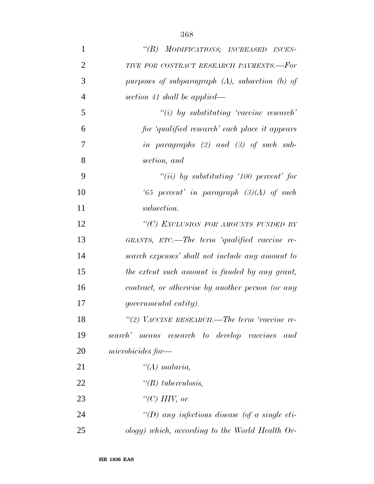| $\mathbf{1}$   | "(B) MODIFICATIONS; INCREASED INCEN-                 |
|----------------|------------------------------------------------------|
| $\overline{2}$ | TIVE FOR CONTRACT RESEARCH PAYMENTS.-For             |
| 3              | purposes of subparagraph $(A)$ , subsection $(b)$ of |
| $\overline{4}$ | section 41 shall be applied—                         |
| 5              | $``(i)$ by substituting 'vaccine research'           |
| 6              | for 'qualified research' each place it appears       |
| 7              | in paragraphs $(2)$ and $(3)$ of such sub-           |
| 8              | section, and                                         |
| 9              | "(ii) by substituting '100 percent' for              |
| 10             | '65 percent' in paragraph $(3)(A)$ of such           |
| 11             | subsection.                                          |
| 12             | "(C) EXCLUSION FOR AMOUNTS FUNDED BY                 |
| 13             | GRANTS, $ETC$ —The term 'qualified vaccine re-       |
| 14             | search expenses' shall not include any amount to     |
| 15             | the extent such amount is funded by any grant,       |
| 16             | contract, or otherwise by another person (or any     |
| 17             | <i>governmental entity).</i>                         |
| 18             | "(2) VACCINE RESEARCH.—The term 'vaccine re-         |
| 19             | search' means research to develop vaccines and       |
| 20             | microbici des for—                                   |
| 21             | " $(A)$ malaria,                                     |
| 22             | " $(B)$ tuberculosis,                                |
| 23             | " $(C)$ HIV, or                                      |
| 24             | "(D) any infectious disease (of a single eti-        |
| 25             | ology) which, according to the World Health Or-      |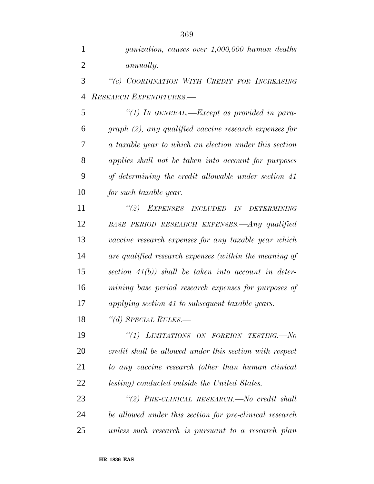*''(c) COORDINATION WITH CREDIT FOR INCREASING RESEARCH EXPENDITURES.—*

 *''(1) IN GENERAL.—Except as provided in para- graph (2), any qualified vaccine research expenses for a taxable year to which an election under this section applies shall not be taken into account for purposes of determining the credit allowable under section 41 for such taxable year.*

 *''(2) EXPENSES INCLUDED IN DETERMINING BASE PERIOD RESEARCH EXPENSES.—Any qualified vaccine research expenses for any taxable year which are qualified research expenses (within the meaning of section 41(b)) shall be taken into account in deter- mining base period research expenses for purposes of applying section 41 to subsequent taxable years.*

*''(d) SPECIAL RULES.—*

 *''(1) LIMITATIONS ON FOREIGN TESTING.—No credit shall be allowed under this section with respect to any vaccine research (other than human clinical testing) conducted outside the United States.*

 *''(2) PRE-CLINICAL RESEARCH.—No credit shall be allowed under this section for pre-clinical research unless such research is pursuant to a research plan*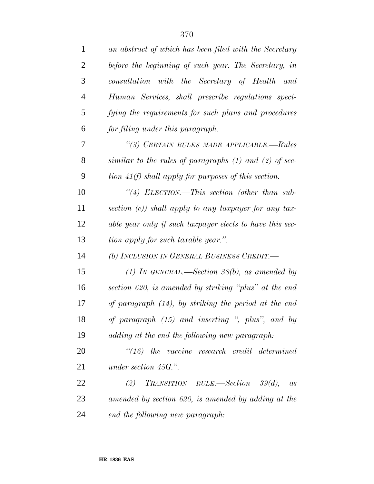| 1              | an abstract of which has been filed with the Secretary     |
|----------------|------------------------------------------------------------|
| $\overline{2}$ | before the beginning of such year. The Secretary, in       |
| 3              | consultation with the Secretary of Health and              |
| $\overline{4}$ | Human Services, shall prescribe regulations speci-         |
| 5              | fying the requirements for such plans and procedures       |
| 6              | for filing under this paragraph.                           |
| 7              | "(3) CERTAIN RULES MADE APPLICABLE.—Rules                  |
| 8              | similar to the rules of paragraphs $(1)$ and $(2)$ of sec- |
| 9              | tion $41(f)$ shall apply for purposes of this section.     |
| 10             | "(4) ELECTION.—This section (other than sub-               |
| 11             | section $(e)$ ) shall apply to any taxpayer for any tax-   |
| 12             | able year only if such taxpayer elects to have this sec-   |
|                |                                                            |
| 13             | tion apply for such taxable year.".                        |
| 14             | (b) INCLUSION IN GENERAL BUSINESS CREDIT.-                 |
| 15             | (1) IN GENERAL.—Section 38(b), as amended by               |
| 16             | section 620, is amended by striking "plus" at the end      |
| 17             | of paragraph (14), by striking the period at the end       |
| 18             | of paragraph (15) and inserting ", plus", and by           |
| 19             | adding at the end the following new paragraph:             |
| 20             | $\degree$ (16) the vaccine research credit determined      |
| 21             | under section $45G$ .".                                    |
| 22             | TRANSITION RULE.—Section 39(d),<br>(2)<br>as               |
| 23             | amended by section 620, is amended by adding at the        |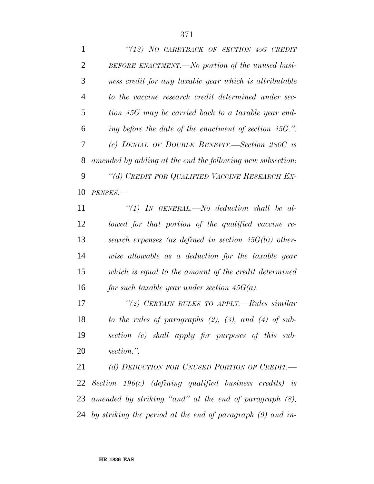|                | "(12) NO CARRYBACK OF SECTION 45G CREDIT                   |
|----------------|------------------------------------------------------------|
| 2              | BEFORE ENACTMENT.—No portion of the unused busi-           |
| 3              | ness credit for any taxable year which is attributable     |
| $\overline{4}$ | to the vaccine research credit determined under sec-       |
| 5              | tion 45G may be carried back to a taxable year end-        |
| 6              | ing before the date of the enactment of section 45G.".     |
| 7              | (c) DENIAL OF DOUBLE BENEFIT.—Section 280C is              |
| 8              | amended by adding at the end the following new subsection: |
| 9              | "(d) CREDIT FOR QUALIFIED VACCINE RESEARCH EX-             |
| 10             | PENSES.-                                                   |

 *''(1) IN GENERAL.—No deduction shall be al- lowed for that portion of the qualified vaccine re- search expenses (as defined in section 45G(b)) other- wise allowable as a deduction for the taxable year which is equal to the amount of the credit determined for such taxable year under section 45G(a).*

 *''(2) CERTAIN RULES TO APPLY.—Rules similar to the rules of paragraphs (2), (3), and (4) of sub- section (c) shall apply for purposes of this sub-section.''.*

 *(d) DEDUCTION FOR UNUSED PORTION OF CREDIT.— Section 196(c) (defining qualified business credits) is amended by striking ''and'' at the end of paragraph (8), by striking the period at the end of paragraph (9) and in-*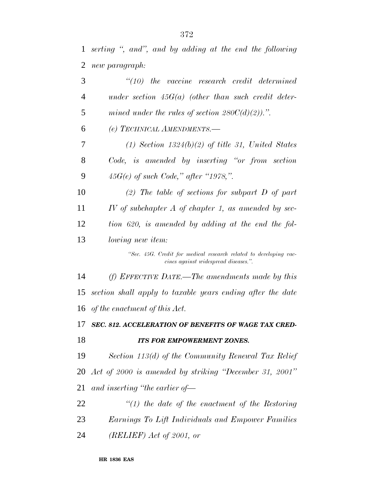*serting '', and'', and by adding at the end the following new paragraph:*

| 3  | $"(10)$ the vaccine research credit determined                                                            |
|----|-----------------------------------------------------------------------------------------------------------|
| 4  | under section $45G(a)$ (other than such credit deter-                                                     |
| 5  | mined under the rules of section $280C(d)(2)$ .".                                                         |
| 6  | (e) TECHNICAL AMENDMENTS.-                                                                                |
| 7  | $(1)$ Section 1324 $(b)(2)$ of title 31, United States                                                    |
| 8  | Code, is amended by inserting "or from section"                                                           |
| 9  | $45G(e)$ of such Code," after "1978,".                                                                    |
| 10 | (2) The table of sections for subpart $D$ of part                                                         |
| 11 | IV of subchapter $A$ of chapter 1, as amended by sec-                                                     |
| 12 | tion 620, is amended by adding at the end the fol-                                                        |
| 13 | <i>lowing new item:</i>                                                                                   |
|    | "Sec. 45G. Credit for medical research related to developing vac-<br>cines against widespread diseases.". |
| 14 | (f) EFFECTIVE DATE.—The amendments made by this                                                           |
| 15 | section shall apply to taxable years ending after the date                                                |
| 16 | of the enactment of this Act.                                                                             |
| 17 | SEC. 812. ACCELERATION OF BENEFITS OF WAGE TAX CRED-                                                      |
| 18 | <b>ITS FOR EMPOWERMENT ZONES.</b>                                                                         |
| 19 | Section 113(d) of the Community Renewal Tax Relief                                                        |
| 20 | Act of 2000 is amended by striking "December 31, 2001"                                                    |
| 21 | and inserting "the earlier of-                                                                            |
| 22 | $"(1)$ the date of the enactment of the Restoring                                                         |
| 23 | Earnings To Lift Individuals and Empower Families                                                         |

*(RELIEF) Act of 2001, or*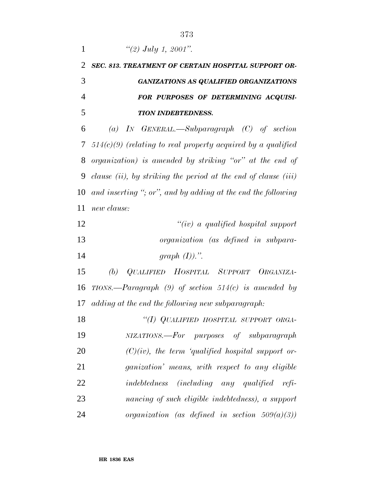| 1              | "(2) July 1, 2001".                                                 |
|----------------|---------------------------------------------------------------------|
| $\overline{2}$ | SEC. 813. TREATMENT OF CERTAIN HOSPITAL SUPPORT OR-                 |
| 3              | <b>GANIZATIONS AS QUALIFIED ORGANIZATIONS</b>                       |
| $\overline{4}$ | FOR PURPOSES OF DETERMINING ACQUISI-                                |
| 5              | <b>TION INDEBTEDNESS.</b>                                           |
| 6              | (a) IN GENERAL.—Subparagraph $(C)$ of section                       |
| 7              | $514(c)(9)$ (relating to real property acquired by a qualified      |
| 8              | organization) is amended by striking "or" at the end of             |
| 9              | clause $(ii)$ , by striking the period at the end of clause $(iii)$ |
| 10             | and inserting "; or", and by adding at the end the following        |
| 11             | new clause:                                                         |
| 12             | "(iv) a qualified hospital support                                  |
| 13             | organization (as defined in subpara-                                |
| 14             | graph $(I)$ ).".                                                    |
| 15             | (b) QUALIFIED HOSPITAL SUPPORT ORGANIZA-                            |
| 16             | TIONS.—Paragraph (9) of section $514(c)$ is amended by              |
| 17             | adding at the end the following new subparagraph:                   |
| 18             | "(I) QUALIFIED HOSPITAL SUPPORT ORGA-                               |
| 19             | NIZATIONS.—For purposes of subparagraph                             |
| 20             | $(C)(iv)$ , the term 'qualified hospital support or-                |
| 21             | ganization' means, with respect to any eligible                     |
| 22             | indebtedness (including any qualified refi-                         |
| 23             | nancing of such eligible indebtedness), a support                   |
| 24             | organization (as defined in section $509(a)(3)$ )                   |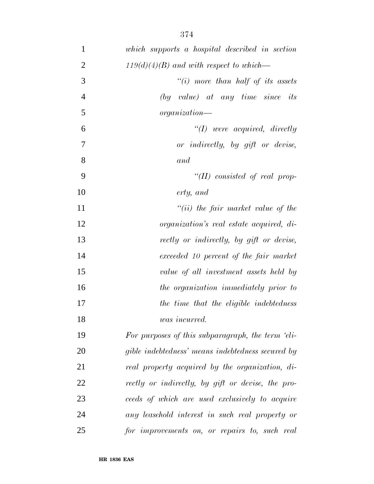| $\mathbf{1}$   | which supports a hospital described in section    |
|----------------|---------------------------------------------------|
| $\overline{2}$ | $119(d)(4)(B)$ and with respect to which—         |
| 3              | "(i) more than half of its assets                 |
| $\overline{4}$ | $(by \ value)$ at any time since its              |
| 5              | organization—                                     |
| 6              | $\lq (I)$ were acquired, directly                 |
| $\tau$         | or indirectly, by gift or devise,                 |
| 8              | and                                               |
| 9              | "(II) consisted of real prop-                     |
| 10             | erty, and                                         |
| 11             | $``(ii)$ the fair market value of the             |
| 12             | <i>organization's real estate acquired, di-</i>   |
| 13             | rectly or indirectly, by gift or devise,          |
| 14             | exceeded 10 percent of the fair market            |
| 15             | value of all investment assets held by            |
| 16             | the organization immediately prior to             |
| 17             | the time that the eligible indebtedness           |
| 18             | $was\ incurred.$                                  |
| 19             | For purposes of this subparagraph, the term 'eli- |
| 20             | gible indebtedness' means indebtedness secured by |
| 21             | real property acquired by the organization, di-   |
| 22             | rectly or indirectly, by gift or devise, the pro- |
| 23             | ceeds of which are used exclusively to acquire    |
| 24             | any leasehold interest in such real property or   |
| 25             | for improvements on, or repairs to, such real     |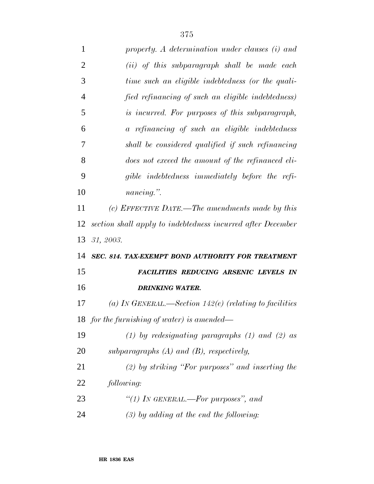| 1              | property. A determination under clauses (i) and             |
|----------------|-------------------------------------------------------------|
| $\overline{2}$ | (ii) of this subparagraph shall be made each                |
| 3              | time such an eligible indebtedness (or the quali-           |
| $\overline{4}$ | fied refinancing of such an eligible indebtedness)          |
| 5              | is incurred. For purposes of this subparagraph,             |
| 6              | a refinancing of such an eligible indebtedness              |
| 7              | shall be considered qualified if such refinancing           |
| 8              | does not exceed the amount of the refinanced eli-           |
| 9              | gible indebtedness immediately before the refi-             |
| 10             | $nancing.$ ".                                               |
| 11             | (c) EFFECTIVE DATE.—The amendments made by this             |
| 12             | section shall apply to indebtedness incurred after December |
|                |                                                             |
| 13             | 31, 2003.                                                   |
|                | SEC. 814. TAX-EXEMPT BOND AUTHORITY FOR TREATMENT           |
| 14<br>15       | FACILITIES REDUCING ARSENIC LEVELS IN                       |
| 16             | <b>DRINKING WATER.</b>                                      |
|                | (a) IN GENERAL.—Section 142(e) (relating to facilities      |
| 17             | 18 for the furnishing of water) is amended—                 |
| 19             | (1) by redesignating paragraphs (1) and (2) as              |
| 20             | subparagraphs $(A)$ and $(B)$ , respectively,               |
| 21             | $(2)$ by striking "For purposes" and inserting the          |
| 22             | following:                                                  |
| 23             | "(1) In GENERAL.—For purposes", and                         |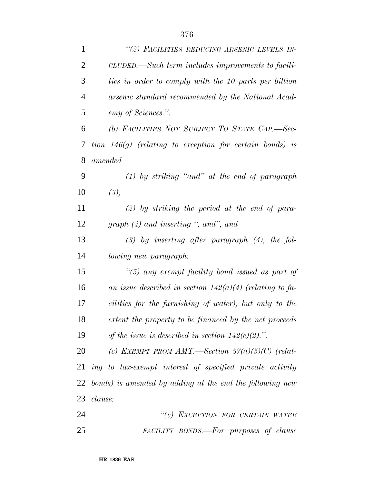| $\mathbf{1}$   | "(2) FACILITIES REDUCING ARSENIC LEVELS IN-                |
|----------------|------------------------------------------------------------|
| $\overline{c}$ | CLUDED.—Such term includes improvements to facili-         |
| 3              | ties in order to comply with the 10 parts per billion      |
| $\overline{4}$ | arsenic standard recommended by the National Acad-         |
| 5              | emy of Sciences.".                                         |
| 6              | (b) FACILITIES NOT SUBJECT TO STATE CAP.-Sec-              |
| 7              | tion $146(g)$ (relating to exception for certain bonds) is |
| 8              | $amended -$                                                |
| 9              | $(1)$ by striking "and" at the end of paragraph            |
| 10             | (3),                                                       |
| 11             | $(2)$ by striking the period at the end of para-           |
| 12             | graph $(4)$ and inserting ", and", and                     |
| 13             | $(3)$ by inserting after paragraph $(4)$ , the fol-        |
| 14             | lowing new paragraph:                                      |
| 15             | $\lq(5)$ any exempt facility bond issued as part of        |
| 16             | an issue described in section $142(a)(4)$ (relating to fa- |
| 17             | cilities for the furnishing of water), but only to the     |
| 18             | extent the property to be financed by the net proceeds     |
| 19             | of the issue is described in section $142(e)(2)$ .".       |
| 20             | (c) EXEMPT FROM AMT.—Section $57(a)(5)(C)$ (relat-         |
| 21             | ing to tax-exempt interest of specified private activity   |
| 22             | bonds) is amended by adding at the end the following new   |
| 23             | clause:                                                    |
| 24             | "(v) EXCEPTION FOR CERTAIN WATER                           |
| 25             | FACILITY BONDS.—For purposes of clause                     |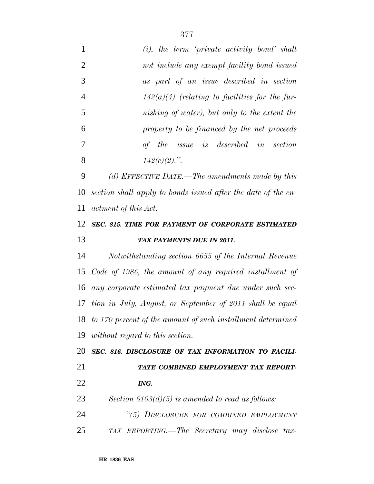| 1              | $(i)$ , the term 'private activity bond' shall                 |
|----------------|----------------------------------------------------------------|
| $\overline{2}$ | not include any exempt facility bond issued                    |
| 3              | as part of an issue described in section                       |
| $\overline{4}$ | $142(a)(4)$ (relating to facilities for the fur-               |
| 5              | nishing of water), but only to the extent the                  |
| 6              | property to be financed by the net proceeds                    |
| 7              | of the issue is described in section                           |
| 8              | $142(e)(2)$ .".                                                |
| 9              | (d) EFFECTIVE DATE.—The amendments made by this                |
| 10             | section shall apply to bonds issued after the date of the en-  |
| 11             | <i>actment of this Act.</i>                                    |
| 12             | SEC. 815. TIME FOR PAYMENT OF CORPORATE ESTIMATED              |
| 13             | TAX PAYMENTS DUE IN 2011.                                      |
| 14             | Notwithstanding section 6655 of the Internal Revenue           |
| 15             | Code of 1986, the amount of any required installment of        |
| 16             | any corporate estimated tax payment due under such sec-        |
|                | 17 tion in July, August, or September of 2011 shall be equal   |
|                | 18 to 170 percent of the amount of such installment determined |
| 19             | without regard to this section.                                |
| 20             | SEC. 816. DISCLOSURE OF TAX INFORMATION TO FACILI-             |
| 21             | TATE COMBINED EMPLOYMENT TAX REPORT-                           |
| 22             | ING.                                                           |
| 23             | Section $6103(d)(5)$ is amended to read as follows:            |
| 24             | "(5) DISCLOSURE FOR COMBINED EMPLOYMENT                        |
| 25             | TAX REPORTING.—The Secretary may disclose tax-                 |
|                |                                                                |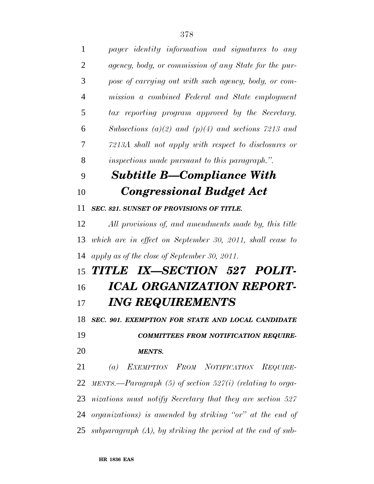| $\mathbf{1}$   | payer identity information and signatures to any                  |
|----------------|-------------------------------------------------------------------|
| $\overline{2}$ | agency, body, or commission of any State for the pur-             |
| 3              | pose of carrying out with such agency, body, or com-              |
| $\overline{4}$ | mission a combined Federal and State employment                   |
| 5              | tax reporting program approved by the Secretary.                  |
| 6              | Subsections (a)(2) and (p)(4) and sections 7213 and               |
| 7              | 7213A shall not apply with respect to disclosures or              |
| 8              | inspections made pursuant to this paragraph.".                    |
| 9              | <b>Subtitle B—Compliance With</b>                                 |
| 10             | <b>Congressional Budget Act</b>                                   |
| 11             | <b>SEC. 821. SUNSET OF PROVISIONS OF TITLE.</b>                   |
| 12             | All provisions of, and amendments made by, this title             |
| 13             | which are in effect on September 30, 2011, shall cease to         |
| 14             | apply as of the close of September 30, 2011.                      |
|                | 15 TITLE IX-SECTION 527 POLIT-                                    |
| 16             | ICAL ORGANIZATION REPORT-                                         |
| 17             | <b>ING REQUIREMENTS</b>                                           |
|                | 18 SEC. 901. EXEMPTION FOR STATE AND LOCAL CANDIDATE              |
| 19             | <b>COMMITTEES FROM NOTIFICATION REQUIRE-</b>                      |
| 20             | <b>MENTS.</b>                                                     |
| 21             | (a) EXEMPTION FROM NOTIFICATION REQUIRE-                          |
| 22             | MENTS.—Paragraph $(5)$ of section $527(i)$ (relating to orga-     |
|                | 23 nizations must notify Secretary that they are section 527      |
|                | 24 organizations) is amended by striking "or" at the end of       |
|                | 25 subparagraph $(A)$ , by striking the period at the end of sub- |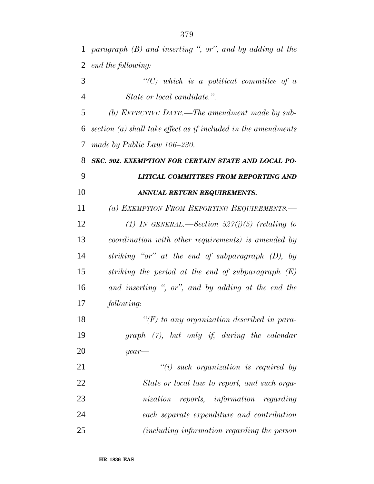*end the following: ''(C) which is a political committee of a State or local candidate.''. (b) EFFECTIVE DATE.—The amendment made by sub- section (a) shall take effect as if included in the amendments made by Public Law 106–230. SEC. 902. EXEMPTION FOR CERTAIN STATE AND LOCAL PO- LITICAL COMMITTEES FROM REPORTING AND ANNUAL RETURN REQUIREMENTS. (a) EXEMPTION FROM REPORTING REQUIREMENTS.— (1) IN GENERAL.—Section 527(j)(5) (relating to coordination with other requirements) is amended by striking ''or'' at the end of subparagraph (D), by striking the period at the end of subparagraph (E) and inserting '', or'', and by adding at the end the following: ''(F) to any organization described in para- graph (7), but only if, during the calendar year— ''(i) such organization is required by State or local law to report, and such orga- nization reports, information regarding each separate expenditure and contribution (including information regarding the person*

*paragraph (B) and inserting '', or'', and by adding at the*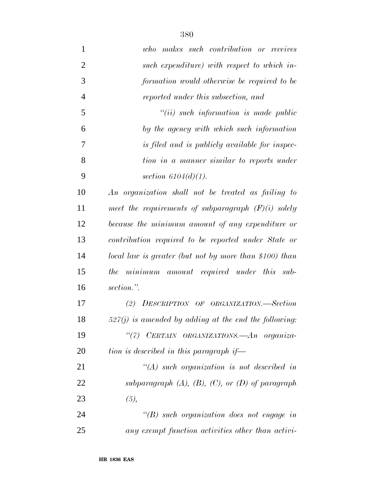*who makes such contribution or receives such expenditure) with respect to which in- formation would otherwise be required to be reported under this subsection, and ''(ii) such information is made public by the agency with which such information is filed and is publicly available for inspec- tion in a manner similar to reports under section 6104(d)(1). An organization shall not be treated as failing to meet the requirements of subparagraph (F)(i) solely because the minimum amount of any expenditure or contribution required to be reported under State or local law is greater (but not by more than \$100) than the minimum amount required under this sub- section.''. (2) DESCRIPTION OF ORGANIZATION.—Section 527(j) is amended by adding at the end the following: ''(7) CERTAIN ORGANIZATIONS.—An organiza-*

 *''(A) such organization is not described in subparagraph (A), (B), (C), or (D) of paragraph (5),*

*tion is described in this paragraph if—*

 *''(B) such organization does not engage in any exempt function activities other than activi-*

**HR 1836 EAS**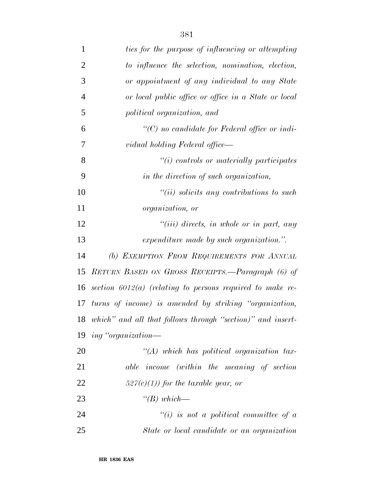| $\mathbf{1}$   | ties for the purpose of influencing or attempting             |
|----------------|---------------------------------------------------------------|
| $\overline{2}$ | to influence the selection, nomination, election,             |
| 3              | or appointment of any individual to any State                 |
| $\overline{4}$ | or local public office or office in a State or local          |
| 5              | political organization, and                                   |
| 6              | $\lq\lq C$ no candidate for Federal office or indi-           |
| 7              | vidual holding Federal office—                                |
| 8              | $\tilde{f}(i)$ controls or materially participates            |
| 9              | in the direction of such organization,                        |
| 10             | $``(ii)$ solicits any contributions to such                   |
| 11             | <i>organization, or</i>                                       |
| 12             | $``(iii)$ directs, in whole or in part, any                   |
| 13             | expenditure made by such organization.".                      |
| 14             | (b) EXEMPTION FROM REQUIREMENTS FOR ANNUAL                    |
| 15             | RETURN BASED ON GROSS RECEIPTS.—Paragraph (6) of              |
| 16             | section $6012(a)$ (relating to persons required to make re-   |
| 17             | turns of income) is amended by striking "organization,        |
|                | 18 which" and all that follows through "section)" and insert- |
|                | 19 ing "organization—                                         |
| 20             | $\lq (A)$ which has political organization tax-               |
| 21             | able income (within the meaning of section                    |
| 22             | $527(c)(1)$ for the taxable year, or                          |
| 23             | $\lq (B) which$                                               |
| 24             | $``(i)$ is not a political committee of a                     |
| 25             | State or local candidate or an organization                   |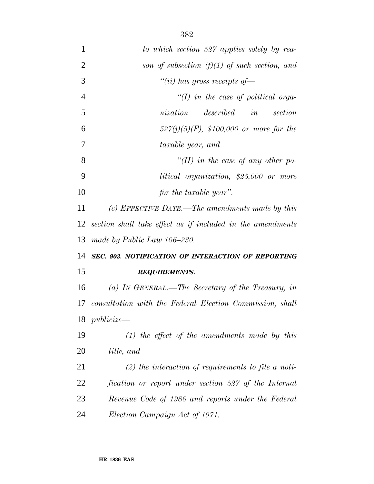| $\mathbf{1}$   | to which section 527 applies solely by rea-                 |
|----------------|-------------------------------------------------------------|
| $\overline{2}$ | son of subsection $(f)(1)$ of such section, and             |
| 3              | "(ii) has gross receipts of $-$                             |
| $\overline{4}$ | "(I) in the case of political orga-                         |
| 5              | described in section<br>nization                            |
| 6              | $527(j)(5)(F)$ , \$100,000 or more for the                  |
| 7              | taxable year, and                                           |
| 8              | "(II) in the case of any other po-                          |
| 9              | litical organization, \$25,000 or more                      |
| 10             | for the taxable year".                                      |
| 11             | (c) EFFECTIVE DATE.—The amendments made by this             |
| 12             | section shall take effect as if included in the amendments  |
| 13             | made by Public Law 106–230.                                 |
| 14             | SEC. 903. NOTIFICATION OF INTERACTION OF REPORTING          |
| 15             | <b>REQUIREMENTS.</b>                                        |
| 16             | (a) IN GENERAL.—The Secretary of the Treasury, in           |
|                | 17 consultation with the Federal Election Commission, shall |
| 18             | $publicize \rightarrow$                                     |
| 19             | $(1)$ the effect of the amendments made by this             |
| 20             | title, and                                                  |
| 21             | $(2)$ the interaction of requirements to file a noti-       |
| 22             | fication or report under section 527 of the Internal        |
| 23             | Revenue Code of 1986 and reports under the Federal          |
| 24             | Election Campaign Act of 1971.                              |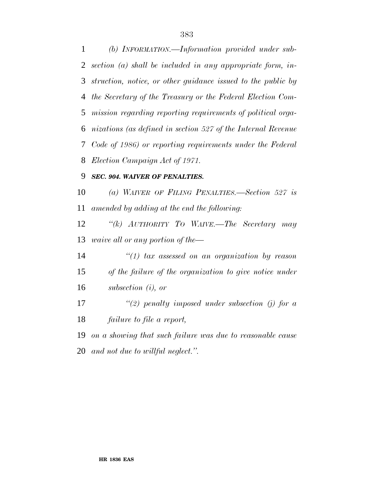*(b) INFORMATION.—Information provided under sub- section (a) shall be included in any appropriate form, in- struction, notice, or other guidance issued to the public by the Secretary of the Treasury or the Federal Election Com- mission regarding reporting requirements of political orga- nizations (as defined in section 527 of the Internal Revenue Code of 1986) or reporting requirements under the Federal Election Campaign Act of 1971.*

## *SEC. 904. WAIVER OF PENALTIES.*

 *(a) WAIVER OF FILING PENALTIES.—Section 527 is amended by adding at the end the following:*

 *''(k) AUTHORITY TO WAIVE.—The Secretary may waive all or any portion of the—*

 *''(1) tax assessed on an organization by reason of the failure of the organization to give notice under subsection (i), or*

 *''(2) penalty imposed under subsection (j) for a failure to file a report,*

 *on a showing that such failure was due to reasonable cause and not due to willful neglect.''.*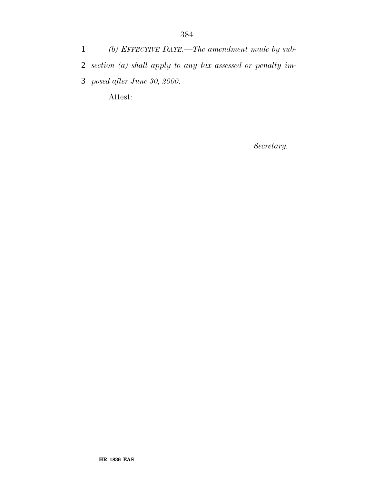*(b) EFFECTIVE DATE.—The amendment made by sub- section (a) shall apply to any tax assessed or penalty im- posed after June 30, 2000.* Attest:

*Secretary.*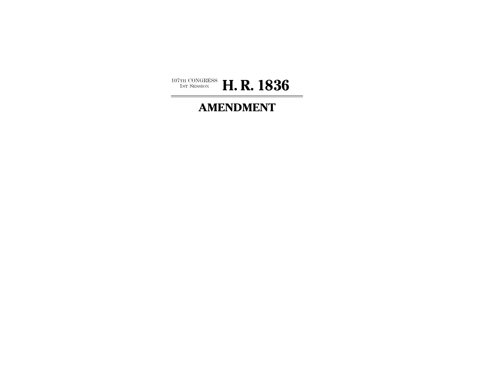

## **AMENDMENT**

÷,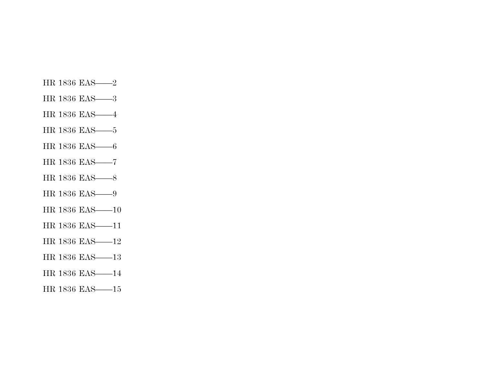- HR 1836 EAS——2
- HR 1836 EAS——3
- HR 1836 EAS——4
- HR 1836 EAS——5
- HR 1836 EAS——6
- HR 1836 EAS——7
- HR 1836 EAS——8
- HR 1836 EAS——9
- HR 1836 EAS——10
- HR 1836 EAS——11
- HR 1836 EAS——12
- HR 1836 EAS——13
- HR 1836 EAS——14
- HR 1836 EAS——15